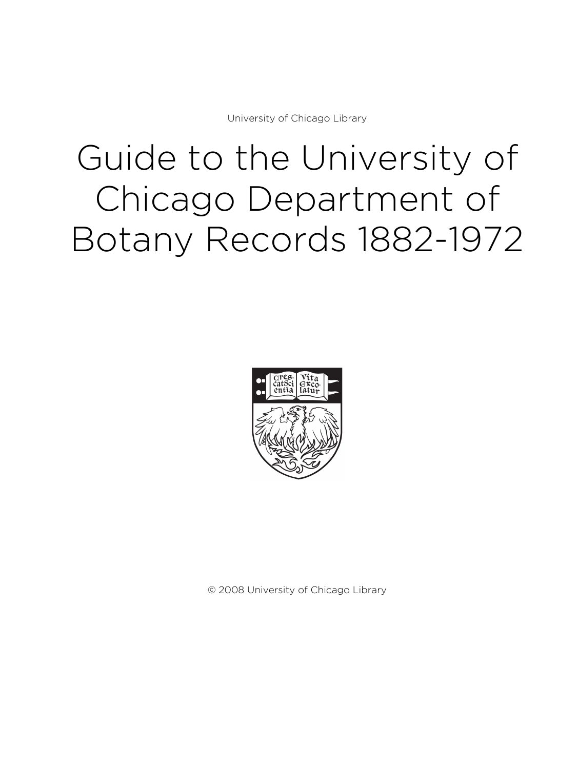University of Chicago Library

# Guide to the University of Chicago Department of Botany Records 1882-1972



© 2008 University of Chicago Library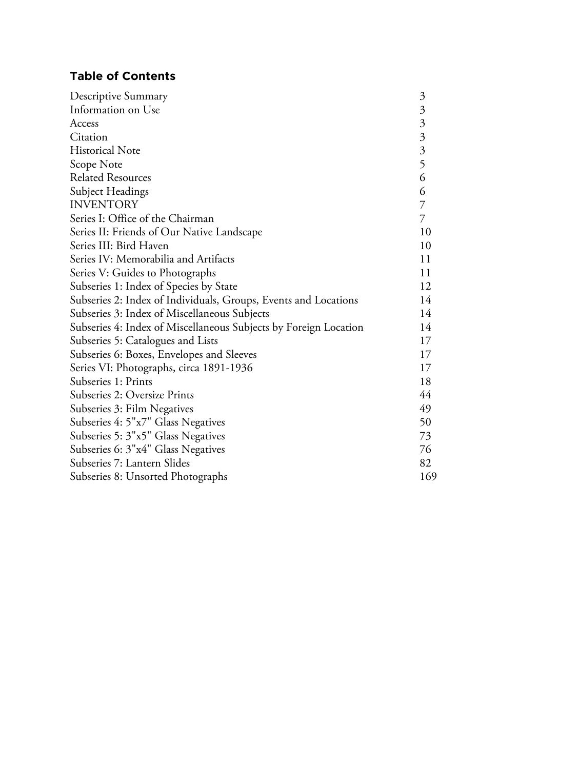# **Table of Contents**

| Descriptive Summary                                              | $\mathfrak{Z}$ |
|------------------------------------------------------------------|----------------|
| Information on Use                                               |                |
| Access                                                           |                |
| Citation                                                         | 33356          |
| <b>Historical Note</b>                                           |                |
| Scope Note                                                       |                |
| <b>Related Resources</b>                                         |                |
| Subject Headings                                                 | 6              |
| <b>INVENTORY</b>                                                 | $\overline{7}$ |
| Series I: Office of the Chairman                                 | 7              |
| Series II: Friends of Our Native Landscape                       | 10             |
| Series III: Bird Haven                                           | 10             |
| Series IV: Memorabilia and Artifacts                             | 11             |
| Series V: Guides to Photographs                                  | 11             |
| Subseries 1: Index of Species by State                           | 12             |
| Subseries 2: Index of Individuals, Groups, Events and Locations  | 14             |
| Subseries 3: Index of Miscellaneous Subjects                     | 14             |
| Subseries 4: Index of Miscellaneous Subjects by Foreign Location |                |
| Subseries 5: Catalogues and Lists                                |                |
| Subseries 6: Boxes, Envelopes and Sleeves                        |                |
| Series VI: Photographs, circa 1891-1936                          | 17             |
| Subseries 1: Prints                                              | 18             |
| Subseries 2: Oversize Prints                                     | 44             |
| Subseries 3: Film Negatives                                      | 49             |
| Subseries 4: 5"x7" Glass Negatives                               | 50             |
| Subseries 5: 3"x5" Glass Negatives                               | 73             |
| Subseries 6: 3"x4" Glass Negatives                               | 76             |
| Subseries 7: Lantern Slides                                      | 82             |
| Subseries 8: Unsorted Photographs                                | 169            |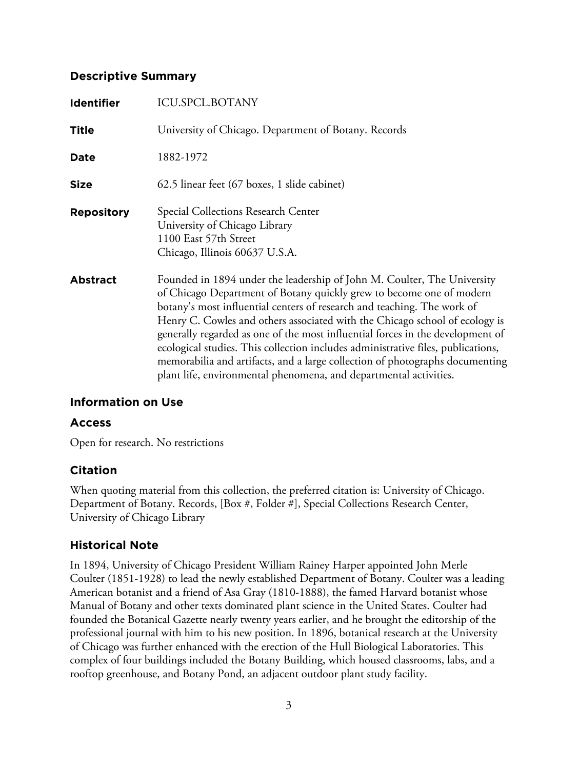#### **Descriptive Summary**

| <b>Identifier</b> | <b>ICU.SPCL.BOTANY</b>                                                                                                                                                                                                                                                                                                                                                                                                                                                                                                                                                                                                               |
|-------------------|--------------------------------------------------------------------------------------------------------------------------------------------------------------------------------------------------------------------------------------------------------------------------------------------------------------------------------------------------------------------------------------------------------------------------------------------------------------------------------------------------------------------------------------------------------------------------------------------------------------------------------------|
| <b>Title</b>      | University of Chicago. Department of Botany. Records                                                                                                                                                                                                                                                                                                                                                                                                                                                                                                                                                                                 |
| Date              | 1882-1972                                                                                                                                                                                                                                                                                                                                                                                                                                                                                                                                                                                                                            |
| Size              | 62.5 linear feet (67 boxes, 1 slide cabinet)                                                                                                                                                                                                                                                                                                                                                                                                                                                                                                                                                                                         |
| <b>Repository</b> | Special Collections Research Center<br>University of Chicago Library<br>1100 East 57th Street<br>Chicago, Illinois 60637 U.S.A.                                                                                                                                                                                                                                                                                                                                                                                                                                                                                                      |
| <b>Abstract</b>   | Founded in 1894 under the leadership of John M. Coulter, The University<br>of Chicago Department of Botany quickly grew to become one of modern<br>botany's most influential centers of research and teaching. The work of<br>Henry C. Cowles and others associated with the Chicago school of ecology is<br>generally regarded as one of the most influential forces in the development of<br>ecological studies. This collection includes administrative files, publications,<br>memorabilia and artifacts, and a large collection of photographs documenting<br>plant life, environmental phenomena, and departmental activities. |

## **Information on Use**

#### **Access**

Open for research. No restrictions

## **Citation**

When quoting material from this collection, the preferred citation is: University of Chicago. Department of Botany. Records, [Box #, Folder #], Special Collections Research Center, University of Chicago Library

## **Historical Note**

In 1894, University of Chicago President William Rainey Harper appointed John Merle Coulter (1851-1928) to lead the newly established Department of Botany. Coulter was a leading American botanist and a friend of Asa Gray (1810-1888), the famed Harvard botanist whose Manual of Botany and other texts dominated plant science in the United States. Coulter had founded the Botanical Gazette nearly twenty years earlier, and he brought the editorship of the professional journal with him to his new position. In 1896, botanical research at the University of Chicago was further enhanced with the erection of the Hull Biological Laboratories. This complex of four buildings included the Botany Building, which housed classrooms, labs, and a rooftop greenhouse, and Botany Pond, an adjacent outdoor plant study facility.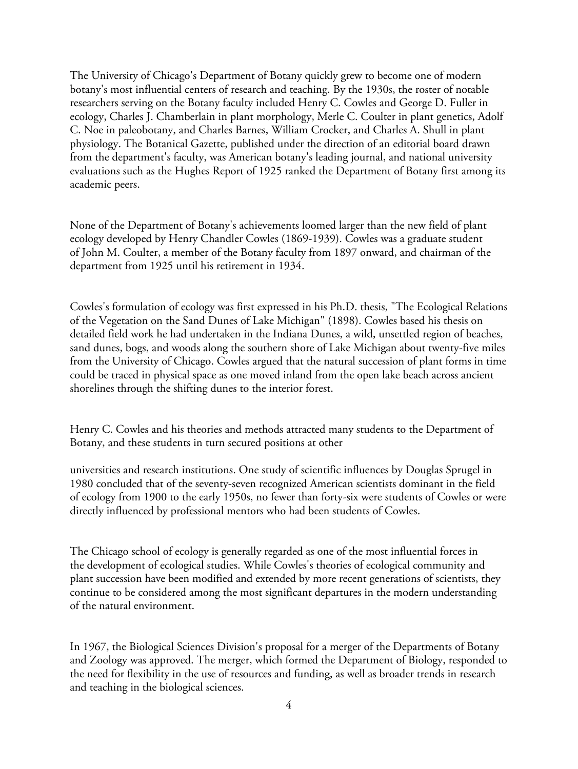The University of Chicago's Department of Botany quickly grew to become one of modern botany's most influential centers of research and teaching. By the 1930s, the roster of notable researchers serving on the Botany faculty included Henry C. Cowles and George D. Fuller in ecology, Charles J. Chamberlain in plant morphology, Merle C. Coulter in plant genetics, Adolf C. Noe in paleobotany, and Charles Barnes, William Crocker, and Charles A. Shull in plant physiology. The Botanical Gazette, published under the direction of an editorial board drawn from the department's faculty, was American botany's leading journal, and national university evaluations such as the Hughes Report of 1925 ranked the Department of Botany first among its academic peers.

None of the Department of Botany's achievements loomed larger than the new field of plant ecology developed by Henry Chandler Cowles (1869-1939). Cowles was a graduate student of John M. Coulter, a member of the Botany faculty from 1897 onward, and chairman of the department from 1925 until his retirement in 1934.

Cowles's formulation of ecology was first expressed in his Ph.D. thesis, "The Ecological Relations of the Vegetation on the Sand Dunes of Lake Michigan" (1898). Cowles based his thesis on detailed field work he had undertaken in the Indiana Dunes, a wild, unsettled region of beaches, sand dunes, bogs, and woods along the southern shore of Lake Michigan about twenty-five miles from the University of Chicago. Cowles argued that the natural succession of plant forms in time could be traced in physical space as one moved inland from the open lake beach across ancient shorelines through the shifting dunes to the interior forest.

Henry C. Cowles and his theories and methods attracted many students to the Department of Botany, and these students in turn secured positions at other

universities and research institutions. One study of scientific influences by Douglas Sprugel in 1980 concluded that of the seventy-seven recognized American scientists dominant in the field of ecology from 1900 to the early 1950s, no fewer than forty-six were students of Cowles or were directly influenced by professional mentors who had been students of Cowles.

The Chicago school of ecology is generally regarded as one of the most influential forces in the development of ecological studies. While Cowles's theories of ecological community and plant succession have been modified and extended by more recent generations of scientists, they continue to be considered among the most significant departures in the modern understanding of the natural environment.

In 1967, the Biological Sciences Division's proposal for a merger of the Departments of Botany and Zoology was approved. The merger, which formed the Department of Biology, responded to the need for flexibility in the use of resources and funding, as well as broader trends in research and teaching in the biological sciences.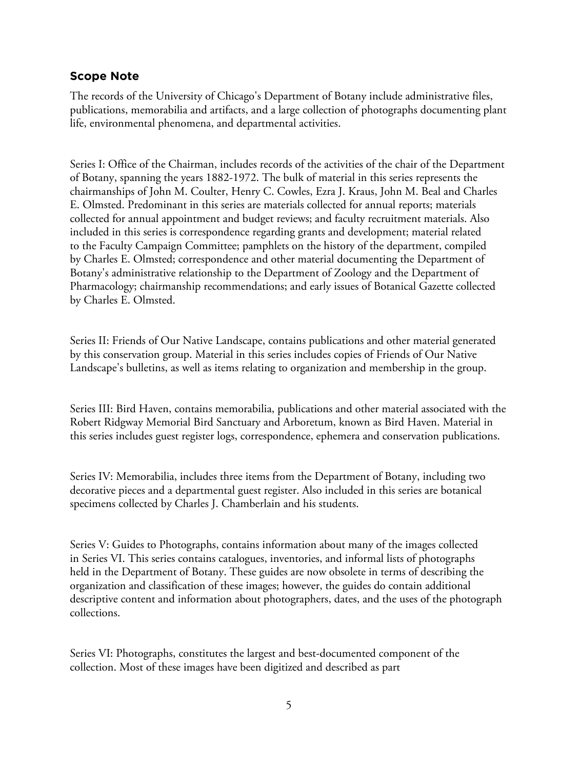#### **Scope Note**

The records of the University of Chicago's Department of Botany include administrative files, publications, memorabilia and artifacts, and a large collection of photographs documenting plant life, environmental phenomena, and departmental activities.

Series I: Office of the Chairman, includes records of the activities of the chair of the Department of Botany, spanning the years 1882-1972. The bulk of material in this series represents the chairmanships of John M. Coulter, Henry C. Cowles, Ezra J. Kraus, John M. Beal and Charles E. Olmsted. Predominant in this series are materials collected for annual reports; materials collected for annual appointment and budget reviews; and faculty recruitment materials. Also included in this series is correspondence regarding grants and development; material related to the Faculty Campaign Committee; pamphlets on the history of the department, compiled by Charles E. Olmsted; correspondence and other material documenting the Department of Botany's administrative relationship to the Department of Zoology and the Department of Pharmacology; chairmanship recommendations; and early issues of Botanical Gazette collected by Charles E. Olmsted.

Series II: Friends of Our Native Landscape, contains publications and other material generated by this conservation group. Material in this series includes copies of Friends of Our Native Landscape's bulletins, as well as items relating to organization and membership in the group.

Series III: Bird Haven, contains memorabilia, publications and other material associated with the Robert Ridgway Memorial Bird Sanctuary and Arboretum, known as Bird Haven. Material in this series includes guest register logs, correspondence, ephemera and conservation publications.

Series IV: Memorabilia, includes three items from the Department of Botany, including two decorative pieces and a departmental guest register. Also included in this series are botanical specimens collected by Charles J. Chamberlain and his students.

Series V: Guides to Photographs, contains information about many of the images collected in Series VI. This series contains catalogues, inventories, and informal lists of photographs held in the Department of Botany. These guides are now obsolete in terms of describing the organization and classification of these images; however, the guides do contain additional descriptive content and information about photographers, dates, and the uses of the photograph collections.

Series VI: Photographs, constitutes the largest and best-documented component of the collection. Most of these images have been digitized and described as part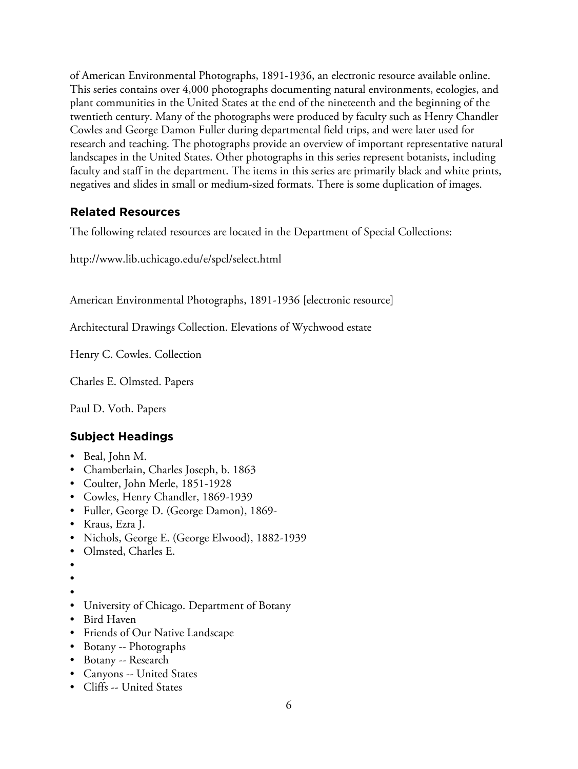of American Environmental Photographs, 1891-1936, an electronic resource available online. This series contains over 4,000 photographs documenting natural environments, ecologies, and plant communities in the United States at the end of the nineteenth and the beginning of the twentieth century. Many of the photographs were produced by faculty such as Henry Chandler Cowles and George Damon Fuller during departmental field trips, and were later used for research and teaching. The photographs provide an overview of important representative natural landscapes in the United States. Other photographs in this series represent botanists, including faculty and staff in the department. The items in this series are primarily black and white prints, negatives and slides in small or medium-sized formats. There is some duplication of images.

## **Related Resources**

The following related resources are located in the Department of Special Collections:

http://www.lib.uchicago.edu/e/spcl/select.html

American Environmental Photographs, 1891-1936 [electronic resource]

Architectural Drawings Collection. Elevations of Wychwood estate

Henry C. Cowles. Collection

Charles E. Olmsted. Papers

Paul D. Voth. Papers

# **Subject Headings**

- Beal, John M.
- Chamberlain, Charles Joseph, b. 1863
- Coulter, John Merle, 1851-1928
- Cowles, Henry Chandler, 1869-1939
- Fuller, George D. (George Damon), 1869-
- Kraus, Ezra J.
- Nichols, George E. (George Elwood), 1882-1939
- Olmsted, Charles E.
- •
- 
- •
- University of Chicago. Department of Botany
- Bird Haven
- Friends of Our Native Landscape
- Botany -- Photographs
- Botany -- Research
- Canyons -- United States
- Cliffs -- United States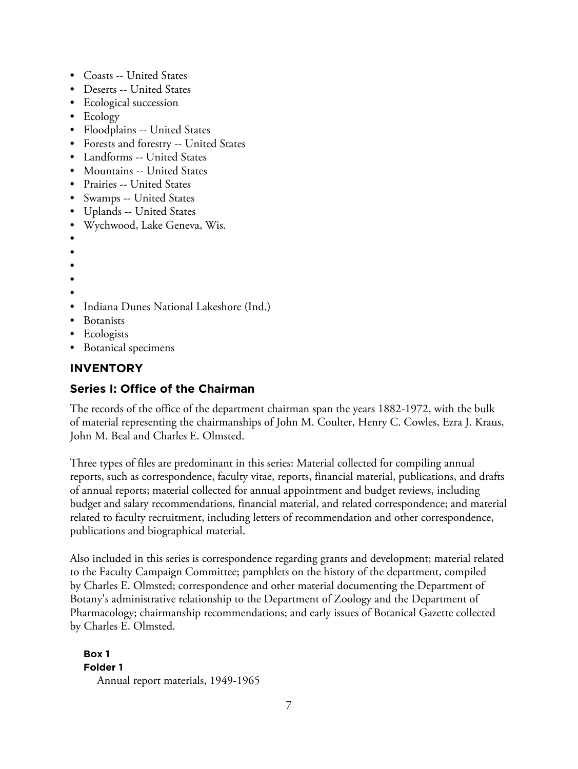- Coasts -- United States
- Deserts -- United States
- Ecological succession
- Ecology
- Floodplains -- United States
- Forests and forestry -- United States
- Landforms -- United States
- Mountains -- United States
- Prairies -- United States
- Swamps -- United States
- Uplands -- United States
- Wychwood, Lake Geneva, Wis.
- •
- •
- •
- •
- •
- Indiana Dunes National Lakeshore (Ind.)
- **Botanists**
- Ecologists
- Botanical specimens

## **INVENTORY**

## **Series I: Office of the Chairman**

The records of the office of the department chairman span the years 1882-1972, with the bulk of material representing the chairmanships of John M. Coulter, Henry C. Cowles, Ezra J. Kraus, John M. Beal and Charles E. Olmsted.

Three types of files are predominant in this series: Material collected for compiling annual reports, such as correspondence, faculty vitae, reports, financial material, publications, and drafts of annual reports; material collected for annual appointment and budget reviews, including budget and salary recommendations, financial material, and related correspondence; and material related to faculty recruitment, including letters of recommendation and other correspondence, publications and biographical material.

Also included in this series is correspondence regarding grants and development; material related to the Faculty Campaign Committee; pamphlets on the history of the department, compiled by Charles E. Olmsted; correspondence and other material documenting the Department of Botany's administrative relationship to the Department of Zoology and the Department of Pharmacology; chairmanship recommendations; and early issues of Botanical Gazette collected by Charles E. Olmsted.

#### **Box 1 Folder 1** Annual report materials, 1949-1965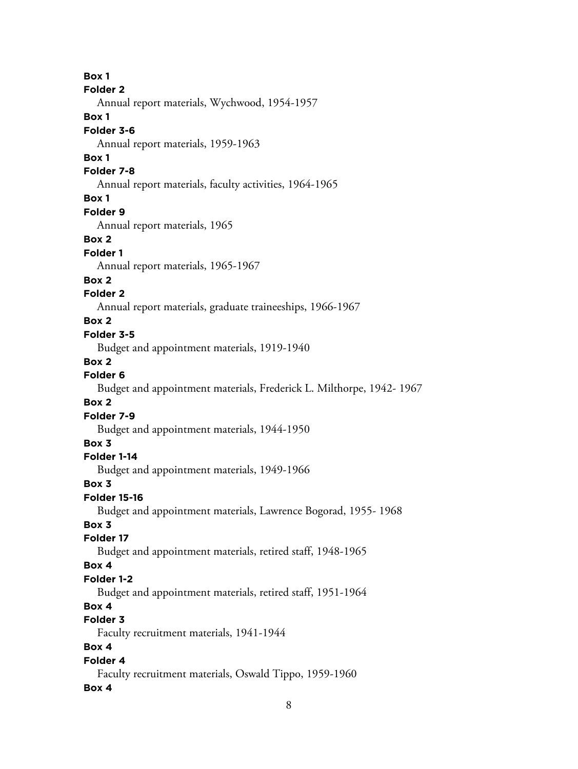**Box 1 Folder 2** Annual report materials, Wychwood, 1954-1957 **Box 1 Folder 3-6** Annual report materials, 1959-1963 **Box 1 Folder 7-8** Annual report materials, faculty activities, 1964-1965 **Box 1 Folder 9** Annual report materials, 1965 **Box 2 Folder 1** Annual report materials, 1965-1967 **Box 2 Folder 2** Annual report materials, graduate traineeships, 1966-1967 **Box 2 Folder 3-5** Budget and appointment materials, 1919-1940 **Box 2 Folder 6** Budget and appointment materials, Frederick L. Milthorpe, 1942- 1967 **Box 2 Folder 7-9** Budget and appointment materials, 1944-1950 **Box 3 Folder 1-14** Budget and appointment materials, 1949-1966 **Box 3 Folder 15-16** Budget and appointment materials, Lawrence Bogorad, 1955- 1968 **Box 3 Folder 17** Budget and appointment materials, retired staff, 1948-1965 **Box 4 Folder 1-2** Budget and appointment materials, retired staff, 1951-1964 **Box 4 Folder 3** Faculty recruitment materials, 1941-1944 **Box 4 Folder 4** Faculty recruitment materials, Oswald Tippo, 1959-1960 **Box 4**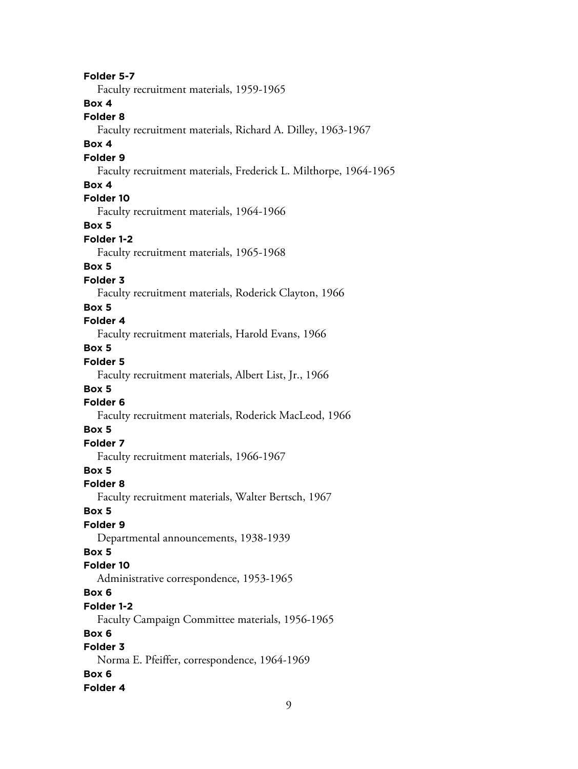**Folder 5-7** Faculty recruitment materials, 1959-1965 **Box 4 Folder 8** Faculty recruitment materials, Richard A. Dilley, 1963-1967 **Box 4 Folder 9** Faculty recruitment materials, Frederick L. Milthorpe, 1964-1965 **Box 4 Folder 10** Faculty recruitment materials, 1964-1966 **Box 5 Folder 1-2** Faculty recruitment materials, 1965-1968 **Box 5 Folder 3** Faculty recruitment materials, Roderick Clayton, 1966 **Box 5 Folder 4** Faculty recruitment materials, Harold Evans, 1966 **Box 5 Folder 5** Faculty recruitment materials, Albert List, Jr., 1966 **Box 5 Folder 6** Faculty recruitment materials, Roderick MacLeod, 1966 **Box 5 Folder 7** Faculty recruitment materials, 1966-1967 **Box 5 Folder 8** Faculty recruitment materials, Walter Bertsch, 1967 **Box 5 Folder 9** Departmental announcements, 1938-1939 **Box 5 Folder 10** Administrative correspondence, 1953-1965 **Box 6 Folder 1-2** Faculty Campaign Committee materials, 1956-1965 **Box 6 Folder 3** Norma E. Pfeiffer, correspondence, 1964-1969 **Box 6 Folder 4**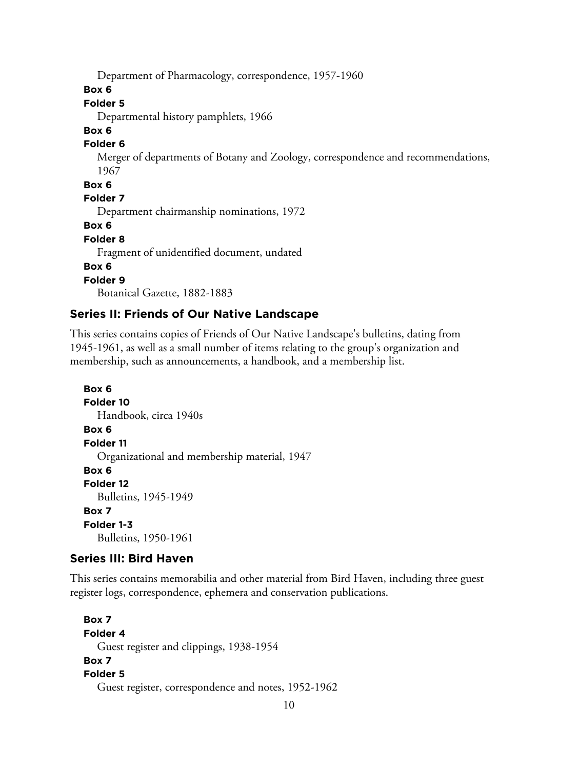Department of Pharmacology, correspondence, 1957-1960

**Box 6**

#### **Folder 5**

Departmental history pamphlets, 1966

#### **Box 6**

#### **Folder 6**

Merger of departments of Botany and Zoology, correspondence and recommendations, 1967

#### **Box 6**

**Folder 7**

Department chairmanship nominations, 1972

**Box 6**

#### **Folder 8**

Fragment of unidentified document, undated

#### **Box 6**

**Folder 9**

Botanical Gazette, 1882-1883

## **Series II: Friends of Our Native Landscape**

This series contains copies of Friends of Our Native Landscape's bulletins, dating from 1945-1961, as well as a small number of items relating to the group's organization and membership, such as announcements, a handbook, and a membership list.

```
Box 6
Folder 10
  Handbook, circa 1940s
Box 6
Folder 11
  Organizational and membership material, 1947
Box 6
Folder 12
  Bulletins, 1945-1949
Box 7
Folder 1-3
  Bulletins, 1950-1961
```
#### **Series III: Bird Haven**

This series contains memorabilia and other material from Bird Haven, including three guest register logs, correspondence, ephemera and conservation publications.

```
Box 7
Folder 4
  Guest register and clippings, 1938-1954
Box 7
Folder 5
  Guest register, correspondence and notes, 1952-1962
```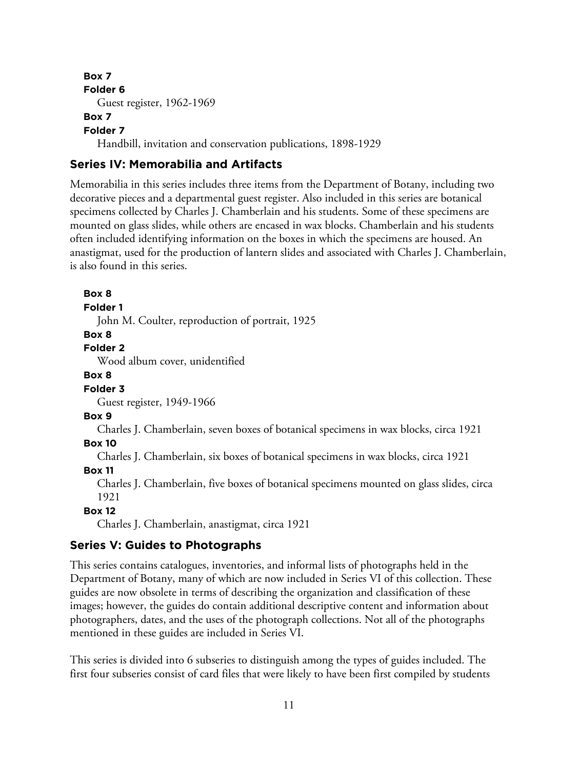**Box 7 Folder 6** Guest register, 1962-1969 **Box 7 Folder 7**

**Box 8**

Handbill, invitation and conservation publications, 1898-1929

#### **Series IV: Memorabilia and Artifacts**

Memorabilia in this series includes three items from the Department of Botany, including two decorative pieces and a departmental guest register. Also included in this series are botanical specimens collected by Charles J. Chamberlain and his students. Some of these specimens are mounted on glass slides, while others are encased in wax blocks. Chamberlain and his students often included identifying information on the boxes in which the specimens are housed. An anastigmat, used for the production of lantern slides and associated with Charles J. Chamberlain, is also found in this series.

**Folder 1** John M. Coulter, reproduction of portrait, 1925 **Box 8 Folder 2** Wood album cover, unidentified **Box 8 Folder 3** Guest register, 1949-1966 **Box 9** Charles J. Chamberlain, seven boxes of botanical specimens in wax blocks, circa 1921 **Box 10** Charles J. Chamberlain, six boxes of botanical specimens in wax blocks, circa 1921 **Box 11** Charles J. Chamberlain, five boxes of botanical specimens mounted on glass slides, circa 1921 **Box 12** Charles J. Chamberlain, anastigmat, circa 1921

#### **Series V: Guides to Photographs**

This series contains catalogues, inventories, and informal lists of photographs held in the Department of Botany, many of which are now included in Series VI of this collection. These guides are now obsolete in terms of describing the organization and classification of these images; however, the guides do contain additional descriptive content and information about photographers, dates, and the uses of the photograph collections. Not all of the photographs mentioned in these guides are included in Series VI.

This series is divided into 6 subseries to distinguish among the types of guides included. The first four subseries consist of card files that were likely to have been first compiled by students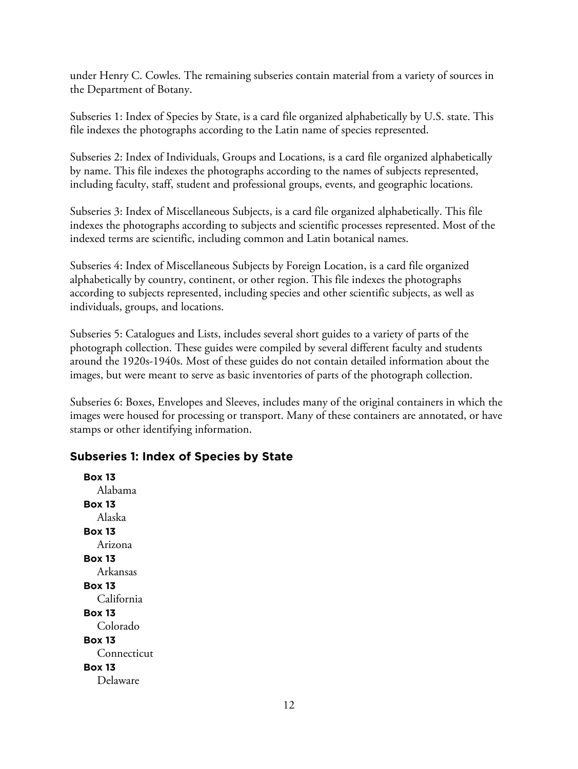under Henry C. Cowles. The remaining subseries contain material from a variety of sources in the Department of Botany.

Subseries 1: Index of Species by State, is a card file organized alphabetically by U.S. state. This file indexes the photographs according to the Latin name of species represented.

Subseries 2: Index of Individuals, Groups and Locations, is a card file organized alphabetically by name. This file indexes the photographs according to the names of subjects represented, including faculty, staff, student and professional groups, events, and geographic locations.

Subseries 3: Index of Miscellaneous Subjects, is a card file organized alphabetically. This file indexes the photographs according to subjects and scientific processes represented. Most of the indexed terms are scientific, including common and Latin botanical names.

Subseries 4: Index of Miscellaneous Subjects by Foreign Location, is a card file organized alphabetically by country, continent, or other region. This file indexes the photographs according to subjects represented, including species and other scientific subjects, as well as individuals, groups, and locations.

Subseries 5: Catalogues and Lists, includes several short guides to a variety of parts of the photograph collection. These guides were compiled by several different faculty and students around the 1920s-1940s. Most of these guides do not contain detailed information about the images, but were meant to serve as basic inventories of parts of the photograph collection.

Subseries 6: Boxes, Envelopes and Sleeves, includes many of the original containers in which the images were housed for processing or transport. Many of these containers are annotated, or have stamps or other identifying information.

## **Subseries 1: Index of Species by State**

**Box 13** Alabama **Box 13** Alaska **Box 13** Arizona **Box 13** Arkansas **Box 13** California **Box 13** Colorado **Box 13** Connecticut **Box 13** Delaware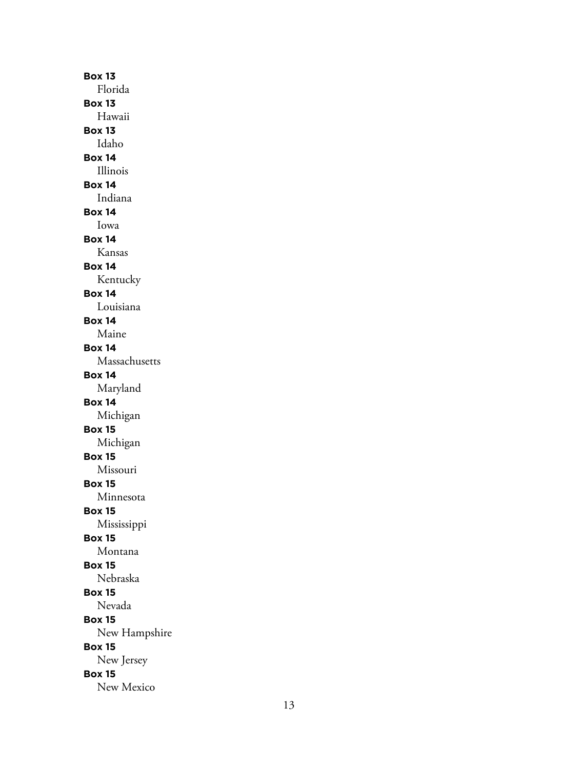**Box 13** Florida **Box 13** Hawaii **Box 13** Idaho **Box 14** Illinois **Box 14** Indiana **Box 14** Iowa **Box 14** Kansas **Box 14** Kentucky **Box 14** Louisiana **Box 14** Maine **Box 14** Massachusetts **Box 14** Maryland **Box 14** Michigan **Box 15** Michigan **Box 15** Missouri **Box 15** Minnesota **Box 15** Mississippi **Box 15** Montana **Box 15** Nebraska **Box 15** Nevada **Box 15** New Hampshire **Box 15** New Jersey **Box 15** New Mexico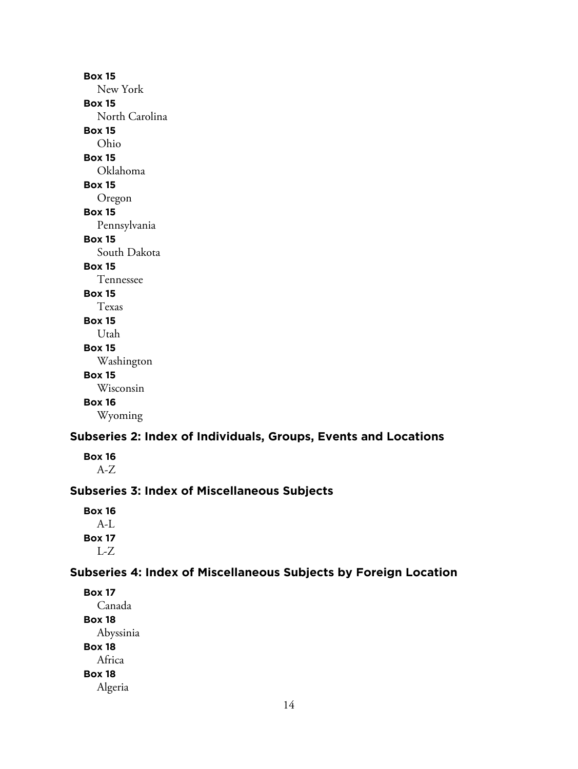**Box 15** New York **Box 15** North Carolina **Box 15** Ohio **Box 15** Oklahoma **Box 15** Oregon **Box 15** Pennsylvania **Box 15** South Dakota **Box 15** Tennessee **Box 15** Texas **Box 15** Utah **Box 15** Washington **Box 15** Wisconsin **Box 16** Wyoming

# **Subseries 2: Index of Individuals, Groups, Events and Locations**

**Box 16** A-Z

#### **Subseries 3: Index of Miscellaneous Subjects**

**Box 16** A-L **Box 17** L-Z

#### **Subseries 4: Index of Miscellaneous Subjects by Foreign Location**

**Box 17** Canada **Box 18** Abyssinia **Box 18** Africa **Box 18** Algeria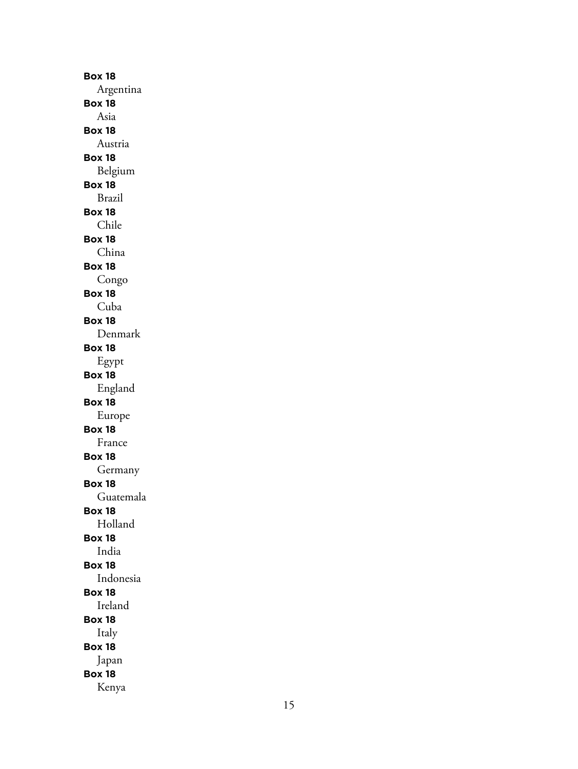**Box 18** Argentina **Box 18** Asia **Box 18** Austria **Box 18** Belgium **Box 18** Brazil **Box 18** Chile **Box 18** China **Box 18** Congo **Box 18** Cuba **Box 18** Denmark **Box 18** Egypt **Box 18** England **Box 18** Europe **Box 18** France **Box 18** Germany **Box 18** Guatemala **Box 18** Holland **Box 18** India **Box 18** Indonesia **Box 18** Ireland **Box 18** Italy **Box 18** Japan **Box 18** Kenya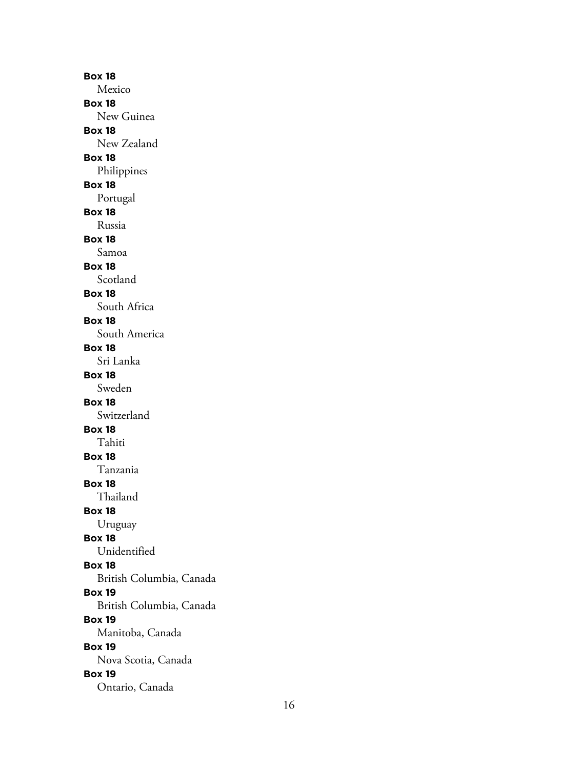**Box 18** Mexico **Box 18** New Guinea **Box 18** New Zealand **Box 18** Philippines **Box 18** Portugal **Box 18** Russia **Box 18** Samoa **Box 18** Scotland **Box 18** South Africa **Box 18** South America **Box 18** Sri Lanka **Box 18** Sweden **Box 18** Switzerland **Box 18** Tahiti **Box 18** Tanzania **Box 18** Thailand **Box 18** Uruguay **Box 18** Unidentified **Box 18** British Columbia, Canada **Box 19** British Columbia, Canada **Box 19** Manitoba, Canada **Box 19** Nova Scotia, Canada **Box 19** Ontario, Canada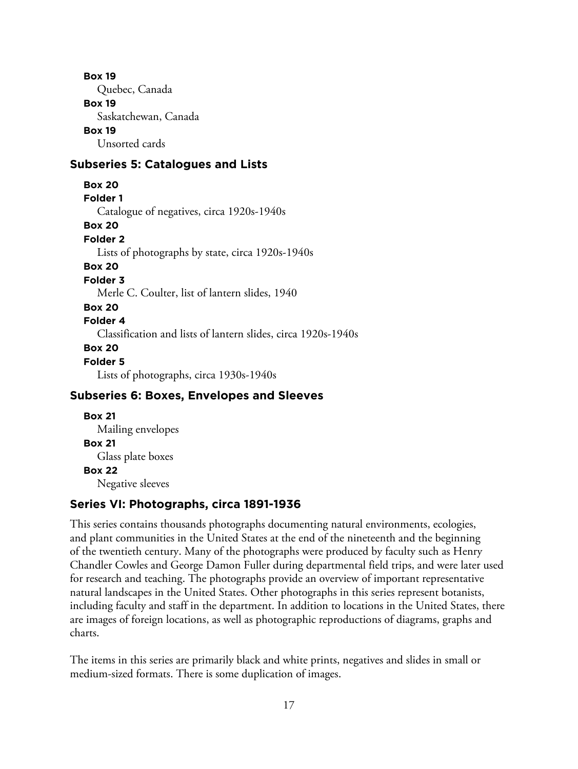Quebec, Canada

#### **Box 19**

Saskatchewan, Canada

#### **Box 19**

Unsorted cards

#### **Subseries 5: Catalogues and Lists**

**Box 20**

**Folder 1**

Catalogue of negatives, circa 1920s-1940s

**Box 20**

**Folder 2**

Lists of photographs by state, circa 1920s-1940s

### **Box 20**

**Folder 3**

Merle C. Coulter, list of lantern slides, 1940

#### **Box 20**

#### **Folder 4**

Classification and lists of lantern slides, circa 1920s-1940s

#### **Box 20**

#### **Folder 5**

Lists of photographs, circa 1930s-1940s

#### **Subseries 6: Boxes, Envelopes and Sleeves**

#### **Box 21** Mailing envelopes **Box 21**

Glass plate boxes

#### **Box 22**

Negative sleeves

#### **Series VI: Photographs, circa 1891-1936**

This series contains thousands photographs documenting natural environments, ecologies, and plant communities in the United States at the end of the nineteenth and the beginning of the twentieth century. Many of the photographs were produced by faculty such as Henry Chandler Cowles and George Damon Fuller during departmental field trips, and were later used for research and teaching. The photographs provide an overview of important representative natural landscapes in the United States. Other photographs in this series represent botanists, including faculty and staff in the department. In addition to locations in the United States, there are images of foreign locations, as well as photographic reproductions of diagrams, graphs and charts.

The items in this series are primarily black and white prints, negatives and slides in small or medium-sized formats. There is some duplication of images.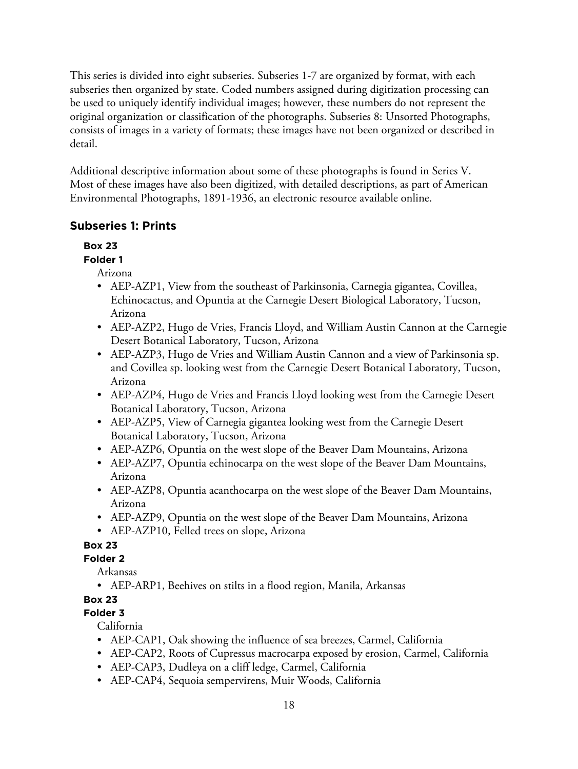This series is divided into eight subseries. Subseries 1-7 are organized by format, with each subseries then organized by state. Coded numbers assigned during digitization processing can be used to uniquely identify individual images; however, these numbers do not represent the original organization or classification of the photographs. Subseries 8: Unsorted Photographs, consists of images in a variety of formats; these images have not been organized or described in detail.

Additional descriptive information about some of these photographs is found in Series V. Most of these images have also been digitized, with detailed descriptions, as part of American Environmental Photographs, 1891-1936, an electronic resource available online.

## **Subseries 1: Prints**

## **Box 23**

#### **Folder 1**

Arizona

- AEP-AZP1, View from the southeast of Parkinsonia, Carnegia gigantea, Covillea, Echinocactus, and Opuntia at the Carnegie Desert Biological Laboratory, Tucson, Arizona
- AEP-AZP2, Hugo de Vries, Francis Lloyd, and William Austin Cannon at the Carnegie Desert Botanical Laboratory, Tucson, Arizona
- AEP-AZP3, Hugo de Vries and William Austin Cannon and a view of Parkinsonia sp. and Covillea sp. looking west from the Carnegie Desert Botanical Laboratory, Tucson, Arizona
- AEP-AZP4, Hugo de Vries and Francis Lloyd looking west from the Carnegie Desert Botanical Laboratory, Tucson, Arizona
- AEP-AZP5, View of Carnegia gigantea looking west from the Carnegie Desert Botanical Laboratory, Tucson, Arizona
- AEP-AZP6, Opuntia on the west slope of the Beaver Dam Mountains, Arizona
- AEP-AZP7, Opuntia echinocarpa on the west slope of the Beaver Dam Mountains, Arizona
- AEP-AZP8, Opuntia acanthocarpa on the west slope of the Beaver Dam Mountains, Arizona
- AEP-AZP9, Opuntia on the west slope of the Beaver Dam Mountains, Arizona
- AEP-AZP10, Felled trees on slope, Arizona

# **Box 23**

## **Folder 2**

Arkansas

• AEP-ARP1, Beehives on stilts in a flood region, Manila, Arkansas

# **Box 23**

# **Folder 3**

California

- AEP-CAP1, Oak showing the influence of sea breezes, Carmel, California
- AEP-CAP2, Roots of Cupressus macrocarpa exposed by erosion, Carmel, California
- AEP-CAP3, Dudleya on a cliff ledge, Carmel, California
- AEP-CAP4, Sequoia sempervirens, Muir Woods, California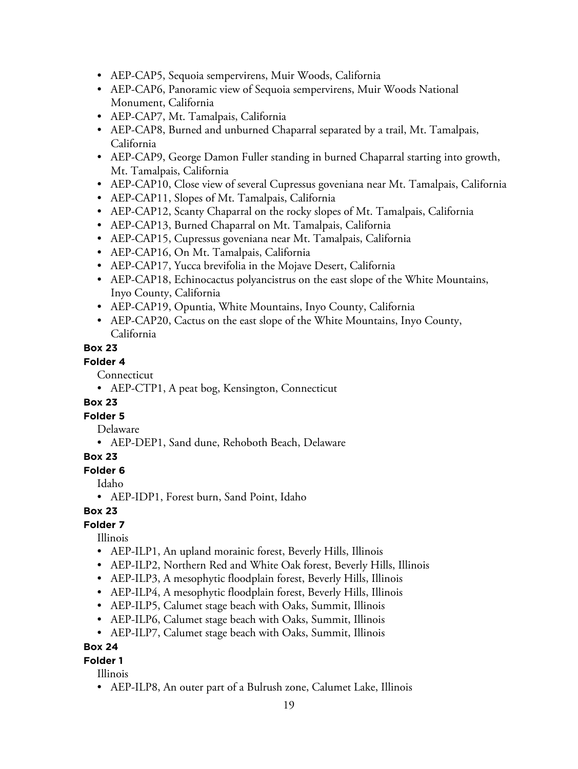- AEP-CAP5, Sequoia sempervirens, Muir Woods, California
- AEP-CAP6, Panoramic view of Sequoia sempervirens, Muir Woods National Monument, California
- AEP-CAP7, Mt. Tamalpais, California
- AEP-CAP8, Burned and unburned Chaparral separated by a trail, Mt. Tamalpais, California
- AEP-CAP9, George Damon Fuller standing in burned Chaparral starting into growth, Mt. Tamalpais, California
- AEP-CAP10, Close view of several Cupressus goveniana near Mt. Tamalpais, California
- AEP-CAP11, Slopes of Mt. Tamalpais, California
- AEP-CAP12, Scanty Chaparral on the rocky slopes of Mt. Tamalpais, California
- AEP-CAP13, Burned Chaparral on Mt. Tamalpais, California
- AEP-CAP15, Cupressus goveniana near Mt. Tamalpais, California
- AEP-CAP16, On Mt. Tamalpais, California
- AEP-CAP17, Yucca brevifolia in the Mojave Desert, California
- AEP-CAP18, Echinocactus polyancistrus on the east slope of the White Mountains, Inyo County, California
- AEP-CAP19, Opuntia, White Mountains, Inyo County, California
- AEP-CAP20, Cactus on the east slope of the White Mountains, Inyo County, California

#### **Folder 4**

Connecticut

• AEP-CTP1, A peat bog, Kensington, Connecticut

#### **Box 23**

#### **Folder 5**

- Delaware
- AEP-DEP1, Sand dune, Rehoboth Beach, Delaware

#### **Box 23**

**Folder 6**

Idaho

• AEP-IDP1, Forest burn, Sand Point, Idaho

#### **Box 23**

#### **Folder 7**

Illinois

- AEP-ILP1, An upland morainic forest, Beverly Hills, Illinois
- AEP-ILP2, Northern Red and White Oak forest, Beverly Hills, Illinois
- AEP-ILP3, A mesophytic floodplain forest, Beverly Hills, Illinois
- AEP-ILP4, A mesophytic floodplain forest, Beverly Hills, Illinois
- AEP-ILP5, Calumet stage beach with Oaks, Summit, Illinois
- AEP-ILP6, Calumet stage beach with Oaks, Summit, Illinois
- AEP-ILP7, Calumet stage beach with Oaks, Summit, Illinois

#### **Box 24**

#### **Folder 1**

Illinois

• AEP-ILP8, An outer part of a Bulrush zone, Calumet Lake, Illinois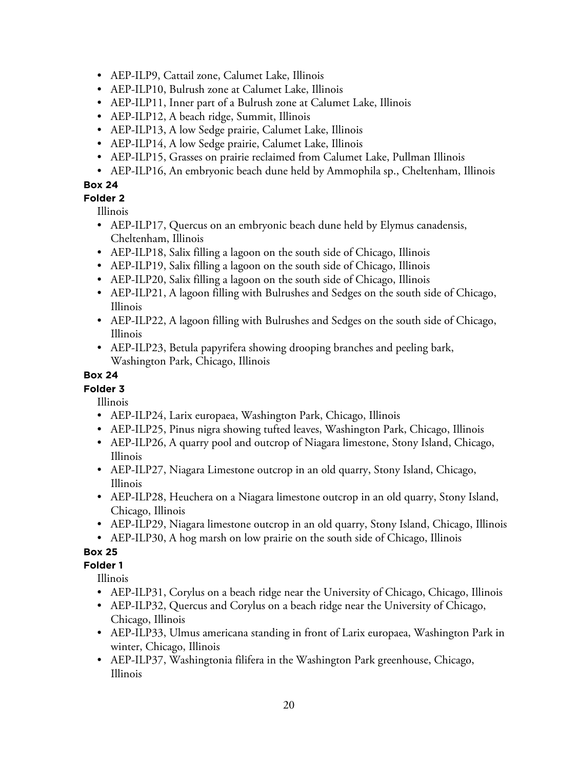- AEP-ILP9, Cattail zone, Calumet Lake, Illinois
- AEP-ILP10, Bulrush zone at Calumet Lake, Illinois
- AEP-ILP11, Inner part of a Bulrush zone at Calumet Lake, Illinois
- AEP-ILP12, A beach ridge, Summit, Illinois
- AEP-ILP13, A low Sedge prairie, Calumet Lake, Illinois
- AEP-ILP14, A low Sedge prairie, Calumet Lake, Illinois
- AEP-ILP15, Grasses on prairie reclaimed from Calumet Lake, Pullman Illinois
- AEP-ILP16, An embryonic beach dune held by Ammophila sp., Cheltenham, Illinois

**Folder 2**

Illinois

- AEP-ILP17, Quercus on an embryonic beach dune held by Elymus canadensis, Cheltenham, Illinois
- AEP-ILP18, Salix filling a lagoon on the south side of Chicago, Illinois
- AEP-ILP19, Salix filling a lagoon on the south side of Chicago, Illinois
- AEP-ILP20, Salix filling a lagoon on the south side of Chicago, Illinois
- AEP-ILP21, A lagoon filling with Bulrushes and Sedges on the south side of Chicago, Illinois
- AEP-ILP22, A lagoon filling with Bulrushes and Sedges on the south side of Chicago, Illinois
- AEP-ILP23, Betula papyrifera showing drooping branches and peeling bark, Washington Park, Chicago, Illinois

#### **Box 24**

## **Folder 3**

Illinois

- AEP-ILP24, Larix europaea, Washington Park, Chicago, Illinois
- AEP-ILP25, Pinus nigra showing tufted leaves, Washington Park, Chicago, Illinois
- AEP-ILP26, A quarry pool and outcrop of Niagara limestone, Stony Island, Chicago, Illinois
- AEP-ILP27, Niagara Limestone outcrop in an old quarry, Stony Island, Chicago, Illinois
- AEP-ILP28, Heuchera on a Niagara limestone outcrop in an old quarry, Stony Island, Chicago, Illinois
- AEP-ILP29, Niagara limestone outcrop in an old quarry, Stony Island, Chicago, Illinois
- AEP-ILP30, A hog marsh on low prairie on the south side of Chicago, Illinois

## **Box 25**

**Folder 1**

- AEP-ILP31, Corylus on a beach ridge near the University of Chicago, Chicago, Illinois
- AEP-ILP32, Quercus and Corylus on a beach ridge near the University of Chicago, Chicago, Illinois
- AEP-ILP33, Ulmus americana standing in front of Larix europaea, Washington Park in winter, Chicago, Illinois
- AEP-ILP37, Washingtonia filifera in the Washington Park greenhouse, Chicago, Illinois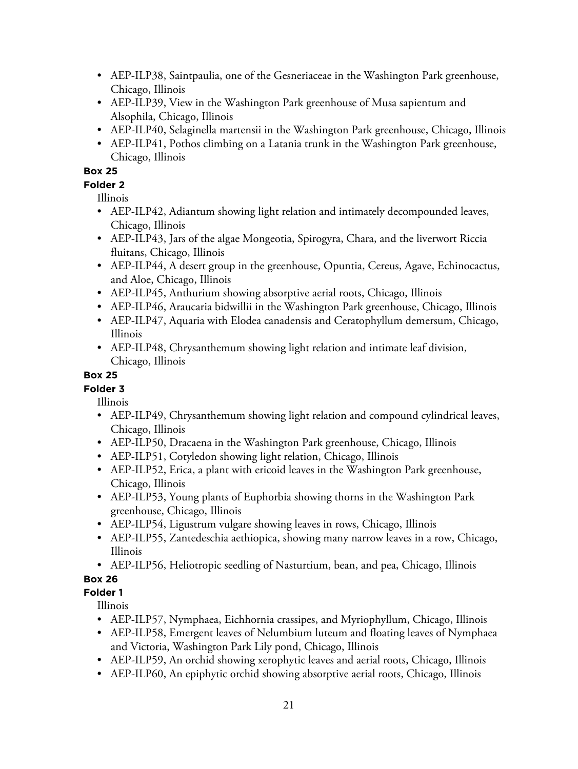- AEP-ILP38, Saintpaulia, one of the Gesneriaceae in the Washington Park greenhouse, Chicago, Illinois
- AEP-ILP39, View in the Washington Park greenhouse of Musa sapientum and Alsophila, Chicago, Illinois
- AEP-ILP40, Selaginella martensii in the Washington Park greenhouse, Chicago, Illinois
- AEP-ILP41, Pothos climbing on a Latania trunk in the Washington Park greenhouse, Chicago, Illinois

### **Folder 2**

Illinois

- AEP-ILP42, Adiantum showing light relation and intimately decompounded leaves, Chicago, Illinois
- AEP-ILP43, Jars of the algae Mongeotia, Spirogyra, Chara, and the liverwort Riccia fluitans, Chicago, Illinois
- AEP-ILP44, A desert group in the greenhouse, Opuntia, Cereus, Agave, Echinocactus, and Aloe, Chicago, Illinois
- AEP-ILP45, Anthurium showing absorptive aerial roots, Chicago, Illinois
- AEP-ILP46, Araucaria bidwillii in the Washington Park greenhouse, Chicago, Illinois
- AEP-ILP47, Aquaria with Elodea canadensis and Ceratophyllum demersum, Chicago, Illinois
- AEP-ILP48, Chrysanthemum showing light relation and intimate leaf division, Chicago, Illinois

## **Box 25**

## **Folder 3**

Illinois

- AEP-ILP49, Chrysanthemum showing light relation and compound cylindrical leaves, Chicago, Illinois
- AEP-ILP50, Dracaena in the Washington Park greenhouse, Chicago, Illinois
- AEP-ILP51, Cotyledon showing light relation, Chicago, Illinois
- AEP-ILP52, Erica, a plant with ericoid leaves in the Washington Park greenhouse, Chicago, Illinois
- AEP-ILP53, Young plants of Euphorbia showing thorns in the Washington Park greenhouse, Chicago, Illinois
- AEP-ILP54, Ligustrum vulgare showing leaves in rows, Chicago, Illinois
- AEP-ILP55, Zantedeschia aethiopica, showing many narrow leaves in a row, Chicago, Illinois
- AEP-ILP56, Heliotropic seedling of Nasturtium, bean, and pea, Chicago, Illinois

# **Box 26**

## **Folder 1**

- AEP-ILP57, Nymphaea, Eichhornia crassipes, and Myriophyllum, Chicago, Illinois
- AEP-ILP58, Emergent leaves of Nelumbium luteum and floating leaves of Nymphaea and Victoria, Washington Park Lily pond, Chicago, Illinois
- AEP-ILP59, An orchid showing xerophytic leaves and aerial roots, Chicago, Illinois
- AEP-ILP60, An epiphytic orchid showing absorptive aerial roots, Chicago, Illinois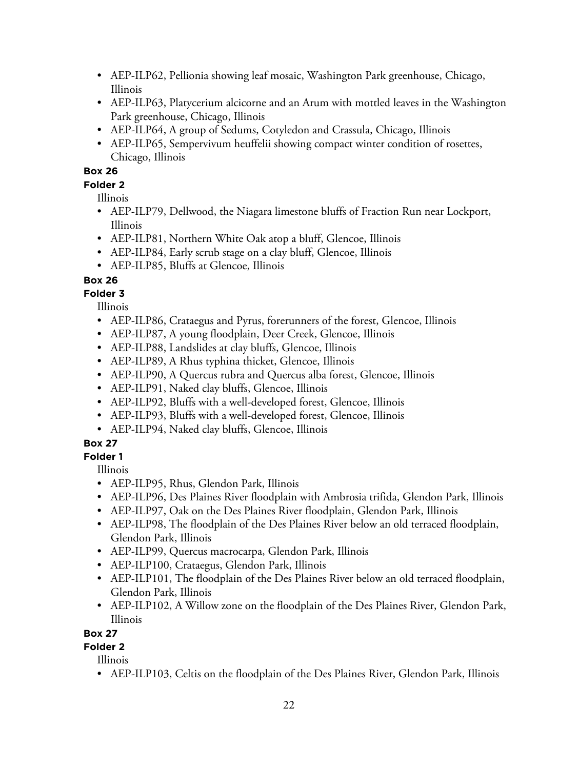- AEP-ILP62, Pellionia showing leaf mosaic, Washington Park greenhouse, Chicago, Illinois
- AEP-ILP63, Platycerium alcicorne and an Arum with mottled leaves in the Washington Park greenhouse, Chicago, Illinois
- AEP-ILP64, A group of Sedums, Cotyledon and Crassula, Chicago, Illinois
- AEP-ILP65, Sempervivum heuffelii showing compact winter condition of rosettes, Chicago, Illinois

#### **Folder 2**

Illinois

- AEP-ILP79, Dellwood, the Niagara limestone bluffs of Fraction Run near Lockport, Illinois
- AEP-ILP81, Northern White Oak atop a bluff, Glencoe, Illinois
- AEP-ILP84, Early scrub stage on a clay bluff, Glencoe, Illinois
- AEP-ILP85, Bluffs at Glencoe, Illinois

#### **Box 26**

## **Folder 3**

Illinois

- AEP-ILP86, Crataegus and Pyrus, forerunners of the forest, Glencoe, Illinois
- AEP-ILP87, A young floodplain, Deer Creek, Glencoe, Illinois
- AEP-ILP88, Landslides at clay bluffs, Glencoe, Illinois
- AEP-ILP89, A Rhus typhina thicket, Glencoe, Illinois
- AEP-ILP90, A Quercus rubra and Quercus alba forest, Glencoe, Illinois
- AEP-ILP91, Naked clay bluffs, Glencoe, Illinois
- AEP-ILP92, Bluffs with a well-developed forest, Glencoe, Illinois
- AEP-ILP93, Bluffs with a well-developed forest, Glencoe, Illinois
- AEP-ILP94, Naked clay bluffs, Glencoe, Illinois

## **Box 27**

## **Folder 1**

Illinois

- AEP-ILP95, Rhus, Glendon Park, Illinois
- AEP-ILP96, Des Plaines River floodplain with Ambrosia trifida, Glendon Park, Illinois
- AEP-ILP97, Oak on the Des Plaines River floodplain, Glendon Park, Illinois
- AEP-ILP98, The floodplain of the Des Plaines River below an old terraced floodplain, Glendon Park, Illinois
- AEP-ILP99, Quercus macrocarpa, Glendon Park, Illinois
- AEP-ILP100, Crataegus, Glendon Park, Illinois
- AEP-ILP101, The floodplain of the Des Plaines River below an old terraced floodplain, Glendon Park, Illinois
- AEP-ILP102, A Willow zone on the floodplain of the Des Plaines River, Glendon Park, Illinois

#### **Box 27**

## **Folder 2**

Illinois

• AEP-ILP103, Celtis on the floodplain of the Des Plaines River, Glendon Park, Illinois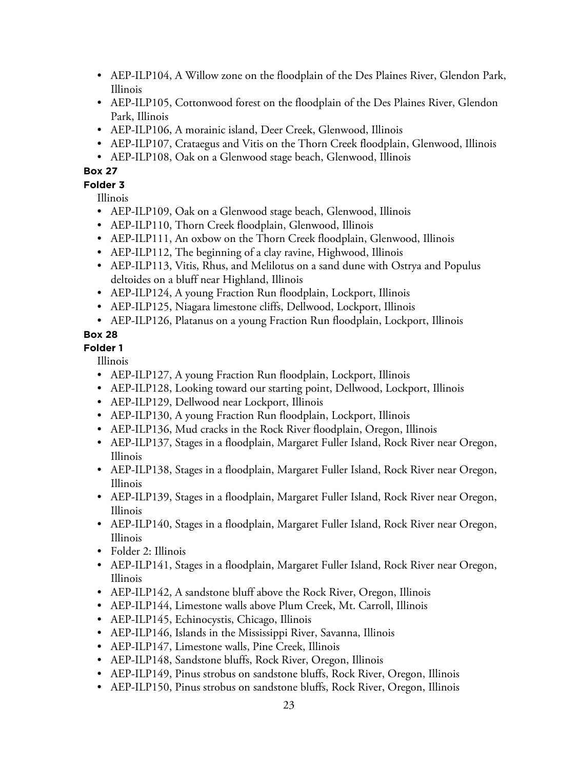- AEP-ILP104, A Willow zone on the floodplain of the Des Plaines River, Glendon Park, Illinois
- AEP-ILP105, Cottonwood forest on the floodplain of the Des Plaines River, Glendon Park, Illinois
- AEP-ILP106, A morainic island, Deer Creek, Glenwood, Illinois
- AEP-ILP107, Crataegus and Vitis on the Thorn Creek floodplain, Glenwood, Illinois
- AEP-ILP108, Oak on a Glenwood stage beach, Glenwood, Illinois

#### **Folder 3**

Illinois

- AEP-ILP109, Oak on a Glenwood stage beach, Glenwood, Illinois
- AEP-ILP110, Thorn Creek floodplain, Glenwood, Illinois
- AEP-ILP111, An oxbow on the Thorn Creek floodplain, Glenwood, Illinois
- AEP-ILP112, The beginning of a clay ravine, Highwood, Illinois
- AEP-ILP113, Vitis, Rhus, and Melilotus on a sand dune with Ostrya and Populus deltoides on a bluff near Highland, Illinois
- AEP-ILP124, A young Fraction Run floodplain, Lockport, Illinois
- AEP-ILP125, Niagara limestone cliffs, Dellwood, Lockport, Illinois
- AEP-ILP126, Platanus on a young Fraction Run floodplain, Lockport, Illinois

## **Box 28**

#### **Folder 1**

- AEP-ILP127, A young Fraction Run floodplain, Lockport, Illinois
- AEP-ILP128, Looking toward our starting point, Dellwood, Lockport, Illinois
- AEP-ILP129, Dellwood near Lockport, Illinois
- AEP-ILP130, A young Fraction Run floodplain, Lockport, Illinois
- AEP-ILP136, Mud cracks in the Rock River floodplain, Oregon, Illinois
- AEP-ILP137, Stages in a floodplain, Margaret Fuller Island, Rock River near Oregon, Illinois
- AEP-ILP138, Stages in a floodplain, Margaret Fuller Island, Rock River near Oregon, Illinois
- AEP-ILP139, Stages in a floodplain, Margaret Fuller Island, Rock River near Oregon, Illinois
- AEP-ILP140, Stages in a floodplain, Margaret Fuller Island, Rock River near Oregon, Illinois
- Folder 2: Illinois
- AEP-ILP141, Stages in a floodplain, Margaret Fuller Island, Rock River near Oregon, Illinois
- AEP-ILP142, A sandstone bluff above the Rock River, Oregon, Illinois
- AEP-ILP144, Limestone walls above Plum Creek, Mt. Carroll, Illinois
- AEP-ILP145, Echinocystis, Chicago, Illinois
- AEP-ILP146, Islands in the Mississippi River, Savanna, Illinois
- AEP-ILP147, Limestone walls, Pine Creek, Illinois
- AEP-ILP148, Sandstone bluffs, Rock River, Oregon, Illinois
- AEP-ILP149, Pinus strobus on sandstone bluffs, Rock River, Oregon, Illinois
- AEP-ILP150, Pinus strobus on sandstone bluffs, Rock River, Oregon, Illinois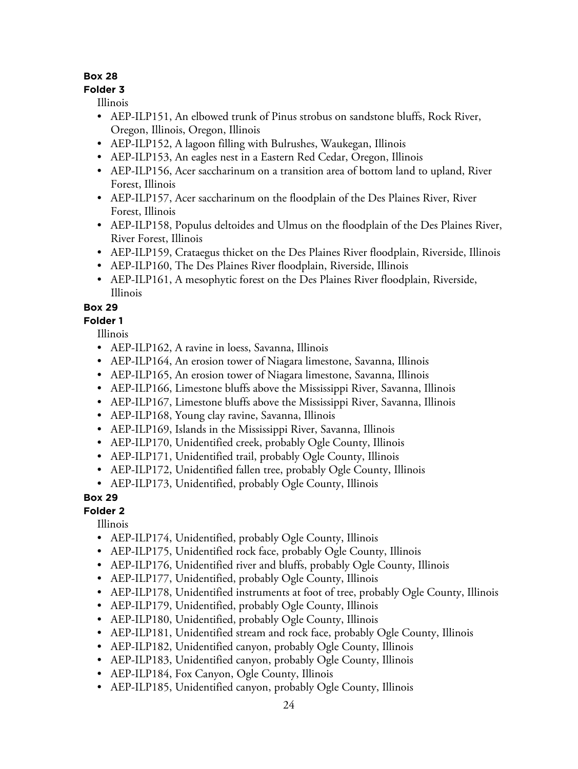#### **Folder 3**

Illinois

- AEP-ILP151, An elbowed trunk of Pinus strobus on sandstone bluffs, Rock River, Oregon, Illinois, Oregon, Illinois
- AEP-ILP152, A lagoon filling with Bulrushes, Waukegan, Illinois
- AEP-ILP153, An eagles nest in a Eastern Red Cedar, Oregon, Illinois
- AEP-ILP156, Acer saccharinum on a transition area of bottom land to upland, River Forest, Illinois
- AEP-ILP157, Acer saccharinum on the floodplain of the Des Plaines River, River Forest, Illinois
- AEP-ILP158, Populus deltoides and Ulmus on the floodplain of the Des Plaines River, River Forest, Illinois
- AEP-ILP159, Crataegus thicket on the Des Plaines River floodplain, Riverside, Illinois
- AEP-ILP160, The Des Plaines River floodplain, Riverside, Illinois
- AEP-ILP161, A mesophytic forest on the Des Plaines River floodplain, Riverside, Illinois

## **Box 29**

**Folder 1**

Illinois

- AEP-ILP162, A ravine in loess, Savanna, Illinois
- AEP-ILP164, An erosion tower of Niagara limestone, Savanna, Illinois
- AEP-ILP165, An erosion tower of Niagara limestone, Savanna, Illinois
- AEP-ILP166, Limestone bluffs above the Mississippi River, Savanna, Illinois
- AEP-ILP167, Limestone bluffs above the Mississippi River, Savanna, Illinois
- AEP-ILP168, Young clay ravine, Savanna, Illinois
- AEP-ILP169, Islands in the Mississippi River, Savanna, Illinois
- AEP-ILP170, Unidentified creek, probably Ogle County, Illinois
- AEP-ILP171, Unidentified trail, probably Ogle County, Illinois
- AEP-ILP172, Unidentified fallen tree, probably Ogle County, Illinois
- AEP-ILP173, Unidentified, probably Ogle County, Illinois

# **Box 29**

**Folder 2**

- AEP-ILP174, Unidentified, probably Ogle County, Illinois
- AEP-ILP175, Unidentified rock face, probably Ogle County, Illinois
- AEP-ILP176, Unidentified river and bluffs, probably Ogle County, Illinois
- AEP-ILP177, Unidentified, probably Ogle County, Illinois
- AEP-ILP178, Unidentified instruments at foot of tree, probably Ogle County, Illinois
- AEP-ILP179, Unidentified, probably Ogle County, Illinois
- AEP-ILP180, Unidentified, probably Ogle County, Illinois
- AEP-ILP181, Unidentified stream and rock face, probably Ogle County, Illinois
- AEP-ILP182, Unidentified canyon, probably Ogle County, Illinois
- AEP-ILP183, Unidentified canyon, probably Ogle County, Illinois
- AEP-ILP184, Fox Canyon, Ogle County, Illinois
- AEP-ILP185, Unidentified canyon, probably Ogle County, Illinois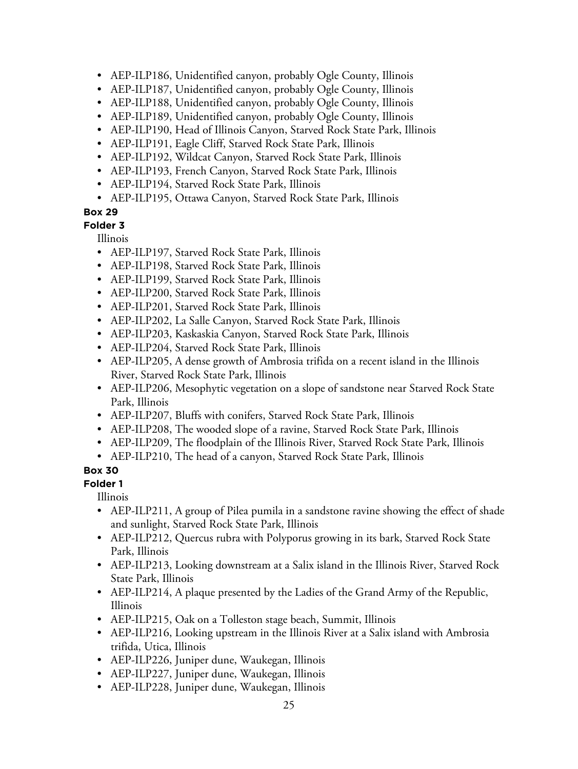- AEP-ILP186, Unidentified canyon, probably Ogle County, Illinois
- AEP-ILP187, Unidentified canyon, probably Ogle County, Illinois
- AEP-ILP188, Unidentified canyon, probably Ogle County, Illinois
- AEP-ILP189, Unidentified canyon, probably Ogle County, Illinois
- AEP-ILP190, Head of Illinois Canyon, Starved Rock State Park, Illinois
- AEP-ILP191, Eagle Cliff, Starved Rock State Park, Illinois
- AEP-ILP192, Wildcat Canyon, Starved Rock State Park, Illinois
- AEP-ILP193, French Canyon, Starved Rock State Park, Illinois
- AEP-ILP194, Starved Rock State Park, Illinois
- AEP-ILP195, Ottawa Canyon, Starved Rock State Park, Illinois

**Folder 3**

Illinois

- AEP-ILP197, Starved Rock State Park, Illinois
- AEP-ILP198, Starved Rock State Park, Illinois
- AEP-ILP199, Starved Rock State Park, Illinois
- AEP-ILP200, Starved Rock State Park, Illinois
- AEP-ILP201, Starved Rock State Park, Illinois
- AEP-ILP202, La Salle Canyon, Starved Rock State Park, Illinois
- AEP-ILP203, Kaskaskia Canyon, Starved Rock State Park, Illinois
- AEP-ILP204, Starved Rock State Park, Illinois
- AEP-ILP205, A dense growth of Ambrosia trifida on a recent island in the Illinois River, Starved Rock State Park, Illinois
- AEP-ILP206, Mesophytic vegetation on a slope of sandstone near Starved Rock State Park, Illinois
- AEP-ILP207, Bluffs with conifers, Starved Rock State Park, Illinois
- AEP-ILP208, The wooded slope of a ravine, Starved Rock State Park, Illinois
- AEP-ILP209, The floodplain of the Illinois River, Starved Rock State Park, Illinois
- AEP-ILP210, The head of a canyon, Starved Rock State Park, Illinois

## **Box 30**

**Folder 1**

- AEP-ILP211, A group of Pilea pumila in a sandstone ravine showing the effect of shade and sunlight, Starved Rock State Park, Illinois
- AEP-ILP212, Quercus rubra with Polyporus growing in its bark, Starved Rock State Park, Illinois
- AEP-ILP213, Looking downstream at a Salix island in the Illinois River, Starved Rock State Park, Illinois
- AEP-ILP214, A plaque presented by the Ladies of the Grand Army of the Republic, Illinois
- AEP-ILP215, Oak on a Tolleston stage beach, Summit, Illinois
- AEP-ILP216, Looking upstream in the Illinois River at a Salix island with Ambrosia trifida, Utica, Illinois
- AEP-ILP226, Juniper dune, Waukegan, Illinois
- AEP-ILP227, Juniper dune, Waukegan, Illinois
- AEP-ILP228, Juniper dune, Waukegan, Illinois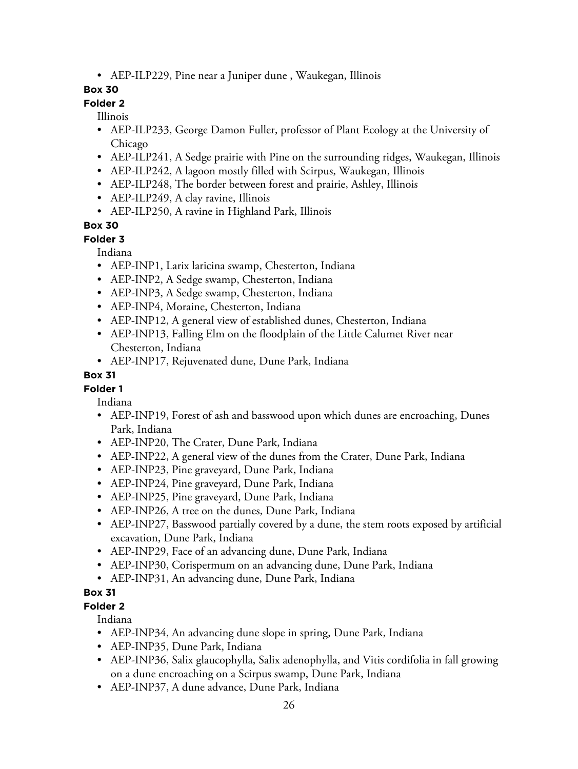• AEP-ILP229, Pine near a Juniper dune , Waukegan, Illinois

## **Box 30**

# **Folder 2**

Illinois

- AEP-ILP233, George Damon Fuller, professor of Plant Ecology at the University of Chicago
- AEP-ILP241, A Sedge prairie with Pine on the surrounding ridges, Waukegan, Illinois
- AEP-ILP242, A lagoon mostly filled with Scirpus, Waukegan, Illinois
- AEP-ILP248, The border between forest and prairie, Ashley, Illinois
- AEP-ILP249, A clay ravine, Illinois
- AEP-ILP250, A ravine in Highland Park, Illinois

## **Box 30**

**Folder 3**

Indiana

- AEP-INP1, Larix laricina swamp, Chesterton, Indiana
- AEP-INP2, A Sedge swamp, Chesterton, Indiana
- AEP-INP3, A Sedge swamp, Chesterton, Indiana
- AEP-INP4, Moraine, Chesterton, Indiana
- AEP-INP12, A general view of established dunes, Chesterton, Indiana
- AEP-INP13, Falling Elm on the floodplain of the Little Calumet River near Chesterton, Indiana
- AEP-INP17, Rejuvenated dune, Dune Park, Indiana

#### **Box 31**

## **Folder 1**

Indiana

- AEP-INP19, Forest of ash and basswood upon which dunes are encroaching, Dunes Park, Indiana
- AEP-INP20, The Crater, Dune Park, Indiana
- AEP-INP22, A general view of the dunes from the Crater, Dune Park, Indiana
- AEP-INP23, Pine graveyard, Dune Park, Indiana
- AEP-INP24, Pine graveyard, Dune Park, Indiana
- AEP-INP25, Pine graveyard, Dune Park, Indiana
- AEP-INP26, A tree on the dunes, Dune Park, Indiana
- AEP-INP27, Basswood partially covered by a dune, the stem roots exposed by artificial excavation, Dune Park, Indiana
- AEP-INP29, Face of an advancing dune, Dune Park, Indiana
- AEP-INP30, Corispermum on an advancing dune, Dune Park, Indiana
- AEP-INP31, An advancing dune, Dune Park, Indiana

#### **Box 31**

**Folder 2**

Indiana

- AEP-INP34, An advancing dune slope in spring, Dune Park, Indiana
- AEP-INP35, Dune Park, Indiana
- AEP-INP36, Salix glaucophylla, Salix adenophylla, and Vitis cordifolia in fall growing on a dune encroaching on a Scirpus swamp, Dune Park, Indiana
- AEP-INP37, A dune advance, Dune Park, Indiana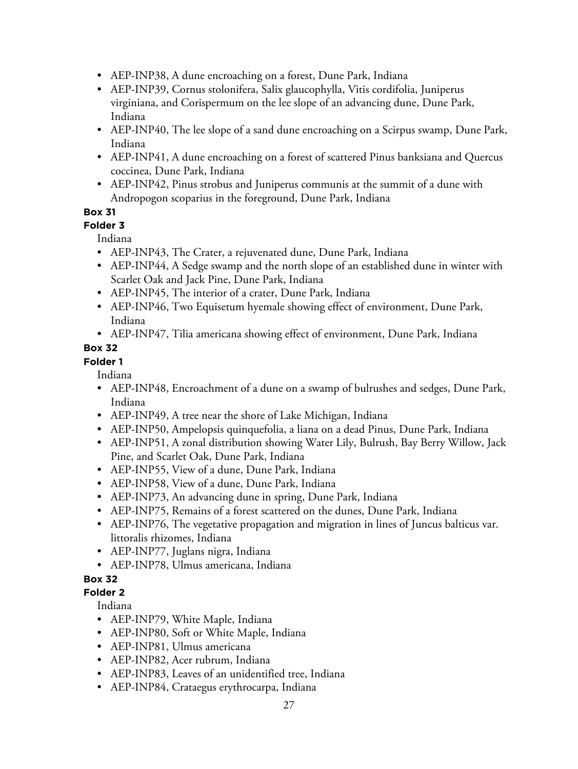- AEP-INP38, A dune encroaching on a forest, Dune Park, Indiana
- AEP-INP39, Cornus stolonifera, Salix glaucophylla, Vitis cordifolia, Juniperus virginiana, and Corispermum on the lee slope of an advancing dune, Dune Park, Indiana
- AEP-INP40, The lee slope of a sand dune encroaching on a Scirpus swamp, Dune Park, Indiana
- AEP-INP41, A dune encroaching on a forest of scattered Pinus banksiana and Quercus coccinea, Dune Park, Indiana
- AEP-INP42, Pinus strobus and Juniperus communis at the summit of a dune with Andropogon scoparius in the foreground, Dune Park, Indiana

**Folder 3**

Indiana

- AEP-INP43, The Crater, a rejuvenated dune, Dune Park, Indiana
- AEP-INP44, A Sedge swamp and the north slope of an established dune in winter with Scarlet Oak and Jack Pine, Dune Park, Indiana
- AEP-INP45, The interior of a crater, Dune Park, Indiana
- AEP-INP46, Two Equisetum hyemale showing effect of environment, Dune Park, Indiana
- AEP-INP47, Tilia americana showing effect of environment, Dune Park, Indiana

## **Box 32**

**Folder 1**

Indiana

- AEP-INP48, Encroachment of a dune on a swamp of bulrushes and sedges, Dune Park, Indiana
- AEP-INP49, A tree near the shore of Lake Michigan, Indiana
- AEP-INP50, Ampelopsis quinquefolia, a liana on a dead Pinus, Dune Park, Indiana
- AEP-INP51, A zonal distribution showing Water Lily, Bulrush, Bay Berry Willow, Jack Pine, and Scarlet Oak, Dune Park, Indiana
- AEP-INP55, View of a dune, Dune Park, Indiana
- AEP-INP58, View of a dune, Dune Park, Indiana
- AEP-INP73, An advancing dune in spring, Dune Park, Indiana
- AEP-INP75, Remains of a forest scattered on the dunes, Dune Park, Indiana
- AEP-INP76, The vegetative propagation and migration in lines of Juncus balticus var. littoralis rhizomes, Indiana
- AEP-INP77, Juglans nigra, Indiana
- AEP-INP78, Ulmus americana, Indiana

## **Box 32**

#### **Folder 2**

Indiana

- AEP-INP79, White Maple, Indiana
- AEP-INP80, Soft or White Maple, Indiana
- AEP-INP81, Ulmus americana
- AEP-INP82, Acer rubrum, Indiana
- AEP-INP83, Leaves of an unidentified tree, Indiana
- AEP-INP84, Crataegus erythrocarpa, Indiana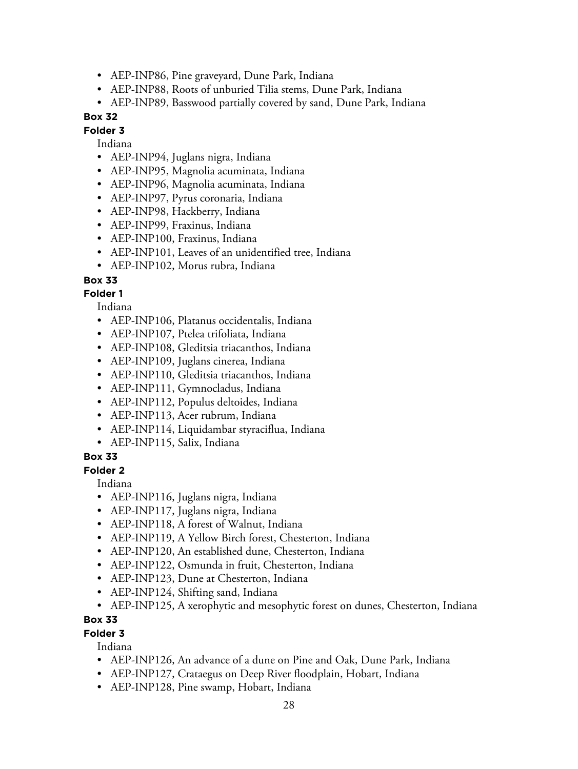- AEP-INP86, Pine graveyard, Dune Park, Indiana
- AEP-INP88, Roots of unburied Tilia stems, Dune Park, Indiana
- AEP-INP89, Basswood partially covered by sand, Dune Park, Indiana

**Folder 3**

#### Indiana

- AEP-INP94, Juglans nigra, Indiana
- AEP-INP95, Magnolia acuminata, Indiana
- AEP-INP96, Magnolia acuminata, Indiana
- AEP-INP97, Pyrus coronaria, Indiana
- AEP-INP98, Hackberry, Indiana
- AEP-INP99, Fraxinus, Indiana
- AEP-INP100, Fraxinus, Indiana
- AEP-INP101, Leaves of an unidentified tree, Indiana
- AEP-INP102, Morus rubra, Indiana

#### **Box 33**

#### **Folder 1**

Indiana

- AEP-INP106, Platanus occidentalis, Indiana
- AEP-INP107, Ptelea trifoliata, Indiana
- AEP-INP108, Gleditsia triacanthos, Indiana
- AEP-INP109, Juglans cinerea, Indiana
- AEP-INP110, Gleditsia triacanthos, Indiana
- AEP-INP111, Gymnocladus, Indiana
- AEP-INP112, Populus deltoides, Indiana
- AEP-INP113, Acer rubrum, Indiana
- AEP-INP114, Liquidambar styraciflua, Indiana
- AEP-INP115, Salix, Indiana

#### **Box 33**

#### **Folder 2**

Indiana

- AEP-INP116, Juglans nigra, Indiana
- AEP-INP117, Juglans nigra, Indiana
- AEP-INP118, A forest of Walnut, Indiana
- AEP-INP119, A Yellow Birch forest, Chesterton, Indiana
- AEP-INP120, An established dune, Chesterton, Indiana
- AEP-INP122, Osmunda in fruit, Chesterton, Indiana
- AEP-INP123, Dune at Chesterton, Indiana
- AEP-INP124, Shifting sand, Indiana
- AEP-INP125, A xerophytic and mesophytic forest on dunes, Chesterton, Indiana

#### **Box 33**

#### **Folder 3**

Indiana

- AEP-INP126, An advance of a dune on Pine and Oak, Dune Park, Indiana
- AEP-INP127, Crataegus on Deep River floodplain, Hobart, Indiana
- AEP-INP128, Pine swamp, Hobart, Indiana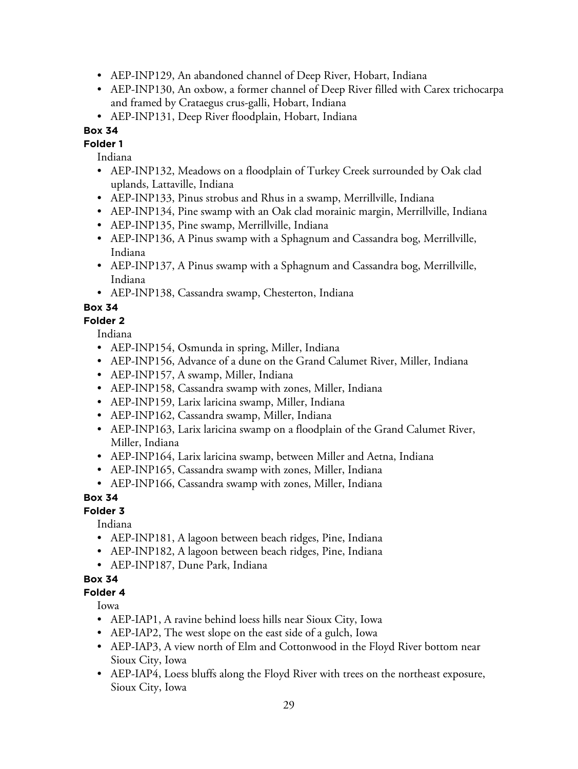- AEP-INP129, An abandoned channel of Deep River, Hobart, Indiana
- AEP-INP130, An oxbow, a former channel of Deep River filled with Carex trichocarpa and framed by Crataegus crus-galli, Hobart, Indiana
- AEP-INP131, Deep River floodplain, Hobart, Indiana

**Folder 1**

Indiana

- AEP-INP132, Meadows on a floodplain of Turkey Creek surrounded by Oak clad uplands, Lattaville, Indiana
- AEP-INP133, Pinus strobus and Rhus in a swamp, Merrillville, Indiana
- AEP-INP134, Pine swamp with an Oak clad morainic margin, Merrillville, Indiana
- AEP-INP135, Pine swamp, Merrillville, Indiana
- AEP-INP136, A Pinus swamp with a Sphagnum and Cassandra bog, Merrillville, Indiana
- AEP-INP137, A Pinus swamp with a Sphagnum and Cassandra bog, Merrillville, Indiana
- AEP-INP138, Cassandra swamp, Chesterton, Indiana

## **Box 34**

**Folder 2**

Indiana

- AEP-INP154, Osmunda in spring, Miller, Indiana
- AEP-INP156, Advance of a dune on the Grand Calumet River, Miller, Indiana
- AEP-INP157, A swamp, Miller, Indiana
- AEP-INP158, Cassandra swamp with zones, Miller, Indiana
- AEP-INP159, Larix laricina swamp, Miller, Indiana
- AEP-INP162, Cassandra swamp, Miller, Indiana
- AEP-INP163, Larix laricina swamp on a floodplain of the Grand Calumet River, Miller, Indiana
- AEP-INP164, Larix laricina swamp, between Miller and Aetna, Indiana
- AEP-INP165, Cassandra swamp with zones, Miller, Indiana
- AEP-INP166, Cassandra swamp with zones, Miller, Indiana

#### **Box 34**

#### **Folder 3**

Indiana

- AEP-INP181, A lagoon between beach ridges, Pine, Indiana
- AEP-INP182, A lagoon between beach ridges, Pine, Indiana
- AEP-INP187, Dune Park, Indiana

## **Box 34**

#### **Folder 4**

Iowa

- AEP-IAP1, A ravine behind loess hills near Sioux City, Iowa
- AEP-IAP2, The west slope on the east side of a gulch, Iowa
- AEP-IAP3, A view north of Elm and Cottonwood in the Floyd River bottom near Sioux City, Iowa
- AEP-IAP4, Loess bluffs along the Floyd River with trees on the northeast exposure, Sioux City, Iowa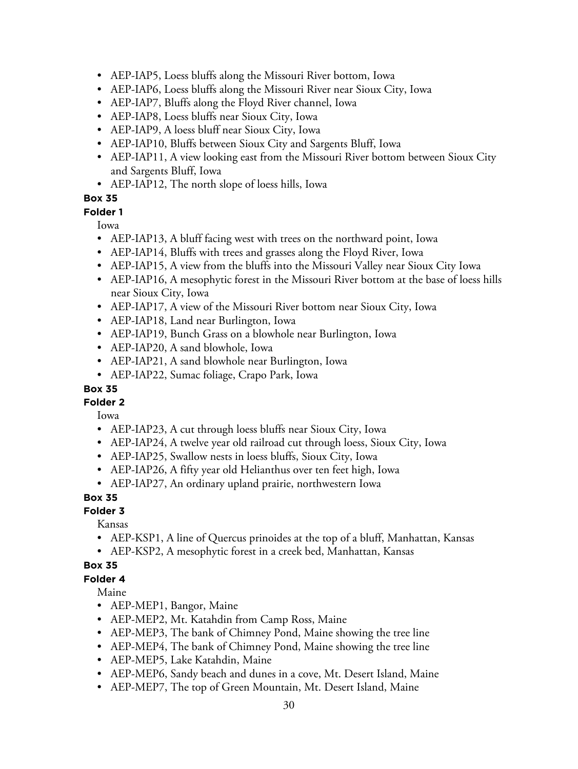- AEP-IAP5, Loess bluffs along the Missouri River bottom, Iowa
- AEP-IAP6, Loess bluffs along the Missouri River near Sioux City, Iowa
- AEP-IAP7, Bluffs along the Floyd River channel, Iowa
- AEP-IAP8, Loess bluffs near Sioux City, Iowa
- AEP-IAP9, A loess bluff near Sioux City, Iowa
- AEP-IAP10, Bluffs between Sioux City and Sargents Bluff, Iowa
- AEP-IAP11, A view looking east from the Missouri River bottom between Sioux City and Sargents Bluff, Iowa
- AEP-IAP12, The north slope of loess hills, Iowa

#### **Folder 1**

Iowa

- AEP-IAP13, A bluff facing west with trees on the northward point, Iowa
- AEP-IAP14, Bluffs with trees and grasses along the Floyd River, Iowa
- AEP-IAP15, A view from the bluffs into the Missouri Valley near Sioux City Iowa
- AEP-IAP16, A mesophytic forest in the Missouri River bottom at the base of loess hills near Sioux City, Iowa
- AEP-IAP17, A view of the Missouri River bottom near Sioux City, Iowa
- AEP-IAP18, Land near Burlington, Iowa
- AEP-IAP19, Bunch Grass on a blowhole near Burlington, Iowa
- AEP-IAP20, A sand blowhole, Iowa
- AEP-IAP21, A sand blowhole near Burlington, Iowa
- AEP-IAP22, Sumac foliage, Crapo Park, Iowa

#### **Box 35**

#### **Folder 2**

Iowa

- AEP-IAP23, A cut through loess bluffs near Sioux City, Iowa
- AEP-IAP24, A twelve year old railroad cut through loess, Sioux City, Iowa
- AEP-IAP25, Swallow nests in loess bluffs, Sioux City, Iowa
- AEP-IAP26, A fifty year old Helianthus over ten feet high, Iowa
- AEP-IAP27, An ordinary upland prairie, northwestern Iowa

#### **Box 35**

#### **Folder 3**

Kansas

- AEP-KSP1, A line of Quercus prinoides at the top of a bluff, Manhattan, Kansas
- AEP-KSP2, A mesophytic forest in a creek bed, Manhattan, Kansas

#### **Box 35**

**Folder 4**

Maine

- AEP-MEP1, Bangor, Maine
- AEP-MEP2, Mt. Katahdin from Camp Ross, Maine
- AEP-MEP3, The bank of Chimney Pond, Maine showing the tree line
- AEP-MEP4, The bank of Chimney Pond, Maine showing the tree line
- AEP-MEP5, Lake Katahdin, Maine
- AEP-MEP6, Sandy beach and dunes in a cove, Mt. Desert Island, Maine
- AEP-MEP7, The top of Green Mountain, Mt. Desert Island, Maine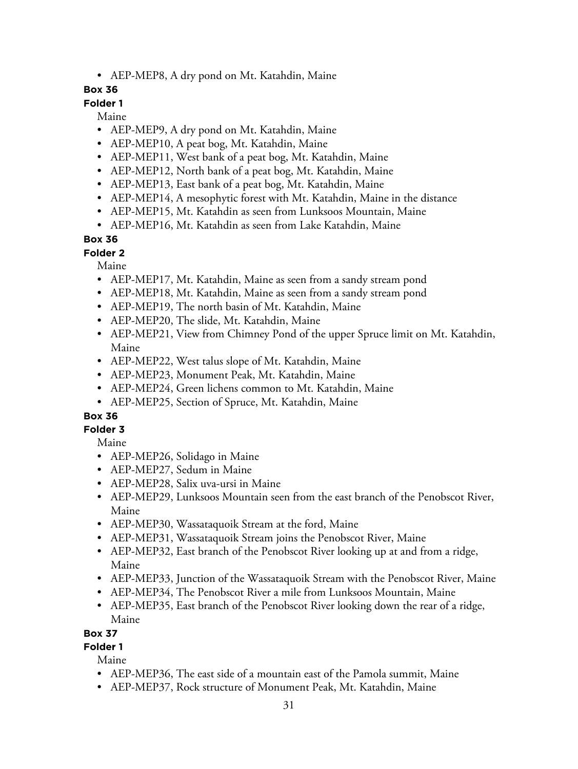• AEP-MEP8, A dry pond on Mt. Katahdin, Maine

#### **Box 36**

## **Folder 1**

Maine

- AEP-MEP9, A dry pond on Mt. Katahdin, Maine
- AEP-MEP10, A peat bog, Mt. Katahdin, Maine
- AEP-MEP11, West bank of a peat bog, Mt. Katahdin, Maine
- AEP-MEP12, North bank of a peat bog, Mt. Katahdin, Maine
- AEP-MEP13, East bank of a peat bog, Mt. Katahdin, Maine
- AEP-MEP14, A mesophytic forest with Mt. Katahdin, Maine in the distance
- AEP-MEP15, Mt. Katahdin as seen from Lunksoos Mountain, Maine
- AEP-MEP16, Mt. Katahdin as seen from Lake Katahdin, Maine

## **Box 36**

#### **Folder 2**

Maine

- AEP-MEP17, Mt. Katahdin, Maine as seen from a sandy stream pond
- AEP-MEP18, Mt. Katahdin, Maine as seen from a sandy stream pond
- AEP-MEP19, The north basin of Mt. Katahdin, Maine
- AEP-MEP20, The slide, Mt. Katahdin, Maine
- AEP-MEP21, View from Chimney Pond of the upper Spruce limit on Mt. Katahdin, Maine
- AEP-MEP22, West talus slope of Mt. Katahdin, Maine
- AEP-MEP23, Monument Peak, Mt. Katahdin, Maine
- AEP-MEP24, Green lichens common to Mt. Katahdin, Maine
- AEP-MEP25, Section of Spruce, Mt. Katahdin, Maine

## **Box 36**

## **Folder 3**

Maine

- AEP-MEP26, Solidago in Maine
- AEP-MEP27, Sedum in Maine
- AEP-MEP28, Salix uva-ursi in Maine
- AEP-MEP29, Lunksoos Mountain seen from the east branch of the Penobscot River, Maine
- AEP-MEP30, Wassataquoik Stream at the ford, Maine
- AEP-MEP31, Wassataquoik Stream joins the Penobscot River, Maine
- AEP-MEP32, East branch of the Penobscot River looking up at and from a ridge, Maine
- AEP-MEP33, Junction of the Wassataquoik Stream with the Penobscot River, Maine
- AEP-MEP34, The Penobscot River a mile from Lunksoos Mountain, Maine
- AEP-MEP35, East branch of the Penobscot River looking down the rear of a ridge, Maine

#### **Box 37**

# **Folder 1**

Maine

- AEP-MEP36, The east side of a mountain east of the Pamola summit, Maine
- AEP-MEP37, Rock structure of Monument Peak, Mt. Katahdin, Maine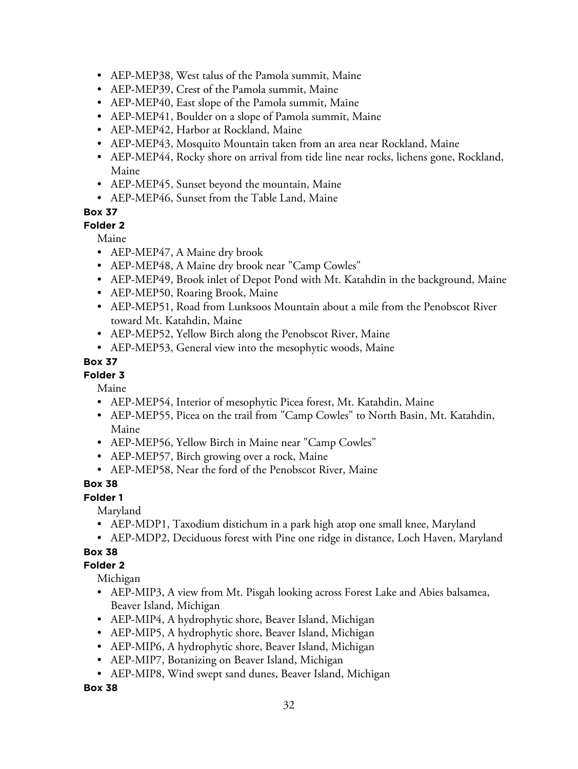- AEP-MEP38, West talus of the Pamola summit, Maine
- AEP-MEP39, Crest of the Pamola summit, Maine
- AEP-MEP40, East slope of the Pamola summit, Maine
- AEP-MEP41, Boulder on a slope of Pamola summit, Maine
- AEP-MEP42, Harbor at Rockland, Maine
- AEP-MEP43, Mosquito Mountain taken from an area near Rockland, Maine
- AEP-MEP44, Rocky shore on arrival from tide line near rocks, lichens gone, Rockland, Maine
- AEP-MEP45, Sunset beyond the mountain, Maine
- AEP-MEP46, Sunset from the Table Land, Maine

**Folder 2**

Maine

- AEP-MEP47, A Maine dry brook
- AEP-MEP48, A Maine dry brook near "Camp Cowles"
- AEP-MEP49, Brook inlet of Depot Pond with Mt. Katahdin in the background, Maine
- AEP-MEP50, Roaring Brook, Maine
- AEP-MEP51, Road from Lunksoos Mountain about a mile from the Penobscot River toward Mt. Katahdin, Maine
- AEP-MEP52, Yellow Birch along the Penobscot River, Maine
- AEP-MEP53, General view into the mesophytic woods, Maine

#### **Box 37**

#### **Folder 3**

Maine

- AEP-MEP54, Interior of mesophytic Picea forest, Mt. Katahdin, Maine
- AEP-MEP55, Picea on the trail from "Camp Cowles" to North Basin, Mt. Katahdin, Maine
- AEP-MEP56, Yellow Birch in Maine near "Camp Cowles"
- AEP-MEP57, Birch growing over a rock, Maine
- AEP-MEP58, Near the ford of the Penobscot River, Maine

#### **Box 38**

**Folder 1**

Maryland

- AEP-MDP1, Taxodium distichum in a park high atop one small knee, Maryland
- AEP-MDP2, Deciduous forest with Pine one ridge in distance, Loch Haven, Maryland

#### **Box 38**

#### **Folder 2**

Michigan

- AEP-MIP3, A view from Mt. Pisgah looking across Forest Lake and Abies balsamea, Beaver Island, Michigan
- AEP-MIP4, A hydrophytic shore, Beaver Island, Michigan
- AEP-MIP5, A hydrophytic shore, Beaver Island, Michigan
- AEP-MIP6, A hydrophytic shore, Beaver Island, Michigan
- AEP-MIP7, Botanizing on Beaver Island, Michigan
- AEP-MIP8, Wind swept sand dunes, Beaver Island, Michigan

**Box 38**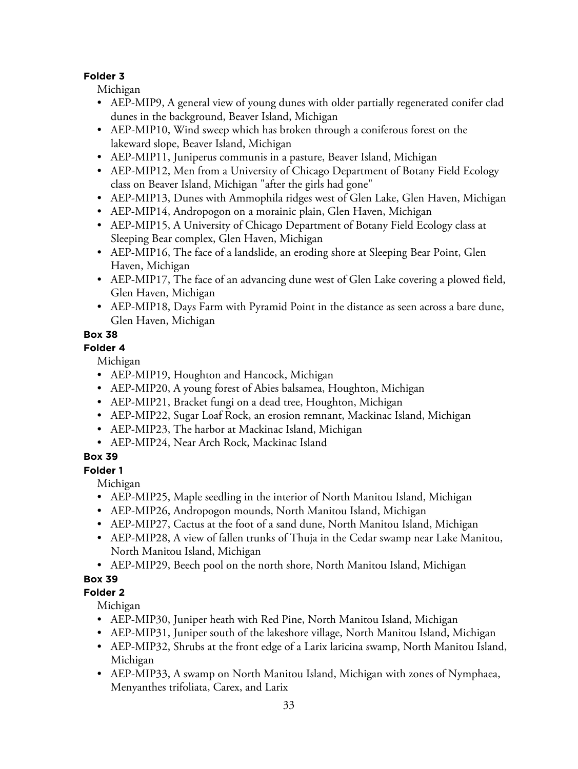#### **Folder 3**

Michigan

- AEP-MIP9, A general view of young dunes with older partially regenerated conifer clad dunes in the background, Beaver Island, Michigan
- AEP-MIP10, Wind sweep which has broken through a coniferous forest on the lakeward slope, Beaver Island, Michigan
- AEP-MIP11, Juniperus communis in a pasture, Beaver Island, Michigan
- AEP-MIP12, Men from a University of Chicago Department of Botany Field Ecology class on Beaver Island, Michigan "after the girls had gone"
- AEP-MIP13, Dunes with Ammophila ridges west of Glen Lake, Glen Haven, Michigan
- AEP-MIP14, Andropogon on a morainic plain, Glen Haven, Michigan
- AEP-MIP15, A University of Chicago Department of Botany Field Ecology class at Sleeping Bear complex, Glen Haven, Michigan
- AEP-MIP16, The face of a landslide, an eroding shore at Sleeping Bear Point, Glen Haven, Michigan
- AEP-MIP17, The face of an advancing dune west of Glen Lake covering a plowed field, Glen Haven, Michigan
- AEP-MIP18, Days Farm with Pyramid Point in the distance as seen across a bare dune, Glen Haven, Michigan

## **Box 38**

#### **Folder 4**

Michigan

- AEP-MIP19, Houghton and Hancock, Michigan
- AEP-MIP20, A young forest of Abies balsamea, Houghton, Michigan
- AEP-MIP21, Bracket fungi on a dead tree, Houghton, Michigan
- AEP-MIP22, Sugar Loaf Rock, an erosion remnant, Mackinac Island, Michigan
- AEP-MIP23, The harbor at Mackinac Island, Michigan
- AEP-MIP24, Near Arch Rock, Mackinac Island

## **Box 39**

**Folder 1**

Michigan

- AEP-MIP25, Maple seedling in the interior of North Manitou Island, Michigan
- AEP-MIP26, Andropogon mounds, North Manitou Island, Michigan
- AEP-MIP27, Cactus at the foot of a sand dune, North Manitou Island, Michigan
- AEP-MIP28, A view of fallen trunks of Thuja in the Cedar swamp near Lake Manitou, North Manitou Island, Michigan
- AEP-MIP29, Beech pool on the north shore, North Manitou Island, Michigan

# **Box 39**

## **Folder 2**

Michigan

- AEP-MIP30, Juniper heath with Red Pine, North Manitou Island, Michigan
- AEP-MIP31, Juniper south of the lakeshore village, North Manitou Island, Michigan
- AEP-MIP32, Shrubs at the front edge of a Larix laricina swamp, North Manitou Island, Michigan
- AEP-MIP33, A swamp on North Manitou Island, Michigan with zones of Nymphaea, Menyanthes trifoliata, Carex, and Larix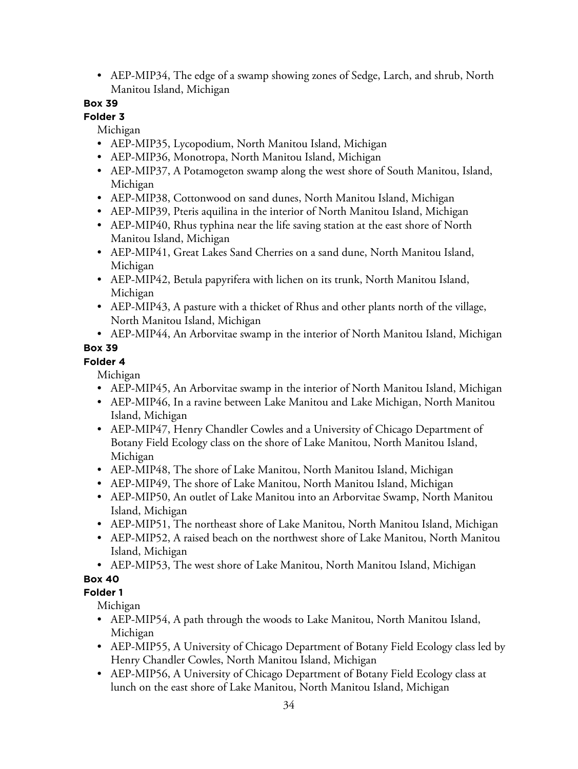• AEP-MIP34, The edge of a swamp showing zones of Sedge, Larch, and shrub, North Manitou Island, Michigan

## **Box 39**

#### **Folder 3**

Michigan

- AEP-MIP35, Lycopodium, North Manitou Island, Michigan
- AEP-MIP36, Monotropa, North Manitou Island, Michigan
- AEP-MIP37, A Potamogeton swamp along the west shore of South Manitou, Island, Michigan
- AEP-MIP38, Cottonwood on sand dunes, North Manitou Island, Michigan
- AEP-MIP39, Pteris aquilina in the interior of North Manitou Island, Michigan
- AEP-MIP40, Rhus typhina near the life saving station at the east shore of North Manitou Island, Michigan
- AEP-MIP41, Great Lakes Sand Cherries on a sand dune, North Manitou Island, Michigan
- AEP-MIP42, Betula papyrifera with lichen on its trunk, North Manitou Island, Michigan
- AEP-MIP43, A pasture with a thicket of Rhus and other plants north of the village, North Manitou Island, Michigan
- AEP-MIP44, An Arborvitae swamp in the interior of North Manitou Island, Michigan

## **Box 39**

## **Folder 4**

Michigan

- AEP-MIP45, An Arborvitae swamp in the interior of North Manitou Island, Michigan
- AEP-MIP46, In a ravine between Lake Manitou and Lake Michigan, North Manitou Island, Michigan
- AEP-MIP47, Henry Chandler Cowles and a University of Chicago Department of Botany Field Ecology class on the shore of Lake Manitou, North Manitou Island, Michigan
- AEP-MIP48, The shore of Lake Manitou, North Manitou Island, Michigan
- AEP-MIP49, The shore of Lake Manitou, North Manitou Island, Michigan
- AEP-MIP50, An outlet of Lake Manitou into an Arborvitae Swamp, North Manitou Island, Michigan
- AEP-MIP51, The northeast shore of Lake Manitou, North Manitou Island, Michigan
- AEP-MIP52, A raised beach on the northwest shore of Lake Manitou, North Manitou Island, Michigan
- AEP-MIP53, The west shore of Lake Manitou, North Manitou Island, Michigan

# **Box 40**

## **Folder 1**

Michigan

- AEP-MIP54, A path through the woods to Lake Manitou, North Manitou Island, Michigan
- AEP-MIP55, A University of Chicago Department of Botany Field Ecology class led by Henry Chandler Cowles, North Manitou Island, Michigan
- AEP-MIP56, A University of Chicago Department of Botany Field Ecology class at lunch on the east shore of Lake Manitou, North Manitou Island, Michigan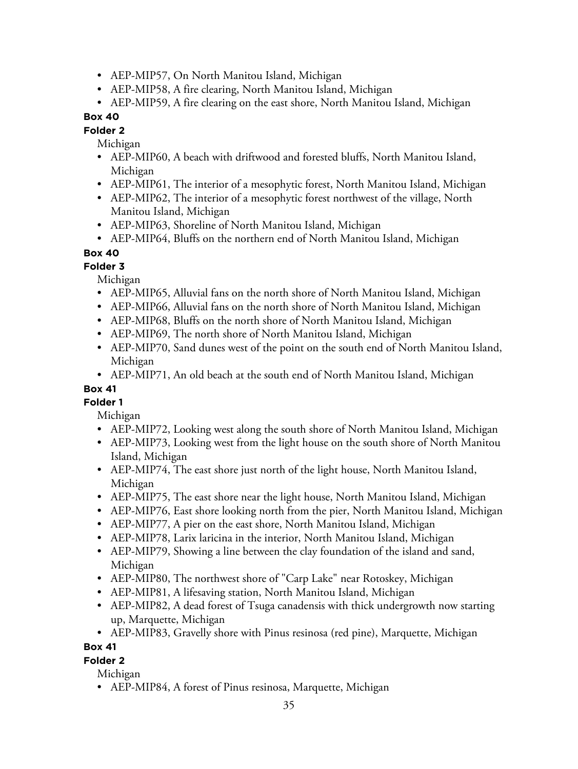- AEP-MIP57, On North Manitou Island, Michigan
- AEP-MIP58, A fire clearing, North Manitou Island, Michigan
- AEP-MIP59, A fire clearing on the east shore, North Manitou Island, Michigan

#### **Folder 2**

Michigan

- AEP-MIP60, A beach with driftwood and forested bluffs, North Manitou Island, Michigan
- AEP-MIP61, The interior of a mesophytic forest, North Manitou Island, Michigan
- AEP-MIP62, The interior of a mesophytic forest northwest of the village, North Manitou Island, Michigan
- AEP-MIP63, Shoreline of North Manitou Island, Michigan
- AEP-MIP64, Bluffs on the northern end of North Manitou Island, Michigan

## **Box 40**

## **Folder 3**

Michigan

- AEP-MIP65, Alluvial fans on the north shore of North Manitou Island, Michigan
- AEP-MIP66, Alluvial fans on the north shore of North Manitou Island, Michigan
- AEP-MIP68, Bluffs on the north shore of North Manitou Island, Michigan
- AEP-MIP69, The north shore of North Manitou Island, Michigan
- AEP-MIP70, Sand dunes west of the point on the south end of North Manitou Island, Michigan
- AEP-MIP71, An old beach at the south end of North Manitou Island, Michigan

# **Box 41**

**Folder 1**

Michigan

- AEP-MIP72, Looking west along the south shore of North Manitou Island, Michigan
- AEP-MIP73, Looking west from the light house on the south shore of North Manitou Island, Michigan
- AEP-MIP74, The east shore just north of the light house, North Manitou Island, Michigan
- AEP-MIP75, The east shore near the light house, North Manitou Island, Michigan
- AEP-MIP76, East shore looking north from the pier, North Manitou Island, Michigan
- AEP-MIP77, A pier on the east shore, North Manitou Island, Michigan
- AEP-MIP78, Larix laricina in the interior, North Manitou Island, Michigan
- AEP-MIP79, Showing a line between the clay foundation of the island and sand, Michigan
- AEP-MIP80, The northwest shore of "Carp Lake" near Rotoskey, Michigan
- AEP-MIP81, A lifesaving station, North Manitou Island, Michigan
- AEP-MIP82, A dead forest of Tsuga canadensis with thick undergrowth now starting up, Marquette, Michigan
- AEP-MIP83, Gravelly shore with Pinus resinosa (red pine), Marquette, Michigan

## **Box 41**

## **Folder 2**

Michigan

• AEP-MIP84, A forest of Pinus resinosa, Marquette, Michigan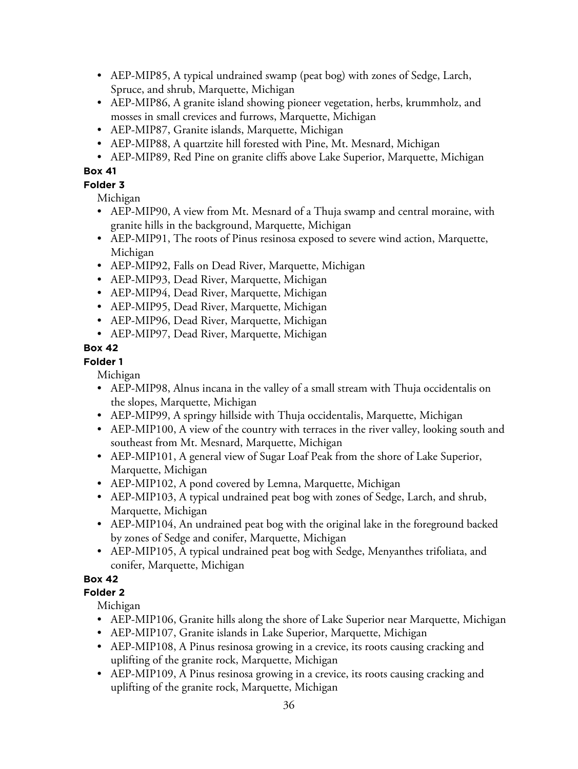- AEP-MIP85, A typical undrained swamp (peat bog) with zones of Sedge, Larch, Spruce, and shrub, Marquette, Michigan
- AEP-MIP86, A granite island showing pioneer vegetation, herbs, krummholz, and mosses in small crevices and furrows, Marquette, Michigan
- AEP-MIP87, Granite islands, Marquette, Michigan
- AEP-MIP88, A quartzite hill forested with Pine, Mt. Mesnard, Michigan
- AEP-MIP89, Red Pine on granite cliffs above Lake Superior, Marquette, Michigan

### **Folder 3**

Michigan

- AEP-MIP90, A view from Mt. Mesnard of a Thuja swamp and central moraine, with granite hills in the background, Marquette, Michigan
- AEP-MIP91, The roots of Pinus resinosa exposed to severe wind action, Marquette, Michigan
- AEP-MIP92, Falls on Dead River, Marquette, Michigan
- AEP-MIP93, Dead River, Marquette, Michigan
- AEP-MIP94, Dead River, Marquette, Michigan
- AEP-MIP95, Dead River, Marquette, Michigan
- AEP-MIP96, Dead River, Marquette, Michigan
- AEP-MIP97, Dead River, Marquette, Michigan

## **Box 42**

## **Folder 1**

Michigan

- AEP-MIP98, Alnus incana in the valley of a small stream with Thuja occidentalis on the slopes, Marquette, Michigan
- AEP-MIP99, A springy hillside with Thuja occidentalis, Marquette, Michigan
- AEP-MIP100, A view of the country with terraces in the river valley, looking south and southeast from Mt. Mesnard, Marquette, Michigan
- AEP-MIP101, A general view of Sugar Loaf Peak from the shore of Lake Superior, Marquette, Michigan
- AEP-MIP102, A pond covered by Lemna, Marquette, Michigan
- AEP-MIP103, A typical undrained peat bog with zones of Sedge, Larch, and shrub, Marquette, Michigan
- AEP-MIP104, An undrained peat bog with the original lake in the foreground backed by zones of Sedge and conifer, Marquette, Michigan
- AEP-MIP105, A typical undrained peat bog with Sedge, Menyanthes trifoliata, and conifer, Marquette, Michigan

# **Box 42**

## **Folder 2**

Michigan

- AEP-MIP106, Granite hills along the shore of Lake Superior near Marquette, Michigan
- AEP-MIP107, Granite islands in Lake Superior, Marquette, Michigan
- AEP-MIP108, A Pinus resinosa growing in a crevice, its roots causing cracking and uplifting of the granite rock, Marquette, Michigan
- AEP-MIP109, A Pinus resinosa growing in a crevice, its roots causing cracking and uplifting of the granite rock, Marquette, Michigan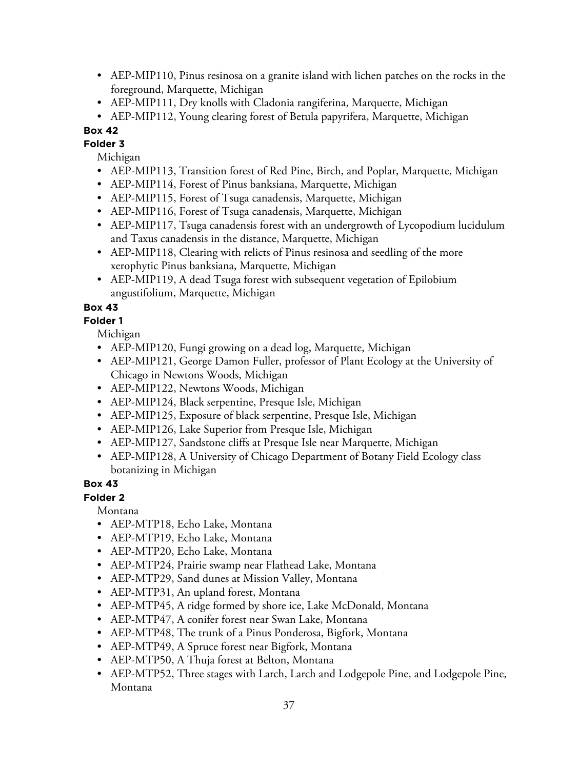- AEP-MIP110, Pinus resinosa on a granite island with lichen patches on the rocks in the foreground, Marquette, Michigan
- AEP-MIP111, Dry knolls with Cladonia rangiferina, Marquette, Michigan
- AEP-MIP112, Young clearing forest of Betula papyrifera, Marquette, Michigan

**Folder 3** Michigan

- AEP-MIP113, Transition forest of Red Pine, Birch, and Poplar, Marquette, Michigan
- AEP-MIP114, Forest of Pinus banksiana, Marquette, Michigan
- AEP-MIP115, Forest of Tsuga canadensis, Marquette, Michigan
- AEP-MIP116, Forest of Tsuga canadensis, Marquette, Michigan
- AEP-MIP117, Tsuga canadensis forest with an undergrowth of Lycopodium lucidulum and Taxus canadensis in the distance, Marquette, Michigan
- AEP-MIP118, Clearing with relicts of Pinus resinosa and seedling of the more xerophytic Pinus banksiana, Marquette, Michigan
- AEP-MIP119, A dead Tsuga forest with subsequent vegetation of Epilobium angustifolium, Marquette, Michigan

# **Box 43**

## **Folder 1**

Michigan

- AEP-MIP120, Fungi growing on a dead log, Marquette, Michigan
- AEP-MIP121, George Damon Fuller, professor of Plant Ecology at the University of Chicago in Newtons Woods, Michigan
- AEP-MIP122, Newtons Woods, Michigan
- AEP-MIP124, Black serpentine, Presque Isle, Michigan
- AEP-MIP125, Exposure of black serpentine, Presque Isle, Michigan
- AEP-MIP126, Lake Superior from Presque Isle, Michigan
- AEP-MIP127, Sandstone cliffs at Presque Isle near Marquette, Michigan
- AEP-MIP128, A University of Chicago Department of Botany Field Ecology class botanizing in Michigan

# **Box 43**

**Folder 2**

Montana

- AEP-MTP18, Echo Lake, Montana
- AEP-MTP19, Echo Lake, Montana
- AEP-MTP20, Echo Lake, Montana
- AEP-MTP24, Prairie swamp near Flathead Lake, Montana
- AEP-MTP29, Sand dunes at Mission Valley, Montana
- AEP-MTP31, An upland forest, Montana
- AEP-MTP45, A ridge formed by shore ice, Lake McDonald, Montana
- AEP-MTP47, A conifer forest near Swan Lake, Montana
- AEP-MTP48, The trunk of a Pinus Ponderosa, Bigfork, Montana
- AEP-MTP49, A Spruce forest near Bigfork, Montana
- AEP-MTP50, A Thuja forest at Belton, Montana
- AEP-MTP52, Three stages with Larch, Larch and Lodgepole Pine, and Lodgepole Pine, Montana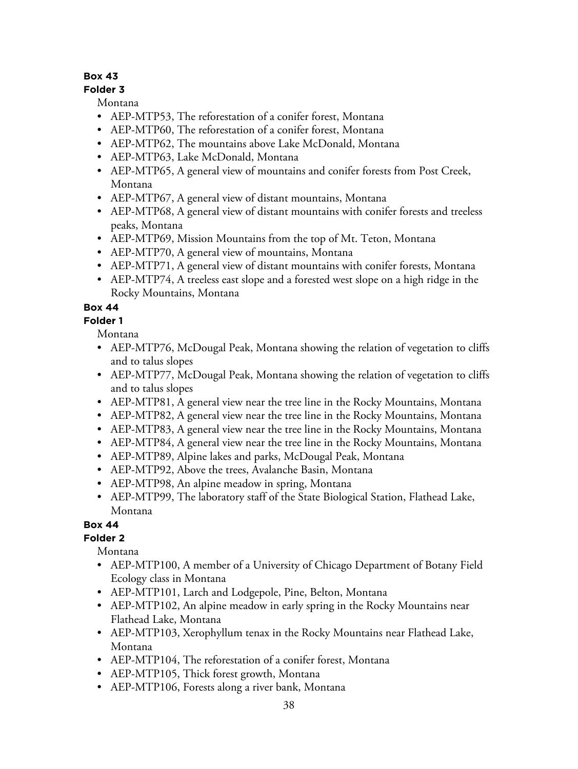### **Folder 3**

Montana

- AEP-MTP53, The reforestation of a conifer forest, Montana
- AEP-MTP60, The reforestation of a conifer forest, Montana
- AEP-MTP62, The mountains above Lake McDonald, Montana
- AEP-MTP63, Lake McDonald, Montana
- AEP-MTP65, A general view of mountains and conifer forests from Post Creek, Montana
- AEP-MTP67, A general view of distant mountains, Montana
- AEP-MTP68, A general view of distant mountains with conifer forests and treeless peaks, Montana
- AEP-MTP69, Mission Mountains from the top of Mt. Teton, Montana
- AEP-MTP70, A general view of mountains, Montana
- AEP-MTP71, A general view of distant mountains with conifer forests, Montana
- AEP-MTP74, A treeless east slope and a forested west slope on a high ridge in the Rocky Mountains, Montana

# **Box 44**

**Folder 1**

Montana

- AEP-MTP76, McDougal Peak, Montana showing the relation of vegetation to cliffs and to talus slopes
- AEP-MTP77, McDougal Peak, Montana showing the relation of vegetation to cliffs and to talus slopes
- AEP-MTP81, A general view near the tree line in the Rocky Mountains, Montana
- AEP-MTP82, A general view near the tree line in the Rocky Mountains, Montana
- AEP-MTP83, A general view near the tree line in the Rocky Mountains, Montana
- AEP-MTP84, A general view near the tree line in the Rocky Mountains, Montana
- AEP-MTP89, Alpine lakes and parks, McDougal Peak, Montana
- AEP-MTP92, Above the trees, Avalanche Basin, Montana
- AEP-MTP98, An alpine meadow in spring, Montana
- AEP-MTP99, The laboratory staff of the State Biological Station, Flathead Lake, Montana

# **Box 44**

# **Folder 2**

Montana

- AEP-MTP100, A member of a University of Chicago Department of Botany Field Ecology class in Montana
- AEP-MTP101, Larch and Lodgepole, Pine, Belton, Montana
- AEP-MTP102, An alpine meadow in early spring in the Rocky Mountains near Flathead Lake, Montana
- AEP-MTP103, Xerophyllum tenax in the Rocky Mountains near Flathead Lake, Montana
- AEP-MTP104, The reforestation of a conifer forest, Montana
- AEP-MTP105, Thick forest growth, Montana
- AEP-MTP106, Forests along a river bank, Montana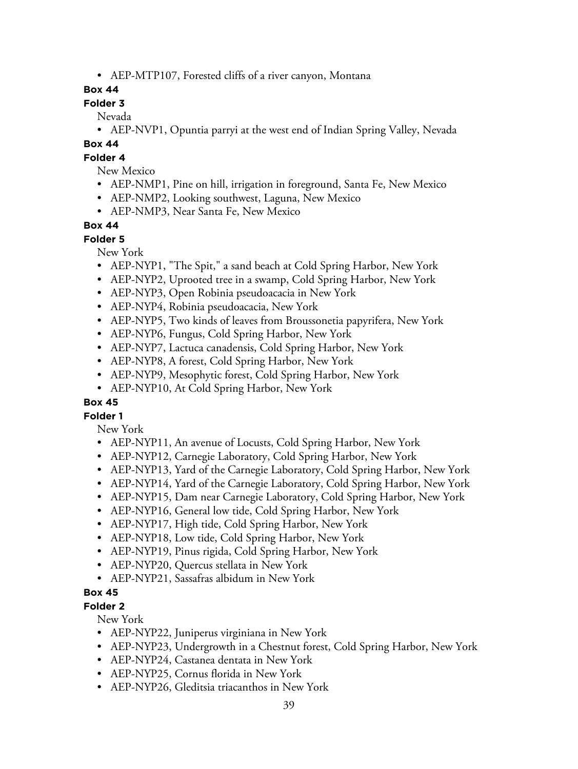• AEP-MTP107, Forested cliffs of a river canyon, Montana

### **Box 44**

### **Folder 3**

Nevada

• AEP-NVP1, Opuntia parryi at the west end of Indian Spring Valley, Nevada

### **Box 44**

### **Folder 4**

New Mexico

- AEP-NMP1, Pine on hill, irrigation in foreground, Santa Fe, New Mexico
- AEP-NMP2, Looking southwest, Laguna, New Mexico
- AEP-NMP3, Near Santa Fe, New Mexico

### **Box 44**

#### **Folder 5**

New York

- AEP-NYP1, "The Spit," a sand beach at Cold Spring Harbor, New York
- AEP-NYP2, Uprooted tree in a swamp, Cold Spring Harbor, New York
- AEP-NYP3, Open Robinia pseudoacacia in New York
- AEP-NYP4, Robinia pseudoacacia, New York
- AEP-NYP5, Two kinds of leaves from Broussonetia papyrifera, New York
- AEP-NYP6, Fungus, Cold Spring Harbor, New York
- AEP-NYP7, Lactuca canadensis, Cold Spring Harbor, New York
- AEP-NYP8, A forest, Cold Spring Harbor, New York
- AEP-NYP9, Mesophytic forest, Cold Spring Harbor, New York
- AEP-NYP10, At Cold Spring Harbor, New York

### **Box 45**

### **Folder 1**

New York

- AEP-NYP11, An avenue of Locusts, Cold Spring Harbor, New York
- AEP-NYP12, Carnegie Laboratory, Cold Spring Harbor, New York
- AEP-NYP13, Yard of the Carnegie Laboratory, Cold Spring Harbor, New York
- AEP-NYP14, Yard of the Carnegie Laboratory, Cold Spring Harbor, New York
- AEP-NYP15, Dam near Carnegie Laboratory, Cold Spring Harbor, New York
- AEP-NYP16, General low tide, Cold Spring Harbor, New York
- AEP-NYP17, High tide, Cold Spring Harbor, New York
- AEP-NYP18, Low tide, Cold Spring Harbor, New York
- AEP-NYP19, Pinus rigida, Cold Spring Harbor, New York
- AEP-NYP20, Quercus stellata in New York
- AEP-NYP21, Sassafras albidum in New York

### **Box 45**

# **Folder 2**

New York

- AEP-NYP22, Juniperus virginiana in New York
- AEP-NYP23, Undergrowth in a Chestnut forest, Cold Spring Harbor, New York
- AEP-NYP24, Castanea dentata in New York
- AEP-NYP25, Cornus florida in New York
- AEP-NYP26, Gleditsia triacanthos in New York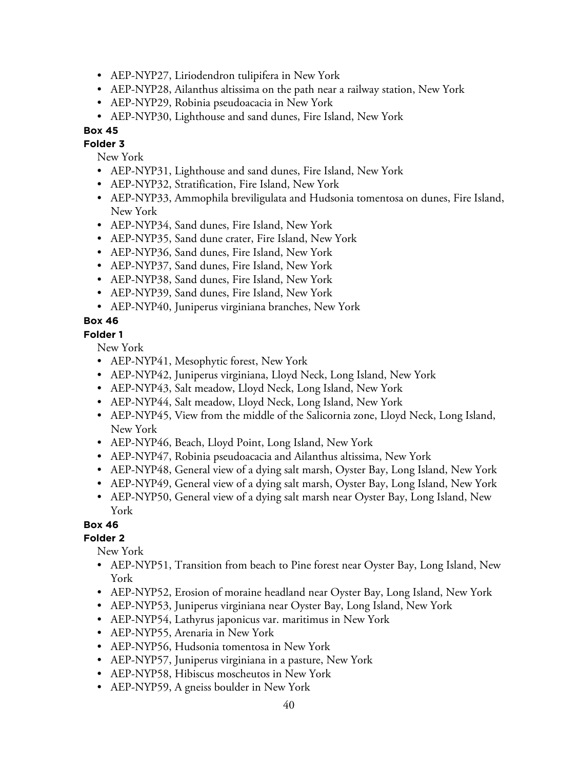- AEP-NYP27, Liriodendron tulipifera in New York
- AEP-NYP28, Ailanthus altissima on the path near a railway station, New York
- AEP-NYP29, Robinia pseudoacacia in New York
- AEP-NYP30, Lighthouse and sand dunes, Fire Island, New York

**Folder 3** New York

- AEP-NYP31, Lighthouse and sand dunes, Fire Island, New York
- AEP-NYP32, Stratification, Fire Island, New York
- AEP-NYP33, Ammophila breviligulata and Hudsonia tomentosa on dunes, Fire Island, New York
- AEP-NYP34, Sand dunes, Fire Island, New York
- AEP-NYP35, Sand dune crater, Fire Island, New York
- AEP-NYP36, Sand dunes, Fire Island, New York
- AEP-NYP37, Sand dunes, Fire Island, New York
- AEP-NYP38, Sand dunes, Fire Island, New York
- AEP-NYP39, Sand dunes, Fire Island, New York
- AEP-NYP40, Juniperus virginiana branches, New York

### **Box 46**

#### **Folder 1**

New York

- AEP-NYP41, Mesophytic forest, New York
- AEP-NYP42, Juniperus virginiana, Lloyd Neck, Long Island, New York
- AEP-NYP43, Salt meadow, Lloyd Neck, Long Island, New York
- AEP-NYP44, Salt meadow, Lloyd Neck, Long Island, New York
- AEP-NYP45, View from the middle of the Salicornia zone, Lloyd Neck, Long Island, New York
- AEP-NYP46, Beach, Lloyd Point, Long Island, New York
- AEP-NYP47, Robinia pseudoacacia and Ailanthus altissima, New York
- AEP-NYP48, General view of a dying salt marsh, Oyster Bay, Long Island, New York
- AEP-NYP49, General view of a dying salt marsh, Oyster Bay, Long Island, New York
- AEP-NYP50, General view of a dying salt marsh near Oyster Bay, Long Island, New York

#### **Box 46**

### **Folder 2**

New York

- AEP-NYP51, Transition from beach to Pine forest near Oyster Bay, Long Island, New York
- AEP-NYP52, Erosion of moraine headland near Oyster Bay, Long Island, New York
- AEP-NYP53, Juniperus virginiana near Oyster Bay, Long Island, New York
- AEP-NYP54, Lathyrus japonicus var. maritimus in New York
- AEP-NYP55, Arenaria in New York
- AEP-NYP56, Hudsonia tomentosa in New York
- AEP-NYP57, Juniperus virginiana in a pasture, New York
- AEP-NYP58, Hibiscus moscheutos in New York
- AEP-NYP59, A gneiss boulder in New York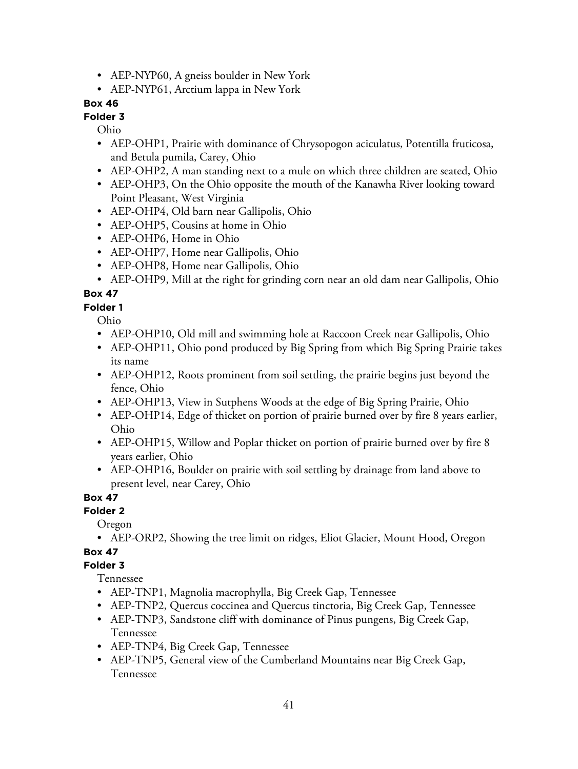- AEP-NYP60, A gneiss boulder in New York
- AEP-NYP61, Arctium lappa in New York

#### **Folder 3**

Ohio

- AEP-OHP1, Prairie with dominance of Chrysopogon aciculatus, Potentilla fruticosa, and Betula pumila, Carey, Ohio
- AEP-OHP2, A man standing next to a mule on which three children are seated, Ohio
- AEP-OHP3, On the Ohio opposite the mouth of the Kanawha River looking toward Point Pleasant, West Virginia
- AEP-OHP4, Old barn near Gallipolis, Ohio
- AEP-OHP5, Cousins at home in Ohio
- AEP-OHP6, Home in Ohio
- AEP-OHP7, Home near Gallipolis, Ohio
- AEP-OHP8, Home near Gallipolis, Ohio
- AEP-OHP9, Mill at the right for grinding corn near an old dam near Gallipolis, Ohio

## **Box 47**

**Folder 1**

Ohio

- AEP-OHP10, Old mill and swimming hole at Raccoon Creek near Gallipolis, Ohio
- AEP-OHP11, Ohio pond produced by Big Spring from which Big Spring Prairie takes its name
- AEP-OHP12, Roots prominent from soil settling, the prairie begins just beyond the fence, Ohio
- AEP-OHP13, View in Sutphens Woods at the edge of Big Spring Prairie, Ohio
- AEP-OHP14, Edge of thicket on portion of prairie burned over by fire 8 years earlier, Ohio
- AEP-OHP15, Willow and Poplar thicket on portion of prairie burned over by fire 8 years earlier, Ohio
- AEP-OHP16, Boulder on prairie with soil settling by drainage from land above to present level, near Carey, Ohio

### **Box 47**

**Folder 2**

Oregon

• AEP-ORP2, Showing the tree limit on ridges, Eliot Glacier, Mount Hood, Oregon

# **Box 47**

### **Folder 3**

Tennessee

- AEP-TNP1, Magnolia macrophylla, Big Creek Gap, Tennessee
- AEP-TNP2, Quercus coccinea and Quercus tinctoria, Big Creek Gap, Tennessee
- AEP-TNP3, Sandstone cliff with dominance of Pinus pungens, Big Creek Gap, Tennessee
- AEP-TNP4, Big Creek Gap, Tennessee
- AEP-TNP5, General view of the Cumberland Mountains near Big Creek Gap, Tennessee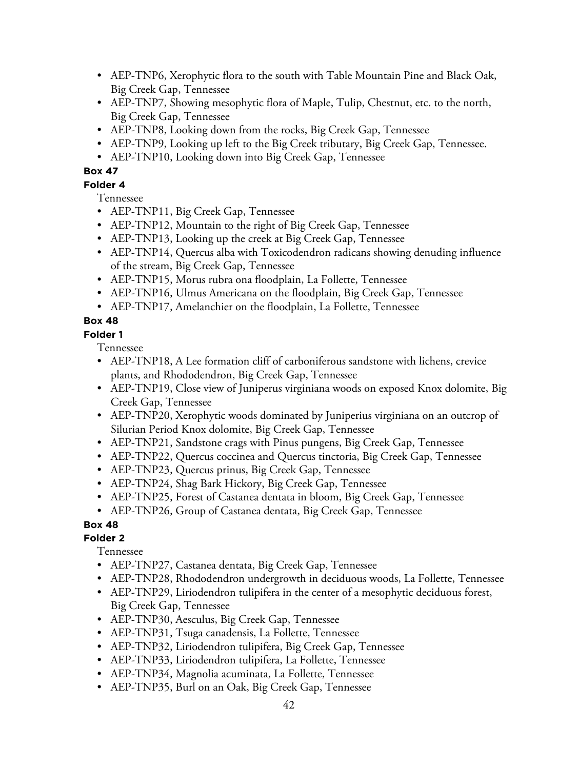- AEP-TNP6, Xerophytic flora to the south with Table Mountain Pine and Black Oak, Big Creek Gap, Tennessee
- AEP-TNP7, Showing mesophytic flora of Maple, Tulip, Chestnut, etc. to the north, Big Creek Gap, Tennessee
- AEP-TNP8, Looking down from the rocks, Big Creek Gap, Tennessee
- AEP-TNP9, Looking up left to the Big Creek tributary, Big Creek Gap, Tennessee.
- AEP-TNP10, Looking down into Big Creek Gap, Tennessee

### **Folder 4**

Tennessee

- AEP-TNP11, Big Creek Gap, Tennessee
- AEP-TNP12, Mountain to the right of Big Creek Gap, Tennessee
- AEP-TNP13, Looking up the creek at Big Creek Gap, Tennessee
- AEP-TNP14, Quercus alba with Toxicodendron radicans showing denuding influence of the stream, Big Creek Gap, Tennessee
- AEP-TNP15, Morus rubra ona floodplain, La Follette, Tennessee
- AEP-TNP16, Ulmus Americana on the floodplain, Big Creek Gap, Tennessee
- AEP-TNP17, Amelanchier on the floodplain, La Follette, Tennessee

# **Box 48**

### **Folder 1**

Tennessee

- AEP-TNP18, A Lee formation cliff of carboniferous sandstone with lichens, crevice plants, and Rhododendron, Big Creek Gap, Tennessee
- AEP-TNP19, Close view of Juniperus virginiana woods on exposed Knox dolomite, Big Creek Gap, Tennessee
- AEP-TNP20, Xerophytic woods dominated by Juniperius virginiana on an outcrop of Silurian Period Knox dolomite, Big Creek Gap, Tennessee
- AEP-TNP21, Sandstone crags with Pinus pungens, Big Creek Gap, Tennessee
- AEP-TNP22, Quercus coccinea and Quercus tinctoria, Big Creek Gap, Tennessee
- AEP-TNP23, Quercus prinus, Big Creek Gap, Tennessee
- AEP-TNP24, Shag Bark Hickory, Big Creek Gap, Tennessee
- AEP-TNP25, Forest of Castanea dentata in bloom, Big Creek Gap, Tennessee
- AEP-TNP26, Group of Castanea dentata, Big Creek Gap, Tennessee

# **Box 48**

# **Folder 2**

Tennessee

- AEP-TNP27, Castanea dentata, Big Creek Gap, Tennessee
- AEP-TNP28, Rhododendron undergrowth in deciduous woods, La Follette, Tennessee
- AEP-TNP29, Liriodendron tulipifera in the center of a mesophytic deciduous forest, Big Creek Gap, Tennessee
- AEP-TNP30, Aesculus, Big Creek Gap, Tennessee
- AEP-TNP31, Tsuga canadensis, La Follette, Tennessee
- AEP-TNP32, Liriodendron tulipifera, Big Creek Gap, Tennessee
- AEP-TNP33, Liriodendron tulipifera, La Follette, Tennessee
- AEP-TNP34, Magnolia acuminata, La Follette, Tennessee
- AEP-TNP35, Burl on an Oak, Big Creek Gap, Tennessee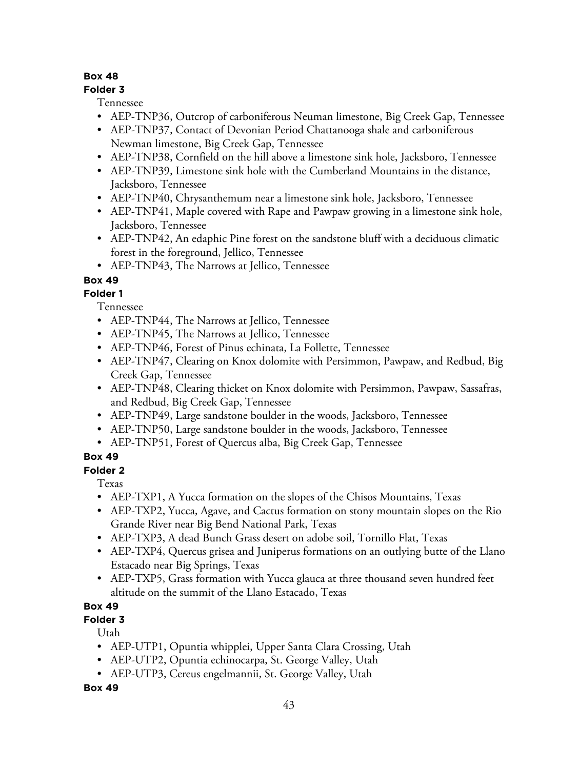### **Folder 3**

Tennessee

- AEP-TNP36, Outcrop of carboniferous Neuman limestone, Big Creek Gap, Tennessee
- AEP-TNP37, Contact of Devonian Period Chattanooga shale and carboniferous Newman limestone, Big Creek Gap, Tennessee
- AEP-TNP38, Cornfield on the hill above a limestone sink hole, Jacksboro, Tennessee
- AEP-TNP39, Limestone sink hole with the Cumberland Mountains in the distance, Jacksboro, Tennessee
- AEP-TNP40, Chrysanthemum near a limestone sink hole, Jacksboro, Tennessee
- AEP-TNP41, Maple covered with Rape and Pawpaw growing in a limestone sink hole, Jacksboro, Tennessee
- AEP-TNP42, An edaphic Pine forest on the sandstone bluff with a deciduous climatic forest in the foreground, Jellico, Tennessee
- AEP-TNP43, The Narrows at Jellico, Tennessee

## **Box 49**

## **Folder 1**

Tennessee

- AEP-TNP44, The Narrows at Jellico, Tennessee
- AEP-TNP45, The Narrows at Jellico, Tennessee
- AEP-TNP46, Forest of Pinus echinata, La Follette, Tennessee
- AEP-TNP47, Clearing on Knox dolomite with Persimmon, Pawpaw, and Redbud, Big Creek Gap, Tennessee
- AEP-TNP48, Clearing thicket on Knox dolomite with Persimmon, Pawpaw, Sassafras, and Redbud, Big Creek Gap, Tennessee
- AEP-TNP49, Large sandstone boulder in the woods, Jacksboro, Tennessee
- AEP-TNP50, Large sandstone boulder in the woods, Jacksboro, Tennessee
- AEP-TNP51, Forest of Quercus alba, Big Creek Gap, Tennessee

# **Box 49**

### **Folder 2**

Texas

- AEP-TXP1, A Yucca formation on the slopes of the Chisos Mountains, Texas
- AEP-TXP2, Yucca, Agave, and Cactus formation on stony mountain slopes on the Rio Grande River near Big Bend National Park, Texas
- AEP-TXP3, A dead Bunch Grass desert on adobe soil, Tornillo Flat, Texas
- AEP-TXP4, Quercus grisea and Juniperus formations on an outlying butte of the Llano Estacado near Big Springs, Texas
- AEP-TXP5, Grass formation with Yucca glauca at three thousand seven hundred feet altitude on the summit of the Llano Estacado, Texas

# **Box 49**

# **Folder 3**

Utah

- AEP-UTP1, Opuntia whipplei, Upper Santa Clara Crossing, Utah
- AEP-UTP2, Opuntia echinocarpa, St. George Valley, Utah
- AEP-UTP3, Cereus engelmannii, St. George Valley, Utah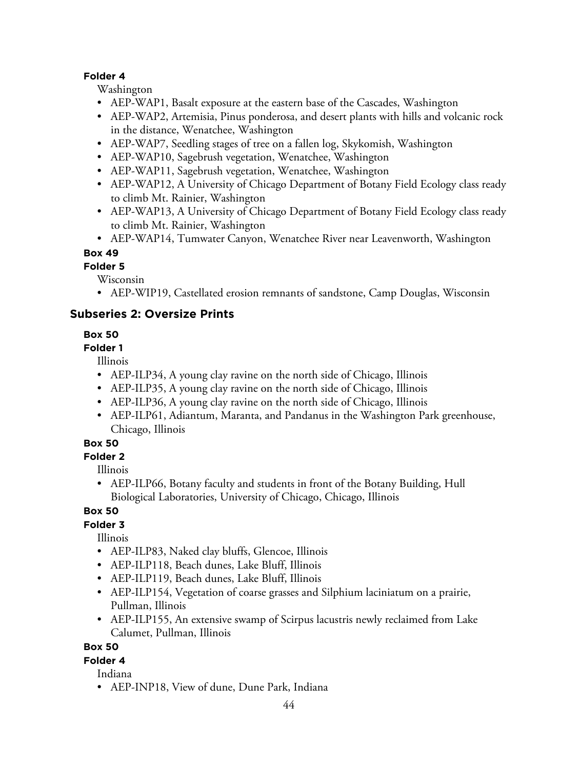#### **Folder 4**

Washington

- AEP-WAP1, Basalt exposure at the eastern base of the Cascades, Washington
- AEP-WAP2, Artemisia, Pinus ponderosa, and desert plants with hills and volcanic rock in the distance, Wenatchee, Washington
- AEP-WAP7, Seedling stages of tree on a fallen log, Skykomish, Washington
- AEP-WAP10, Sagebrush vegetation, Wenatchee, Washington
- AEP-WAP11, Sagebrush vegetation, Wenatchee, Washington
- AEP-WAP12, A University of Chicago Department of Botany Field Ecology class ready to climb Mt. Rainier, Washington
- AEP-WAP13, A University of Chicago Department of Botany Field Ecology class ready to climb Mt. Rainier, Washington
- AEP-WAP14, Tumwater Canyon, Wenatchee River near Leavenworth, Washington

**Box 49**

#### **Folder 5**

Wisconsin

• AEP-WIP19, Castellated erosion remnants of sandstone, Camp Douglas, Wisconsin

## **Subseries 2: Oversize Prints**

### **Box 50**

#### **Folder 1**

Illinois

- AEP-ILP34, A young clay ravine on the north side of Chicago, Illinois
- AEP-ILP35, A young clay ravine on the north side of Chicago, Illinois
- AEP-ILP36, A young clay ravine on the north side of Chicago, Illinois
- AEP-ILP61, Adiantum, Maranta, and Pandanus in the Washington Park greenhouse, Chicago, Illinois

#### **Box 50**

### **Folder 2**

Illinois

• AEP-ILP66, Botany faculty and students in front of the Botany Building, Hull Biological Laboratories, University of Chicago, Chicago, Illinois

# **Box 50**

### **Folder 3**

Illinois

- AEP-ILP83, Naked clay bluffs, Glencoe, Illinois
- AEP-ILP118, Beach dunes, Lake Bluff, Illinois
- AEP-ILP119, Beach dunes, Lake Bluff, Illinois
- AEP-ILP154, Vegetation of coarse grasses and Silphium laciniatum on a prairie, Pullman, Illinois
- AEP-ILP155, An extensive swamp of Scirpus lacustris newly reclaimed from Lake Calumet, Pullman, Illinois

### **Box 50**

**Folder 4**

Indiana

• AEP-INP18, View of dune, Dune Park, Indiana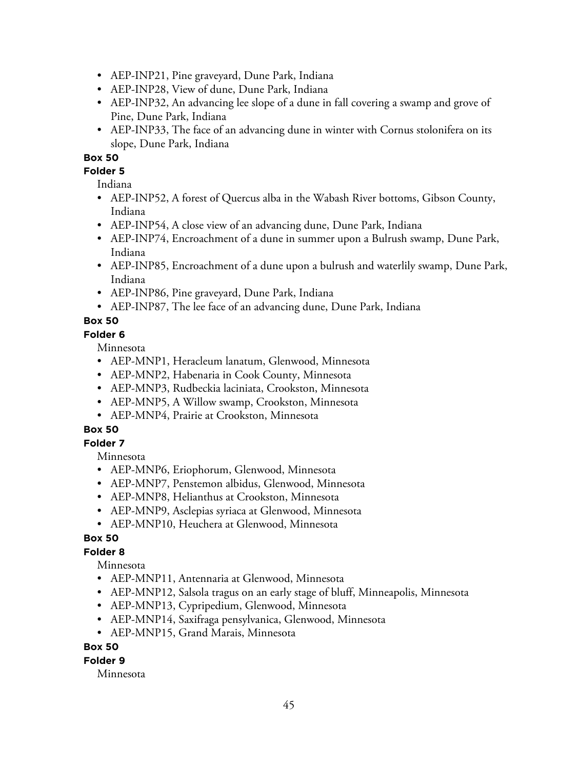- AEP-INP21, Pine graveyard, Dune Park, Indiana
- AEP-INP28, View of dune, Dune Park, Indiana
- AEP-INP32, An advancing lee slope of a dune in fall covering a swamp and grove of Pine, Dune Park, Indiana
- AEP-INP33, The face of an advancing dune in winter with Cornus stolonifera on its slope, Dune Park, Indiana

#### **Folder 5**

Indiana

- AEP-INP52, A forest of Quercus alba in the Wabash River bottoms, Gibson County, Indiana
- AEP-INP54, A close view of an advancing dune, Dune Park, Indiana
- AEP-INP74, Encroachment of a dune in summer upon a Bulrush swamp, Dune Park, Indiana
- AEP-INP85, Encroachment of a dune upon a bulrush and waterlily swamp, Dune Park, Indiana
- AEP-INP86, Pine graveyard, Dune Park, Indiana
- AEP-INP87, The lee face of an advancing dune, Dune Park, Indiana

## **Box 50**

#### **Folder 6**

Minnesota

- AEP-MNP1, Heracleum lanatum, Glenwood, Minnesota
- AEP-MNP2, Habenaria in Cook County, Minnesota
- AEP-MNP3, Rudbeckia laciniata, Crookston, Minnesota
- AEP-MNP5, A Willow swamp, Crookston, Minnesota
- AEP-MNP4, Prairie at Crookston, Minnesota

# **Box 50**

#### **Folder 7**

Minnesota

- AEP-MNP6, Eriophorum, Glenwood, Minnesota
- AEP-MNP7, Penstemon albidus, Glenwood, Minnesota
- AEP-MNP8, Helianthus at Crookston, Minnesota
- AEP-MNP9, Asclepias syriaca at Glenwood, Minnesota
- AEP-MNP10, Heuchera at Glenwood, Minnesota

### **Box 50**

### **Folder 8**

Minnesota

- AEP-MNP11, Antennaria at Glenwood, Minnesota
- AEP-MNP12, Salsola tragus on an early stage of bluff, Minneapolis, Minnesota
- AEP-MNP13, Cypripedium, Glenwood, Minnesota
- AEP-MNP14, Saxifraga pensylvanica, Glenwood, Minnesota
- AEP-MNP15, Grand Marais, Minnesota

#### **Box 50**

#### **Folder 9**

Minnesota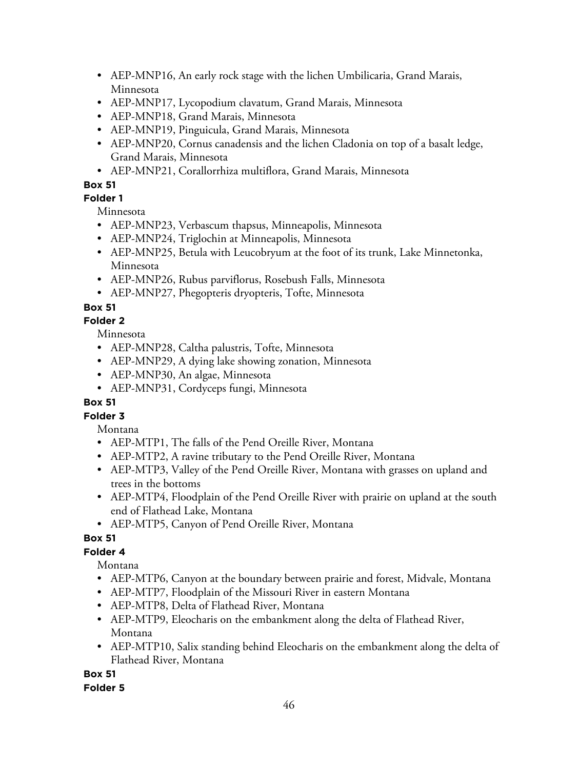- AEP-MNP16, An early rock stage with the lichen Umbilicaria, Grand Marais, Minnesota
- AEP-MNP17, Lycopodium clavatum, Grand Marais, Minnesota
- AEP-MNP18, Grand Marais, Minnesota
- AEP-MNP19, Pinguicula, Grand Marais, Minnesota
- AEP-MNP20, Cornus canadensis and the lichen Cladonia on top of a basalt ledge, Grand Marais, Minnesota
- AEP-MNP21, Corallorrhiza multiflora, Grand Marais, Minnesota

### **Folder 1**

Minnesota

- AEP-MNP23, Verbascum thapsus, Minneapolis, Minnesota
- AEP-MNP24, Triglochin at Minneapolis, Minnesota
- AEP-MNP25, Betula with Leucobryum at the foot of its trunk, Lake Minnetonka, Minnesota
- AEP-MNP26, Rubus parviflorus, Rosebush Falls, Minnesota
- AEP-MNP27, Phegopteris dryopteris, Tofte, Minnesota

# **Box 51**

### **Folder 2**

Minnesota

- AEP-MNP28, Caltha palustris, Tofte, Minnesota
- AEP-MNP29, A dying lake showing zonation, Minnesota
- AEP-MNP30, An algae, Minnesota
- AEP-MNP31, Cordyceps fungi, Minnesota

### **Box 51**

# **Folder 3**

Montana

- AEP-MTP1, The falls of the Pend Oreille River, Montana
- AEP-MTP2, A ravine tributary to the Pend Oreille River, Montana
- AEP-MTP3, Valley of the Pend Oreille River, Montana with grasses on upland and trees in the bottoms
- AEP-MTP4, Floodplain of the Pend Oreille River with prairie on upland at the south end of Flathead Lake, Montana
- AEP-MTP5, Canyon of Pend Oreille River, Montana

# **Box 51**

# **Folder 4**

Montana

- AEP-MTP6, Canyon at the boundary between prairie and forest, Midvale, Montana
- AEP-MTP7, Floodplain of the Missouri River in eastern Montana
- AEP-MTP8, Delta of Flathead River, Montana
- AEP-MTP9, Eleocharis on the embankment along the delta of Flathead River, Montana
- AEP-MTP10, Salix standing behind Eleocharis on the embankment along the delta of Flathead River, Montana

**Box 51**

### **Folder 5**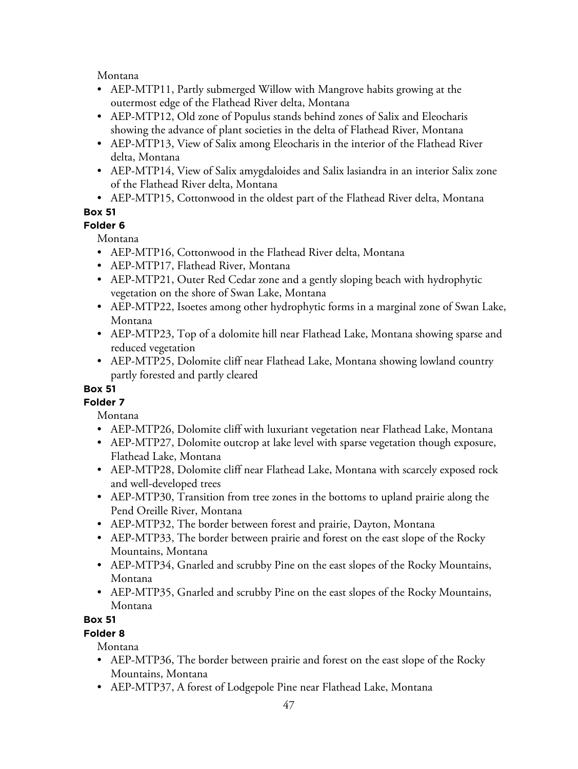Montana

- AEP-MTP11, Partly submerged Willow with Mangrove habits growing at the outermost edge of the Flathead River delta, Montana
- AEP-MTP12, Old zone of Populus stands behind zones of Salix and Eleocharis showing the advance of plant societies in the delta of Flathead River, Montana
- AEP-MTP13, View of Salix among Eleocharis in the interior of the Flathead River delta, Montana
- AEP-MTP14, View of Salix amygdaloides and Salix lasiandra in an interior Salix zone of the Flathead River delta, Montana
- AEP-MTP15, Cottonwood in the oldest part of the Flathead River delta, Montana

# **Box 51**

# **Folder 6**

Montana

- AEP-MTP16, Cottonwood in the Flathead River delta, Montana
- AEP-MTP17, Flathead River, Montana
- AEP-MTP21, Outer Red Cedar zone and a gently sloping beach with hydrophytic vegetation on the shore of Swan Lake, Montana
- AEP-MTP22, Isoetes among other hydrophytic forms in a marginal zone of Swan Lake, Montana
- AEP-MTP23, Top of a dolomite hill near Flathead Lake, Montana showing sparse and reduced vegetation
- AEP-MTP25, Dolomite cliff near Flathead Lake, Montana showing lowland country partly forested and partly cleared

# **Box 51**

**Folder 7**

Montana

- AEP-MTP26, Dolomite cliff with luxuriant vegetation near Flathead Lake, Montana
- AEP-MTP27, Dolomite outcrop at lake level with sparse vegetation though exposure, Flathead Lake, Montana
- AEP-MTP28, Dolomite cliff near Flathead Lake, Montana with scarcely exposed rock and well-developed trees
- AEP-MTP30, Transition from tree zones in the bottoms to upland prairie along the Pend Oreille River, Montana
- AEP-MTP32, The border between forest and prairie, Dayton, Montana
- AEP-MTP33, The border between prairie and forest on the east slope of the Rocky Mountains, Montana
- AEP-MTP34, Gnarled and scrubby Pine on the east slopes of the Rocky Mountains, Montana
- AEP-MTP35, Gnarled and scrubby Pine on the east slopes of the Rocky Mountains, Montana

# **Box 51**

# **Folder 8**

Montana

- AEP-MTP36, The border between prairie and forest on the east slope of the Rocky Mountains, Montana
- AEP-MTP37, A forest of Lodgepole Pine near Flathead Lake, Montana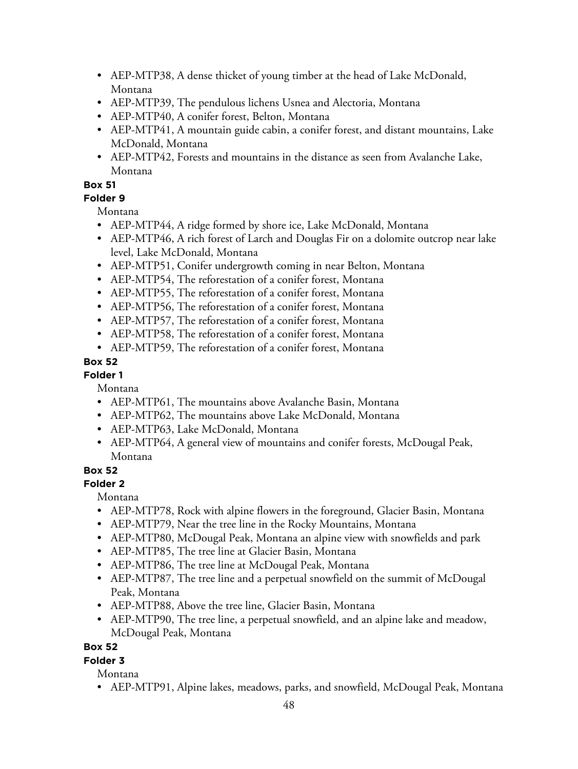- AEP-MTP38, A dense thicket of young timber at the head of Lake McDonald, Montana
- AEP-MTP39, The pendulous lichens Usnea and Alectoria, Montana
- AEP-MTP40, A conifer forest, Belton, Montana
- AEP-MTP41, A mountain guide cabin, a conifer forest, and distant mountains, Lake McDonald, Montana
- AEP-MTP42, Forests and mountains in the distance as seen from Avalanche Lake, Montana

### **Folder 9**

Montana

- AEP-MTP44, A ridge formed by shore ice, Lake McDonald, Montana
- AEP-MTP46, A rich forest of Larch and Douglas Fir on a dolomite outcrop near lake level, Lake McDonald, Montana
- AEP-MTP51, Conifer undergrowth coming in near Belton, Montana
- AEP-MTP54, The reforestation of a conifer forest, Montana
- AEP-MTP55, The reforestation of a conifer forest, Montana
- AEP-MTP56, The reforestation of a conifer forest, Montana
- AEP-MTP57, The reforestation of a conifer forest, Montana
- AEP-MTP58, The reforestation of a conifer forest, Montana
- AEP-MTP59, The reforestation of a conifer forest, Montana

# **Box 52**

**Folder 1**

Montana

- AEP-MTP61, The mountains above Avalanche Basin, Montana
- AEP-MTP62, The mountains above Lake McDonald, Montana
- AEP-MTP63, Lake McDonald, Montana
- AEP-MTP64, A general view of mountains and conifer forests, McDougal Peak, Montana

### **Box 52**

### **Folder 2**

Montana

- AEP-MTP78, Rock with alpine flowers in the foreground, Glacier Basin, Montana
- AEP-MTP79, Near the tree line in the Rocky Mountains, Montana
- AEP-MTP80, McDougal Peak, Montana an alpine view with snowfields and park
- AEP-MTP85, The tree line at Glacier Basin, Montana
- AEP-MTP86, The tree line at McDougal Peak, Montana
- AEP-MTP87, The tree line and a perpetual snowfield on the summit of McDougal Peak, Montana
- AEP-MTP88, Above the tree line, Glacier Basin, Montana
- AEP-MTP90, The tree line, a perpetual snowfield, and an alpine lake and meadow, McDougal Peak, Montana

### **Box 52**

# **Folder 3**

Montana

• AEP-MTP91, Alpine lakes, meadows, parks, and snowfield, McDougal Peak, Montana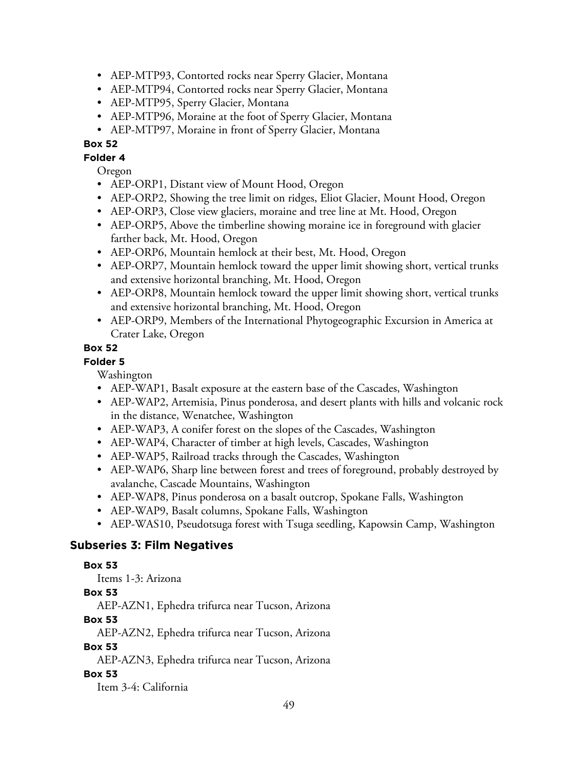- AEP-MTP93, Contorted rocks near Sperry Glacier, Montana
- AEP-MTP94, Contorted rocks near Sperry Glacier, Montana
- AEP-MTP95, Sperry Glacier, Montana
- AEP-MTP96, Moraine at the foot of Sperry Glacier, Montana
- AEP-MTP97, Moraine in front of Sperry Glacier, Montana

**Folder 4**

Oregon

- AEP-ORP1, Distant view of Mount Hood, Oregon
- AEP-ORP2, Showing the tree limit on ridges, Eliot Glacier, Mount Hood, Oregon
- AEP-ORP3, Close view glaciers, moraine and tree line at Mt. Hood, Oregon
- AEP-ORP5, Above the timberline showing moraine ice in foreground with glacier farther back, Mt. Hood, Oregon
- AEP-ORP6, Mountain hemlock at their best, Mt. Hood, Oregon
- AEP-ORP7, Mountain hemlock toward the upper limit showing short, vertical trunks and extensive horizontal branching, Mt. Hood, Oregon
- AEP-ORP8, Mountain hemlock toward the upper limit showing short, vertical trunks and extensive horizontal branching, Mt. Hood, Oregon
- AEP-ORP9, Members of the International Phytogeographic Excursion in America at Crater Lake, Oregon

#### **Box 52**

### **Folder 5**

Washington

- AEP-WAP1, Basalt exposure at the eastern base of the Cascades, Washington
- AEP-WAP2, Artemisia, Pinus ponderosa, and desert plants with hills and volcanic rock in the distance, Wenatchee, Washington
- AEP-WAP3, A conifer forest on the slopes of the Cascades, Washington
- AEP-WAP4, Character of timber at high levels, Cascades, Washington
- AEP-WAP5, Railroad tracks through the Cascades, Washington
- AEP-WAP6, Sharp line between forest and trees of foreground, probably destroyed by avalanche, Cascade Mountains, Washington
- AEP-WAP8, Pinus ponderosa on a basalt outcrop, Spokane Falls, Washington
- AEP-WAP9, Basalt columns, Spokane Falls, Washington
- AEP-WAS10, Pseudotsuga forest with Tsuga seedling, Kapowsin Camp, Washington

### **Subseries 3: Film Negatives**

#### **Box 53**

Items 1-3: Arizona

#### **Box 53**

AEP-AZN1, Ephedra trifurca near Tucson, Arizona

### **Box 53**

AEP-AZN2, Ephedra trifurca near Tucson, Arizona

#### **Box 53**

AEP-AZN3, Ephedra trifurca near Tucson, Arizona

#### **Box 53**

Item 3-4: California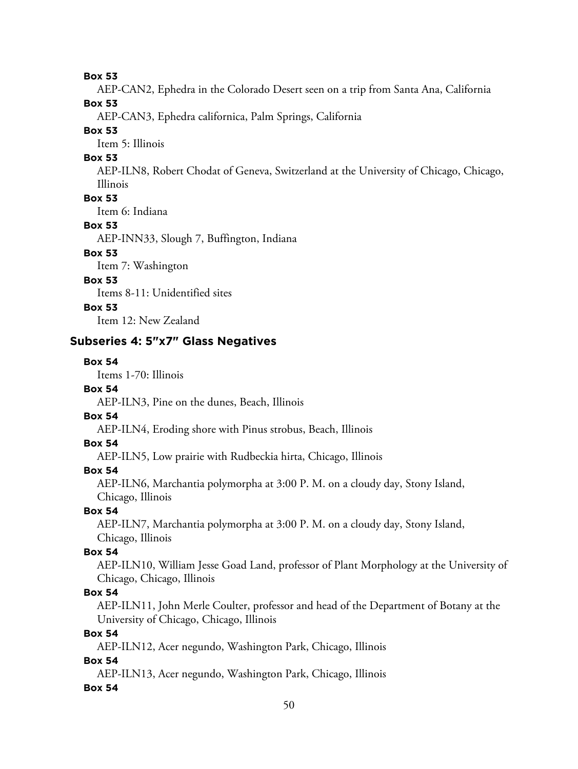AEP-CAN2, Ephedra in the Colorado Desert seen on a trip from Santa Ana, California

**Box 53**

AEP-CAN3, Ephedra californica, Palm Springs, California

#### **Box 53**

Item 5: Illinois

#### **Box 53**

AEP-ILN8, Robert Chodat of Geneva, Switzerland at the University of Chicago, Chicago, Illinois

### **Box 53**

Item 6: Indiana

#### **Box 53**

AEP-INN33, Slough 7, Buffington, Indiana

# **Box 53**

Item 7: Washington

### **Box 53**

Items 8-11: Unidentified sites

### **Box 53**

Item 12: New Zealand

### **Subseries 4: 5"x7" Glass Negatives**

#### **Box 54**

Items 1-70: Illinois

#### **Box 54**

AEP-ILN3, Pine on the dunes, Beach, Illinois

### **Box 54**

AEP-ILN4, Eroding shore with Pinus strobus, Beach, Illinois

#### **Box 54**

AEP-ILN5, Low prairie with Rudbeckia hirta, Chicago, Illinois

#### **Box 54**

AEP-ILN6, Marchantia polymorpha at 3:00 P. M. on a cloudy day, Stony Island, Chicago, Illinois

### **Box 54**

AEP-ILN7, Marchantia polymorpha at 3:00 P. M. on a cloudy day, Stony Island, Chicago, Illinois

#### **Box 54**

AEP-ILN10, William Jesse Goad Land, professor of Plant Morphology at the University of Chicago, Chicago, Illinois

#### **Box 54**

AEP-ILN11, John Merle Coulter, professor and head of the Department of Botany at the University of Chicago, Chicago, Illinois

#### **Box 54**

AEP-ILN12, Acer negundo, Washington Park, Chicago, Illinois

#### **Box 54**

AEP-ILN13, Acer negundo, Washington Park, Chicago, Illinois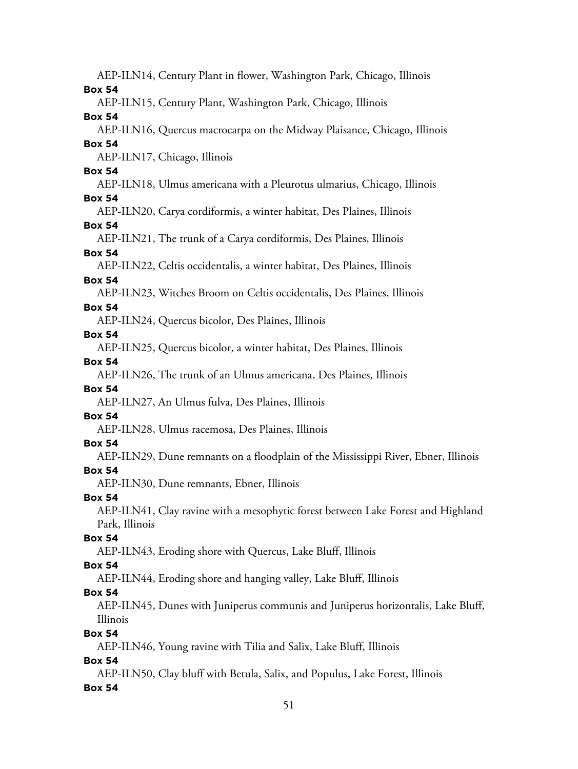AEP-ILN14, Century Plant in flower, Washington Park, Chicago, Illinois **Box 54** AEP-ILN15, Century Plant, Washington Park, Chicago, Illinois **Box 54** AEP-ILN16, Quercus macrocarpa on the Midway Plaisance, Chicago, Illinois **Box 54** AEP-ILN17, Chicago, Illinois **Box 54** AEP-ILN18, Ulmus americana with a Pleurotus ulmarius, Chicago, Illinois **Box 54** AEP-ILN20, Carya cordiformis, a winter habitat, Des Plaines, Illinois **Box 54** AEP-ILN21, The trunk of a Carya cordiformis, Des Plaines, Illinois **Box 54** AEP-ILN22, Celtis occidentalis, a winter habitat, Des Plaines, Illinois **Box 54** AEP-ILN23, Witches Broom on Celtis occidentalis, Des Plaines, Illinois **Box 54** AEP-ILN24, Quercus bicolor, Des Plaines, Illinois **Box 54** AEP-ILN25, Quercus bicolor, a winter habitat, Des Plaines, Illinois **Box 54** AEP-ILN26, The trunk of an Ulmus americana, Des Plaines, Illinois **Box 54** AEP-ILN27, An Ulmus fulva, Des Plaines, Illinois **Box 54** AEP-ILN28, Ulmus racemosa, Des Plaines, Illinois **Box 54** AEP-ILN29, Dune remnants on a floodplain of the Mississippi River, Ebner, Illinois **Box 54** AEP-ILN30, Dune remnants, Ebner, Illinois **Box 54** AEP-ILN41, Clay ravine with a mesophytic forest between Lake Forest and Highland Park, Illinois **Box 54** AEP-ILN43, Eroding shore with Quercus, Lake Bluff, Illinois **Box 54** AEP-ILN44, Eroding shore and hanging valley, Lake Bluff, Illinois **Box 54** AEP-ILN45, Dunes with Juniperus communis and Juniperus horizontalis, Lake Bluff, Illinois **Box 54** AEP-ILN46, Young ravine with Tilia and Salix, Lake Bluff, Illinois **Box 54** AEP-ILN50, Clay bluff with Betula, Salix, and Populus, Lake Forest, Illinois **Box 54**

#### 51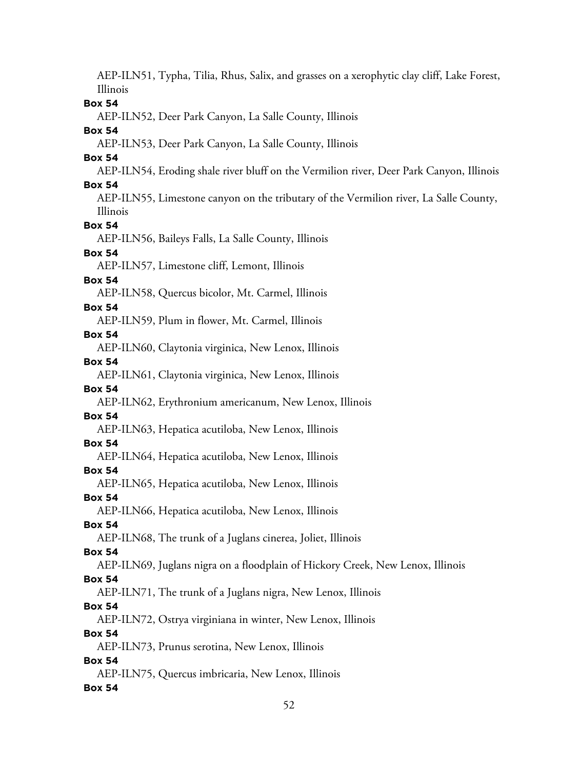AEP-ILN51, Typha, Tilia, Rhus, Salix, and grasses on a xerophytic clay cliff, Lake Forest, Illinois **Box 54** AEP-ILN52, Deer Park Canyon, La Salle County, Illinois **Box 54** AEP-ILN53, Deer Park Canyon, La Salle County, Illinois **Box 54** AEP-ILN54, Eroding shale river bluff on the Vermilion river, Deer Park Canyon, Illinois **Box 54** AEP-ILN55, Limestone canyon on the tributary of the Vermilion river, La Salle County, Illinois **Box 54** AEP-ILN56, Baileys Falls, La Salle County, Illinois **Box 54** AEP-ILN57, Limestone cliff, Lemont, Illinois **Box 54** AEP-ILN58, Quercus bicolor, Mt. Carmel, Illinois **Box 54** AEP-ILN59, Plum in flower, Mt. Carmel, Illinois **Box 54** AEP-ILN60, Claytonia virginica, New Lenox, Illinois **Box 54** AEP-ILN61, Claytonia virginica, New Lenox, Illinois **Box 54** AEP-ILN62, Erythronium americanum, New Lenox, Illinois **Box 54** AEP-ILN63, Hepatica acutiloba, New Lenox, Illinois **Box 54** AEP-ILN64, Hepatica acutiloba, New Lenox, Illinois **Box 54** AEP-ILN65, Hepatica acutiloba, New Lenox, Illinois **Box 54** AEP-ILN66, Hepatica acutiloba, New Lenox, Illinois **Box 54** AEP-ILN68, The trunk of a Juglans cinerea, Joliet, Illinois **Box 54** AEP-ILN69, Juglans nigra on a floodplain of Hickory Creek, New Lenox, Illinois **Box 54** AEP-ILN71, The trunk of a Juglans nigra, New Lenox, Illinois **Box 54** AEP-ILN72, Ostrya virginiana in winter, New Lenox, Illinois **Box 54** AEP-ILN73, Prunus serotina, New Lenox, Illinois **Box 54** AEP-ILN75, Quercus imbricaria, New Lenox, Illinois **Box 54**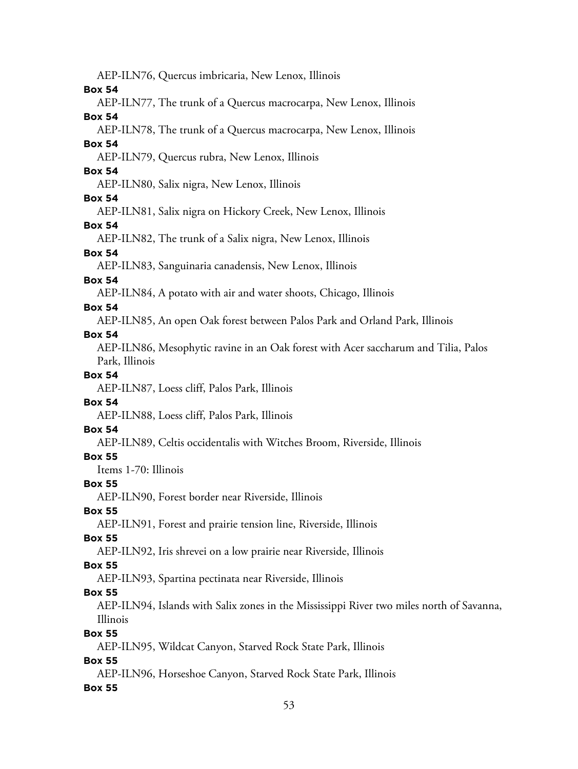53 AEP-ILN76, Quercus imbricaria, New Lenox, Illinois **Box 54** AEP-ILN77, The trunk of a Quercus macrocarpa, New Lenox, Illinois **Box 54** AEP-ILN78, The trunk of a Quercus macrocarpa, New Lenox, Illinois **Box 54** AEP-ILN79, Quercus rubra, New Lenox, Illinois **Box 54** AEP-ILN80, Salix nigra, New Lenox, Illinois **Box 54** AEP-ILN81, Salix nigra on Hickory Creek, New Lenox, Illinois **Box 54** AEP-ILN82, The trunk of a Salix nigra, New Lenox, Illinois **Box 54** AEP-ILN83, Sanguinaria canadensis, New Lenox, Illinois **Box 54** AEP-ILN84, A potato with air and water shoots, Chicago, Illinois **Box 54** AEP-ILN85, An open Oak forest between Palos Park and Orland Park, Illinois **Box 54** AEP-ILN86, Mesophytic ravine in an Oak forest with Acer saccharum and Tilia, Palos Park, Illinois **Box 54** AEP-ILN87, Loess cliff, Palos Park, Illinois **Box 54** AEP-ILN88, Loess cliff, Palos Park, Illinois **Box 54** AEP-ILN89, Celtis occidentalis with Witches Broom, Riverside, Illinois **Box 55** Items 1-70: Illinois **Box 55** AEP-ILN90, Forest border near Riverside, Illinois **Box 55** AEP-ILN91, Forest and prairie tension line, Riverside, Illinois **Box 55** AEP-ILN92, Iris shrevei on a low prairie near Riverside, Illinois **Box 55** AEP-ILN93, Spartina pectinata near Riverside, Illinois **Box 55** AEP-ILN94, Islands with Salix zones in the Mississippi River two miles north of Savanna, Illinois **Box 55** AEP-ILN95, Wildcat Canyon, Starved Rock State Park, Illinois **Box 55** AEP-ILN96, Horseshoe Canyon, Starved Rock State Park, Illinois **Box 55**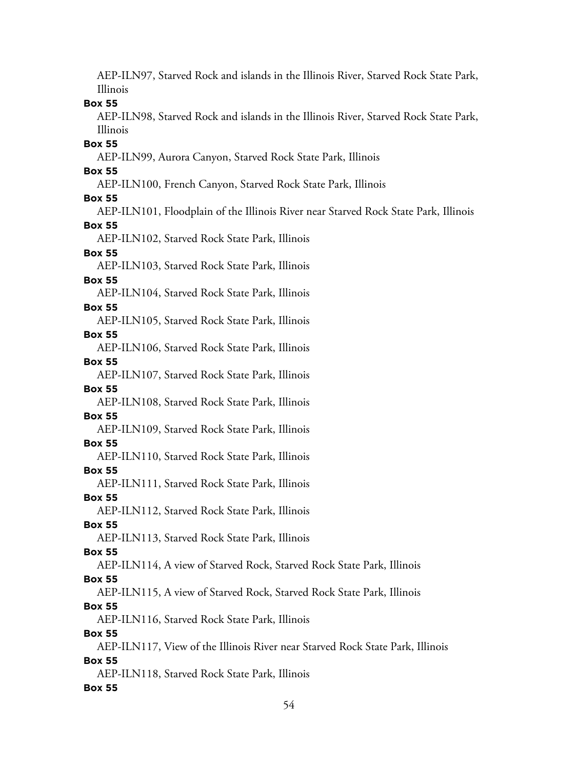AEP-ILN97, Starved Rock and islands in the Illinois River, Starved Rock State Park, Illinois **Box 55** AEP-ILN98, Starved Rock and islands in the Illinois River, Starved Rock State Park, Illinois **Box 55** AEP-ILN99, Aurora Canyon, Starved Rock State Park, Illinois **Box 55** AEP-ILN100, French Canyon, Starved Rock State Park, Illinois **Box 55** AEP-ILN101, Floodplain of the Illinois River near Starved Rock State Park, Illinois **Box 55** AEP-ILN102, Starved Rock State Park, Illinois **Box 55** AEP-ILN103, Starved Rock State Park, Illinois **Box 55** AEP-ILN104, Starved Rock State Park, Illinois **Box 55** AEP-ILN105, Starved Rock State Park, Illinois **Box 55** AEP-ILN106, Starved Rock State Park, Illinois **Box 55** AEP-ILN107, Starved Rock State Park, Illinois **Box 55** AEP-ILN108, Starved Rock State Park, Illinois **Box 55** AEP-ILN109, Starved Rock State Park, Illinois **Box 55** AEP-ILN110, Starved Rock State Park, Illinois **Box 55** AEP-ILN111, Starved Rock State Park, Illinois **Box 55** AEP-ILN112, Starved Rock State Park, Illinois **Box 55** AEP-ILN113, Starved Rock State Park, Illinois **Box 55** AEP-ILN114, A view of Starved Rock, Starved Rock State Park, Illinois **Box 55** AEP-ILN115, A view of Starved Rock, Starved Rock State Park, Illinois **Box 55** AEP-ILN116, Starved Rock State Park, Illinois **Box 55** AEP-ILN117, View of the Illinois River near Starved Rock State Park, Illinois **Box 55** AEP-ILN118, Starved Rock State Park, Illinois **Box 55**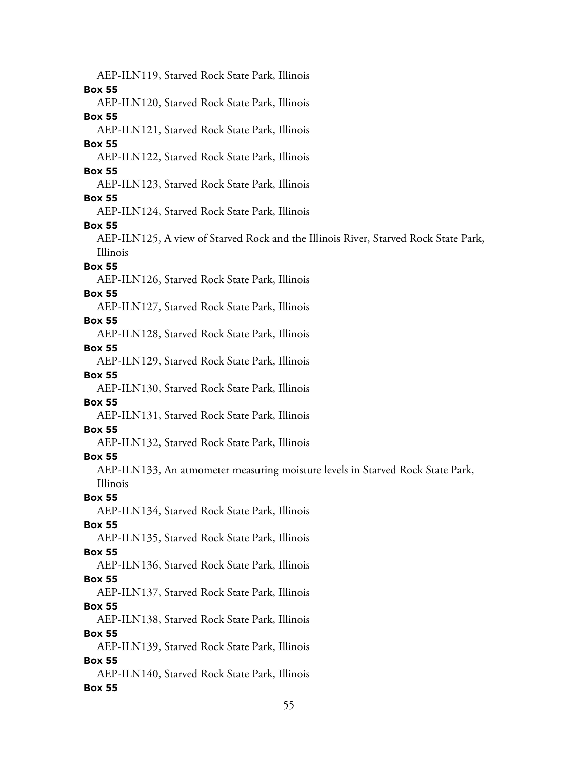AEP-ILN119, Starved Rock State Park, Illinois **Box 55** AEP-ILN120, Starved Rock State Park, Illinois **Box 55** AEP-ILN121, Starved Rock State Park, Illinois **Box 55** AEP-ILN122, Starved Rock State Park, Illinois **Box 55** AEP-ILN123, Starved Rock State Park, Illinois **Box 55** AEP-ILN124, Starved Rock State Park, Illinois **Box 55** AEP-ILN125, A view of Starved Rock and the Illinois River, Starved Rock State Park, Illinois **Box 55** AEP-ILN126, Starved Rock State Park, Illinois **Box 55** AEP-ILN127, Starved Rock State Park, Illinois **Box 55** AEP-ILN128, Starved Rock State Park, Illinois **Box 55** AEP-ILN129, Starved Rock State Park, Illinois **Box 55** AEP-ILN130, Starved Rock State Park, Illinois **Box 55** AEP-ILN131, Starved Rock State Park, Illinois **Box 55** AEP-ILN132, Starved Rock State Park, Illinois **Box 55** AEP-ILN133, An atmometer measuring moisture levels in Starved Rock State Park, Illinois **Box 55** AEP-ILN134, Starved Rock State Park, Illinois **Box 55** AEP-ILN135, Starved Rock State Park, Illinois **Box 55** AEP-ILN136, Starved Rock State Park, Illinois **Box 55** AEP-ILN137, Starved Rock State Park, Illinois **Box 55** AEP-ILN138, Starved Rock State Park, Illinois **Box 55** AEP-ILN139, Starved Rock State Park, Illinois **Box 55** AEP-ILN140, Starved Rock State Park, Illinois **Box 55**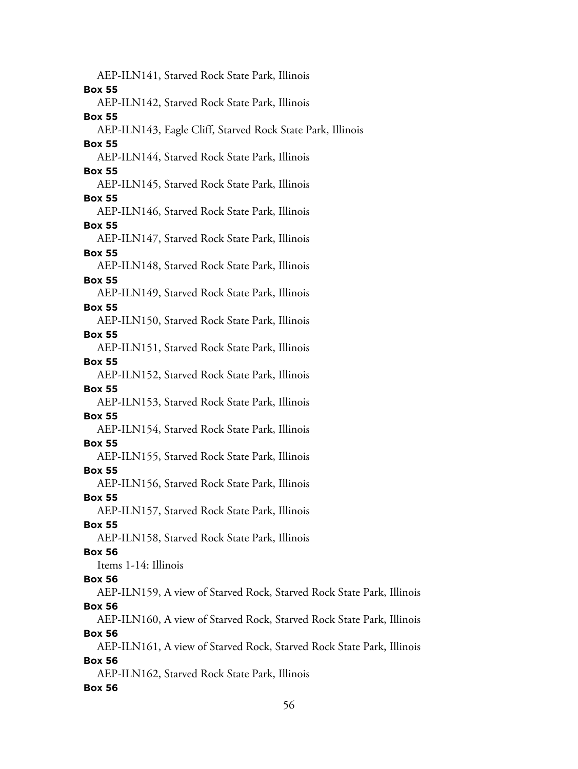AEP-ILN141, Starved Rock State Park, Illinois **Box 55** AEP-ILN142, Starved Rock State Park, Illinois **Box 55** AEP-ILN143, Eagle Cliff, Starved Rock State Park, Illinois **Box 55** AEP-ILN144, Starved Rock State Park, Illinois **Box 55** AEP-ILN145, Starved Rock State Park, Illinois **Box 55** AEP-ILN146, Starved Rock State Park, Illinois **Box 55** AEP-ILN147, Starved Rock State Park, Illinois **Box 55** AEP-ILN148, Starved Rock State Park, Illinois **Box 55** AEP-ILN149, Starved Rock State Park, Illinois **Box 55** AEP-ILN150, Starved Rock State Park, Illinois **Box 55** AEP-ILN151, Starved Rock State Park, Illinois **Box 55** AEP-ILN152, Starved Rock State Park, Illinois **Box 55** AEP-ILN153, Starved Rock State Park, Illinois **Box 55** AEP-ILN154, Starved Rock State Park, Illinois **Box 55** AEP-ILN155, Starved Rock State Park, Illinois **Box 55** AEP-ILN156, Starved Rock State Park, Illinois **Box 55** AEP-ILN157, Starved Rock State Park, Illinois **Box 55** AEP-ILN158, Starved Rock State Park, Illinois **Box 56** Items 1-14: Illinois **Box 56** AEP-ILN159, A view of Starved Rock, Starved Rock State Park, Illinois **Box 56** AEP-ILN160, A view of Starved Rock, Starved Rock State Park, Illinois **Box 56** AEP-ILN161, A view of Starved Rock, Starved Rock State Park, Illinois **Box 56** AEP-ILN162, Starved Rock State Park, Illinois **Box 56**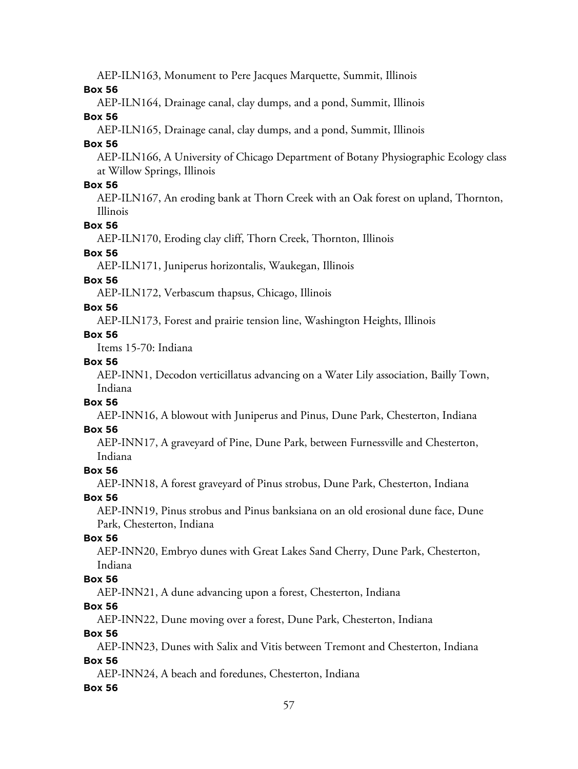AEP-ILN163, Monument to Pere Jacques Marquette, Summit, Illinois

#### **Box 56**

AEP-ILN164, Drainage canal, clay dumps, and a pond, Summit, Illinois

#### **Box 56**

AEP-ILN165, Drainage canal, clay dumps, and a pond, Summit, Illinois

#### **Box 56**

AEP-ILN166, A University of Chicago Department of Botany Physiographic Ecology class at Willow Springs, Illinois

#### **Box 56**

AEP-ILN167, An eroding bank at Thorn Creek with an Oak forest on upland, Thornton, Illinois

### **Box 56**

AEP-ILN170, Eroding clay cliff, Thorn Creek, Thornton, Illinois

# **Box 56**

AEP-ILN171, Juniperus horizontalis, Waukegan, Illinois

#### **Box 56**

AEP-ILN172, Verbascum thapsus, Chicago, Illinois

#### **Box 56**

AEP-ILN173, Forest and prairie tension line, Washington Heights, Illinois

### **Box 56**

Items 15-70: Indiana

### **Box 56**

AEP-INN1, Decodon verticillatus advancing on a Water Lily association, Bailly Town, Indiana

### **Box 56**

AEP-INN16, A blowout with Juniperus and Pinus, Dune Park, Chesterton, Indiana

### **Box 56**

AEP-INN17, A graveyard of Pine, Dune Park, between Furnessville and Chesterton, Indiana

#### **Box 56**

AEP-INN18, A forest graveyard of Pinus strobus, Dune Park, Chesterton, Indiana

### **Box 56**

AEP-INN19, Pinus strobus and Pinus banksiana on an old erosional dune face, Dune Park, Chesterton, Indiana

#### **Box 56**

AEP-INN20, Embryo dunes with Great Lakes Sand Cherry, Dune Park, Chesterton, Indiana

### **Box 56**

AEP-INN21, A dune advancing upon a forest, Chesterton, Indiana

### **Box 56**

AEP-INN22, Dune moving over a forest, Dune Park, Chesterton, Indiana

### **Box 56**

AEP-INN23, Dunes with Salix and Vitis between Tremont and Chesterton, Indiana **Box 56**

AEP-INN24, A beach and foredunes, Chesterton, Indiana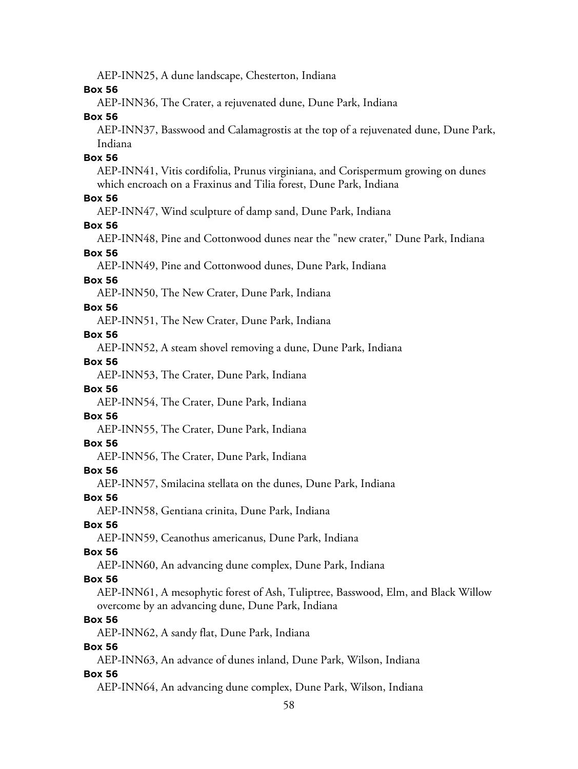AEP-INN25, A dune landscape, Chesterton, Indiana

**Box 56**

AEP-INN36, The Crater, a rejuvenated dune, Dune Park, Indiana

**Box 56**

AEP-INN37, Basswood and Calamagrostis at the top of a rejuvenated dune, Dune Park, Indiana

#### **Box 56**

AEP-INN41, Vitis cordifolia, Prunus virginiana, and Corispermum growing on dunes which encroach on a Fraxinus and Tilia forest, Dune Park, Indiana

#### **Box 56**

AEP-INN47, Wind sculpture of damp sand, Dune Park, Indiana

#### **Box 56**

AEP-INN48, Pine and Cottonwood dunes near the "new crater," Dune Park, Indiana

# **Box 56**

AEP-INN49, Pine and Cottonwood dunes, Dune Park, Indiana

#### **Box 56**

AEP-INN50, The New Crater, Dune Park, Indiana

#### **Box 56**

AEP-INN51, The New Crater, Dune Park, Indiana

#### **Box 56**

AEP-INN52, A steam shovel removing a dune, Dune Park, Indiana

#### **Box 56**

AEP-INN53, The Crater, Dune Park, Indiana

#### **Box 56**

AEP-INN54, The Crater, Dune Park, Indiana

# **Box 56**

AEP-INN55, The Crater, Dune Park, Indiana

#### **Box 56**

AEP-INN56, The Crater, Dune Park, Indiana

#### **Box 56**

AEP-INN57, Smilacina stellata on the dunes, Dune Park, Indiana

#### **Box 56**

AEP-INN58, Gentiana crinita, Dune Park, Indiana

#### **Box 56**

AEP-INN59, Ceanothus americanus, Dune Park, Indiana

#### **Box 56**

AEP-INN60, An advancing dune complex, Dune Park, Indiana

#### **Box 56**

AEP-INN61, A mesophytic forest of Ash, Tuliptree, Basswood, Elm, and Black Willow overcome by an advancing dune, Dune Park, Indiana

#### **Box 56**

AEP-INN62, A sandy flat, Dune Park, Indiana

#### **Box 56**

AEP-INN63, An advance of dunes inland, Dune Park, Wilson, Indiana

#### **Box 56**

AEP-INN64, An advancing dune complex, Dune Park, Wilson, Indiana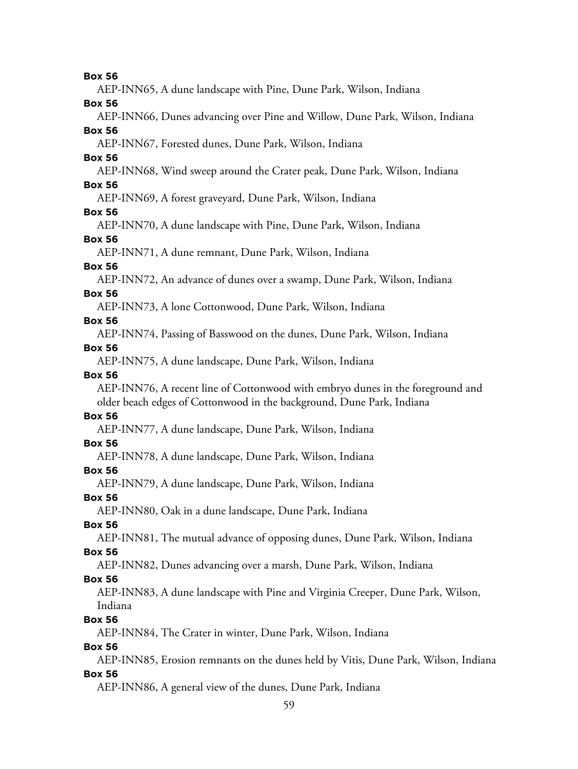AEP-INN65, A dune landscape with Pine, Dune Park, Wilson, Indiana

**Box 56**

AEP-INN66, Dunes advancing over Pine and Willow, Dune Park, Wilson, Indiana

**Box 56**

AEP-INN67, Forested dunes, Dune Park, Wilson, Indiana

### **Box 56**

AEP-INN68, Wind sweep around the Crater peak, Dune Park, Wilson, Indiana

#### **Box 56**

AEP-INN69, A forest graveyard, Dune Park, Wilson, Indiana

#### **Box 56**

AEP-INN70, A dune landscape with Pine, Dune Park, Wilson, Indiana

#### **Box 56**

AEP-INN71, A dune remnant, Dune Park, Wilson, Indiana

### **Box 56**

AEP-INN72, An advance of dunes over a swamp, Dune Park, Wilson, Indiana

#### **Box 56**

AEP-INN73, A lone Cottonwood, Dune Park, Wilson, Indiana

#### **Box 56**

AEP-INN74, Passing of Basswood on the dunes, Dune Park, Wilson, Indiana

#### **Box 56**

AEP-INN75, A dune landscape, Dune Park, Wilson, Indiana

### **Box 56**

AEP-INN76, A recent line of Cottonwood with embryo dunes in the foreground and older beach edges of Cottonwood in the background, Dune Park, Indiana

# **Box 56**

AEP-INN77, A dune landscape, Dune Park, Wilson, Indiana

#### **Box 56**

AEP-INN78, A dune landscape, Dune Park, Wilson, Indiana

### **Box 56**

AEP-INN79, A dune landscape, Dune Park, Wilson, Indiana

#### **Box 56**

AEP-INN80, Oak in a dune landscape, Dune Park, Indiana

### **Box 56**

AEP-INN81, The mutual advance of opposing dunes, Dune Park, Wilson, Indiana

### **Box 56**

AEP-INN82, Dunes advancing over a marsh, Dune Park, Wilson, Indiana

### **Box 56**

AEP-INN83, A dune landscape with Pine and Virginia Creeper, Dune Park, Wilson, Indiana

### **Box 56**

AEP-INN84, The Crater in winter, Dune Park, Wilson, Indiana

### **Box 56**

AEP-INN85, Erosion remnants on the dunes held by Vitis, Dune Park, Wilson, Indiana **Box 56**

AEP-INN86, A general view of the dunes, Dune Park, Indiana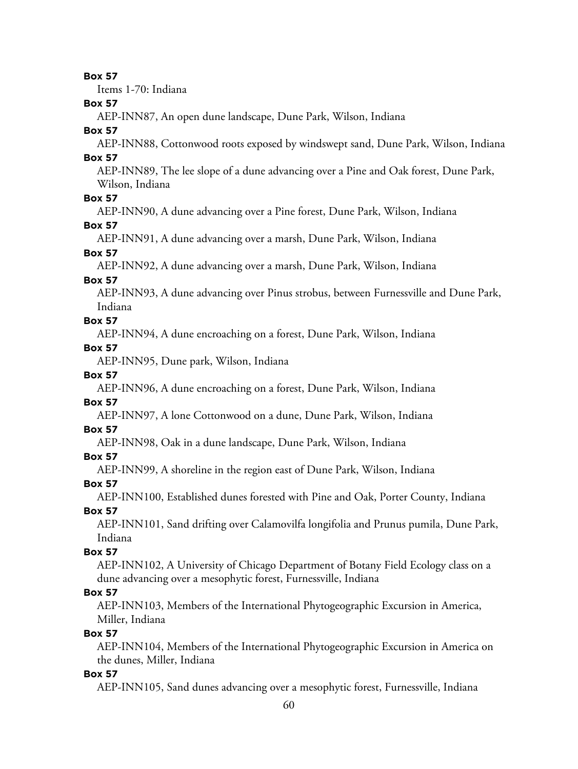Items 1-70: Indiana

#### **Box 57**

AEP-INN87, An open dune landscape, Dune Park, Wilson, Indiana

#### **Box 57**

AEP-INN88, Cottonwood roots exposed by windswept sand, Dune Park, Wilson, Indiana **Box 57**

AEP-INN89, The lee slope of a dune advancing over a Pine and Oak forest, Dune Park, Wilson, Indiana

#### **Box 57**

AEP-INN90, A dune advancing over a Pine forest, Dune Park, Wilson, Indiana

#### **Box 57**

AEP-INN91, A dune advancing over a marsh, Dune Park, Wilson, Indiana

#### **Box 57**

AEP-INN92, A dune advancing over a marsh, Dune Park, Wilson, Indiana

#### **Box 57**

AEP-INN93, A dune advancing over Pinus strobus, between Furnessville and Dune Park, Indiana

### **Box 57**

AEP-INN94, A dune encroaching on a forest, Dune Park, Wilson, Indiana

#### **Box 57**

AEP-INN95, Dune park, Wilson, Indiana

#### **Box 57**

AEP-INN96, A dune encroaching on a forest, Dune Park, Wilson, Indiana

#### **Box 57**

AEP-INN97, A lone Cottonwood on a dune, Dune Park, Wilson, Indiana

#### **Box 57**

AEP-INN98, Oak in a dune landscape, Dune Park, Wilson, Indiana

#### **Box 57**

AEP-INN99, A shoreline in the region east of Dune Park, Wilson, Indiana

#### **Box 57**

AEP-INN100, Established dunes forested with Pine and Oak, Porter County, Indiana

#### **Box 57**

AEP-INN101, Sand drifting over Calamovilfa longifolia and Prunus pumila, Dune Park, Indiana

#### **Box 57**

AEP-INN102, A University of Chicago Department of Botany Field Ecology class on a dune advancing over a mesophytic forest, Furnessville, Indiana

#### **Box 57**

AEP-INN103, Members of the International Phytogeographic Excursion in America, Miller, Indiana

#### **Box 57**

AEP-INN104, Members of the International Phytogeographic Excursion in America on the dunes, Miller, Indiana

#### **Box 57**

AEP-INN105, Sand dunes advancing over a mesophytic forest, Furnessville, Indiana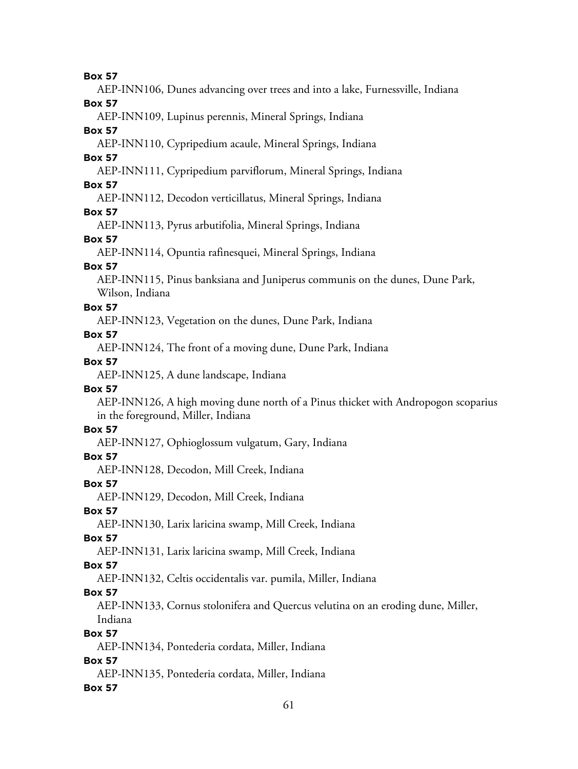AEP-INN106, Dunes advancing over trees and into a lake, Furnessville, Indiana

**Box 57**

AEP-INN109, Lupinus perennis, Mineral Springs, Indiana

### **Box 57**

AEP-INN110, Cypripedium acaule, Mineral Springs, Indiana

# **Box 57**

AEP-INN111, Cypripedium parviflorum, Mineral Springs, Indiana

# **Box 57**

AEP-INN112, Decodon verticillatus, Mineral Springs, Indiana

# **Box 57**

AEP-INN113, Pyrus arbutifolia, Mineral Springs, Indiana

# **Box 57**

AEP-INN114, Opuntia rafinesquei, Mineral Springs, Indiana

# **Box 57**

AEP-INN115, Pinus banksiana and Juniperus communis on the dunes, Dune Park, Wilson, Indiana

# **Box 57**

AEP-INN123, Vegetation on the dunes, Dune Park, Indiana

# **Box 57**

AEP-INN124, The front of a moving dune, Dune Park, Indiana

# **Box 57**

AEP-INN125, A dune landscape, Indiana

# **Box 57**

AEP-INN126, A high moving dune north of a Pinus thicket with Andropogon scoparius in the foreground, Miller, Indiana

# **Box 57**

AEP-INN127, Ophioglossum vulgatum, Gary, Indiana

# **Box 57**

AEP-INN128, Decodon, Mill Creek, Indiana

# **Box 57**

AEP-INN129, Decodon, Mill Creek, Indiana

# **Box 57**

AEP-INN130, Larix laricina swamp, Mill Creek, Indiana

# **Box 57**

AEP-INN131, Larix laricina swamp, Mill Creek, Indiana

# **Box 57**

AEP-INN132, Celtis occidentalis var. pumila, Miller, Indiana

# **Box 57**

AEP-INN133, Cornus stolonifera and Quercus velutina on an eroding dune, Miller, Indiana

# **Box 57**

AEP-INN134, Pontederia cordata, Miller, Indiana

# **Box 57**

AEP-INN135, Pontederia cordata, Miller, Indiana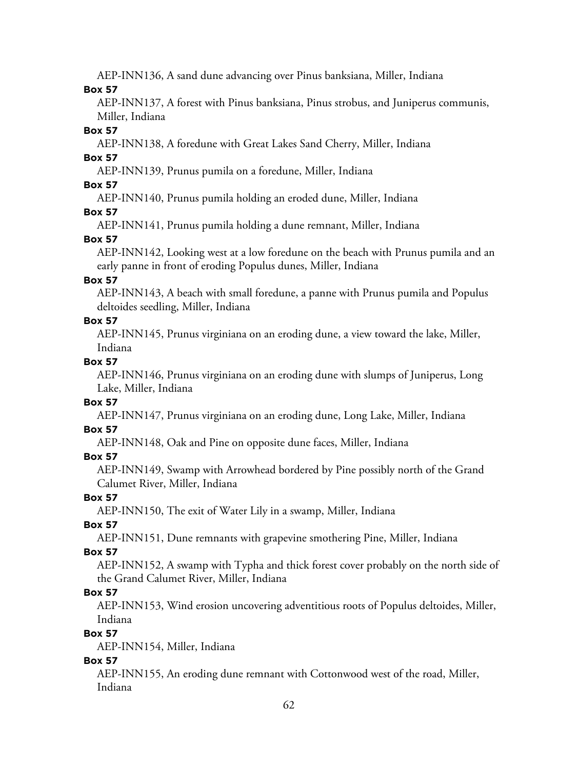AEP-INN136, A sand dune advancing over Pinus banksiana, Miller, Indiana

#### **Box 57**

AEP-INN137, A forest with Pinus banksiana, Pinus strobus, and Juniperus communis, Miller, Indiana

#### **Box 57**

AEP-INN138, A foredune with Great Lakes Sand Cherry, Miller, Indiana

### **Box 57**

AEP-INN139, Prunus pumila on a foredune, Miller, Indiana

### **Box 57**

AEP-INN140, Prunus pumila holding an eroded dune, Miller, Indiana

## **Box 57**

AEP-INN141, Prunus pumila holding a dune remnant, Miller, Indiana

# **Box 57**

AEP-INN142, Looking west at a low foredune on the beach with Prunus pumila and an early panne in front of eroding Populus dunes, Miller, Indiana

## **Box 57**

AEP-INN143, A beach with small foredune, a panne with Prunus pumila and Populus deltoides seedling, Miller, Indiana

## **Box 57**

AEP-INN145, Prunus virginiana on an eroding dune, a view toward the lake, Miller, Indiana

## **Box 57**

AEP-INN146, Prunus virginiana on an eroding dune with slumps of Juniperus, Long Lake, Miller, Indiana

### **Box 57**

AEP-INN147, Prunus virginiana on an eroding dune, Long Lake, Miller, Indiana

# **Box 57**

AEP-INN148, Oak and Pine on opposite dune faces, Miller, Indiana

# **Box 57**

AEP-INN149, Swamp with Arrowhead bordered by Pine possibly north of the Grand Calumet River, Miller, Indiana

# **Box 57**

AEP-INN150, The exit of Water Lily in a swamp, Miller, Indiana

# **Box 57**

AEP-INN151, Dune remnants with grapevine smothering Pine, Miller, Indiana

# **Box 57**

AEP-INN152, A swamp with Typha and thick forest cover probably on the north side of the Grand Calumet River, Miller, Indiana

# **Box 57**

AEP-INN153, Wind erosion uncovering adventitious roots of Populus deltoides, Miller, Indiana

# **Box 57**

AEP-INN154, Miller, Indiana

# **Box 57**

AEP-INN155, An eroding dune remnant with Cottonwood west of the road, Miller, Indiana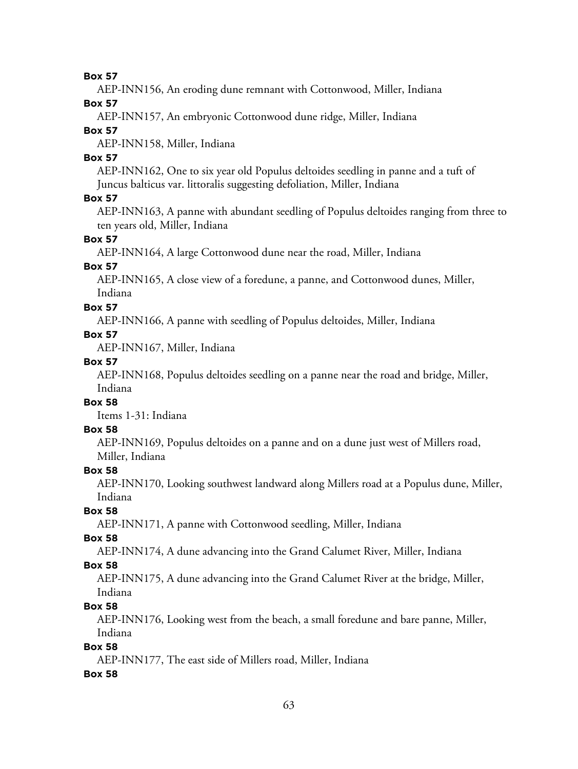AEP-INN156, An eroding dune remnant with Cottonwood, Miller, Indiana

**Box 57**

AEP-INN157, An embryonic Cottonwood dune ridge, Miller, Indiana

#### **Box 57**

AEP-INN158, Miller, Indiana

#### **Box 57**

AEP-INN162, One to six year old Populus deltoides seedling in panne and a tuft of Juncus balticus var. littoralis suggesting defoliation, Miller, Indiana

#### **Box 57**

AEP-INN163, A panne with abundant seedling of Populus deltoides ranging from three to ten years old, Miller, Indiana

#### **Box 57**

AEP-INN164, A large Cottonwood dune near the road, Miller, Indiana

### **Box 57**

AEP-INN165, A close view of a foredune, a panne, and Cottonwood dunes, Miller, Indiana

#### **Box 57**

AEP-INN166, A panne with seedling of Populus deltoides, Miller, Indiana

### **Box 57**

AEP-INN167, Miller, Indiana

#### **Box 57**

AEP-INN168, Populus deltoides seedling on a panne near the road and bridge, Miller, Indiana

## **Box 58**

Items 1-31: Indiana

#### **Box 58**

AEP-INN169, Populus deltoides on a panne and on a dune just west of Millers road, Miller, Indiana

#### **Box 58**

AEP-INN170, Looking southwest landward along Millers road at a Populus dune, Miller, Indiana

# **Box 58**

AEP-INN171, A panne with Cottonwood seedling, Miller, Indiana

#### **Box 58**

AEP-INN174, A dune advancing into the Grand Calumet River, Miller, Indiana

#### **Box 58**

AEP-INN175, A dune advancing into the Grand Calumet River at the bridge, Miller, Indiana

#### **Box 58**

AEP-INN176, Looking west from the beach, a small foredune and bare panne, Miller, Indiana

### **Box 58**

AEP-INN177, The east side of Millers road, Miller, Indiana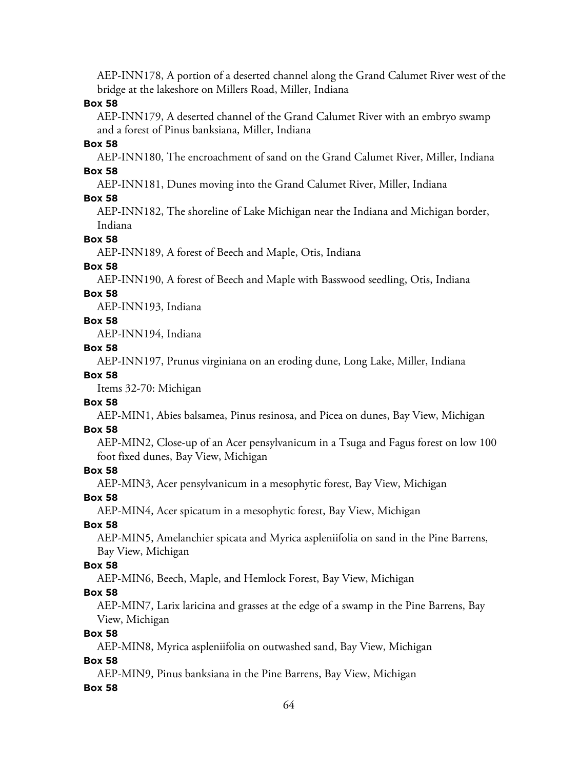AEP-INN178, A portion of a deserted channel along the Grand Calumet River west of the bridge at the lakeshore on Millers Road, Miller, Indiana

#### **Box 58**

AEP-INN179, A deserted channel of the Grand Calumet River with an embryo swamp and a forest of Pinus banksiana, Miller, Indiana

#### **Box 58**

AEP-INN180, The encroachment of sand on the Grand Calumet River, Miller, Indiana **Box 58**

AEP-INN181, Dunes moving into the Grand Calumet River, Miller, Indiana

#### **Box 58**

AEP-INN182, The shoreline of Lake Michigan near the Indiana and Michigan border, Indiana

#### **Box 58**

AEP-INN189, A forest of Beech and Maple, Otis, Indiana

#### **Box 58**

AEP-INN190, A forest of Beech and Maple with Basswood seedling, Otis, Indiana

#### **Box 58**

AEP-INN193, Indiana

#### **Box 58**

AEP-INN194, Indiana

#### **Box 58**

AEP-INN197, Prunus virginiana on an eroding dune, Long Lake, Miller, Indiana

#### **Box 58**

Items 32-70: Michigan

#### **Box 58**

AEP-MIN1, Abies balsamea, Pinus resinosa, and Picea on dunes, Bay View, Michigan

#### **Box 58**

AEP-MIN2, Close-up of an Acer pensylvanicum in a Tsuga and Fagus forest on low 100 foot fixed dunes, Bay View, Michigan

#### **Box 58**

AEP-MIN3, Acer pensylvanicum in a mesophytic forest, Bay View, Michigan

**Box 58**

AEP-MIN4, Acer spicatum in a mesophytic forest, Bay View, Michigan

#### **Box 58**

AEP-MIN5, Amelanchier spicata and Myrica aspleniifolia on sand in the Pine Barrens, Bay View, Michigan

#### **Box 58**

AEP-MIN6, Beech, Maple, and Hemlock Forest, Bay View, Michigan

#### **Box 58**

AEP-MIN7, Larix laricina and grasses at the edge of a swamp in the Pine Barrens, Bay View, Michigan

#### **Box 58**

AEP-MIN8, Myrica aspleniifolia on outwashed sand, Bay View, Michigan

#### **Box 58**

AEP-MIN9, Pinus banksiana in the Pine Barrens, Bay View, Michigan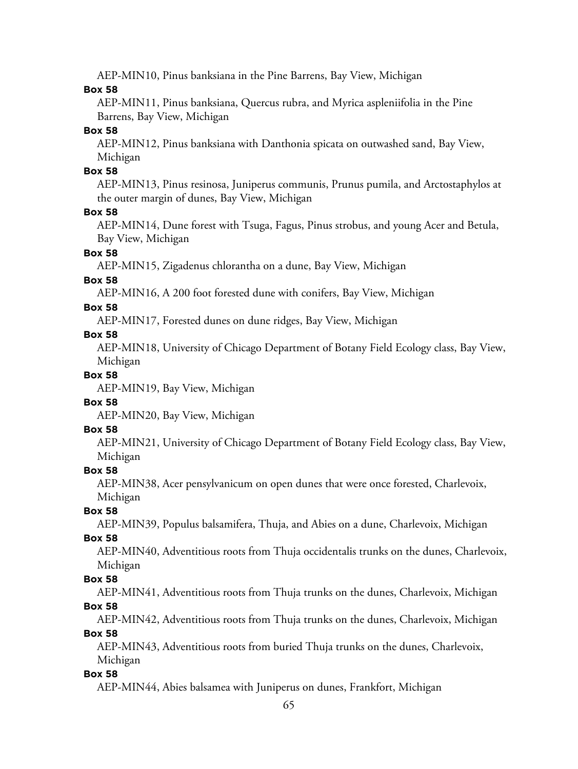AEP-MIN10, Pinus banksiana in the Pine Barrens, Bay View, Michigan

#### **Box 58**

AEP-MIN11, Pinus banksiana, Quercus rubra, and Myrica aspleniifolia in the Pine Barrens, Bay View, Michigan

#### **Box 58**

AEP-MIN12, Pinus banksiana with Danthonia spicata on outwashed sand, Bay View, Michigan

#### **Box 58**

AEP-MIN13, Pinus resinosa, Juniperus communis, Prunus pumila, and Arctostaphylos at the outer margin of dunes, Bay View, Michigan

#### **Box 58**

AEP-MIN14, Dune forest with Tsuga, Fagus, Pinus strobus, and young Acer and Betula, Bay View, Michigan

#### **Box 58**

AEP-MIN15, Zigadenus chlorantha on a dune, Bay View, Michigan

#### **Box 58**

AEP-MIN16, A 200 foot forested dune with conifers, Bay View, Michigan

#### **Box 58**

AEP-MIN17, Forested dunes on dune ridges, Bay View, Michigan

#### **Box 58**

AEP-MIN18, University of Chicago Department of Botany Field Ecology class, Bay View, Michigan

#### **Box 58**

AEP-MIN19, Bay View, Michigan

#### **Box 58**

AEP-MIN20, Bay View, Michigan

#### **Box 58**

AEP-MIN21, University of Chicago Department of Botany Field Ecology class, Bay View, Michigan

#### **Box 58**

AEP-MIN38, Acer pensylvanicum on open dunes that were once forested, Charlevoix, Michigan

# **Box 58**

AEP-MIN39, Populus balsamifera, Thuja, and Abies on a dune, Charlevoix, Michigan

#### **Box 58**

AEP-MIN40, Adventitious roots from Thuja occidentalis trunks on the dunes, Charlevoix, Michigan

#### **Box 58**

AEP-MIN41, Adventitious roots from Thuja trunks on the dunes, Charlevoix, Michigan **Box 58**

AEP-MIN42, Adventitious roots from Thuja trunks on the dunes, Charlevoix, Michigan

#### **Box 58**

AEP-MIN43, Adventitious roots from buried Thuja trunks on the dunes, Charlevoix, Michigan

#### **Box 58**

AEP-MIN44, Abies balsamea with Juniperus on dunes, Frankfort, Michigan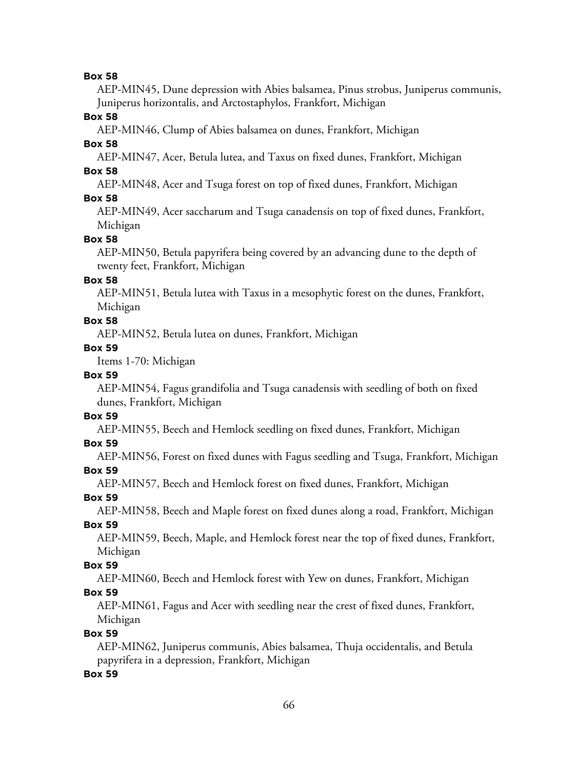AEP-MIN45, Dune depression with Abies balsamea, Pinus strobus, Juniperus communis, Juniperus horizontalis, and Arctostaphylos, Frankfort, Michigan

#### **Box 58**

AEP-MIN46, Clump of Abies balsamea on dunes, Frankfort, Michigan

## **Box 58**

AEP-MIN47, Acer, Betula lutea, and Taxus on fixed dunes, Frankfort, Michigan **Box 58**

AEP-MIN48, Acer and Tsuga forest on top of fixed dunes, Frankfort, Michigan

### **Box 58**

AEP-MIN49, Acer saccharum and Tsuga canadensis on top of fixed dunes, Frankfort, Michigan

### **Box 58**

AEP-MIN50, Betula papyrifera being covered by an advancing dune to the depth of twenty feet, Frankfort, Michigan

#### **Box 58**

AEP-MIN51, Betula lutea with Taxus in a mesophytic forest on the dunes, Frankfort, Michigan

### **Box 58**

AEP-MIN52, Betula lutea on dunes, Frankfort, Michigan

#### **Box 59**

Items 1-70: Michigan

### **Box 59**

AEP-MIN54, Fagus grandifolia and Tsuga canadensis with seedling of both on fixed dunes, Frankfort, Michigan

### **Box 59**

AEP-MIN55, Beech and Hemlock seedling on fixed dunes, Frankfort, Michigan

#### **Box 59**

AEP-MIN56, Forest on fixed dunes with Fagus seedling and Tsuga, Frankfort, Michigan

### **Box 59**

AEP-MIN57, Beech and Hemlock forest on fixed dunes, Frankfort, Michigan

**Box 59**

AEP-MIN58, Beech and Maple forest on fixed dunes along a road, Frankfort, Michigan **Box 59**

AEP-MIN59, Beech, Maple, and Hemlock forest near the top of fixed dunes, Frankfort, Michigan

### **Box 59**

AEP-MIN60, Beech and Hemlock forest with Yew on dunes, Frankfort, Michigan

### **Box 59**

AEP-MIN61, Fagus and Acer with seedling near the crest of fixed dunes, Frankfort, Michigan

### **Box 59**

AEP-MIN62, Juniperus communis, Abies balsamea, Thuja occidentalis, and Betula papyrifera in a depression, Frankfort, Michigan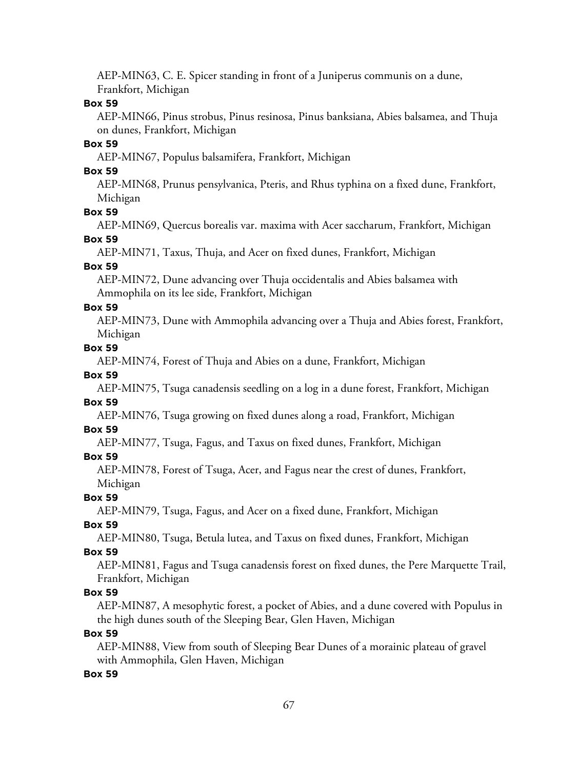AEP-MIN63, C. E. Spicer standing in front of a Juniperus communis on a dune, Frankfort, Michigan

#### **Box 59**

AEP-MIN66, Pinus strobus, Pinus resinosa, Pinus banksiana, Abies balsamea, and Thuja on dunes, Frankfort, Michigan

#### **Box 59**

AEP-MIN67, Populus balsamifera, Frankfort, Michigan

#### **Box 59**

AEP-MIN68, Prunus pensylvanica, Pteris, and Rhus typhina on a fixed dune, Frankfort, Michigan

#### **Box 59**

AEP-MIN69, Quercus borealis var. maxima with Acer saccharum, Frankfort, Michigan **Box 59**

AEP-MIN71, Taxus, Thuja, and Acer on fixed dunes, Frankfort, Michigan

#### **Box 59**

AEP-MIN72, Dune advancing over Thuja occidentalis and Abies balsamea with Ammophila on its lee side, Frankfort, Michigan

#### **Box 59**

AEP-MIN73, Dune with Ammophila advancing over a Thuja and Abies forest, Frankfort, Michigan

#### **Box 59**

AEP-MIN74, Forest of Thuja and Abies on a dune, Frankfort, Michigan

#### **Box 59**

AEP-MIN75, Tsuga canadensis seedling on a log in a dune forest, Frankfort, Michigan

#### **Box 59**

AEP-MIN76, Tsuga growing on fixed dunes along a road, Frankfort, Michigan

#### **Box 59**

AEP-MIN77, Tsuga, Fagus, and Taxus on fixed dunes, Frankfort, Michigan

#### **Box 59**

AEP-MIN78, Forest of Tsuga, Acer, and Fagus near the crest of dunes, Frankfort, Michigan

#### **Box 59**

AEP-MIN79, Tsuga, Fagus, and Acer on a fixed dune, Frankfort, Michigan

#### **Box 59**

AEP-MIN80, Tsuga, Betula lutea, and Taxus on fixed dunes, Frankfort, Michigan

#### **Box 59**

AEP-MIN81, Fagus and Tsuga canadensis forest on fixed dunes, the Pere Marquette Trail, Frankfort, Michigan

#### **Box 59**

AEP-MIN87, A mesophytic forest, a pocket of Abies, and a dune covered with Populus in the high dunes south of the Sleeping Bear, Glen Haven, Michigan

#### **Box 59**

AEP-MIN88, View from south of Sleeping Bear Dunes of a morainic plateau of gravel with Ammophila, Glen Haven, Michigan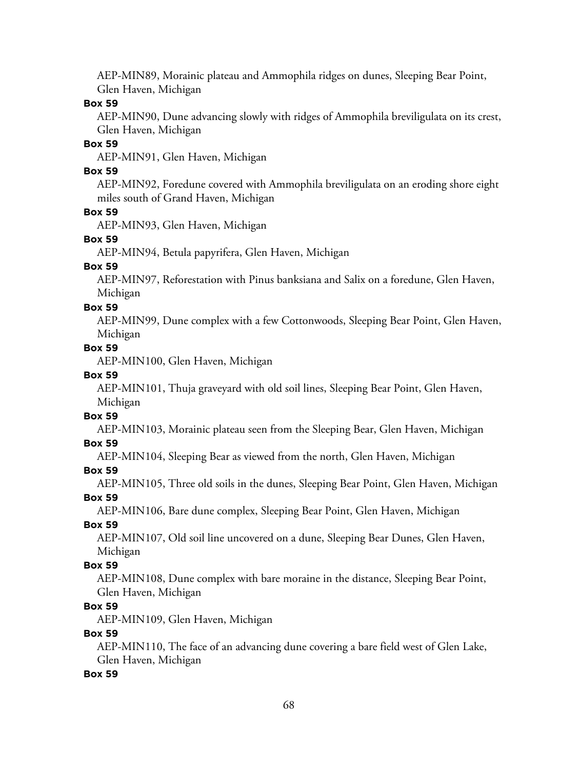AEP-MIN89, Morainic plateau and Ammophila ridges on dunes, Sleeping Bear Point, Glen Haven, Michigan

#### **Box 59**

AEP-MIN90, Dune advancing slowly with ridges of Ammophila breviligulata on its crest, Glen Haven, Michigan

#### **Box 59**

AEP-MIN91, Glen Haven, Michigan

#### **Box 59**

AEP-MIN92, Foredune covered with Ammophila breviligulata on an eroding shore eight miles south of Grand Haven, Michigan

#### **Box 59**

AEP-MIN93, Glen Haven, Michigan

#### **Box 59**

AEP-MIN94, Betula papyrifera, Glen Haven, Michigan

#### **Box 59**

AEP-MIN97, Reforestation with Pinus banksiana and Salix on a foredune, Glen Haven, Michigan

#### **Box 59**

AEP-MIN99, Dune complex with a few Cottonwoods, Sleeping Bear Point, Glen Haven, Michigan

#### **Box 59**

AEP-MIN100, Glen Haven, Michigan

#### **Box 59**

AEP-MIN101, Thuja graveyard with old soil lines, Sleeping Bear Point, Glen Haven, Michigan

# **Box 59**

AEP-MIN103, Morainic plateau seen from the Sleeping Bear, Glen Haven, Michigan

#### **Box 59**

AEP-MIN104, Sleeping Bear as viewed from the north, Glen Haven, Michigan

#### **Box 59**

AEP-MIN105, Three old soils in the dunes, Sleeping Bear Point, Glen Haven, Michigan **Box 59**

AEP-MIN106, Bare dune complex, Sleeping Bear Point, Glen Haven, Michigan

#### **Box 59**

AEP-MIN107, Old soil line uncovered on a dune, Sleeping Bear Dunes, Glen Haven, Michigan

#### **Box 59**

AEP-MIN108, Dune complex with bare moraine in the distance, Sleeping Bear Point, Glen Haven, Michigan

#### **Box 59**

AEP-MIN109, Glen Haven, Michigan

#### **Box 59**

AEP-MIN110, The face of an advancing dune covering a bare field west of Glen Lake, Glen Haven, Michigan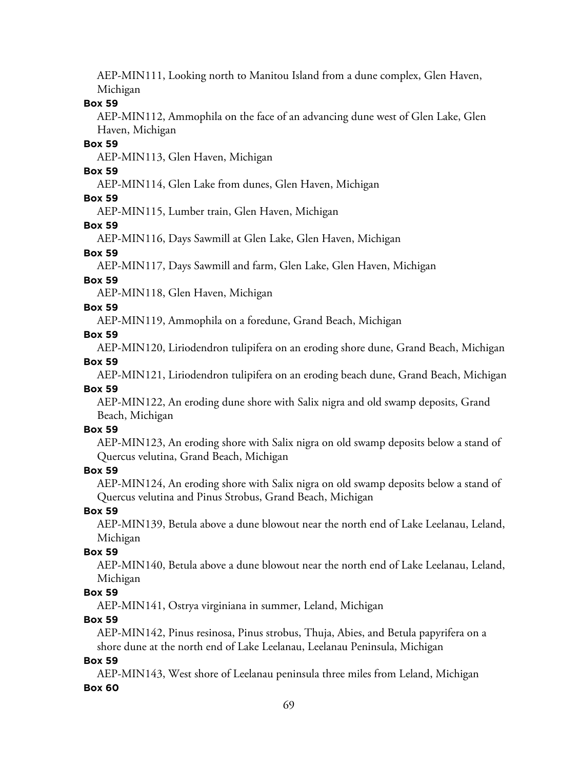AEP-MIN111, Looking north to Manitou Island from a dune complex, Glen Haven, Michigan

#### **Box 59**

AEP-MIN112, Ammophila on the face of an advancing dune west of Glen Lake, Glen Haven, Michigan

#### **Box 59**

AEP-MIN113, Glen Haven, Michigan

#### **Box 59**

AEP-MIN114, Glen Lake from dunes, Glen Haven, Michigan

### **Box 59**

AEP-MIN115, Lumber train, Glen Haven, Michigan

#### **Box 59**

AEP-MIN116, Days Sawmill at Glen Lake, Glen Haven, Michigan

#### **Box 59**

AEP-MIN117, Days Sawmill and farm, Glen Lake, Glen Haven, Michigan

#### **Box 59**

AEP-MIN118, Glen Haven, Michigan

#### **Box 59**

AEP-MIN119, Ammophila on a foredune, Grand Beach, Michigan

#### **Box 59**

AEP-MIN120, Liriodendron tulipifera on an eroding shore dune, Grand Beach, Michigan

#### **Box 59**

AEP-MIN121, Liriodendron tulipifera on an eroding beach dune, Grand Beach, Michigan **Box 59**

AEP-MIN122, An eroding dune shore with Salix nigra and old swamp deposits, Grand Beach, Michigan

#### **Box 59**

AEP-MIN123, An eroding shore with Salix nigra on old swamp deposits below a stand of Quercus velutina, Grand Beach, Michigan

#### **Box 59**

AEP-MIN124, An eroding shore with Salix nigra on old swamp deposits below a stand of Quercus velutina and Pinus Strobus, Grand Beach, Michigan

### **Box 59**

AEP-MIN139, Betula above a dune blowout near the north end of Lake Leelanau, Leland, Michigan

#### **Box 59**

AEP-MIN140, Betula above a dune blowout near the north end of Lake Leelanau, Leland, Michigan

#### **Box 59**

AEP-MIN141, Ostrya virginiana in summer, Leland, Michigan

### **Box 59**

AEP-MIN142, Pinus resinosa, Pinus strobus, Thuja, Abies, and Betula papyrifera on a shore dune at the north end of Lake Leelanau, Leelanau Peninsula, Michigan

#### **Box 59**

AEP-MIN143, West shore of Leelanau peninsula three miles from Leland, Michigan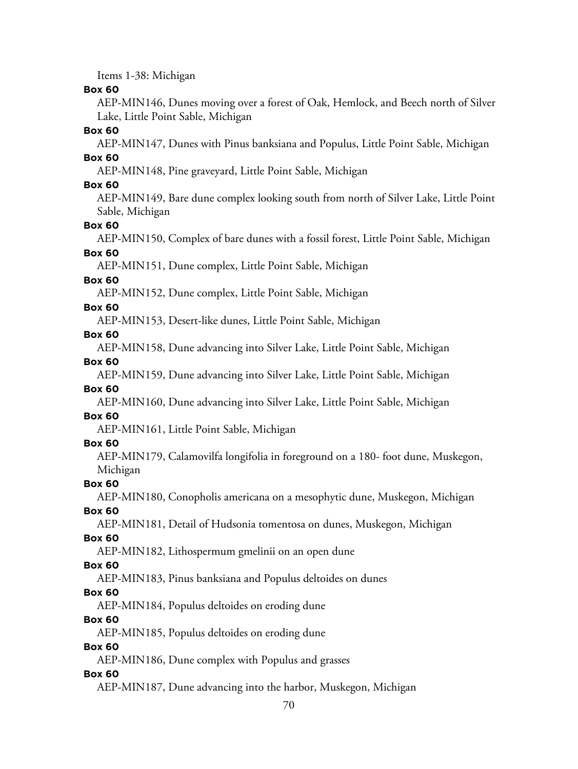Items 1-38: Michigan

#### **Box 60**

AEP-MIN146, Dunes moving over a forest of Oak, Hemlock, and Beech north of Silver Lake, Little Point Sable, Michigan

#### **Box 60**

AEP-MIN147, Dunes with Pinus banksiana and Populus, Little Point Sable, Michigan **Box 60**

AEP-MIN148, Pine graveyard, Little Point Sable, Michigan

#### **Box 60**

AEP-MIN149, Bare dune complex looking south from north of Silver Lake, Little Point Sable, Michigan

#### **Box 60**

AEP-MIN150, Complex of bare dunes with a fossil forest, Little Point Sable, Michigan

# **Box 60**

AEP-MIN151, Dune complex, Little Point Sable, Michigan

#### **Box 60**

AEP-MIN152, Dune complex, Little Point Sable, Michigan

#### **Box 60**

AEP-MIN153, Desert-like dunes, Little Point Sable, Michigan

#### **Box 60**

AEP-MIN158, Dune advancing into Silver Lake, Little Point Sable, Michigan

### **Box 60**

AEP-MIN159, Dune advancing into Silver Lake, Little Point Sable, Michigan

#### **Box 60**

AEP-MIN160, Dune advancing into Silver Lake, Little Point Sable, Michigan

# **Box 60**

AEP-MIN161, Little Point Sable, Michigan

#### **Box 60**

AEP-MIN179, Calamovilfa longifolia in foreground on a 180- foot dune, Muskegon, Michigan

### **Box 60**

AEP-MIN180, Conopholis americana on a mesophytic dune, Muskegon, Michigan

**Box 60**

AEP-MIN181, Detail of Hudsonia tomentosa on dunes, Muskegon, Michigan

### **Box 60**

AEP-MIN182, Lithospermum gmelinii on an open dune

### **Box 60**

AEP-MIN183, Pinus banksiana and Populus deltoides on dunes

### **Box 60**

AEP-MIN184, Populus deltoides on eroding dune

### **Box 60**

AEP-MIN185, Populus deltoides on eroding dune

### **Box 60**

AEP-MIN186, Dune complex with Populus and grasses

### **Box 60**

AEP-MIN187, Dune advancing into the harbor, Muskegon, Michigan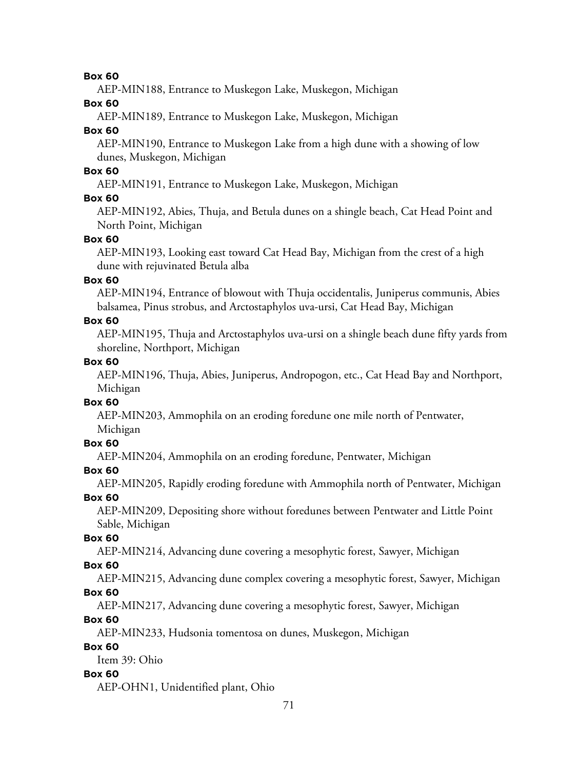AEP-MIN188, Entrance to Muskegon Lake, Muskegon, Michigan

**Box 60**

AEP-MIN189, Entrance to Muskegon Lake, Muskegon, Michigan

### **Box 60**

AEP-MIN190, Entrance to Muskegon Lake from a high dune with a showing of low dunes, Muskegon, Michigan

### **Box 60**

AEP-MIN191, Entrance to Muskegon Lake, Muskegon, Michigan

# **Box 60**

AEP-MIN192, Abies, Thuja, and Betula dunes on a shingle beach, Cat Head Point and North Point, Michigan

## **Box 60**

AEP-MIN193, Looking east toward Cat Head Bay, Michigan from the crest of a high dune with rejuvinated Betula alba

### **Box 60**

AEP-MIN194, Entrance of blowout with Thuja occidentalis, Juniperus communis, Abies balsamea, Pinus strobus, and Arctostaphylos uva-ursi, Cat Head Bay, Michigan

## **Box 60**

AEP-MIN195, Thuja and Arctostaphylos uva-ursi on a shingle beach dune fifty yards from shoreline, Northport, Michigan

### **Box 60**

AEP-MIN196, Thuja, Abies, Juniperus, Andropogon, etc., Cat Head Bay and Northport, Michigan

### **Box 60**

AEP-MIN203, Ammophila on an eroding foredune one mile north of Pentwater, Michigan

# **Box 60**

AEP-MIN204, Ammophila on an eroding foredune, Pentwater, Michigan

# **Box 60**

AEP-MIN205, Rapidly eroding foredune with Ammophila north of Pentwater, Michigan

**Box 60**

AEP-MIN209, Depositing shore without foredunes between Pentwater and Little Point Sable, Michigan

### **Box 60**

AEP-MIN214, Advancing dune covering a mesophytic forest, Sawyer, Michigan

### **Box 60**

AEP-MIN215, Advancing dune complex covering a mesophytic forest, Sawyer, Michigan

# **Box 60**

AEP-MIN217, Advancing dune covering a mesophytic forest, Sawyer, Michigan

# **Box 60**

AEP-MIN233, Hudsonia tomentosa on dunes, Muskegon, Michigan

# **Box 60**

Item 39: Ohio

# **Box 60**

AEP-OHN1, Unidentified plant, Ohio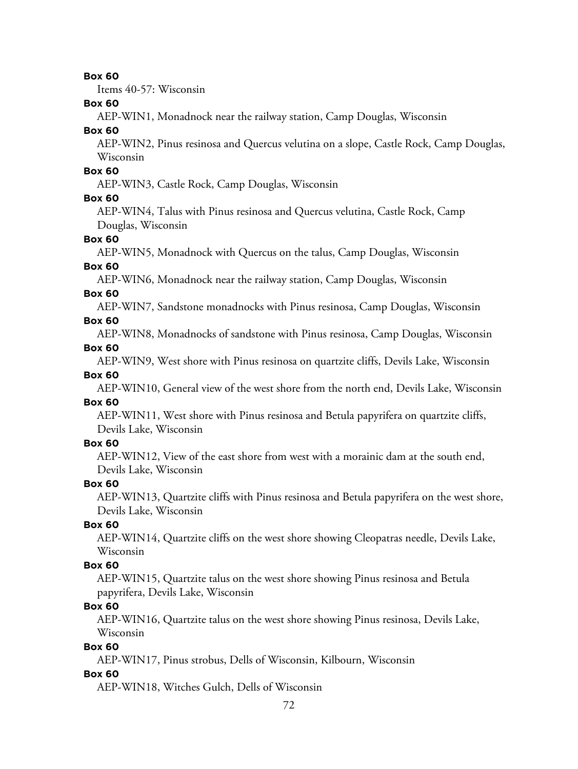Items 40-57: Wisconsin

#### **Box 60**

AEP-WIN1, Monadnock near the railway station, Camp Douglas, Wisconsin

#### **Box 60**

AEP-WIN2, Pinus resinosa and Quercus velutina on a slope, Castle Rock, Camp Douglas, Wisconsin

#### **Box 60**

AEP-WIN3, Castle Rock, Camp Douglas, Wisconsin

#### **Box 60**

AEP-WIN4, Talus with Pinus resinosa and Quercus velutina, Castle Rock, Camp Douglas, Wisconsin

#### **Box 60**

AEP-WIN5, Monadnock with Quercus on the talus, Camp Douglas, Wisconsin

#### **Box 60**

AEP-WIN6, Monadnock near the railway station, Camp Douglas, Wisconsin

#### **Box 60**

AEP-WIN7, Sandstone monadnocks with Pinus resinosa, Camp Douglas, Wisconsin

#### **Box 60**

AEP-WIN8, Monadnocks of sandstone with Pinus resinosa, Camp Douglas, Wisconsin **Box 60**

AEP-WIN9, West shore with Pinus resinosa on quartzite cliffs, Devils Lake, Wisconsin

#### **Box 60**

AEP-WIN10, General view of the west shore from the north end, Devils Lake, Wisconsin

### **Box 60**

AEP-WIN11, West shore with Pinus resinosa and Betula papyrifera on quartzite cliffs, Devils Lake, Wisconsin

#### **Box 60**

AEP-WIN12, View of the east shore from west with a morainic dam at the south end, Devils Lake, Wisconsin

#### **Box 60**

AEP-WIN13, Quartzite cliffs with Pinus resinosa and Betula papyrifera on the west shore, Devils Lake, Wisconsin

#### **Box 60**

AEP-WIN14, Quartzite cliffs on the west shore showing Cleopatras needle, Devils Lake, Wisconsin

#### **Box 60**

AEP-WIN15, Quartzite talus on the west shore showing Pinus resinosa and Betula papyrifera, Devils Lake, Wisconsin

#### **Box 60**

AEP-WIN16, Quartzite talus on the west shore showing Pinus resinosa, Devils Lake, Wisconsin

#### **Box 60**

AEP-WIN17, Pinus strobus, Dells of Wisconsin, Kilbourn, Wisconsin

#### **Box 60**

AEP-WIN18, Witches Gulch, Dells of Wisconsin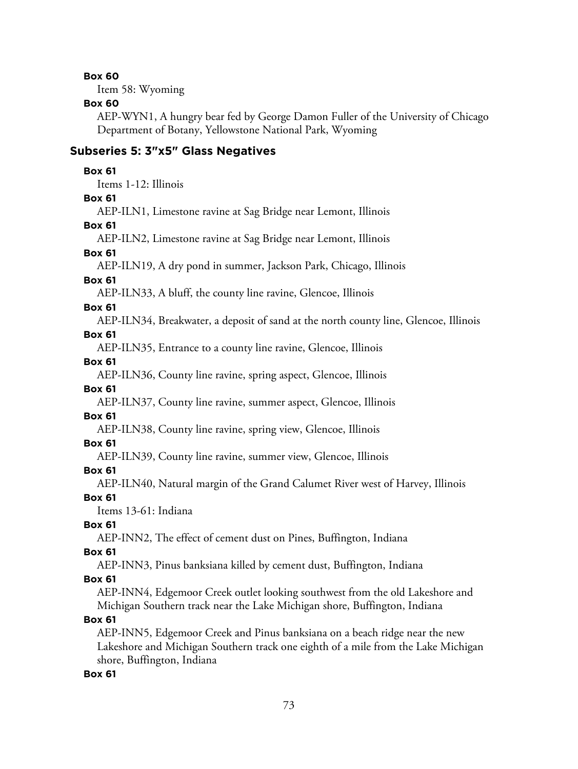#### **Box 60**

Item 58: Wyoming

#### **Box 60**

AEP-WYN1, A hungry bear fed by George Damon Fuller of the University of Chicago Department of Botany, Yellowstone National Park, Wyoming

#### **Subseries 5: 3"x5" Glass Negatives**

#### **Box 61**

Items 1-12: Illinois

#### **Box 61**

AEP-ILN1, Limestone ravine at Sag Bridge near Lemont, Illinois

#### **Box 61**

AEP-ILN2, Limestone ravine at Sag Bridge near Lemont, Illinois

#### **Box 61**

AEP-ILN19, A dry pond in summer, Jackson Park, Chicago, Illinois

#### **Box 61**

AEP-ILN33, A bluff, the county line ravine, Glencoe, Illinois

#### **Box 61**

AEP-ILN34, Breakwater, a deposit of sand at the north county line, Glencoe, Illinois

#### **Box 61**

AEP-ILN35, Entrance to a county line ravine, Glencoe, Illinois

#### **Box 61**

AEP-ILN36, County line ravine, spring aspect, Glencoe, Illinois

#### **Box 61**

AEP-ILN37, County line ravine, summer aspect, Glencoe, Illinois

#### **Box 61**

AEP-ILN38, County line ravine, spring view, Glencoe, Illinois

#### **Box 61**

AEP-ILN39, County line ravine, summer view, Glencoe, Illinois

#### **Box 61**

AEP-ILN40, Natural margin of the Grand Calumet River west of Harvey, Illinois

**Box 61**

Items 13-61: Indiana

#### **Box 61**

AEP-INN2, The effect of cement dust on Pines, Buffington, Indiana

#### **Box 61**

AEP-INN3, Pinus banksiana killed by cement dust, Buffington, Indiana

#### **Box 61**

AEP-INN4, Edgemoor Creek outlet looking southwest from the old Lakeshore and Michigan Southern track near the Lake Michigan shore, Buffington, Indiana

#### **Box 61**

AEP-INN5, Edgemoor Creek and Pinus banksiana on a beach ridge near the new Lakeshore and Michigan Southern track one eighth of a mile from the Lake Michigan shore, Buffington, Indiana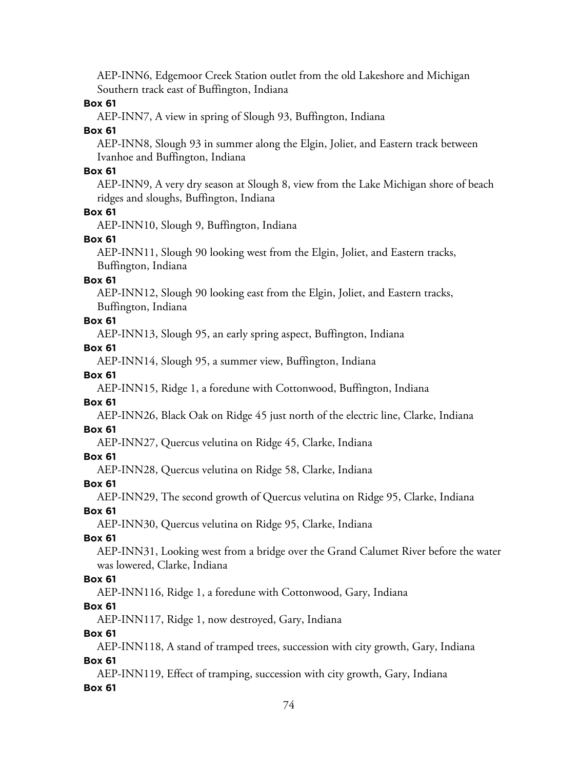AEP-INN6, Edgemoor Creek Station outlet from the old Lakeshore and Michigan Southern track east of Buffington, Indiana

#### **Box 61**

AEP-INN7, A view in spring of Slough 93, Buffington, Indiana

#### **Box 61**

AEP-INN8, Slough 93 in summer along the Elgin, Joliet, and Eastern track between Ivanhoe and Buffington, Indiana

#### **Box 61**

AEP-INN9, A very dry season at Slough 8, view from the Lake Michigan shore of beach ridges and sloughs, Buffington, Indiana

#### **Box 61**

AEP-INN10, Slough 9, Buffington, Indiana

#### **Box 61**

AEP-INN11, Slough 90 looking west from the Elgin, Joliet, and Eastern tracks, Buffington, Indiana

#### **Box 61**

AEP-INN12, Slough 90 looking east from the Elgin, Joliet, and Eastern tracks, Buffington, Indiana

#### **Box 61**

AEP-INN13, Slough 95, an early spring aspect, Buffington, Indiana

#### **Box 61**

AEP-INN14, Slough 95, a summer view, Buffington, Indiana

#### **Box 61**

AEP-INN15, Ridge 1, a foredune with Cottonwood, Buffington, Indiana

#### **Box 61**

AEP-INN26, Black Oak on Ridge 45 just north of the electric line, Clarke, Indiana

#### **Box 61**

AEP-INN27, Quercus velutina on Ridge 45, Clarke, Indiana

#### **Box 61**

AEP-INN28, Quercus velutina on Ridge 58, Clarke, Indiana

#### **Box 61**

AEP-INN29, The second growth of Quercus velutina on Ridge 95, Clarke, Indiana

# **Box 61**

AEP-INN30, Quercus velutina on Ridge 95, Clarke, Indiana

#### **Box 61**

AEP-INN31, Looking west from a bridge over the Grand Calumet River before the water was lowered, Clarke, Indiana

#### **Box 61**

AEP-INN116, Ridge 1, a foredune with Cottonwood, Gary, Indiana

#### **Box 61**

AEP-INN117, Ridge 1, now destroyed, Gary, Indiana

#### **Box 61**

AEP-INN118, A stand of tramped trees, succession with city growth, Gary, Indiana **Box 61**

AEP-INN119, Effect of tramping, succession with city growth, Gary, Indiana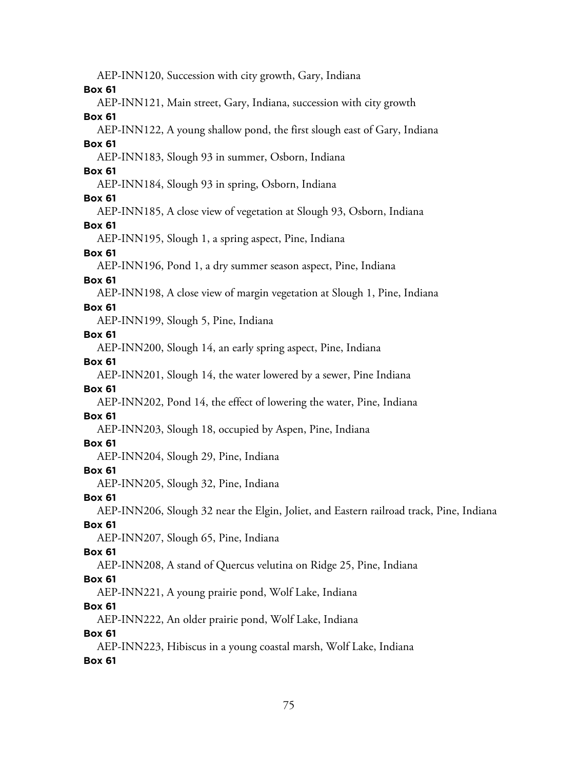AEP-INN120, Succession with city growth, Gary, Indiana **Box 61** AEP-INN121, Main street, Gary, Indiana, succession with city growth **Box 61** AEP-INN122, A young shallow pond, the first slough east of Gary, Indiana **Box 61** AEP-INN183, Slough 93 in summer, Osborn, Indiana **Box 61** AEP-INN184, Slough 93 in spring, Osborn, Indiana **Box 61** AEP-INN185, A close view of vegetation at Slough 93, Osborn, Indiana **Box 61** AEP-INN195, Slough 1, a spring aspect, Pine, Indiana **Box 61** AEP-INN196, Pond 1, a dry summer season aspect, Pine, Indiana **Box 61** AEP-INN198, A close view of margin vegetation at Slough 1, Pine, Indiana **Box 61** AEP-INN199, Slough 5, Pine, Indiana **Box 61** AEP-INN200, Slough 14, an early spring aspect, Pine, Indiana **Box 61** AEP-INN201, Slough 14, the water lowered by a sewer, Pine Indiana **Box 61** AEP-INN202, Pond 14, the effect of lowering the water, Pine, Indiana **Box 61** AEP-INN203, Slough 18, occupied by Aspen, Pine, Indiana **Box 61** AEP-INN204, Slough 29, Pine, Indiana **Box 61** AEP-INN205, Slough 32, Pine, Indiana **Box 61** AEP-INN206, Slough 32 near the Elgin, Joliet, and Eastern railroad track, Pine, Indiana **Box 61** AEP-INN207, Slough 65, Pine, Indiana **Box 61** AEP-INN208, A stand of Quercus velutina on Ridge 25, Pine, Indiana **Box 61** AEP-INN221, A young prairie pond, Wolf Lake, Indiana **Box 61** AEP-INN222, An older prairie pond, Wolf Lake, Indiana **Box 61** AEP-INN223, Hibiscus in a young coastal marsh, Wolf Lake, Indiana **Box 61**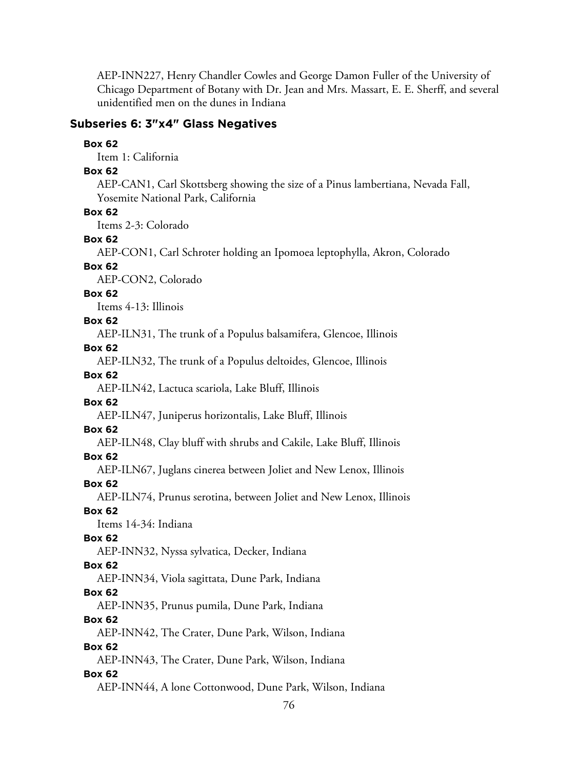AEP-INN227, Henry Chandler Cowles and George Damon Fuller of the University of Chicago Department of Botany with Dr. Jean and Mrs. Massart, E. E. Sherff, and several unidentified men on the dunes in Indiana

#### **Subseries 6: 3"x4" Glass Negatives**

#### **Box 62**

Item 1: California

#### **Box 62**

AEP-CAN1, Carl Skottsberg showing the size of a Pinus lambertiana, Nevada Fall, Yosemite National Park, California

#### **Box 62**

Items 2-3: Colorado

#### **Box 62**

AEP-CON1, Carl Schroter holding an Ipomoea leptophylla, Akron, Colorado

#### **Box 62**

AEP-CON2, Colorado

#### **Box 62**

Items 4-13: Illinois

#### **Box 62**

AEP-ILN31, The trunk of a Populus balsamifera, Glencoe, Illinois

#### **Box 62**

AEP-ILN32, The trunk of a Populus deltoides, Glencoe, Illinois

#### **Box 62**

AEP-ILN42, Lactuca scariola, Lake Bluff, Illinois

#### **Box 62**

AEP-ILN47, Juniperus horizontalis, Lake Bluff, Illinois

#### **Box 62**

AEP-ILN48, Clay bluff with shrubs and Cakile, Lake Bluff, Illinois

#### **Box 62**

AEP-ILN67, Juglans cinerea between Joliet and New Lenox, Illinois

#### **Box 62**

AEP-ILN74, Prunus serotina, between Joliet and New Lenox, Illinois

### **Box 62**

Items 14-34: Indiana

#### **Box 62**

AEP-INN32, Nyssa sylvatica, Decker, Indiana

#### **Box 62**

AEP-INN34, Viola sagittata, Dune Park, Indiana

#### **Box 62**

AEP-INN35, Prunus pumila, Dune Park, Indiana

#### **Box 62**

AEP-INN42, The Crater, Dune Park, Wilson, Indiana

#### **Box 62**

AEP-INN43, The Crater, Dune Park, Wilson, Indiana

#### **Box 62**

AEP-INN44, A lone Cottonwood, Dune Park, Wilson, Indiana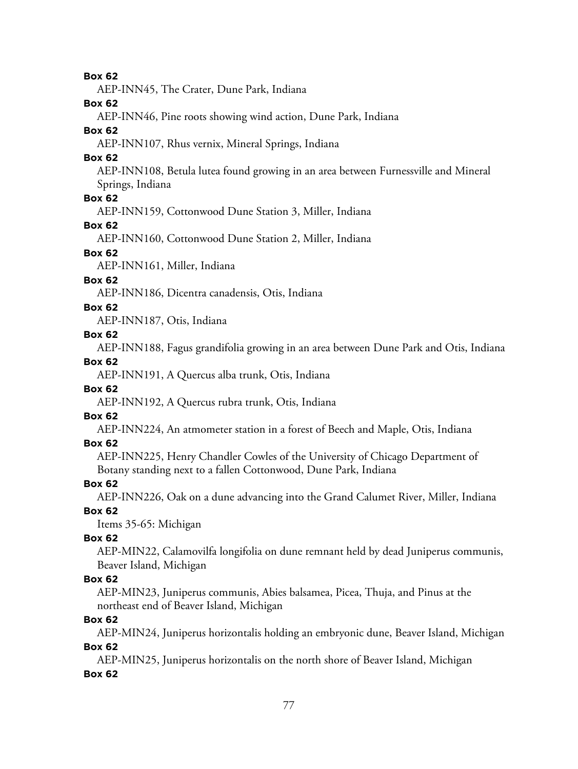**Box 62**

AEP-INN45, The Crater, Dune Park, Indiana

**Box 62**

AEP-INN46, Pine roots showing wind action, Dune Park, Indiana

#### **Box 62**

AEP-INN107, Rhus vernix, Mineral Springs, Indiana

#### **Box 62**

AEP-INN108, Betula lutea found growing in an area between Furnessville and Mineral Springs, Indiana

#### **Box 62**

AEP-INN159, Cottonwood Dune Station 3, Miller, Indiana

#### **Box 62**

AEP-INN160, Cottonwood Dune Station 2, Miller, Indiana

#### **Box 62**

AEP-INN161, Miller, Indiana

#### **Box 62**

AEP-INN186, Dicentra canadensis, Otis, Indiana

#### **Box 62**

AEP-INN187, Otis, Indiana

#### **Box 62**

AEP-INN188, Fagus grandifolia growing in an area between Dune Park and Otis, Indiana

#### **Box 62**

AEP-INN191, A Quercus alba trunk, Otis, Indiana

#### **Box 62**

AEP-INN192, A Quercus rubra trunk, Otis, Indiana

# **Box 62**

AEP-INN224, An atmometer station in a forest of Beech and Maple, Otis, Indiana

#### **Box 62**

AEP-INN225, Henry Chandler Cowles of the University of Chicago Department of Botany standing next to a fallen Cottonwood, Dune Park, Indiana

#### **Box 62**

AEP-INN226, Oak on a dune advancing into the Grand Calumet River, Miller, Indiana

# **Box 62**

Items 35-65: Michigan

#### **Box 62**

AEP-MIN22, Calamovilfa longifolia on dune remnant held by dead Juniperus communis, Beaver Island, Michigan

#### **Box 62**

AEP-MIN23, Juniperus communis, Abies balsamea, Picea, Thuja, and Pinus at the northeast end of Beaver Island, Michigan

**Box 62**

AEP-MIN24, Juniperus horizontalis holding an embryonic dune, Beaver Island, Michigan

#### **Box 62**

AEP-MIN25, Juniperus horizontalis on the north shore of Beaver Island, Michigan **Box 62**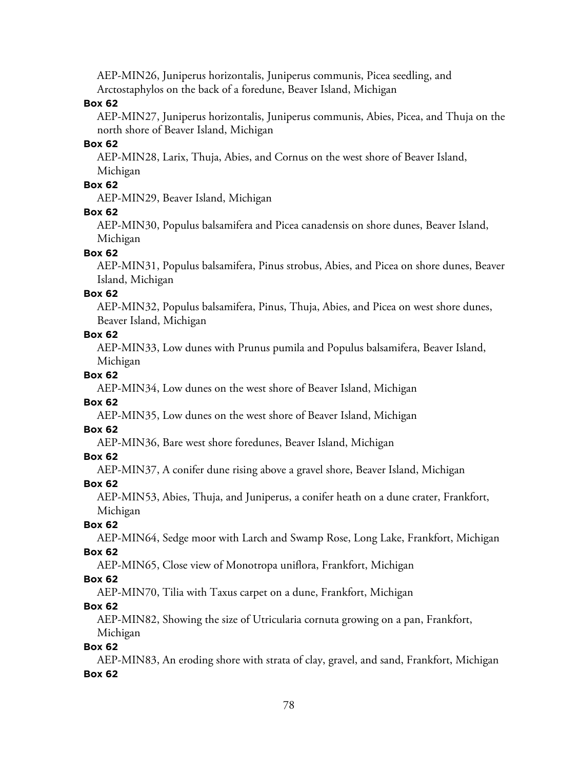AEP-MIN26, Juniperus horizontalis, Juniperus communis, Picea seedling, and Arctostaphylos on the back of a foredune, Beaver Island, Michigan

#### **Box 62**

AEP-MIN27, Juniperus horizontalis, Juniperus communis, Abies, Picea, and Thuja on the north shore of Beaver Island, Michigan

#### **Box 62**

AEP-MIN28, Larix, Thuja, Abies, and Cornus on the west shore of Beaver Island, Michigan

#### **Box 62**

AEP-MIN29, Beaver Island, Michigan

#### **Box 62**

AEP-MIN30, Populus balsamifera and Picea canadensis on shore dunes, Beaver Island, Michigan

#### **Box 62**

AEP-MIN31, Populus balsamifera, Pinus strobus, Abies, and Picea on shore dunes, Beaver Island, Michigan

#### **Box 62**

AEP-MIN32, Populus balsamifera, Pinus, Thuja, Abies, and Picea on west shore dunes, Beaver Island, Michigan

#### **Box 62**

AEP-MIN33, Low dunes with Prunus pumila and Populus balsamifera, Beaver Island, Michigan

#### **Box 62**

AEP-MIN34, Low dunes on the west shore of Beaver Island, Michigan

#### **Box 62**

AEP-MIN35, Low dunes on the west shore of Beaver Island, Michigan

#### **Box 62**

AEP-MIN36, Bare west shore foredunes, Beaver Island, Michigan

#### **Box 62**

AEP-MIN37, A conifer dune rising above a gravel shore, Beaver Island, Michigan

#### **Box 62**

AEP-MIN53, Abies, Thuja, and Juniperus, a conifer heath on a dune crater, Frankfort, Michigan

#### **Box 62**

AEP-MIN64, Sedge moor with Larch and Swamp Rose, Long Lake, Frankfort, Michigan

#### **Box 62**

AEP-MIN65, Close view of Monotropa uniflora, Frankfort, Michigan

#### **Box 62**

AEP-MIN70, Tilia with Taxus carpet on a dune, Frankfort, Michigan

#### **Box 62**

AEP-MIN82, Showing the size of Utricularia cornuta growing on a pan, Frankfort, Michigan

#### **Box 62**

AEP-MIN83, An eroding shore with strata of clay, gravel, and sand, Frankfort, Michigan **Box 62**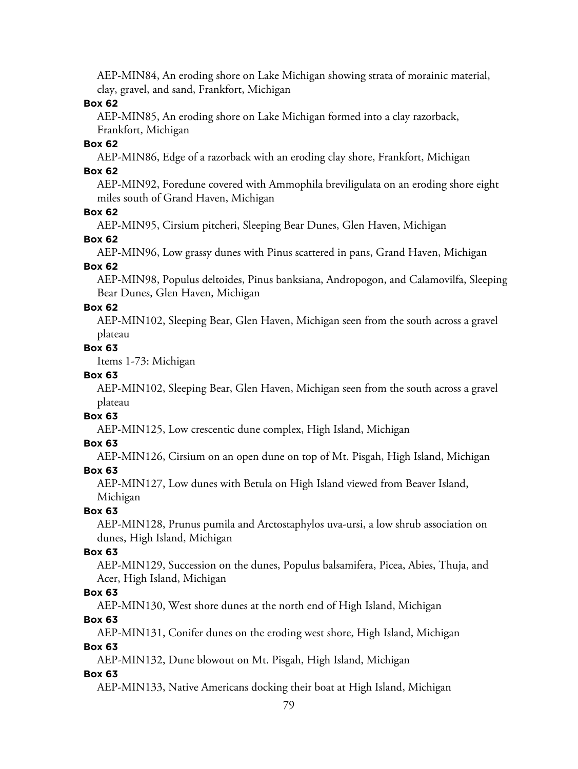AEP-MIN84, An eroding shore on Lake Michigan showing strata of morainic material, clay, gravel, and sand, Frankfort, Michigan

#### **Box 62**

AEP-MIN85, An eroding shore on Lake Michigan formed into a clay razorback, Frankfort, Michigan

#### **Box 62**

AEP-MIN86, Edge of a razorback with an eroding clay shore, Frankfort, Michigan

### **Box 62**

AEP-MIN92, Foredune covered with Ammophila breviligulata on an eroding shore eight miles south of Grand Haven, Michigan

#### **Box 62**

AEP-MIN95, Cirsium pitcheri, Sleeping Bear Dunes, Glen Haven, Michigan

#### **Box 62**

AEP-MIN96, Low grassy dunes with Pinus scattered in pans, Grand Haven, Michigan

### **Box 62**

AEP-MIN98, Populus deltoides, Pinus banksiana, Andropogon, and Calamovilfa, Sleeping Bear Dunes, Glen Haven, Michigan

#### **Box 62**

AEP-MIN102, Sleeping Bear, Glen Haven, Michigan seen from the south across a gravel plateau

#### **Box 63**

Items 1-73: Michigan

#### **Box 63**

AEP-MIN102, Sleeping Bear, Glen Haven, Michigan seen from the south across a gravel plateau

## **Box 63**

AEP-MIN125, Low crescentic dune complex, High Island, Michigan

#### **Box 63**

AEP-MIN126, Cirsium on an open dune on top of Mt. Pisgah, High Island, Michigan

#### **Box 63**

AEP-MIN127, Low dunes with Betula on High Island viewed from Beaver Island, Michigan

#### **Box 63**

AEP-MIN128, Prunus pumila and Arctostaphylos uva-ursi, a low shrub association on dunes, High Island, Michigan

#### **Box 63**

AEP-MIN129, Succession on the dunes, Populus balsamifera, Picea, Abies, Thuja, and Acer, High Island, Michigan

#### **Box 63**

AEP-MIN130, West shore dunes at the north end of High Island, Michigan

#### **Box 63**

AEP-MIN131, Conifer dunes on the eroding west shore, High Island, Michigan **Box 63**

AEP-MIN132, Dune blowout on Mt. Pisgah, High Island, Michigan

#### **Box 63**

AEP-MIN133, Native Americans docking their boat at High Island, Michigan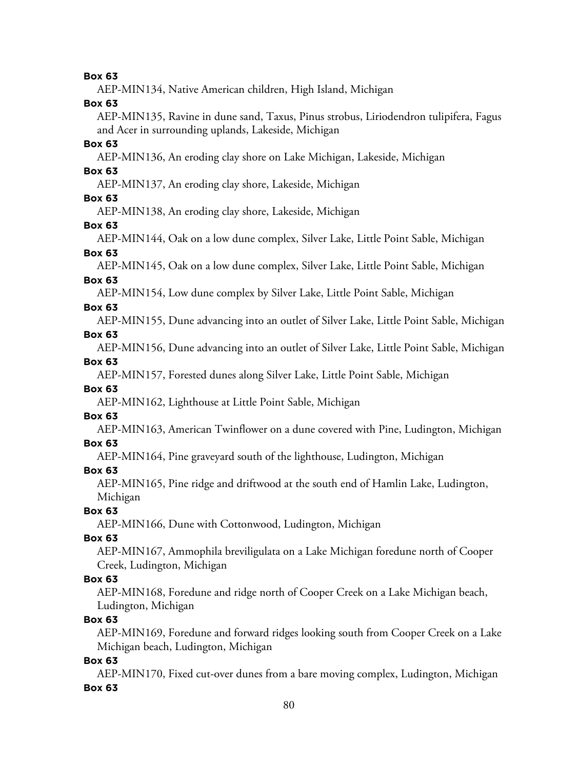AEP-MIN134, Native American children, High Island, Michigan **Box 63** AEP-MIN135, Ravine in dune sand, Taxus, Pinus strobus, Liriodendron tulipifera, Fagus and Acer in surrounding uplands, Lakeside, Michigan **Box 63** AEP-MIN136, An eroding clay shore on Lake Michigan, Lakeside, Michigan **Box 63** AEP-MIN137, An eroding clay shore, Lakeside, Michigan **Box 63** AEP-MIN138, An eroding clay shore, Lakeside, Michigan **Box 63** AEP-MIN144, Oak on a low dune complex, Silver Lake, Little Point Sable, Michigan **Box 63** AEP-MIN145, Oak on a low dune complex, Silver Lake, Little Point Sable, Michigan **Box 63** AEP-MIN154, Low dune complex by Silver Lake, Little Point Sable, Michigan **Box 63** AEP-MIN155, Dune advancing into an outlet of Silver Lake, Little Point Sable, Michigan **Box 63** AEP-MIN156, Dune advancing into an outlet of Silver Lake, Little Point Sable, Michigan **Box 63** AEP-MIN157, Forested dunes along Silver Lake, Little Point Sable, Michigan **Box 63** AEP-MIN162, Lighthouse at Little Point Sable, Michigan **Box 63** AEP-MIN163, American Twinflower on a dune covered with Pine, Ludington, Michigan **Box 63** AEP-MIN164, Pine graveyard south of the lighthouse, Ludington, Michigan **Box 63** AEP-MIN165, Pine ridge and driftwood at the south end of Hamlin Lake, Ludington, Michigan **Box 63** AEP-MIN166, Dune with Cottonwood, Ludington, Michigan **Box 63** AEP-MIN167, Ammophila breviligulata on a Lake Michigan foredune north of Cooper Creek, Ludington, Michigan **Box 63** AEP-MIN168, Foredune and ridge north of Cooper Creek on a Lake Michigan beach, Ludington, Michigan **Box 63** AEP-MIN169, Foredune and forward ridges looking south from Cooper Creek on a Lake Michigan beach, Ludington, Michigan **Box 63** AEP-MIN170, Fixed cut-over dunes from a bare moving complex, Ludington, Michigan

#### **Box 63**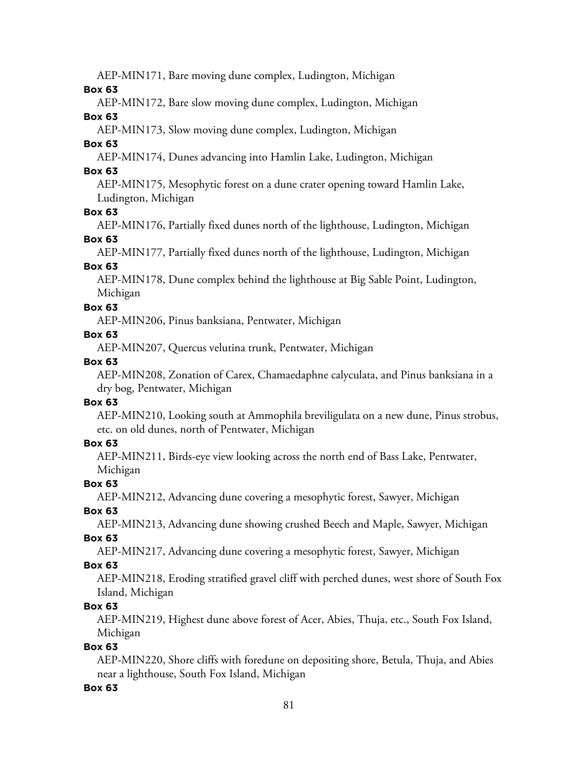AEP-MIN171, Bare moving dune complex, Ludington, Michigan

#### **Box 63**

AEP-MIN172, Bare slow moving dune complex, Ludington, Michigan

#### **Box 63**

AEP-MIN173, Slow moving dune complex, Ludington, Michigan

### **Box 63**

AEP-MIN174, Dunes advancing into Hamlin Lake, Ludington, Michigan

### **Box 63**

AEP-MIN175, Mesophytic forest on a dune crater opening toward Hamlin Lake, Ludington, Michigan

### **Box 63**

AEP-MIN176, Partially fixed dunes north of the lighthouse, Ludington, Michigan **Box 63**

AEP-MIN177, Partially fixed dunes north of the lighthouse, Ludington, Michigan

### **Box 63**

AEP-MIN178, Dune complex behind the lighthouse at Big Sable Point, Ludington, Michigan

### **Box 63**

AEP-MIN206, Pinus banksiana, Pentwater, Michigan

### **Box 63**

AEP-MIN207, Quercus velutina trunk, Pentwater, Michigan

### **Box 63**

AEP-MIN208, Zonation of Carex, Chamaedaphne calyculata, and Pinus banksiana in a dry bog, Pentwater, Michigan

#### **Box 63**

AEP-MIN210, Looking south at Ammophila breviligulata on a new dune, Pinus strobus, etc. on old dunes, north of Pentwater, Michigan

### **Box 63**

AEP-MIN211, Birds-eye view looking across the north end of Bass Lake, Pentwater, Michigan

### **Box 63**

AEP-MIN212, Advancing dune covering a mesophytic forest, Sawyer, Michigan

# **Box 63**

AEP-MIN213, Advancing dune showing crushed Beech and Maple, Sawyer, Michigan

### **Box 63**

AEP-MIN217, Advancing dune covering a mesophytic forest, Sawyer, Michigan

### **Box 63**

AEP-MIN218, Eroding stratified gravel cliff with perched dunes, west shore of South Fox Island, Michigan

### **Box 63**

AEP-MIN219, Highest dune above forest of Acer, Abies, Thuja, etc., South Fox Island, Michigan

### **Box 63**

AEP-MIN220, Shore cliffs with foredune on depositing shore, Betula, Thuja, and Abies near a lighthouse, South Fox Island, Michigan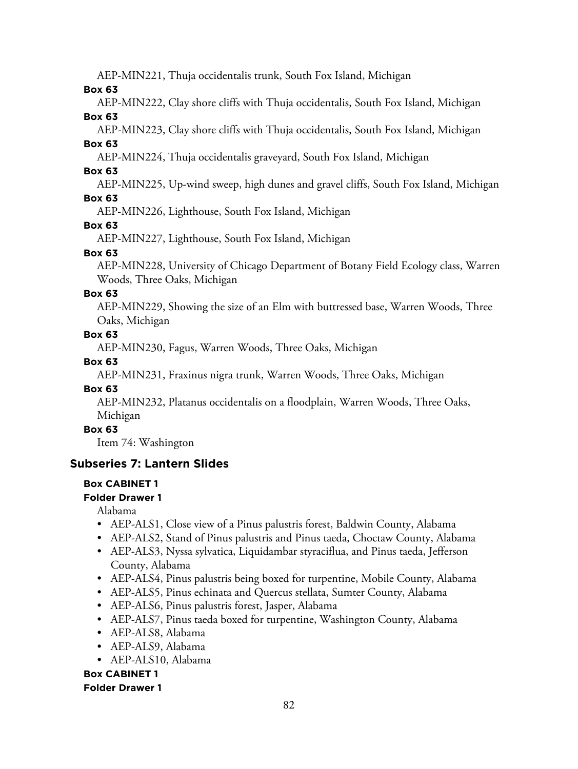AEP-MIN221, Thuja occidentalis trunk, South Fox Island, Michigan

**Box 63**

AEP-MIN222, Clay shore cliffs with Thuja occidentalis, South Fox Island, Michigan **Box 63**

AEP-MIN223, Clay shore cliffs with Thuja occidentalis, South Fox Island, Michigan

**Box 63**

AEP-MIN224, Thuja occidentalis graveyard, South Fox Island, Michigan

**Box 63**

AEP-MIN225, Up-wind sweep, high dunes and gravel cliffs, South Fox Island, Michigan

### **Box 63**

AEP-MIN226, Lighthouse, South Fox Island, Michigan

### **Box 63**

AEP-MIN227, Lighthouse, South Fox Island, Michigan

### **Box 63**

AEP-MIN228, University of Chicago Department of Botany Field Ecology class, Warren Woods, Three Oaks, Michigan

### **Box 63**

AEP-MIN229, Showing the size of an Elm with buttressed base, Warren Woods, Three Oaks, Michigan

### **Box 63**

AEP-MIN230, Fagus, Warren Woods, Three Oaks, Michigan

### **Box 63**

AEP-MIN231, Fraxinus nigra trunk, Warren Woods, Three Oaks, Michigan

### **Box 63**

AEP-MIN232, Platanus occidentalis on a floodplain, Warren Woods, Three Oaks, Michigan

### **Box 63**

Item 74: Washington

# **Subseries 7: Lantern Slides**

### **Box CABINET 1**

### **Folder Drawer 1**

Alabama

- AEP-ALS1, Close view of a Pinus palustris forest, Baldwin County, Alabama
- AEP-ALS2, Stand of Pinus palustris and Pinus taeda, Choctaw County, Alabama
- AEP-ALS3, Nyssa sylvatica, Liquidambar styraciflua, and Pinus taeda, Jefferson County, Alabama
- AEP-ALS4, Pinus palustris being boxed for turpentine, Mobile County, Alabama
- AEP-ALS5, Pinus echinata and Quercus stellata, Sumter County, Alabama
- AEP-ALS6, Pinus palustris forest, Jasper, Alabama
- AEP-ALS7, Pinus taeda boxed for turpentine, Washington County, Alabama
- AEP-ALS8, Alabama
- AEP-ALS9, Alabama
- AEP-ALS10, Alabama

# **Box CABINET 1**

#### **Folder Drawer 1**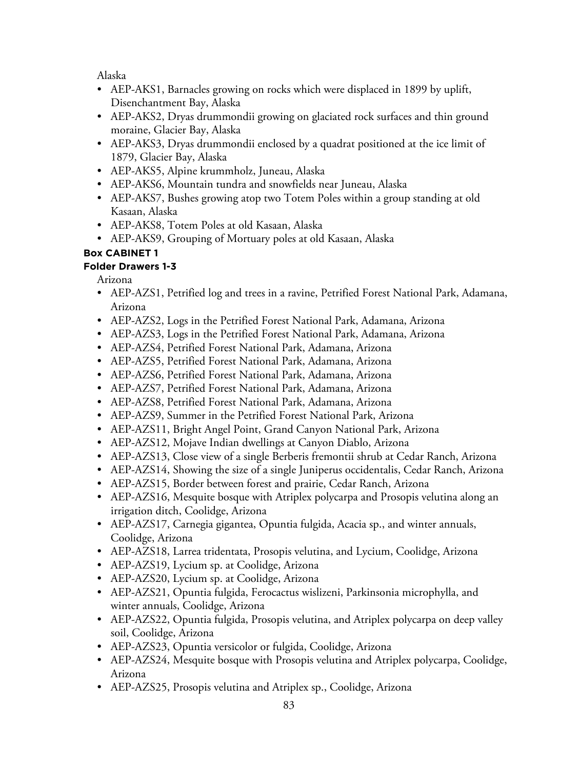Alaska

- AEP-AKS1, Barnacles growing on rocks which were displaced in 1899 by uplift, Disenchantment Bay, Alaska
- AEP-AKS2, Dryas drummondii growing on glaciated rock surfaces and thin ground moraine, Glacier Bay, Alaska
- AEP-AKS3, Dryas drummondii enclosed by a quadrat positioned at the ice limit of 1879, Glacier Bay, Alaska
- AEP-AKS5, Alpine krummholz, Juneau, Alaska
- AEP-AKS6, Mountain tundra and snowfields near Juneau, Alaska
- AEP-AKS7, Bushes growing atop two Totem Poles within a group standing at old Kasaan, Alaska
- AEP-AKS8, Totem Poles at old Kasaan, Alaska
- AEP-AKS9, Grouping of Mortuary poles at old Kasaan, Alaska

# **Box CABINET 1**

### **Folder Drawers 1-3**

Arizona

- AEP-AZS1, Petrified log and trees in a ravine, Petrified Forest National Park, Adamana, Arizona
- AEP-AZS2, Logs in the Petrified Forest National Park, Adamana, Arizona
- AEP-AZS3, Logs in the Petrified Forest National Park, Adamana, Arizona
- AEP-AZS4, Petrified Forest National Park, Adamana, Arizona
- AEP-AZS5, Petrified Forest National Park, Adamana, Arizona
- AEP-AZS6, Petrified Forest National Park, Adamana, Arizona
- AEP-AZS7, Petrified Forest National Park, Adamana, Arizona
- AEP-AZS8, Petrified Forest National Park, Adamana, Arizona
- AEP-AZS9, Summer in the Petrified Forest National Park, Arizona
- AEP-AZS11, Bright Angel Point, Grand Canyon National Park, Arizona
- AEP-AZS12, Mojave Indian dwellings at Canyon Diablo, Arizona
- AEP-AZS13, Close view of a single Berberis fremontii shrub at Cedar Ranch, Arizona
- AEP-AZS14, Showing the size of a single Juniperus occidentalis, Cedar Ranch, Arizona
- AEP-AZS15, Border between forest and prairie, Cedar Ranch, Arizona
- AEP-AZS16, Mesquite bosque with Atriplex polycarpa and Prosopis velutina along an irrigation ditch, Coolidge, Arizona
- AEP-AZS17, Carnegia gigantea, Opuntia fulgida, Acacia sp., and winter annuals, Coolidge, Arizona
- AEP-AZS18, Larrea tridentata, Prosopis velutina, and Lycium, Coolidge, Arizona
- AEP-AZS19, Lycium sp. at Coolidge, Arizona
- AEP-AZS20, Lycium sp. at Coolidge, Arizona
- AEP-AZS21, Opuntia fulgida, Ferocactus wislizeni, Parkinsonia microphylla, and winter annuals, Coolidge, Arizona
- AEP-AZS22, Opuntia fulgida, Prosopis velutina, and Atriplex polycarpa on deep valley soil, Coolidge, Arizona
- AEP-AZS23, Opuntia versicolor or fulgida, Coolidge, Arizona
- AEP-AZS24, Mesquite bosque with Prosopis velutina and Atriplex polycarpa, Coolidge, Arizona
- AEP-AZS25, Prosopis velutina and Atriplex sp., Coolidge, Arizona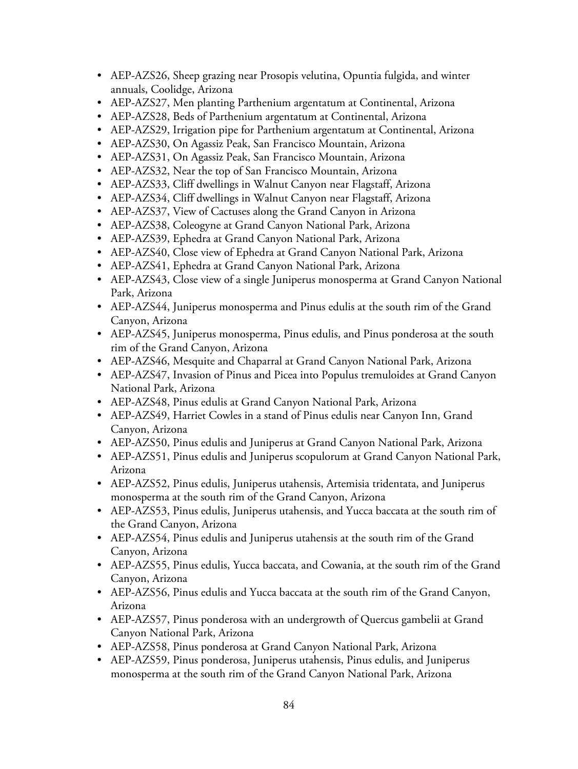- AEP-AZS26, Sheep grazing near Prosopis velutina, Opuntia fulgida, and winter annuals, Coolidge, Arizona
- AEP-AZS27, Men planting Parthenium argentatum at Continental, Arizona
- AEP-AZS28, Beds of Parthenium argentatum at Continental, Arizona
- AEP-AZS29, Irrigation pipe for Parthenium argentatum at Continental, Arizona
- AEP-AZS30, On Agassiz Peak, San Francisco Mountain, Arizona
- AEP-AZS31, On Agassiz Peak, San Francisco Mountain, Arizona
- AEP-AZS32, Near the top of San Francisco Mountain, Arizona
- AEP-AZS33, Cliff dwellings in Walnut Canyon near Flagstaff, Arizona
- AEP-AZS34, Cliff dwellings in Walnut Canyon near Flagstaff, Arizona
- AEP-AZS37, View of Cactuses along the Grand Canyon in Arizona
- AEP-AZS38, Coleogyne at Grand Canyon National Park, Arizona
- AEP-AZS39, Ephedra at Grand Canyon National Park, Arizona
- AEP-AZS40, Close view of Ephedra at Grand Canyon National Park, Arizona
- AEP-AZS41, Ephedra at Grand Canyon National Park, Arizona
- AEP-AZS43, Close view of a single Juniperus monosperma at Grand Canyon National Park, Arizona
- AEP-AZS44, Juniperus monosperma and Pinus edulis at the south rim of the Grand Canyon, Arizona
- AEP-AZS45, Juniperus monosperma, Pinus edulis, and Pinus ponderosa at the south rim of the Grand Canyon, Arizona
- AEP-AZS46, Mesquite and Chaparral at Grand Canyon National Park, Arizona
- AEP-AZS47, Invasion of Pinus and Picea into Populus tremuloides at Grand Canyon National Park, Arizona
- AEP-AZS48, Pinus edulis at Grand Canyon National Park, Arizona
- AEP-AZS49, Harriet Cowles in a stand of Pinus edulis near Canyon Inn, Grand Canyon, Arizona
- AEP-AZS50, Pinus edulis and Juniperus at Grand Canyon National Park, Arizona
- AEP-AZS51, Pinus edulis and Juniperus scopulorum at Grand Canyon National Park, Arizona
- AEP-AZS52, Pinus edulis, Juniperus utahensis, Artemisia tridentata, and Juniperus monosperma at the south rim of the Grand Canyon, Arizona
- AEP-AZS53, Pinus edulis, Juniperus utahensis, and Yucca baccata at the south rim of the Grand Canyon, Arizona
- AEP-AZS54, Pinus edulis and Juniperus utahensis at the south rim of the Grand Canyon, Arizona
- AEP-AZS55, Pinus edulis, Yucca baccata, and Cowania, at the south rim of the Grand Canyon, Arizona
- AEP-AZS56, Pinus edulis and Yucca baccata at the south rim of the Grand Canyon, Arizona
- AEP-AZS57, Pinus ponderosa with an undergrowth of Quercus gambelii at Grand Canyon National Park, Arizona
- AEP-AZS58, Pinus ponderosa at Grand Canyon National Park, Arizona
- AEP-AZS59, Pinus ponderosa, Juniperus utahensis, Pinus edulis, and Juniperus monosperma at the south rim of the Grand Canyon National Park, Arizona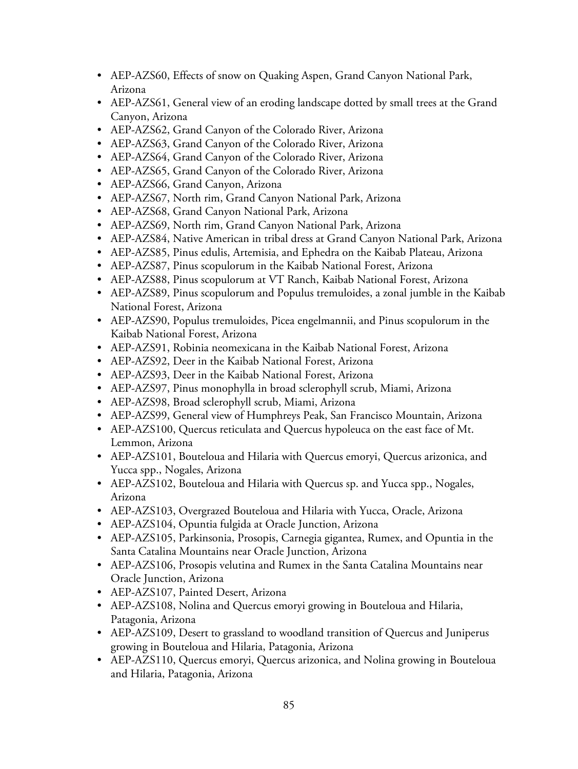- AEP-AZS60, Effects of snow on Quaking Aspen, Grand Canyon National Park, Arizona
- AEP-AZS61, General view of an eroding landscape dotted by small trees at the Grand Canyon, Arizona
- AEP-AZS62, Grand Canyon of the Colorado River, Arizona
- AEP-AZS63, Grand Canyon of the Colorado River, Arizona
- AEP-AZS64, Grand Canyon of the Colorado River, Arizona
- AEP-AZS65, Grand Canyon of the Colorado River, Arizona
- AEP-AZS66, Grand Canyon, Arizona
- AEP-AZS67, North rim, Grand Canyon National Park, Arizona
- AEP-AZS68, Grand Canyon National Park, Arizona
- AEP-AZS69, North rim, Grand Canyon National Park, Arizona
- AEP-AZS84, Native American in tribal dress at Grand Canyon National Park, Arizona
- AEP-AZS85, Pinus edulis, Artemisia, and Ephedra on the Kaibab Plateau, Arizona
- AEP-AZS87, Pinus scopulorum in the Kaibab National Forest, Arizona
- AEP-AZS88, Pinus scopulorum at VT Ranch, Kaibab National Forest, Arizona
- AEP-AZS89, Pinus scopulorum and Populus tremuloides, a zonal jumble in the Kaibab National Forest, Arizona
- AEP-AZS90, Populus tremuloides, Picea engelmannii, and Pinus scopulorum in the Kaibab National Forest, Arizona
- AEP-AZS91, Robinia neomexicana in the Kaibab National Forest, Arizona
- AEP-AZS92, Deer in the Kaibab National Forest, Arizona
- AEP-AZS93, Deer in the Kaibab National Forest, Arizona
- AEP-AZS97, Pinus monophylla in broad sclerophyll scrub, Miami, Arizona
- AEP-AZS98, Broad sclerophyll scrub, Miami, Arizona
- AEP-AZS99, General view of Humphreys Peak, San Francisco Mountain, Arizona
- AEP-AZS100, Quercus reticulata and Quercus hypoleuca on the east face of Mt. Lemmon, Arizona
- AEP-AZS101, Bouteloua and Hilaria with Quercus emoryi, Quercus arizonica, and Yucca spp., Nogales, Arizona
- AEP-AZS102, Bouteloua and Hilaria with Quercus sp. and Yucca spp., Nogales, Arizona
- AEP-AZS103, Overgrazed Bouteloua and Hilaria with Yucca, Oracle, Arizona
- AEP-AZS104, Opuntia fulgida at Oracle Junction, Arizona
- AEP-AZS105, Parkinsonia, Prosopis, Carnegia gigantea, Rumex, and Opuntia in the Santa Catalina Mountains near Oracle Junction, Arizona
- AEP-AZS106, Prosopis velutina and Rumex in the Santa Catalina Mountains near Oracle Junction, Arizona
- AEP-AZS107, Painted Desert, Arizona
- AEP-AZS108, Nolina and Quercus emoryi growing in Bouteloua and Hilaria, Patagonia, Arizona
- AEP-AZS109, Desert to grassland to woodland transition of Quercus and Juniperus growing in Bouteloua and Hilaria, Patagonia, Arizona
- AEP-AZS110, Quercus emoryi, Quercus arizonica, and Nolina growing in Bouteloua and Hilaria, Patagonia, Arizona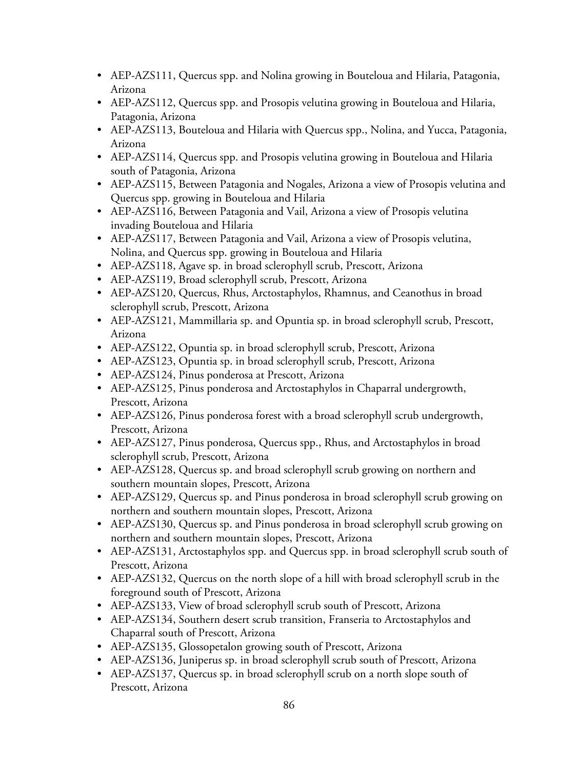- AEP-AZS111, Quercus spp. and Nolina growing in Bouteloua and Hilaria, Patagonia, Arizona
- AEP-AZS112, Quercus spp. and Prosopis velutina growing in Bouteloua and Hilaria, Patagonia, Arizona
- AEP-AZS113, Bouteloua and Hilaria with Quercus spp., Nolina, and Yucca, Patagonia, Arizona
- AEP-AZS114, Quercus spp. and Prosopis velutina growing in Bouteloua and Hilaria south of Patagonia, Arizona
- AEP-AZS115, Between Patagonia and Nogales, Arizona a view of Prosopis velutina and Quercus spp. growing in Bouteloua and Hilaria
- AEP-AZS116, Between Patagonia and Vail, Arizona a view of Prosopis velutina invading Bouteloua and Hilaria
- AEP-AZS117, Between Patagonia and Vail, Arizona a view of Prosopis velutina, Nolina, and Quercus spp. growing in Bouteloua and Hilaria
- AEP-AZS118, Agave sp. in broad sclerophyll scrub, Prescott, Arizona
- AEP-AZS119, Broad sclerophyll scrub, Prescott, Arizona
- AEP-AZS120, Quercus, Rhus, Arctostaphylos, Rhamnus, and Ceanothus in broad sclerophyll scrub, Prescott, Arizona
- AEP-AZS121, Mammillaria sp. and Opuntia sp. in broad sclerophyll scrub, Prescott, Arizona
- AEP-AZS122, Opuntia sp. in broad sclerophyll scrub, Prescott, Arizona
- AEP-AZS123, Opuntia sp. in broad sclerophyll scrub, Prescott, Arizona
- AEP-AZS124, Pinus ponderosa at Prescott, Arizona
- AEP-AZS125, Pinus ponderosa and Arctostaphylos in Chaparral undergrowth, Prescott, Arizona
- AEP-AZS126, Pinus ponderosa forest with a broad sclerophyll scrub undergrowth, Prescott, Arizona
- AEP-AZS127, Pinus ponderosa, Quercus spp., Rhus, and Arctostaphylos in broad sclerophyll scrub, Prescott, Arizona
- AEP-AZS128, Quercus sp. and broad sclerophyll scrub growing on northern and southern mountain slopes, Prescott, Arizona
- AEP-AZS129, Quercus sp. and Pinus ponderosa in broad sclerophyll scrub growing on northern and southern mountain slopes, Prescott, Arizona
- AEP-AZS130, Quercus sp. and Pinus ponderosa in broad sclerophyll scrub growing on northern and southern mountain slopes, Prescott, Arizona
- AEP-AZS131, Arctostaphylos spp. and Quercus spp. in broad sclerophyll scrub south of Prescott, Arizona
- AEP-AZS132, Quercus on the north slope of a hill with broad sclerophyll scrub in the foreground south of Prescott, Arizona
- AEP-AZS133, View of broad sclerophyll scrub south of Prescott, Arizona
- AEP-AZS134, Southern desert scrub transition, Franseria to Arctostaphylos and Chaparral south of Prescott, Arizona
- AEP-AZS135, Glossopetalon growing south of Prescott, Arizona
- AEP-AZS136, Juniperus sp. in broad sclerophyll scrub south of Prescott, Arizona
- AEP-AZS137, Quercus sp. in broad sclerophyll scrub on a north slope south of Prescott, Arizona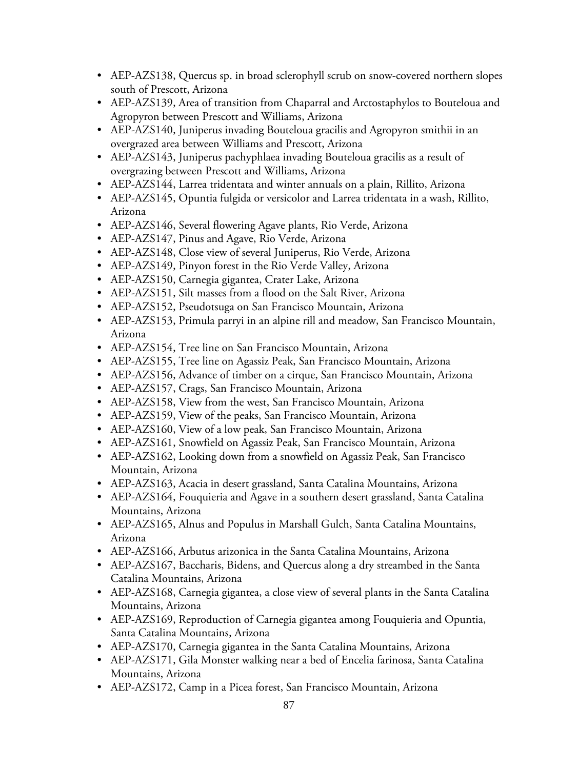- AEP-AZS138, Quercus sp. in broad sclerophyll scrub on snow-covered northern slopes south of Prescott, Arizona
- AEP-AZS139, Area of transition from Chaparral and Arctostaphylos to Bouteloua and Agropyron between Prescott and Williams, Arizona
- AEP-AZS140, Juniperus invading Bouteloua gracilis and Agropyron smithii in an overgrazed area between Williams and Prescott, Arizona
- AEP-AZS143, Juniperus pachyphlaea invading Bouteloua gracilis as a result of overgrazing between Prescott and Williams, Arizona
- AEP-AZS144, Larrea tridentata and winter annuals on a plain, Rillito, Arizona
- AEP-AZS145, Opuntia fulgida or versicolor and Larrea tridentata in a wash, Rillito, Arizona
- AEP-AZS146, Several flowering Agave plants, Rio Verde, Arizona
- AEP-AZS147, Pinus and Agave, Rio Verde, Arizona
- AEP-AZS148, Close view of several Juniperus, Rio Verde, Arizona
- AEP-AZS149, Pinyon forest in the Rio Verde Valley, Arizona
- AEP-AZS150, Carnegia gigantea, Crater Lake, Arizona
- AEP-AZS151, Silt masses from a flood on the Salt River, Arizona
- AEP-AZS152, Pseudotsuga on San Francisco Mountain, Arizona
- AEP-AZS153, Primula parryi in an alpine rill and meadow, San Francisco Mountain, Arizona
- AEP-AZS154, Tree line on San Francisco Mountain, Arizona
- AEP-AZS155, Tree line on Agassiz Peak, San Francisco Mountain, Arizona
- AEP-AZS156, Advance of timber on a cirque, San Francisco Mountain, Arizona
- AEP-AZS157, Crags, San Francisco Mountain, Arizona
- AEP-AZS158, View from the west, San Francisco Mountain, Arizona
- AEP-AZS159, View of the peaks, San Francisco Mountain, Arizona
- AEP-AZS160, View of a low peak, San Francisco Mountain, Arizona
- AEP-AZS161, Snowfield on Agassiz Peak, San Francisco Mountain, Arizona
- AEP-AZS162, Looking down from a snowfield on Agassiz Peak, San Francisco Mountain, Arizona
- AEP-AZS163, Acacia in desert grassland, Santa Catalina Mountains, Arizona
- AEP-AZS164, Fouquieria and Agave in a southern desert grassland, Santa Catalina Mountains, Arizona
- AEP-AZS165, Alnus and Populus in Marshall Gulch, Santa Catalina Mountains, Arizona
- AEP-AZS166, Arbutus arizonica in the Santa Catalina Mountains, Arizona
- AEP-AZS167, Baccharis, Bidens, and Quercus along a dry streambed in the Santa Catalina Mountains, Arizona
- AEP-AZS168, Carnegia gigantea, a close view of several plants in the Santa Catalina Mountains, Arizona
- AEP-AZS169, Reproduction of Carnegia gigantea among Fouquieria and Opuntia, Santa Catalina Mountains, Arizona
- AEP-AZS170, Carnegia gigantea in the Santa Catalina Mountains, Arizona
- AEP-AZS171, Gila Monster walking near a bed of Encelia farinosa, Santa Catalina Mountains, Arizona
- AEP-AZS172, Camp in a Picea forest, San Francisco Mountain, Arizona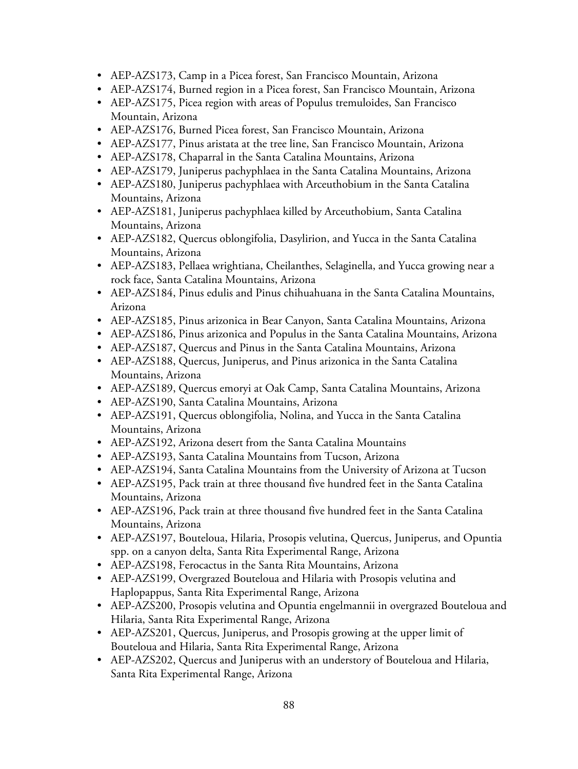- AEP-AZS173, Camp in a Picea forest, San Francisco Mountain, Arizona
- AEP-AZS174, Burned region in a Picea forest, San Francisco Mountain, Arizona
- AEP-AZS175, Picea region with areas of Populus tremuloides, San Francisco Mountain, Arizona
- AEP-AZS176, Burned Picea forest, San Francisco Mountain, Arizona
- AEP-AZS177, Pinus aristata at the tree line, San Francisco Mountain, Arizona
- AEP-AZS178, Chaparral in the Santa Catalina Mountains, Arizona
- AEP-AZS179, Juniperus pachyphlaea in the Santa Catalina Mountains, Arizona
- AEP-AZS180, Juniperus pachyphlaea with Arceuthobium in the Santa Catalina Mountains, Arizona
- AEP-AZS181, Juniperus pachyphlaea killed by Arceuthobium, Santa Catalina Mountains, Arizona
- AEP-AZS182, Quercus oblongifolia, Dasylirion, and Yucca in the Santa Catalina Mountains, Arizona
- AEP-AZS183, Pellaea wrightiana, Cheilanthes, Selaginella, and Yucca growing near a rock face, Santa Catalina Mountains, Arizona
- AEP-AZS184, Pinus edulis and Pinus chihuahuana in the Santa Catalina Mountains, Arizona
- AEP-AZS185, Pinus arizonica in Bear Canyon, Santa Catalina Mountains, Arizona
- AEP-AZS186, Pinus arizonica and Populus in the Santa Catalina Mountains, Arizona
- AEP-AZS187, Quercus and Pinus in the Santa Catalina Mountains, Arizona
- AEP-AZS188, Quercus, Juniperus, and Pinus arizonica in the Santa Catalina Mountains, Arizona
- AEP-AZS189, Quercus emoryi at Oak Camp, Santa Catalina Mountains, Arizona
- AEP-AZS190, Santa Catalina Mountains, Arizona
- AEP-AZS191, Quercus oblongifolia, Nolina, and Yucca in the Santa Catalina Mountains, Arizona
- AEP-AZS192, Arizona desert from the Santa Catalina Mountains
- AEP-AZS193, Santa Catalina Mountains from Tucson, Arizona
- AEP-AZS194, Santa Catalina Mountains from the University of Arizona at Tucson
- AEP-AZS195, Pack train at three thousand five hundred feet in the Santa Catalina Mountains, Arizona
- AEP-AZS196, Pack train at three thousand five hundred feet in the Santa Catalina Mountains, Arizona
- AEP-AZS197, Bouteloua, Hilaria, Prosopis velutina, Quercus, Juniperus, and Opuntia spp. on a canyon delta, Santa Rita Experimental Range, Arizona
- AEP-AZS198, Ferocactus in the Santa Rita Mountains, Arizona
- AEP-AZS199, Overgrazed Bouteloua and Hilaria with Prosopis velutina and Haplopappus, Santa Rita Experimental Range, Arizona
- AEP-AZS200, Prosopis velutina and Opuntia engelmannii in overgrazed Bouteloua and Hilaria, Santa Rita Experimental Range, Arizona
- AEP-AZS201, Quercus, Juniperus, and Prosopis growing at the upper limit of Bouteloua and Hilaria, Santa Rita Experimental Range, Arizona
- AEP-AZS202, Quercus and Juniperus with an understory of Bouteloua and Hilaria, Santa Rita Experimental Range, Arizona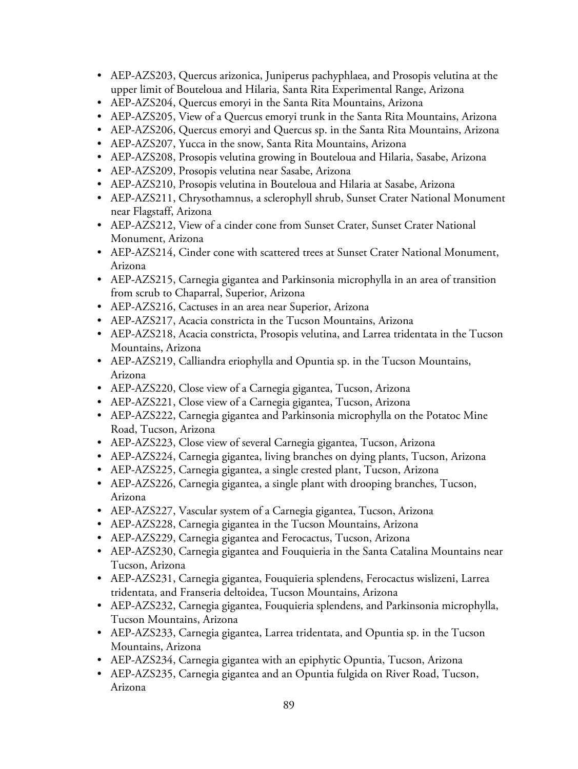- AEP-AZS203, Quercus arizonica, Juniperus pachyphlaea, and Prosopis velutina at the upper limit of Bouteloua and Hilaria, Santa Rita Experimental Range, Arizona
- AEP-AZS204, Quercus emoryi in the Santa Rita Mountains, Arizona
- AEP-AZS205, View of a Quercus emoryi trunk in the Santa Rita Mountains, Arizona
- AEP-AZS206, Quercus emoryi and Quercus sp. in the Santa Rita Mountains, Arizona
- AEP-AZS207, Yucca in the snow, Santa Rita Mountains, Arizona
- AEP-AZS208, Prosopis velutina growing in Bouteloua and Hilaria, Sasabe, Arizona
- AEP-AZS209, Prosopis velutina near Sasabe, Arizona
- AEP-AZS210, Prosopis velutina in Bouteloua and Hilaria at Sasabe, Arizona
- AEP-AZS211, Chrysothamnus, a sclerophyll shrub, Sunset Crater National Monument near Flagstaff, Arizona
- AEP-AZS212, View of a cinder cone from Sunset Crater, Sunset Crater National Monument, Arizona
- AEP-AZS214, Cinder cone with scattered trees at Sunset Crater National Monument, Arizona
- AEP-AZS215, Carnegia gigantea and Parkinsonia microphylla in an area of transition from scrub to Chaparral, Superior, Arizona
- AEP-AZS216, Cactuses in an area near Superior, Arizona
- AEP-AZS217, Acacia constricta in the Tucson Mountains, Arizona
- AEP-AZS218, Acacia constricta, Prosopis velutina, and Larrea tridentata in the Tucson Mountains, Arizona
- AEP-AZS219, Calliandra eriophylla and Opuntia sp. in the Tucson Mountains, Arizona
- AEP-AZS220, Close view of a Carnegia gigantea, Tucson, Arizona
- AEP-AZS221, Close view of a Carnegia gigantea, Tucson, Arizona
- AEP-AZS222, Carnegia gigantea and Parkinsonia microphylla on the Potatoc Mine Road, Tucson, Arizona
- AEP-AZS223, Close view of several Carnegia gigantea, Tucson, Arizona
- AEP-AZS224, Carnegia gigantea, living branches on dying plants, Tucson, Arizona
- AEP-AZS225, Carnegia gigantea, a single crested plant, Tucson, Arizona
- AEP-AZS226, Carnegia gigantea, a single plant with drooping branches, Tucson, Arizona
- AEP-AZS227, Vascular system of a Carnegia gigantea, Tucson, Arizona
- AEP-AZS228, Carnegia gigantea in the Tucson Mountains, Arizona
- AEP-AZS229, Carnegia gigantea and Ferocactus, Tucson, Arizona
- AEP-AZS230, Carnegia gigantea and Fouquieria in the Santa Catalina Mountains near Tucson, Arizona
- AEP-AZS231, Carnegia gigantea, Fouquieria splendens, Ferocactus wislizeni, Larrea tridentata, and Franseria deltoidea, Tucson Mountains, Arizona
- AEP-AZS232, Carnegia gigantea, Fouquieria splendens, and Parkinsonia microphylla, Tucson Mountains, Arizona
- AEP-AZS233, Carnegia gigantea, Larrea tridentata, and Opuntia sp. in the Tucson Mountains, Arizona
- AEP-AZS234, Carnegia gigantea with an epiphytic Opuntia, Tucson, Arizona
- AEP-AZS235, Carnegia gigantea and an Opuntia fulgida on River Road, Tucson, Arizona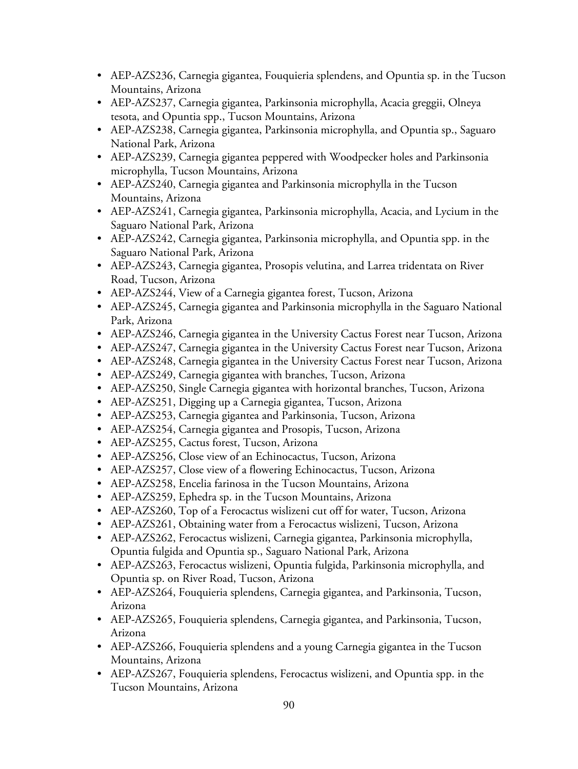- AEP-AZS236, Carnegia gigantea, Fouquieria splendens, and Opuntia sp. in the Tucson Mountains, Arizona
- AEP-AZS237, Carnegia gigantea, Parkinsonia microphylla, Acacia greggii, Olneya tesota, and Opuntia spp., Tucson Mountains, Arizona
- AEP-AZS238, Carnegia gigantea, Parkinsonia microphylla, and Opuntia sp., Saguaro National Park, Arizona
- AEP-AZS239, Carnegia gigantea peppered with Woodpecker holes and Parkinsonia microphylla, Tucson Mountains, Arizona
- AEP-AZS240, Carnegia gigantea and Parkinsonia microphylla in the Tucson Mountains, Arizona
- AEP-AZS241, Carnegia gigantea, Parkinsonia microphylla, Acacia, and Lycium in the Saguaro National Park, Arizona
- AEP-AZS242, Carnegia gigantea, Parkinsonia microphylla, and Opuntia spp. in the Saguaro National Park, Arizona
- AEP-AZS243, Carnegia gigantea, Prosopis velutina, and Larrea tridentata on River Road, Tucson, Arizona
- AEP-AZS244, View of a Carnegia gigantea forest, Tucson, Arizona
- AEP-AZS245, Carnegia gigantea and Parkinsonia microphylla in the Saguaro National Park, Arizona
- AEP-AZS246, Carnegia gigantea in the University Cactus Forest near Tucson, Arizona
- AEP-AZS247, Carnegia gigantea in the University Cactus Forest near Tucson, Arizona
- AEP-AZS248, Carnegia gigantea in the University Cactus Forest near Tucson, Arizona
- AEP-AZS249, Carnegia gigantea with branches, Tucson, Arizona
- AEP-AZS250, Single Carnegia gigantea with horizontal branches, Tucson, Arizona
- AEP-AZS251, Digging up a Carnegia gigantea, Tucson, Arizona
- AEP-AZS253, Carnegia gigantea and Parkinsonia, Tucson, Arizona
- AEP-AZS254, Carnegia gigantea and Prosopis, Tucson, Arizona
- AEP-AZS255, Cactus forest, Tucson, Arizona
- AEP-AZS256, Close view of an Echinocactus, Tucson, Arizona
- AEP-AZS257, Close view of a flowering Echinocactus, Tucson, Arizona
- AEP-AZS258, Encelia farinosa in the Tucson Mountains, Arizona
- AEP-AZS259, Ephedra sp. in the Tucson Mountains, Arizona
- AEP-AZS260, Top of a Ferocactus wislizeni cut off for water, Tucson, Arizona
- AEP-AZS261, Obtaining water from a Ferocactus wislizeni, Tucson, Arizona
- AEP-AZS262, Ferocactus wislizeni, Carnegia gigantea, Parkinsonia microphylla, Opuntia fulgida and Opuntia sp., Saguaro National Park, Arizona
- AEP-AZS263, Ferocactus wislizeni, Opuntia fulgida, Parkinsonia microphylla, and Opuntia sp. on River Road, Tucson, Arizona
- AEP-AZS264, Fouquieria splendens, Carnegia gigantea, and Parkinsonia, Tucson, Arizona
- AEP-AZS265, Fouquieria splendens, Carnegia gigantea, and Parkinsonia, Tucson, Arizona
- AEP-AZS266, Fouquieria splendens and a young Carnegia gigantea in the Tucson Mountains, Arizona
- AEP-AZS267, Fouquieria splendens, Ferocactus wislizeni, and Opuntia spp. in the Tucson Mountains, Arizona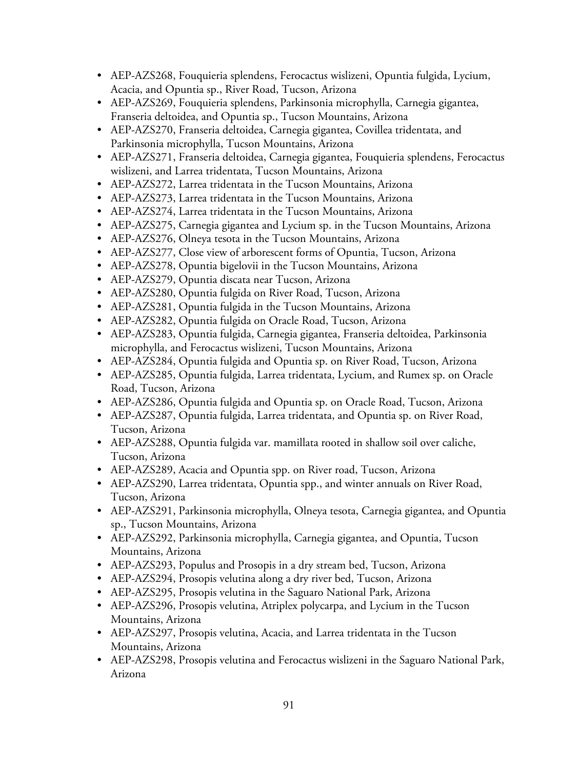- AEP-AZS268, Fouquieria splendens, Ferocactus wislizeni, Opuntia fulgida, Lycium, Acacia, and Opuntia sp., River Road, Tucson, Arizona
- AEP-AZS269, Fouquieria splendens, Parkinsonia microphylla, Carnegia gigantea, Franseria deltoidea, and Opuntia sp., Tucson Mountains, Arizona
- AEP-AZS270, Franseria deltoidea, Carnegia gigantea, Covillea tridentata, and Parkinsonia microphylla, Tucson Mountains, Arizona
- AEP-AZS271, Franseria deltoidea, Carnegia gigantea, Fouquieria splendens, Ferocactus wislizeni, and Larrea tridentata, Tucson Mountains, Arizona
- AEP-AZS272, Larrea tridentata in the Tucson Mountains, Arizona
- AEP-AZS273, Larrea tridentata in the Tucson Mountains, Arizona
- AEP-AZS274, Larrea tridentata in the Tucson Mountains, Arizona
- AEP-AZS275, Carnegia gigantea and Lycium sp. in the Tucson Mountains, Arizona
- AEP-AZS276, Olneya tesota in the Tucson Mountains, Arizona
- AEP-AZS277, Close view of arborescent forms of Opuntia, Tucson, Arizona
- AEP-AZS278, Opuntia bigelovii in the Tucson Mountains, Arizona
- AEP-AZS279, Opuntia discata near Tucson, Arizona
- AEP-AZS280, Opuntia fulgida on River Road, Tucson, Arizona
- AEP-AZS281, Opuntia fulgida in the Tucson Mountains, Arizona
- AEP-AZS282, Opuntia fulgida on Oracle Road, Tucson, Arizona
- AEP-AZS283, Opuntia fulgida, Carnegia gigantea, Franseria deltoidea, Parkinsonia microphylla, and Ferocactus wislizeni, Tucson Mountains, Arizona
- AEP-AZS284, Opuntia fulgida and Opuntia sp. on River Road, Tucson, Arizona
- AEP-AZS285, Opuntia fulgida, Larrea tridentata, Lycium, and Rumex sp. on Oracle Road, Tucson, Arizona
- AEP-AZS286, Opuntia fulgida and Opuntia sp. on Oracle Road, Tucson, Arizona
- AEP-AZS287, Opuntia fulgida, Larrea tridentata, and Opuntia sp. on River Road, Tucson, Arizona
- AEP-AZS288, Opuntia fulgida var. mamillata rooted in shallow soil over caliche, Tucson, Arizona
- AEP-AZS289, Acacia and Opuntia spp. on River road, Tucson, Arizona
- AEP-AZS290, Larrea tridentata, Opuntia spp., and winter annuals on River Road, Tucson, Arizona
- AEP-AZS291, Parkinsonia microphylla, Olneya tesota, Carnegia gigantea, and Opuntia sp., Tucson Mountains, Arizona
- AEP-AZS292, Parkinsonia microphylla, Carnegia gigantea, and Opuntia, Tucson Mountains, Arizona
- AEP-AZS293, Populus and Prosopis in a dry stream bed, Tucson, Arizona
- AEP-AZS294, Prosopis velutina along a dry river bed, Tucson, Arizona
- AEP-AZS295, Prosopis velutina in the Saguaro National Park, Arizona
- AEP-AZS296, Prosopis velutina, Atriplex polycarpa, and Lycium in the Tucson Mountains, Arizona
- AEP-AZS297, Prosopis velutina, Acacia, and Larrea tridentata in the Tucson Mountains, Arizona
- AEP-AZS298, Prosopis velutina and Ferocactus wislizeni in the Saguaro National Park, Arizona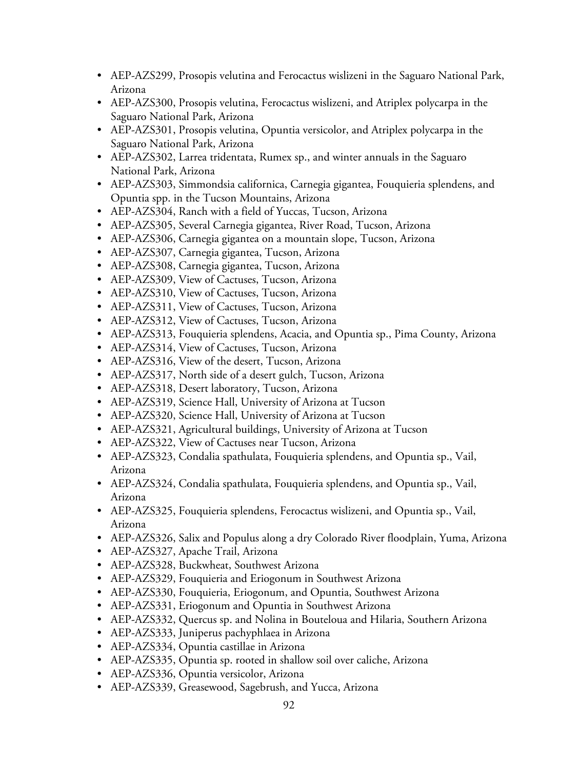- AEP-AZS299, Prosopis velutina and Ferocactus wislizeni in the Saguaro National Park, Arizona
- AEP-AZS300, Prosopis velutina, Ferocactus wislizeni, and Atriplex polycarpa in the Saguaro National Park, Arizona
- AEP-AZS301, Prosopis velutina, Opuntia versicolor, and Atriplex polycarpa in the Saguaro National Park, Arizona
- AEP-AZS302, Larrea tridentata, Rumex sp., and winter annuals in the Saguaro National Park, Arizona
- AEP-AZS303, Simmondsia californica, Carnegia gigantea, Fouquieria splendens, and Opuntia spp. in the Tucson Mountains, Arizona
- AEP-AZS304, Ranch with a field of Yuccas, Tucson, Arizona
- AEP-AZS305, Several Carnegia gigantea, River Road, Tucson, Arizona
- AEP-AZS306, Carnegia gigantea on a mountain slope, Tucson, Arizona
- AEP-AZS307, Carnegia gigantea, Tucson, Arizona
- AEP-AZS308, Carnegia gigantea, Tucson, Arizona
- AEP-AZS309, View of Cactuses, Tucson, Arizona
- AEP-AZS310, View of Cactuses, Tucson, Arizona
- AEP-AZS311, View of Cactuses, Tucson, Arizona
- AEP-AZS312, View of Cactuses, Tucson, Arizona
- AEP-AZS313, Fouquieria splendens, Acacia, and Opuntia sp., Pima County, Arizona
- AEP-AZS314, View of Cactuses, Tucson, Arizona
- AEP-AZS316, View of the desert, Tucson, Arizona
- AEP-AZS317, North side of a desert gulch, Tucson, Arizona
- AEP-AZS318, Desert laboratory, Tucson, Arizona
- AEP-AZS319, Science Hall, University of Arizona at Tucson
- AEP-AZS320, Science Hall, University of Arizona at Tucson
- AEP-AZS321, Agricultural buildings, University of Arizona at Tucson
- AEP-AZS322, View of Cactuses near Tucson, Arizona
- AEP-AZS323, Condalia spathulata, Fouquieria splendens, and Opuntia sp., Vail, Arizona
- AEP-AZS324, Condalia spathulata, Fouquieria splendens, and Opuntia sp., Vail, Arizona
- AEP-AZS325, Fouquieria splendens, Ferocactus wislizeni, and Opuntia sp., Vail, Arizona
- AEP-AZS326, Salix and Populus along a dry Colorado River floodplain, Yuma, Arizona
- AEP-AZS327, Apache Trail, Arizona
- AEP-AZS328, Buckwheat, Southwest Arizona
- AEP-AZS329, Fouquieria and Eriogonum in Southwest Arizona
- AEP-AZS330, Fouquieria, Eriogonum, and Opuntia, Southwest Arizona
- AEP-AZS331, Eriogonum and Opuntia in Southwest Arizona
- AEP-AZS332, Quercus sp. and Nolina in Bouteloua and Hilaria, Southern Arizona
- AEP-AZS333, Juniperus pachyphlaea in Arizona
- AEP-AZS334, Opuntia castillae in Arizona
- AEP-AZS335, Opuntia sp. rooted in shallow soil over caliche, Arizona
- AEP-AZS336, Opuntia versicolor, Arizona
- AEP-AZS339, Greasewood, Sagebrush, and Yucca, Arizona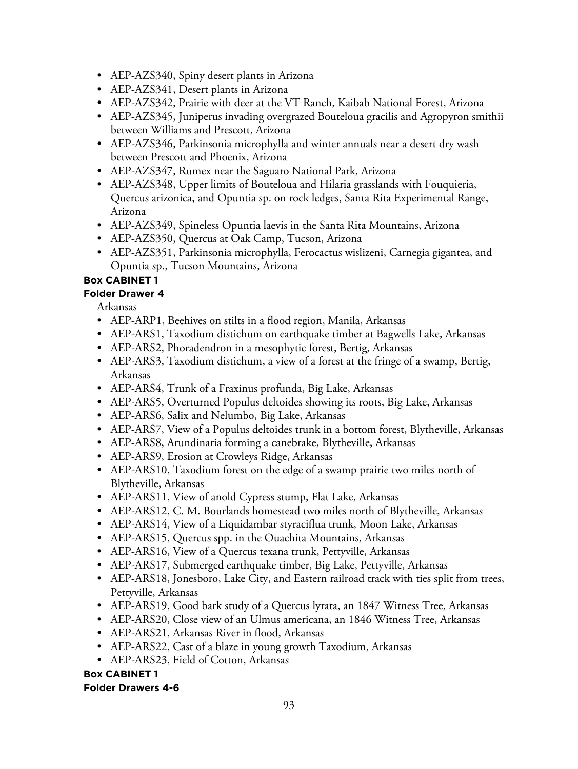- AEP-AZS340, Spiny desert plants in Arizona
- AEP-AZS341, Desert plants in Arizona
- AEP-AZS342, Prairie with deer at the VT Ranch, Kaibab National Forest, Arizona
- AEP-AZS345, Juniperus invading overgrazed Bouteloua gracilis and Agropyron smithii between Williams and Prescott, Arizona
- AEP-AZS346, Parkinsonia microphylla and winter annuals near a desert dry wash between Prescott and Phoenix, Arizona
- AEP-AZS347, Rumex near the Saguaro National Park, Arizona
- AEP-AZS348, Upper limits of Bouteloua and Hilaria grasslands with Fouquieria, Quercus arizonica, and Opuntia sp. on rock ledges, Santa Rita Experimental Range, Arizona
- AEP-AZS349, Spineless Opuntia laevis in the Santa Rita Mountains, Arizona
- AEP-AZS350, Quercus at Oak Camp, Tucson, Arizona
- AEP-AZS351, Parkinsonia microphylla, Ferocactus wislizeni, Carnegia gigantea, and Opuntia sp., Tucson Mountains, Arizona

### **Box CABINET 1**

### **Folder Drawer 4**

Arkansas

- AEP-ARP1, Beehives on stilts in a flood region, Manila, Arkansas
- AEP-ARS1, Taxodium distichum on earthquake timber at Bagwells Lake, Arkansas
- AEP-ARS2, Phoradendron in a mesophytic forest, Bertig, Arkansas
- AEP-ARS3, Taxodium distichum, a view of a forest at the fringe of a swamp, Bertig, Arkansas
- AEP-ARS4, Trunk of a Fraxinus profunda, Big Lake, Arkansas
- AEP-ARS5, Overturned Populus deltoides showing its roots, Big Lake, Arkansas
- AEP-ARS6, Salix and Nelumbo, Big Lake, Arkansas
- AEP-ARS7, View of a Populus deltoides trunk in a bottom forest, Blytheville, Arkansas
- AEP-ARS8, Arundinaria forming a canebrake, Blytheville, Arkansas
- AEP-ARS9, Erosion at Crowleys Ridge, Arkansas
- AEP-ARS10, Taxodium forest on the edge of a swamp prairie two miles north of Blytheville, Arkansas
- AEP-ARS11, View of anold Cypress stump, Flat Lake, Arkansas
- AEP-ARS12, C. M. Bourlands homestead two miles north of Blytheville, Arkansas
- AEP-ARS14, View of a Liquidambar styraciflua trunk, Moon Lake, Arkansas
- AEP-ARS15, Quercus spp. in the Ouachita Mountains, Arkansas
- AEP-ARS16, View of a Quercus texana trunk, Pettyville, Arkansas
- AEP-ARS17, Submerged earthquake timber, Big Lake, Pettyville, Arkansas
- AEP-ARS18, Jonesboro, Lake City, and Eastern railroad track with ties split from trees, Pettyville, Arkansas
- AEP-ARS19, Good bark study of a Quercus lyrata, an 1847 Witness Tree, Arkansas
- AEP-ARS20, Close view of an Ulmus americana, an 1846 Witness Tree, Arkansas
- AEP-ARS21, Arkansas River in flood, Arkansas
- AEP-ARS22, Cast of a blaze in young growth Taxodium, Arkansas
- AEP-ARS23, Field of Cotton, Arkansas

#### **Box CABINET 1 Folder Drawers 4-6**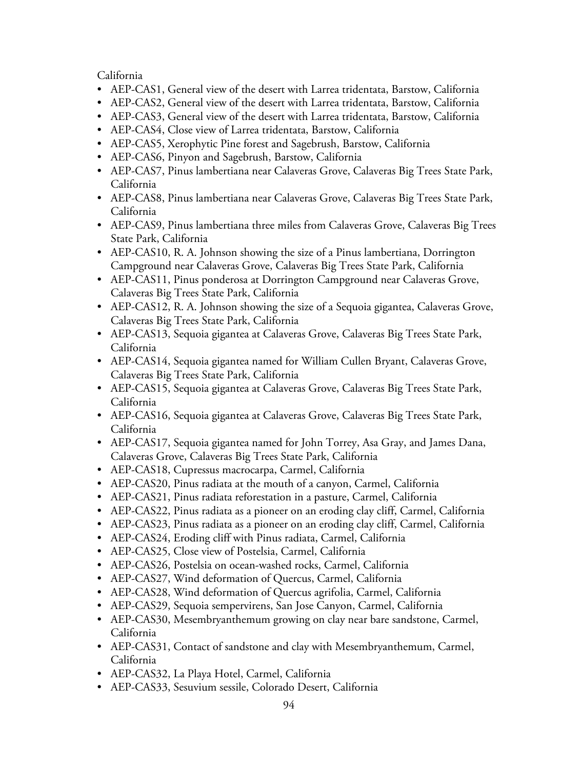California

- AEP-CAS1, General view of the desert with Larrea tridentata, Barstow, California
- AEP-CAS2, General view of the desert with Larrea tridentata, Barstow, California
- AEP-CAS3, General view of the desert with Larrea tridentata, Barstow, California
- AEP-CAS4, Close view of Larrea tridentata, Barstow, California
- AEP-CAS5, Xerophytic Pine forest and Sagebrush, Barstow, California
- AEP-CAS6, Pinyon and Sagebrush, Barstow, California
- AEP-CAS7, Pinus lambertiana near Calaveras Grove, Calaveras Big Trees State Park, California
- AEP-CAS8, Pinus lambertiana near Calaveras Grove, Calaveras Big Trees State Park, California
- AEP-CAS9, Pinus lambertiana three miles from Calaveras Grove, Calaveras Big Trees State Park, California
- AEP-CAS10, R. A. Johnson showing the size of a Pinus lambertiana, Dorrington Campground near Calaveras Grove, Calaveras Big Trees State Park, California
- AEP-CAS11, Pinus ponderosa at Dorrington Campground near Calaveras Grove, Calaveras Big Trees State Park, California
- AEP-CAS12, R. A. Johnson showing the size of a Sequoia gigantea, Calaveras Grove, Calaveras Big Trees State Park, California
- AEP-CAS13, Sequoia gigantea at Calaveras Grove, Calaveras Big Trees State Park, California
- AEP-CAS14, Sequoia gigantea named for William Cullen Bryant, Calaveras Grove, Calaveras Big Trees State Park, California
- AEP-CAS15, Sequoia gigantea at Calaveras Grove, Calaveras Big Trees State Park, California
- AEP-CAS16, Sequoia gigantea at Calaveras Grove, Calaveras Big Trees State Park, California
- AEP-CAS17, Sequoia gigantea named for John Torrey, Asa Gray, and James Dana, Calaveras Grove, Calaveras Big Trees State Park, California
- AEP-CAS18, Cupressus macrocarpa, Carmel, California
- AEP-CAS20, Pinus radiata at the mouth of a canyon, Carmel, California
- AEP-CAS21, Pinus radiata reforestation in a pasture, Carmel, California
- AEP-CAS22, Pinus radiata as a pioneer on an eroding clay cliff, Carmel, California
- AEP-CAS23, Pinus radiata as a pioneer on an eroding clay cliff, Carmel, California
- AEP-CAS24, Eroding cliff with Pinus radiata, Carmel, California
- AEP-CAS25, Close view of Postelsia, Carmel, California
- AEP-CAS26, Postelsia on ocean-washed rocks, Carmel, California
- AEP-CAS27, Wind deformation of Quercus, Carmel, California
- AEP-CAS28, Wind deformation of Quercus agrifolia, Carmel, California
- AEP-CAS29, Sequoia sempervirens, San Jose Canyon, Carmel, California
- AEP-CAS30, Mesembryanthemum growing on clay near bare sandstone, Carmel, California
- AEP-CAS31, Contact of sandstone and clay with Mesembryanthemum, Carmel, California
- AEP-CAS32, La Playa Hotel, Carmel, California
- AEP-CAS33, Sesuvium sessile, Colorado Desert, California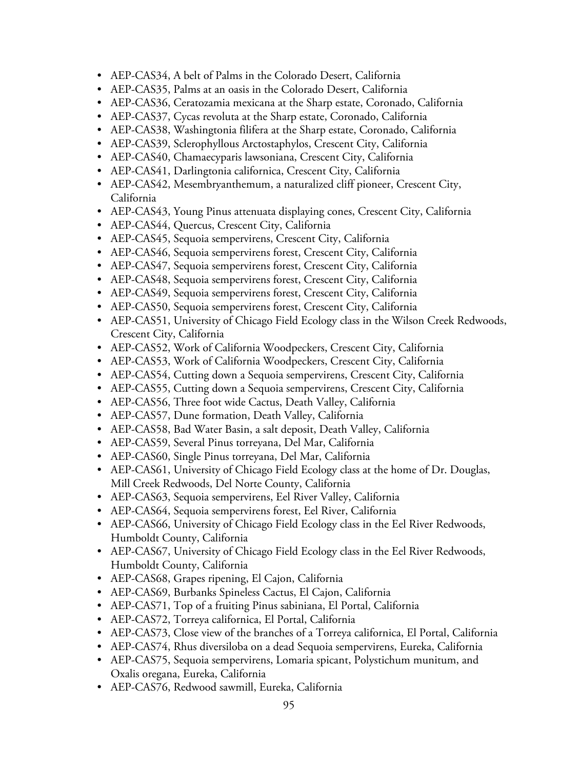- AEP-CAS34, A belt of Palms in the Colorado Desert, California
- AEP-CAS35, Palms at an oasis in the Colorado Desert, California
- AEP-CAS36, Ceratozamia mexicana at the Sharp estate, Coronado, California
- AEP-CAS37, Cycas revoluta at the Sharp estate, Coronado, California
- AEP-CAS38, Washingtonia filifera at the Sharp estate, Coronado, California
- AEP-CAS39, Sclerophyllous Arctostaphylos, Crescent City, California
- AEP-CAS40, Chamaecyparis lawsoniana, Crescent City, California
- AEP-CAS41, Darlingtonia californica, Crescent City, California
- AEP-CAS42, Mesembryanthemum, a naturalized cliff pioneer, Crescent City, California
- AEP-CAS43, Young Pinus attenuata displaying cones, Crescent City, California
- AEP-CAS44, Quercus, Crescent City, California
- AEP-CAS45, Sequoia sempervirens, Crescent City, California
- AEP-CAS46, Sequoia sempervirens forest, Crescent City, California
- AEP-CAS47, Sequoia sempervirens forest, Crescent City, California
- AEP-CAS48, Sequoia sempervirens forest, Crescent City, California
- AEP-CAS49, Sequoia sempervirens forest, Crescent City, California
- AEP-CAS50, Sequoia sempervirens forest, Crescent City, California
- AEP-CAS51, University of Chicago Field Ecology class in the Wilson Creek Redwoods, Crescent City, California
- AEP-CAS52, Work of California Woodpeckers, Crescent City, California
- AEP-CAS53, Work of California Woodpeckers, Crescent City, California
- AEP-CAS54, Cutting down a Sequoia sempervirens, Crescent City, California
- AEP-CAS55, Cutting down a Sequoia sempervirens, Crescent City, California
- AEP-CAS56, Three foot wide Cactus, Death Valley, California
- AEP-CAS57, Dune formation, Death Valley, California
- AEP-CAS58, Bad Water Basin, a salt deposit, Death Valley, California
- AEP-CAS59, Several Pinus torreyana, Del Mar, California
- AEP-CAS60, Single Pinus torreyana, Del Mar, California
- AEP-CAS61, University of Chicago Field Ecology class at the home of Dr. Douglas, Mill Creek Redwoods, Del Norte County, California
- AEP-CAS63, Sequoia sempervirens, Eel River Valley, California
- AEP-CAS64, Sequoia sempervirens forest, Eel River, California
- AEP-CAS66, University of Chicago Field Ecology class in the Eel River Redwoods, Humboldt County, California
- AEP-CAS67, University of Chicago Field Ecology class in the Eel River Redwoods, Humboldt County, California
- AEP-CAS68, Grapes ripening, El Cajon, California
- AEP-CAS69, Burbanks Spineless Cactus, El Cajon, California
- AEP-CAS71, Top of a fruiting Pinus sabiniana, El Portal, California
- AEP-CAS72, Torreya californica, El Portal, California
- AEP-CAS73, Close view of the branches of a Torreya californica, El Portal, California
- AEP-CAS74, Rhus diversiloba on a dead Sequoia sempervirens, Eureka, California
- AEP-CAS75, Sequoia sempervirens, Lomaria spicant, Polystichum munitum, and Oxalis oregana, Eureka, California
- AEP-CAS76, Redwood sawmill, Eureka, California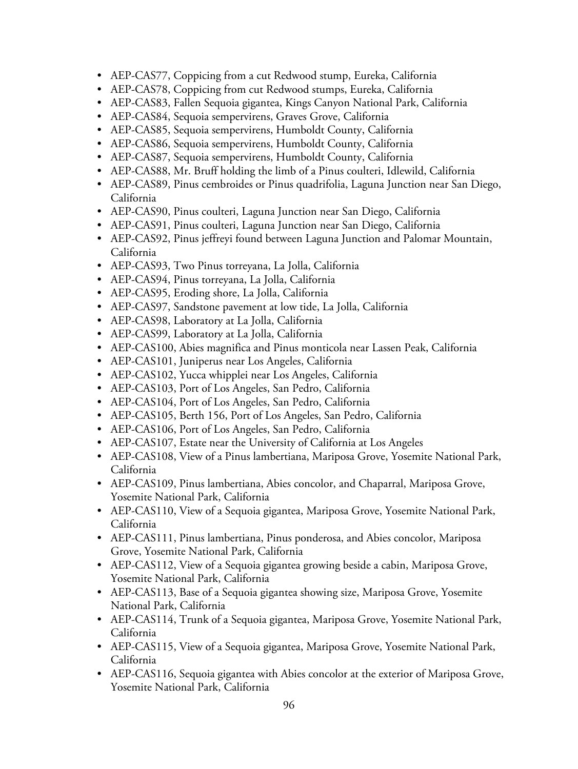- AEP-CAS77, Coppicing from a cut Redwood stump, Eureka, California
- AEP-CAS78, Coppicing from cut Redwood stumps, Eureka, California
- AEP-CAS83, Fallen Sequoia gigantea, Kings Canyon National Park, California
- AEP-CAS84, Sequoia sempervirens, Graves Grove, California
- AEP-CAS85, Sequoia sempervirens, Humboldt County, California
- AEP-CAS86, Sequoia sempervirens, Humboldt County, California
- AEP-CAS87, Sequoia sempervirens, Humboldt County, California
- AEP-CAS88, Mr. Bruff holding the limb of a Pinus coulteri, Idlewild, California
- AEP-CAS89, Pinus cembroides or Pinus quadrifolia, Laguna Junction near San Diego, California
- AEP-CAS90, Pinus coulteri, Laguna Junction near San Diego, California
- AEP-CAS91, Pinus coulteri, Laguna Junction near San Diego, California
- AEP-CAS92, Pinus jeffreyi found between Laguna Junction and Palomar Mountain, California
- AEP-CAS93, Two Pinus torreyana, La Jolla, California
- AEP-CAS94, Pinus torreyana, La Jolla, California
- AEP-CAS95, Eroding shore, La Jolla, California
- AEP-CAS97, Sandstone pavement at low tide, La Jolla, California
- AEP-CAS98, Laboratory at La Jolla, California
- AEP-CAS99, Laboratory at La Jolla, California
- AEP-CAS100, Abies magnifica and Pinus monticola near Lassen Peak, California
- AEP-CAS101, Juniperus near Los Angeles, California
- AEP-CAS102, Yucca whipplei near Los Angeles, California
- AEP-CAS103, Port of Los Angeles, San Pedro, California
- AEP-CAS104, Port of Los Angeles, San Pedro, California
- AEP-CAS105, Berth 156, Port of Los Angeles, San Pedro, California
- AEP-CAS106, Port of Los Angeles, San Pedro, California
- AEP-CAS107, Estate near the University of California at Los Angeles
- AEP-CAS108, View of a Pinus lambertiana, Mariposa Grove, Yosemite National Park, California
- AEP-CAS109, Pinus lambertiana, Abies concolor, and Chaparral, Mariposa Grove, Yosemite National Park, California
- AEP-CAS110, View of a Sequoia gigantea, Mariposa Grove, Yosemite National Park, California
- AEP-CAS111, Pinus lambertiana, Pinus ponderosa, and Abies concolor, Mariposa Grove, Yosemite National Park, California
- AEP-CAS112, View of a Sequoia gigantea growing beside a cabin, Mariposa Grove, Yosemite National Park, California
- AEP-CAS113, Base of a Sequoia gigantea showing size, Mariposa Grove, Yosemite National Park, California
- AEP-CAS114, Trunk of a Sequoia gigantea, Mariposa Grove, Yosemite National Park, California
- AEP-CAS115, View of a Sequoia gigantea, Mariposa Grove, Yosemite National Park, California
- AEP-CAS116, Sequoia gigantea with Abies concolor at the exterior of Mariposa Grove, Yosemite National Park, California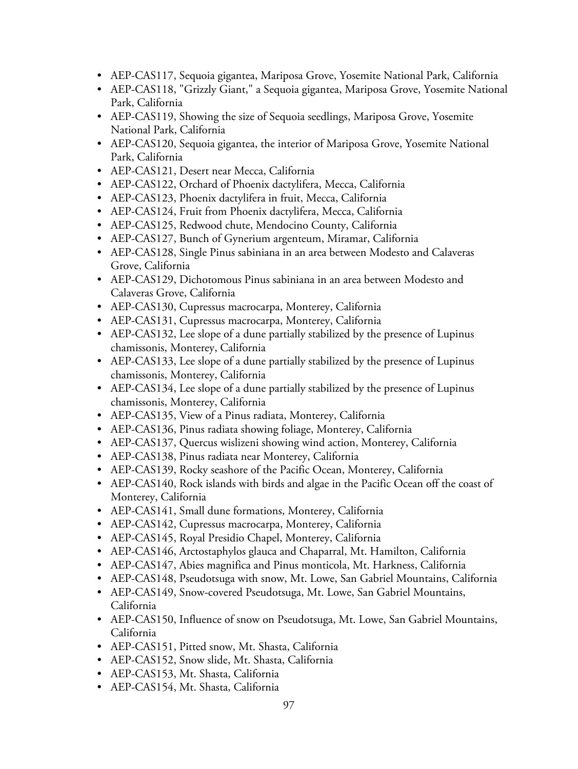- AEP-CAS117, Sequoia gigantea, Mariposa Grove, Yosemite National Park, California
- AEP-CAS118, "Grizzly Giant," a Sequoia gigantea, Mariposa Grove, Yosemite National Park, California
- AEP-CAS119, Showing the size of Sequoia seedlings, Mariposa Grove, Yosemite National Park, California
- AEP-CAS120, Sequoia gigantea, the interior of Mariposa Grove, Yosemite National Park, California
- AEP-CAS121, Desert near Mecca, California
- AEP-CAS122, Orchard of Phoenix dactylifera, Mecca, California
- AEP-CAS123, Phoenix dactylifera in fruit, Mecca, California
- AEP-CAS124, Fruit from Phoenix dactylifera, Mecca, California
- AEP-CAS125, Redwood chute, Mendocino County, California
- AEP-CAS127, Bunch of Gynerium argenteum, Miramar, California
- AEP-CAS128, Single Pinus sabiniana in an area between Modesto and Calaveras Grove, California
- AEP-CAS129, Dichotomous Pinus sabiniana in an area between Modesto and Calaveras Grove, California
- AEP-CAS130, Cupressus macrocarpa, Monterey, California
- AEP-CAS131, Cupressus macrocarpa, Monterey, California
- AEP-CAS132, Lee slope of a dune partially stabilized by the presence of Lupinus chamissonis, Monterey, California
- AEP-CAS133, Lee slope of a dune partially stabilized by the presence of Lupinus chamissonis, Monterey, California
- AEP-CAS134, Lee slope of a dune partially stabilized by the presence of Lupinus chamissonis, Monterey, California
- AEP-CAS135, View of a Pinus radiata, Monterey, California
- AEP-CAS136, Pinus radiata showing foliage, Monterey, California
- AEP-CAS137, Quercus wislizeni showing wind action, Monterey, California
- AEP-CAS138, Pinus radiata near Monterey, California
- AEP-CAS139, Rocky seashore of the Pacific Ocean, Monterey, California
- AEP-CAS140, Rock islands with birds and algae in the Pacific Ocean off the coast of Monterey, California
- AEP-CAS141, Small dune formations, Monterey, California
- AEP-CAS142, Cupressus macrocarpa, Monterey, California
- AEP-CAS145, Royal Presidio Chapel, Monterey, California
- AEP-CAS146, Arctostaphylos glauca and Chaparral, Mt. Hamilton, California
- AEP-CAS147, Abies magnifica and Pinus monticola, Mt. Harkness, California
- AEP-CAS148, Pseudotsuga with snow, Mt. Lowe, San Gabriel Mountains, California
- AEP-CAS149, Snow-covered Pseudotsuga, Mt. Lowe, San Gabriel Mountains, California
- AEP-CAS150, Influence of snow on Pseudotsuga, Mt. Lowe, San Gabriel Mountains, California
- AEP-CAS151, Pitted snow, Mt. Shasta, California
- AEP-CAS152, Snow slide, Mt. Shasta, California
- AEP-CAS153, Mt. Shasta, California
- AEP-CAS154, Mt. Shasta, California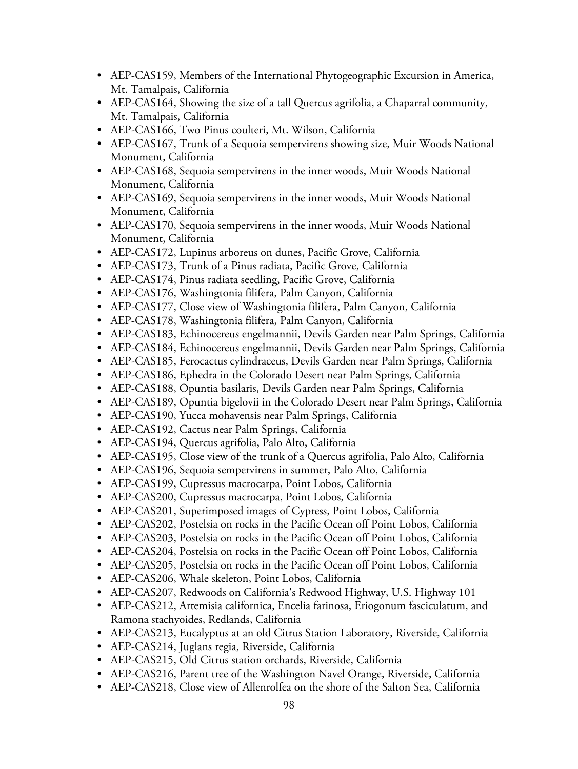- AEP-CAS159, Members of the International Phytogeographic Excursion in America, Mt. Tamalpais, California
- AEP-CAS164, Showing the size of a tall Quercus agrifolia, a Chaparral community, Mt. Tamalpais, California
- AEP-CAS166, Two Pinus coulteri, Mt. Wilson, California
- AEP-CAS167, Trunk of a Sequoia sempervirens showing size, Muir Woods National Monument, California
- AEP-CAS168, Sequoia sempervirens in the inner woods, Muir Woods National Monument, California
- AEP-CAS169, Sequoia sempervirens in the inner woods, Muir Woods National Monument, California
- AEP-CAS170, Sequoia sempervirens in the inner woods, Muir Woods National Monument, California
- AEP-CAS172, Lupinus arboreus on dunes, Pacific Grove, California
- AEP-CAS173, Trunk of a Pinus radiata, Pacific Grove, California
- AEP-CAS174, Pinus radiata seedling, Pacific Grove, California
- AEP-CAS176, Washingtonia filifera, Palm Canyon, California
- AEP-CAS177, Close view of Washingtonia filifera, Palm Canyon, California
- AEP-CAS178, Washingtonia filifera, Palm Canyon, California
- AEP-CAS183, Echinocereus engelmannii, Devils Garden near Palm Springs, California
- AEP-CAS184, Echinocereus engelmannii, Devils Garden near Palm Springs, California
- AEP-CAS185, Ferocactus cylindraceus, Devils Garden near Palm Springs, California
- AEP-CAS186, Ephedra in the Colorado Desert near Palm Springs, California
- AEP-CAS188, Opuntia basilaris, Devils Garden near Palm Springs, California
- AEP-CAS189, Opuntia bigelovii in the Colorado Desert near Palm Springs, California
- AEP-CAS190, Yucca mohavensis near Palm Springs, California
- AEP-CAS192, Cactus near Palm Springs, California
- AEP-CAS194, Quercus agrifolia, Palo Alto, California
- AEP-CAS195, Close view of the trunk of a Quercus agrifolia, Palo Alto, California
- AEP-CAS196, Sequoia sempervirens in summer, Palo Alto, California
- AEP-CAS199, Cupressus macrocarpa, Point Lobos, California
- AEP-CAS200, Cupressus macrocarpa, Point Lobos, California
- AEP-CAS201, Superimposed images of Cypress, Point Lobos, California
- AEP-CAS202, Postelsia on rocks in the Pacific Ocean off Point Lobos, California
- AEP-CAS203, Postelsia on rocks in the Pacific Ocean off Point Lobos, California
- AEP-CAS204, Postelsia on rocks in the Pacific Ocean off Point Lobos, California
- AEP-CAS205, Postelsia on rocks in the Pacific Ocean off Point Lobos, California
- AEP-CAS206, Whale skeleton, Point Lobos, California
- AEP-CAS207, Redwoods on California's Redwood Highway, U.S. Highway 101
- AEP-CAS212, Artemisia californica, Encelia farinosa, Eriogonum fasciculatum, and Ramona stachyoides, Redlands, California
- AEP-CAS213, Eucalyptus at an old Citrus Station Laboratory, Riverside, California
- AEP-CAS214, Juglans regia, Riverside, California
- AEP-CAS215, Old Citrus station orchards, Riverside, California
- AEP-CAS216, Parent tree of the Washington Navel Orange, Riverside, California
- AEP-CAS218, Close view of Allenrolfea on the shore of the Salton Sea, California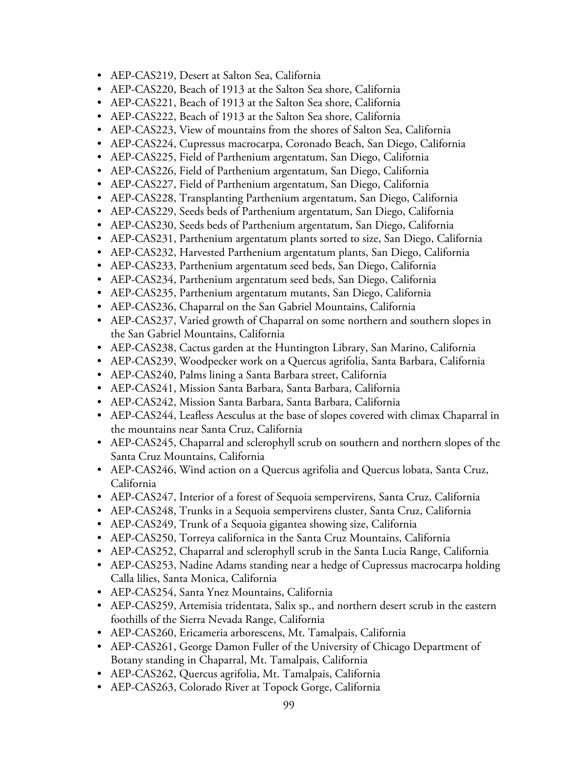- AEP-CAS219, Desert at Salton Sea, California
- AEP-CAS220, Beach of 1913 at the Salton Sea shore, California
- AEP-CAS221, Beach of 1913 at the Salton Sea shore, California
- AEP-CAS222, Beach of 1913 at the Salton Sea shore, California
- AEP-CAS223, View of mountains from the shores of Salton Sea, California
- AEP-CAS224, Cupressus macrocarpa, Coronado Beach, San Diego, California
- AEP-CAS225, Field of Parthenium argentatum, San Diego, California
- AEP-CAS226, Field of Parthenium argentatum, San Diego, California
- AEP-CAS227, Field of Parthenium argentatum, San Diego, California
- AEP-CAS228, Transplanting Parthenium argentatum, San Diego, California
- AEP-CAS229, Seeds beds of Parthenium argentatum, San Diego, California
- AEP-CAS230, Seeds beds of Parthenium argentatum, San Diego, California
- AEP-CAS231, Parthenium argentatum plants sorted to size, San Diego, California
- AEP-CAS232, Harvested Parthenium argentatum plants, San Diego, California
- AEP-CAS233, Parthenium argentatum seed beds, San Diego, California
- AEP-CAS234, Parthenium argentatum seed beds, San Diego, California
- AEP-CAS235, Parthenium argentatum mutants, San Diego, California
- AEP-CAS236, Chaparral on the San Gabriel Mountains, California
- AEP-CAS237, Varied growth of Chaparral on some northern and southern slopes in the San Gabriel Mountains, California
- AEP-CAS238, Cactus garden at the Huntington Library, San Marino, California
- AEP-CAS239, Woodpecker work on a Quercus agrifolia, Santa Barbara, California
- AEP-CAS240, Palms lining a Santa Barbara street, California
- AEP-CAS241, Mission Santa Barbara, Santa Barbara, California
- AEP-CAS242, Mission Santa Barbara, Santa Barbara, California
- AEP-CAS244, Leafless Aesculus at the base of slopes covered with climax Chaparral in the mountains near Santa Cruz, California
- AEP-CAS245, Chaparral and sclerophyll scrub on southern and northern slopes of the Santa Cruz Mountains, California
- AEP-CAS246, Wind action on a Quercus agrifolia and Quercus lobata, Santa Cruz, California
- AEP-CAS247, Interior of a forest of Sequoia sempervirens, Santa Cruz, California
- AEP-CAS248, Trunks in a Sequoia sempervirens cluster, Santa Cruz, California
- AEP-CAS249, Trunk of a Sequoia gigantea showing size, California
- AEP-CAS250, Torreya californica in the Santa Cruz Mountains, California
- AEP-CAS252, Chaparral and sclerophyll scrub in the Santa Lucia Range, California
- AEP-CAS253, Nadine Adams standing near a hedge of Cupressus macrocarpa holding Calla lilies, Santa Monica, California
- AEP-CAS254, Santa Ynez Mountains, California
- AEP-CAS259, Artemisia tridentata, Salix sp., and northern desert scrub in the eastern foothills of the Sierra Nevada Range, California
- AEP-CAS260, Ericameria arborescens, Mt. Tamalpais, California
- AEP-CAS261, George Damon Fuller of the University of Chicago Department of Botany standing in Chaparral, Mt. Tamalpais, California
- AEP-CAS262, Quercus agrifolia, Mt. Tamalpais, California
- AEP-CAS263, Colorado River at Topock Gorge, California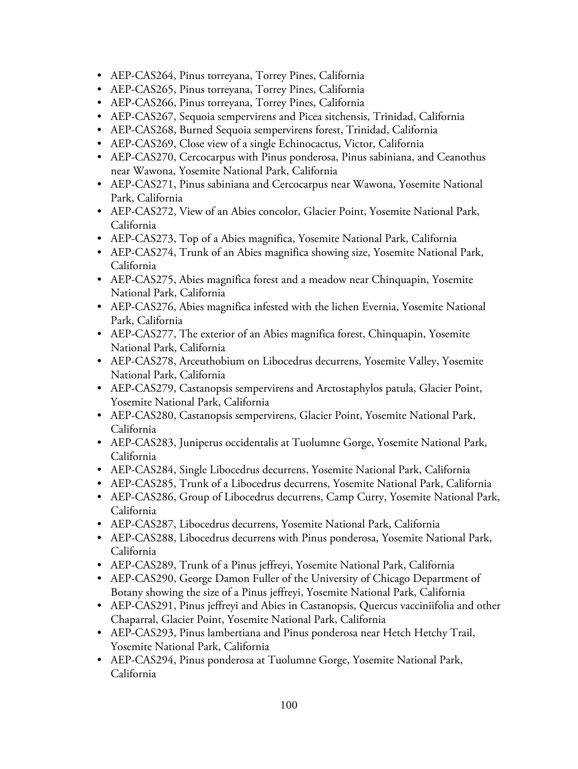- AEP-CAS264, Pinus torreyana, Torrey Pines, California
- AEP-CAS265, Pinus torreyana, Torrey Pines, California
- AEP-CAS266, Pinus torreyana, Torrey Pines, California
- AEP-CAS267, Sequoia sempervirens and Picea sitchensis, Trinidad, California
- AEP-CAS268, Burned Sequoia sempervirens forest, Trinidad, California
- AEP-CAS269, Close view of a single Echinocactus, Victor, California
- AEP-CAS270, Cercocarpus with Pinus ponderosa, Pinus sabiniana, and Ceanothus near Wawona, Yosemite National Park, California
- AEP-CAS271, Pinus sabiniana and Cercocarpus near Wawona, Yosemite National Park, California
- AEP-CAS272, View of an Abies concolor, Glacier Point, Yosemite National Park, California
- AEP-CAS273, Top of a Abies magnifica, Yosemite National Park, California
- AEP-CAS274, Trunk of an Abies magnifica showing size, Yosemite National Park, California
- AEP-CAS275, Abies magnifica forest and a meadow near Chinquapin, Yosemite National Park, California
- AEP-CAS276, Abies magnifica infested with the lichen Evernia, Yosemite National Park, California
- AEP-CAS277, The exterior of an Abies magnifica forest, Chinquapin, Yosemite National Park, California
- AEP-CAS278, Arceuthobium on Libocedrus decurrens, Yosemite Valley, Yosemite National Park, California
- AEP-CAS279, Castanopsis sempervirens and Arctostaphylos patula, Glacier Point, Yosemite National Park, California
- AEP-CAS280, Castanopsis sempervirens, Glacier Point, Yosemite National Park, California
- AEP-CAS283, Juniperus occidentalis at Tuolumne Gorge, Yosemite National Park, California
- AEP-CAS284, Single Libocedrus decurrens, Yosemite National Park, California
- AEP-CAS285, Trunk of a Libocedrus decurrens, Yosemite National Park, California
- AEP-CAS286, Group of Libocedrus decurrens, Camp Curry, Yosemite National Park, California
- AEP-CAS287, Libocedrus decurrens, Yosemite National Park, California
- AEP-CAS288, Libocedrus decurrens with Pinus ponderosa, Yosemite National Park, California
- AEP-CAS289, Trunk of a Pinus jeffreyi, Yosemite National Park, California
- AEP-CAS290, George Damon Fuller of the University of Chicago Department of Botany showing the size of a Pinus jeffreyi, Yosemite National Park, California
- AEP-CAS291, Pinus jeffreyi and Abies in Castanopsis, Quercus vacciniifolia and other Chaparral, Glacier Point, Yosemite National Park, California
- AEP-CAS293, Pinus lambertiana and Pinus ponderosa near Hetch Hetchy Trail, Yosemite National Park, California
- AEP-CAS294, Pinus ponderosa at Tuolumne Gorge, Yosemite National Park, California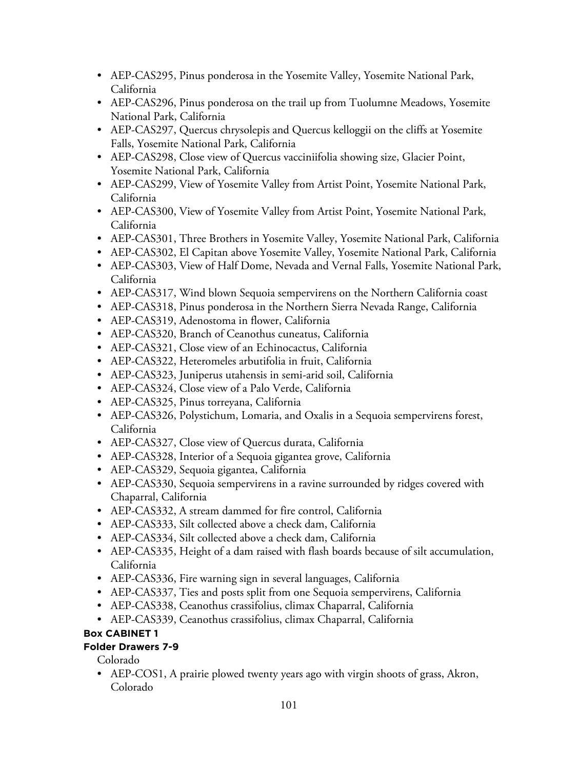- AEP-CAS295, Pinus ponderosa in the Yosemite Valley, Yosemite National Park, California
- AEP-CAS296, Pinus ponderosa on the trail up from Tuolumne Meadows, Yosemite National Park, California
- AEP-CAS297, Quercus chrysolepis and Quercus kelloggii on the cliffs at Yosemite Falls, Yosemite National Park, California
- AEP-CAS298, Close view of Quercus vacciniifolia showing size, Glacier Point, Yosemite National Park, California
- AEP-CAS299, View of Yosemite Valley from Artist Point, Yosemite National Park, California
- AEP-CAS300, View of Yosemite Valley from Artist Point, Yosemite National Park, California
- AEP-CAS301, Three Brothers in Yosemite Valley, Yosemite National Park, California
- AEP-CAS302, El Capitan above Yosemite Valley, Yosemite National Park, California
- AEP-CAS303, View of Half Dome, Nevada and Vernal Falls, Yosemite National Park, California
- AEP-CAS317, Wind blown Sequoia sempervirens on the Northern California coast
- AEP-CAS318, Pinus ponderosa in the Northern Sierra Nevada Range, California
- AEP-CAS319, Adenostoma in flower, California
- AEP-CAS320, Branch of Ceanothus cuneatus, California
- AEP-CAS321, Close view of an Echinocactus, California
- AEP-CAS322, Heteromeles arbutifolia in fruit, California
- AEP-CAS323, Juniperus utahensis in semi-arid soil, California
- AEP-CAS324, Close view of a Palo Verde, California
- AEP-CAS325, Pinus torreyana, California
- AEP-CAS326, Polystichum, Lomaria, and Oxalis in a Sequoia sempervirens forest, California
- AEP-CAS327, Close view of Quercus durata, California
- AEP-CAS328, Interior of a Sequoia gigantea grove, California
- AEP-CAS329, Sequoia gigantea, California
- AEP-CAS330, Sequoia sempervirens in a ravine surrounded by ridges covered with Chaparral, California
- AEP-CAS332, A stream dammed for fire control, California
- AEP-CAS333, Silt collected above a check dam, California
- AEP-CAS334, Silt collected above a check dam, California
- AEP-CAS335, Height of a dam raised with flash boards because of silt accumulation, California
- AEP-CAS336, Fire warning sign in several languages, California
- AEP-CAS337, Ties and posts split from one Sequoia sempervirens, California
- AEP-CAS338, Ceanothus crassifolius, climax Chaparral, California
- AEP-CAS339, Ceanothus crassifolius, climax Chaparral, California

### **Box CABINET 1**

### **Folder Drawers 7-9**

Colorado

• AEP-COS1, A prairie plowed twenty years ago with virgin shoots of grass, Akron, Colorado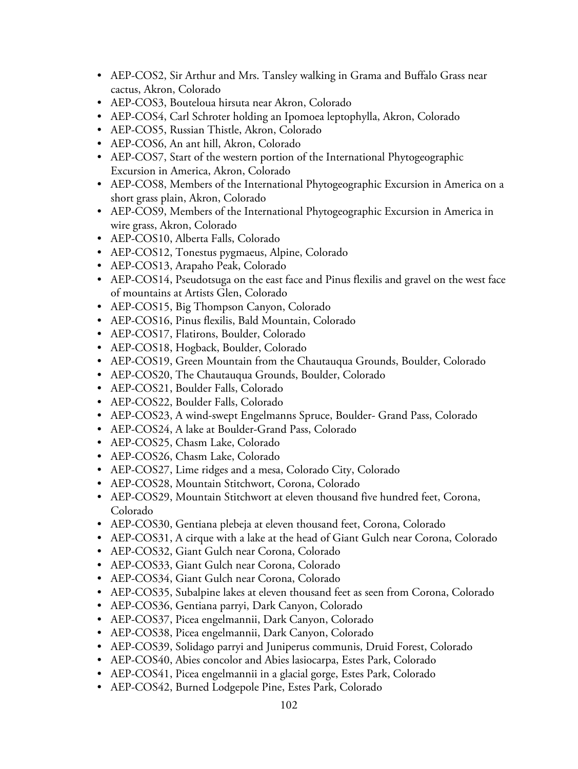- AEP-COS2, Sir Arthur and Mrs. Tansley walking in Grama and Buffalo Grass near cactus, Akron, Colorado
- AEP-COS3, Bouteloua hirsuta near Akron, Colorado
- AEP-COS4, Carl Schroter holding an Ipomoea leptophylla, Akron, Colorado
- AEP-COS5, Russian Thistle, Akron, Colorado
- AEP-COS6, An ant hill, Akron, Colorado
- AEP-COS7, Start of the western portion of the International Phytogeographic Excursion in America, Akron, Colorado
- AEP-COS8, Members of the International Phytogeographic Excursion in America on a short grass plain, Akron, Colorado
- AEP-COS9, Members of the International Phytogeographic Excursion in America in wire grass, Akron, Colorado
- AEP-COS10, Alberta Falls, Colorado
- AEP-COS12, Tonestus pygmaeus, Alpine, Colorado
- AEP-COS13, Arapaho Peak, Colorado
- AEP-COS14, Pseudotsuga on the east face and Pinus flexilis and gravel on the west face of mountains at Artists Glen, Colorado
- AEP-COS15, Big Thompson Canyon, Colorado
- AEP-COS16, Pinus flexilis, Bald Mountain, Colorado
- AEP-COS17, Flatirons, Boulder, Colorado
- AEP-COS18, Hogback, Boulder, Colorado
- AEP-COS19, Green Mountain from the Chautauqua Grounds, Boulder, Colorado
- AEP-COS20, The Chautauqua Grounds, Boulder, Colorado
- AEP-COS21, Boulder Falls, Colorado
- AEP-COS22, Boulder Falls, Colorado
- AEP-COS23, A wind-swept Engelmanns Spruce, Boulder- Grand Pass, Colorado
- AEP-COS24, A lake at Boulder-Grand Pass, Colorado
- AEP-COS25, Chasm Lake, Colorado
- AEP-COS26, Chasm Lake, Colorado
- AEP-COS27, Lime ridges and a mesa, Colorado City, Colorado
- AEP-COS28, Mountain Stitchwort, Corona, Colorado
- AEP-COS29, Mountain Stitchwort at eleven thousand five hundred feet, Corona, Colorado
- AEP-COS30, Gentiana plebeja at eleven thousand feet, Corona, Colorado
- AEP-COS31, A cirque with a lake at the head of Giant Gulch near Corona, Colorado
- AEP-COS32, Giant Gulch near Corona, Colorado
- AEP-COS33, Giant Gulch near Corona, Colorado
- AEP-COS34, Giant Gulch near Corona, Colorado
- AEP-COS35, Subalpine lakes at eleven thousand feet as seen from Corona, Colorado
- AEP-COS36, Gentiana parryi, Dark Canyon, Colorado
- AEP-COS37, Picea engelmannii, Dark Canyon, Colorado
- AEP-COS38, Picea engelmannii, Dark Canyon, Colorado
- AEP-COS39, Solidago parryi and Juniperus communis, Druid Forest, Colorado
- AEP-COS40, Abies concolor and Abies lasiocarpa, Estes Park, Colorado
- AEP-COS41, Picea engelmannii in a glacial gorge, Estes Park, Colorado
- AEP-COS42, Burned Lodgepole Pine, Estes Park, Colorado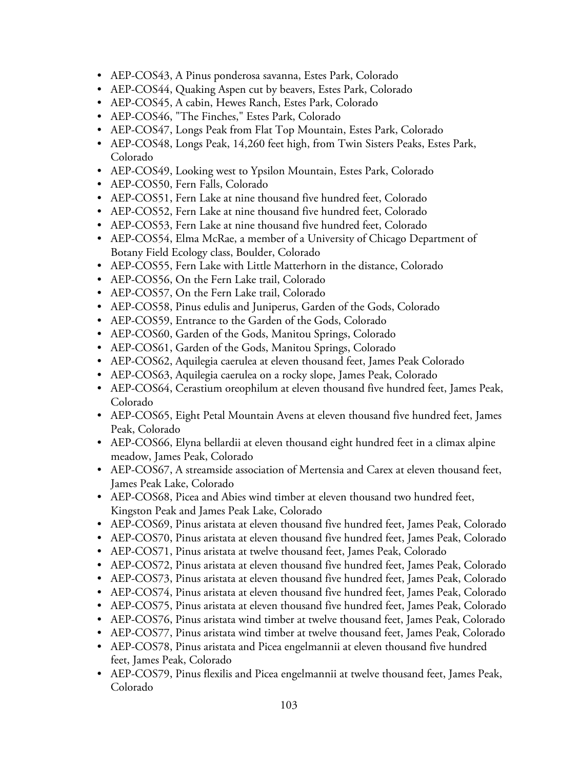- AEP-COS43, A Pinus ponderosa savanna, Estes Park, Colorado
- AEP-COS44, Quaking Aspen cut by beavers, Estes Park, Colorado
- AEP-COS45, A cabin, Hewes Ranch, Estes Park, Colorado
- AEP-COS46, "The Finches," Estes Park, Colorado
- AEP-COS47, Longs Peak from Flat Top Mountain, Estes Park, Colorado
- AEP-COS48, Longs Peak, 14,260 feet high, from Twin Sisters Peaks, Estes Park, Colorado
- AEP-COS49, Looking west to Ypsilon Mountain, Estes Park, Colorado
- AEP-COS50, Fern Falls, Colorado
- AEP-COS51, Fern Lake at nine thousand five hundred feet, Colorado
- AEP-COS52, Fern Lake at nine thousand five hundred feet, Colorado
- AEP-COS53, Fern Lake at nine thousand five hundred feet, Colorado
- AEP-COS54, Elma McRae, a member of a University of Chicago Department of Botany Field Ecology class, Boulder, Colorado
- AEP-COS55, Fern Lake with Little Matterhorn in the distance, Colorado
- AEP-COS56, On the Fern Lake trail, Colorado
- AEP-COS57, On the Fern Lake trail, Colorado
- AEP-COS58, Pinus edulis and Juniperus, Garden of the Gods, Colorado
- AEP-COS59, Entrance to the Garden of the Gods, Colorado
- AEP-COS60, Garden of the Gods, Manitou Springs, Colorado
- AEP-COS61, Garden of the Gods, Manitou Springs, Colorado
- AEP-COS62, Aquilegia caerulea at eleven thousand feet, James Peak Colorado
- AEP-COS63, Aquilegia caerulea on a rocky slope, James Peak, Colorado
- AEP-COS64, Cerastium oreophilum at eleven thousand five hundred feet, James Peak, Colorado
- AEP-COS65, Eight Petal Mountain Avens at eleven thousand five hundred feet, James Peak, Colorado
- AEP-COS66, Elyna bellardii at eleven thousand eight hundred feet in a climax alpine meadow, James Peak, Colorado
- AEP-COS67, A streamside association of Mertensia and Carex at eleven thousand feet, James Peak Lake, Colorado
- AEP-COS68, Picea and Abies wind timber at eleven thousand two hundred feet, Kingston Peak and James Peak Lake, Colorado
- AEP-COS69, Pinus aristata at eleven thousand five hundred feet, James Peak, Colorado
- AEP-COS70, Pinus aristata at eleven thousand five hundred feet, James Peak, Colorado
- AEP-COS71, Pinus aristata at twelve thousand feet, James Peak, Colorado
- AEP-COS72, Pinus aristata at eleven thousand five hundred feet, James Peak, Colorado
- AEP-COS73, Pinus aristata at eleven thousand five hundred feet, James Peak, Colorado
- AEP-COS74, Pinus aristata at eleven thousand five hundred feet, James Peak, Colorado
- AEP-COS75, Pinus aristata at eleven thousand five hundred feet, James Peak, Colorado
- AEP-COS76, Pinus aristata wind timber at twelve thousand feet, James Peak, Colorado
- AEP-COS77, Pinus aristata wind timber at twelve thousand feet, James Peak, Colorado
- AEP-COS78, Pinus aristata and Picea engelmannii at eleven thousand five hundred feet, James Peak, Colorado
- AEP-COS79, Pinus flexilis and Picea engelmannii at twelve thousand feet, James Peak, Colorado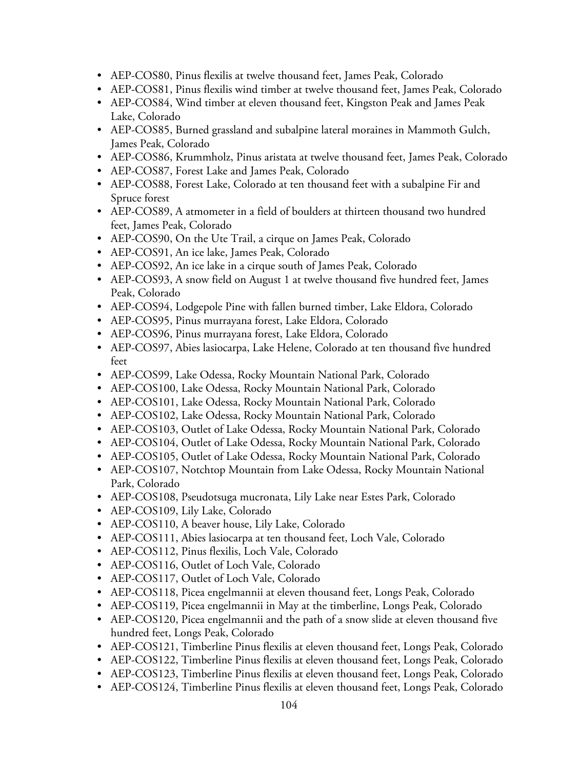- AEP-COS80, Pinus flexilis at twelve thousand feet, James Peak, Colorado
- AEP-COS81, Pinus flexilis wind timber at twelve thousand feet, James Peak, Colorado
- AEP-COS84, Wind timber at eleven thousand feet, Kingston Peak and James Peak Lake, Colorado
- AEP-COS85, Burned grassland and subalpine lateral moraines in Mammoth Gulch, James Peak, Colorado
- AEP-COS86, Krummholz, Pinus aristata at twelve thousand feet, James Peak, Colorado
- AEP-COS87, Forest Lake and James Peak, Colorado
- AEP-COS88, Forest Lake, Colorado at ten thousand feet with a subalpine Fir and Spruce forest
- AEP-COS89, A atmometer in a field of boulders at thirteen thousand two hundred feet, James Peak, Colorado
- AEP-COS90, On the Ute Trail, a cirque on James Peak, Colorado
- AEP-COS91, An ice lake, James Peak, Colorado
- AEP-COS92, An ice lake in a cirque south of James Peak, Colorado
- AEP-COS93, A snow field on August 1 at twelve thousand five hundred feet, James Peak, Colorado
- AEP-COS94, Lodgepole Pine with fallen burned timber, Lake Eldora, Colorado
- AEP-COS95, Pinus murrayana forest, Lake Eldora, Colorado
- AEP-COS96, Pinus murrayana forest, Lake Eldora, Colorado
- AEP-COS97, Abies lasiocarpa, Lake Helene, Colorado at ten thousand five hundred feet
- AEP-COS99, Lake Odessa, Rocky Mountain National Park, Colorado
- AEP-COS100, Lake Odessa, Rocky Mountain National Park, Colorado
- AEP-COS101, Lake Odessa, Rocky Mountain National Park, Colorado
- AEP-COS102, Lake Odessa, Rocky Mountain National Park, Colorado
- AEP-COS103, Outlet of Lake Odessa, Rocky Mountain National Park, Colorado
- AEP-COS104, Outlet of Lake Odessa, Rocky Mountain National Park, Colorado
- AEP-COS105, Outlet of Lake Odessa, Rocky Mountain National Park, Colorado
- AEP-COS107, Notchtop Mountain from Lake Odessa, Rocky Mountain National Park, Colorado
- AEP-COS108, Pseudotsuga mucronata, Lily Lake near Estes Park, Colorado
- AEP-COS109, Lily Lake, Colorado
- AEP-COS110, A beaver house, Lily Lake, Colorado
- AEP-COS111, Abies lasiocarpa at ten thousand feet, Loch Vale, Colorado
- AEP-COS112, Pinus flexilis, Loch Vale, Colorado
- AEP-COS116, Outlet of Loch Vale, Colorado
- AEP-COS117, Outlet of Loch Vale, Colorado
- AEP-COS118, Picea engelmannii at eleven thousand feet, Longs Peak, Colorado
- AEP-COS119, Picea engelmannii in May at the timberline, Longs Peak, Colorado
- AEP-COS120, Picea engelmannii and the path of a snow slide at eleven thousand five hundred feet, Longs Peak, Colorado
- AEP-COS121, Timberline Pinus flexilis at eleven thousand feet, Longs Peak, Colorado
- AEP-COS122, Timberline Pinus flexilis at eleven thousand feet, Longs Peak, Colorado
- AEP-COS123, Timberline Pinus flexilis at eleven thousand feet, Longs Peak, Colorado
- AEP-COS124, Timberline Pinus flexilis at eleven thousand feet, Longs Peak, Colorado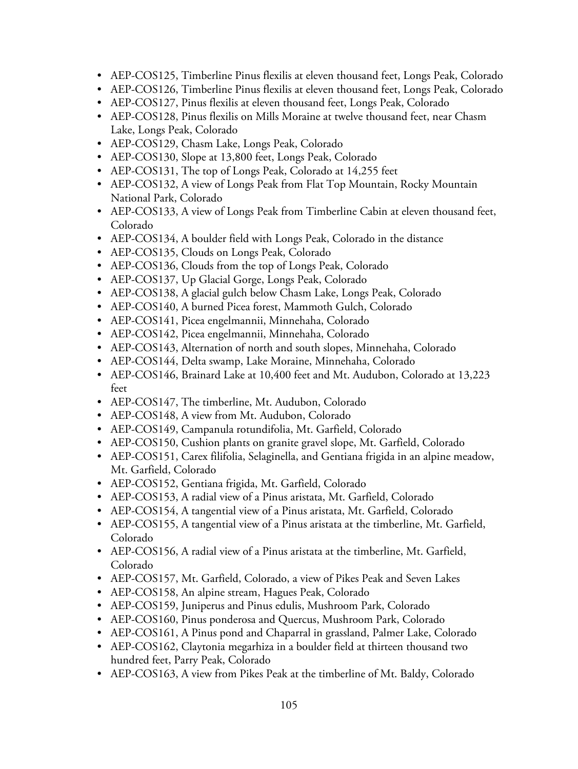- AEP-COS125, Timberline Pinus flexilis at eleven thousand feet, Longs Peak, Colorado
- AEP-COS126, Timberline Pinus flexilis at eleven thousand feet, Longs Peak, Colorado
- AEP-COS127, Pinus flexilis at eleven thousand feet, Longs Peak, Colorado
- AEP-COS128, Pinus flexilis on Mills Moraine at twelve thousand feet, near Chasm Lake, Longs Peak, Colorado
- AEP-COS129, Chasm Lake, Longs Peak, Colorado
- AEP-COS130, Slope at 13,800 feet, Longs Peak, Colorado
- AEP-COS131, The top of Longs Peak, Colorado at 14,255 feet
- AEP-COS132, A view of Longs Peak from Flat Top Mountain, Rocky Mountain National Park, Colorado
- AEP-COS133, A view of Longs Peak from Timberline Cabin at eleven thousand feet, Colorado
- AEP-COS134, A boulder field with Longs Peak, Colorado in the distance
- AEP-COS135, Clouds on Longs Peak, Colorado
- AEP-COS136, Clouds from the top of Longs Peak, Colorado
- AEP-COS137, Up Glacial Gorge, Longs Peak, Colorado
- AEP-COS138, A glacial gulch below Chasm Lake, Longs Peak, Colorado
- AEP-COS140, A burned Picea forest, Mammoth Gulch, Colorado
- AEP-COS141, Picea engelmannii, Minnehaha, Colorado
- AEP-COS142, Picea engelmannii, Minnehaha, Colorado
- AEP-COS143, Alternation of north and south slopes, Minnehaha, Colorado
- AEP-COS144, Delta swamp, Lake Moraine, Minnehaha, Colorado
- AEP-COS146, Brainard Lake at 10,400 feet and Mt. Audubon, Colorado at 13,223 feet
- AEP-COS147, The timberline, Mt. Audubon, Colorado
- AEP-COS148, A view from Mt. Audubon, Colorado
- AEP-COS149, Campanula rotundifolia, Mt. Garfield, Colorado
- AEP-COS150, Cushion plants on granite gravel slope, Mt. Garfield, Colorado
- AEP-COS151, Carex filifolia, Selaginella, and Gentiana frigida in an alpine meadow, Mt. Garfield, Colorado
- AEP-COS152, Gentiana frigida, Mt. Garfield, Colorado
- AEP-COS153, A radial view of a Pinus aristata, Mt. Garfield, Colorado
- AEP-COS154, A tangential view of a Pinus aristata, Mt. Garfield, Colorado
- AEP-COS155, A tangential view of a Pinus aristata at the timberline, Mt. Garfield, Colorado
- AEP-COS156, A radial view of a Pinus aristata at the timberline, Mt. Garfield, Colorado
- AEP-COS157, Mt. Garfield, Colorado, a view of Pikes Peak and Seven Lakes
- AEP-COS158, An alpine stream, Hagues Peak, Colorado
- AEP-COS159, Juniperus and Pinus edulis, Mushroom Park, Colorado
- AEP-COS160, Pinus ponderosa and Quercus, Mushroom Park, Colorado
- AEP-COS161, A Pinus pond and Chaparral in grassland, Palmer Lake, Colorado
- AEP-COS162, Claytonia megarhiza in a boulder field at thirteen thousand two hundred feet, Parry Peak, Colorado
- AEP-COS163, A view from Pikes Peak at the timberline of Mt. Baldy, Colorado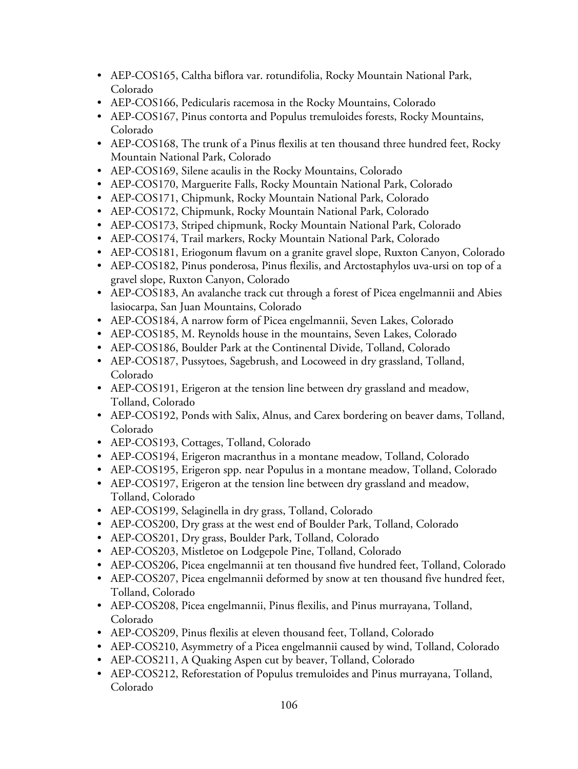- AEP-COS165, Caltha biflora var. rotundifolia, Rocky Mountain National Park, Colorado
- AEP-COS166, Pedicularis racemosa in the Rocky Mountains, Colorado
- AEP-COS167, Pinus contorta and Populus tremuloides forests, Rocky Mountains, Colorado
- AEP-COS168, The trunk of a Pinus flexilis at ten thousand three hundred feet, Rocky Mountain National Park, Colorado
- AEP-COS169, Silene acaulis in the Rocky Mountains, Colorado
- AEP-COS170, Marguerite Falls, Rocky Mountain National Park, Colorado
- AEP-COS171, Chipmunk, Rocky Mountain National Park, Colorado
- AEP-COS172, Chipmunk, Rocky Mountain National Park, Colorado
- AEP-COS173, Striped chipmunk, Rocky Mountain National Park, Colorado
- AEP-COS174, Trail markers, Rocky Mountain National Park, Colorado
- AEP-COS181, Eriogonum flavum on a granite gravel slope, Ruxton Canyon, Colorado
- AEP-COS182, Pinus ponderosa, Pinus flexilis, and Arctostaphylos uva-ursi on top of a gravel slope, Ruxton Canyon, Colorado
- AEP-COS183, An avalanche track cut through a forest of Picea engelmannii and Abies lasiocarpa, San Juan Mountains, Colorado
- AEP-COS184, A narrow form of Picea engelmannii, Seven Lakes, Colorado
- AEP-COS185, M. Reynolds house in the mountains, Seven Lakes, Colorado
- AEP-COS186, Boulder Park at the Continental Divide, Tolland, Colorado
- AEP-COS187, Pussytoes, Sagebrush, and Locoweed in dry grassland, Tolland, Colorado
- AEP-COS191, Erigeron at the tension line between dry grassland and meadow, Tolland, Colorado
- AEP-COS192, Ponds with Salix, Alnus, and Carex bordering on beaver dams, Tolland, Colorado
- AEP-COS193, Cottages, Tolland, Colorado
- AEP-COS194, Erigeron macranthus in a montane meadow, Tolland, Colorado
- AEP-COS195, Erigeron spp. near Populus in a montane meadow, Tolland, Colorado
- AEP-COS197, Erigeron at the tension line between dry grassland and meadow, Tolland, Colorado
- AEP-COS199, Selaginella in dry grass, Tolland, Colorado
- AEP-COS200, Dry grass at the west end of Boulder Park, Tolland, Colorado
- AEP-COS201, Dry grass, Boulder Park, Tolland, Colorado
- AEP-COS203, Mistletoe on Lodgepole Pine, Tolland, Colorado
- AEP-COS206, Picea engelmannii at ten thousand five hundred feet, Tolland, Colorado
- AEP-COS207, Picea engelmannii deformed by snow at ten thousand five hundred feet, Tolland, Colorado
- AEP-COS208, Picea engelmannii, Pinus flexilis, and Pinus murrayana, Tolland, Colorado
- AEP-COS209, Pinus flexilis at eleven thousand feet, Tolland, Colorado
- AEP-COS210, Asymmetry of a Picea engelmannii caused by wind, Tolland, Colorado
- AEP-COS211, A Quaking Aspen cut by beaver, Tolland, Colorado
- AEP-COS212, Reforestation of Populus tremuloides and Pinus murrayana, Tolland, Colorado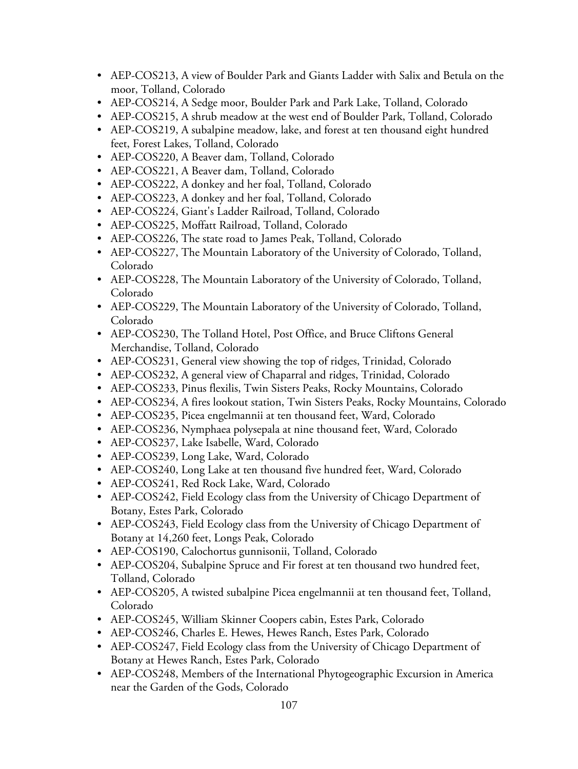- AEP-COS213, A view of Boulder Park and Giants Ladder with Salix and Betula on the moor, Tolland, Colorado
- AEP-COS214, A Sedge moor, Boulder Park and Park Lake, Tolland, Colorado
- AEP-COS215, A shrub meadow at the west end of Boulder Park, Tolland, Colorado
- AEP-COS219, A subalpine meadow, lake, and forest at ten thousand eight hundred feet, Forest Lakes, Tolland, Colorado
- AEP-COS220, A Beaver dam, Tolland, Colorado
- AEP-COS221, A Beaver dam, Tolland, Colorado
- AEP-COS222, A donkey and her foal, Tolland, Colorado
- AEP-COS223, A donkey and her foal, Tolland, Colorado
- AEP-COS224, Giant's Ladder Railroad, Tolland, Colorado
- AEP-COS225, Moffatt Railroad, Tolland, Colorado
- AEP-COS226, The state road to James Peak, Tolland, Colorado
- AEP-COS227, The Mountain Laboratory of the University of Colorado, Tolland, Colorado
- AEP-COS228, The Mountain Laboratory of the University of Colorado, Tolland, Colorado
- AEP-COS229, The Mountain Laboratory of the University of Colorado, Tolland, Colorado
- AEP-COS230, The Tolland Hotel, Post Office, and Bruce Cliftons General Merchandise, Tolland, Colorado
- AEP-COS231, General view showing the top of ridges, Trinidad, Colorado
- AEP-COS232, A general view of Chaparral and ridges, Trinidad, Colorado
- AEP-COS233, Pinus flexilis, Twin Sisters Peaks, Rocky Mountains, Colorado
- AEP-COS234, A fires lookout station, Twin Sisters Peaks, Rocky Mountains, Colorado
- AEP-COS235, Picea engelmannii at ten thousand feet, Ward, Colorado
- AEP-COS236, Nymphaea polysepala at nine thousand feet, Ward, Colorado
- AEP-COS237, Lake Isabelle, Ward, Colorado
- AEP-COS239, Long Lake, Ward, Colorado
- AEP-COS240, Long Lake at ten thousand five hundred feet, Ward, Colorado
- AEP-COS241, Red Rock Lake, Ward, Colorado
- AEP-COS242, Field Ecology class from the University of Chicago Department of Botany, Estes Park, Colorado
- AEP-COS243, Field Ecology class from the University of Chicago Department of Botany at 14,260 feet, Longs Peak, Colorado
- AEP-COS190, Calochortus gunnisonii, Tolland, Colorado
- AEP-COS204, Subalpine Spruce and Fir forest at ten thousand two hundred feet, Tolland, Colorado
- AEP-COS205, A twisted subalpine Picea engelmannii at ten thousand feet, Tolland, Colorado
- AEP-COS245, William Skinner Coopers cabin, Estes Park, Colorado
- AEP-COS246, Charles E. Hewes, Hewes Ranch, Estes Park, Colorado
- AEP-COS247, Field Ecology class from the University of Chicago Department of Botany at Hewes Ranch, Estes Park, Colorado
- AEP-COS248, Members of the International Phytogeographic Excursion in America near the Garden of the Gods, Colorado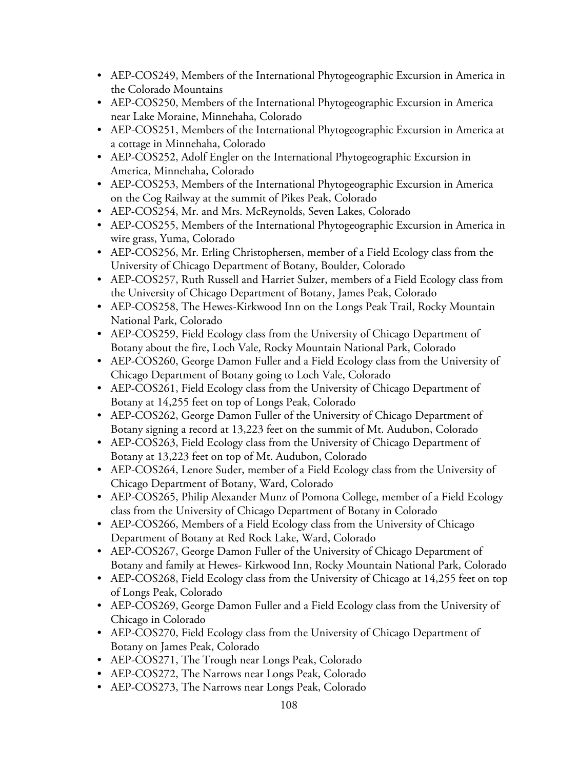- AEP-COS249, Members of the International Phytogeographic Excursion in America in the Colorado Mountains
- AEP-COS250, Members of the International Phytogeographic Excursion in America near Lake Moraine, Minnehaha, Colorado
- AEP-COS251, Members of the International Phytogeographic Excursion in America at a cottage in Minnehaha, Colorado
- AEP-COS252, Adolf Engler on the International Phytogeographic Excursion in America, Minnehaha, Colorado
- AEP-COS253, Members of the International Phytogeographic Excursion in America on the Cog Railway at the summit of Pikes Peak, Colorado
- AEP-COS254, Mr. and Mrs. McReynolds, Seven Lakes, Colorado
- AEP-COS255, Members of the International Phytogeographic Excursion in America in wire grass, Yuma, Colorado
- AEP-COS256, Mr. Erling Christophersen, member of a Field Ecology class from the University of Chicago Department of Botany, Boulder, Colorado
- AEP-COS257, Ruth Russell and Harriet Sulzer, members of a Field Ecology class from the University of Chicago Department of Botany, James Peak, Colorado
- AEP-COS258, The Hewes-Kirkwood Inn on the Longs Peak Trail, Rocky Mountain National Park, Colorado
- AEP-COS259, Field Ecology class from the University of Chicago Department of Botany about the fire, Loch Vale, Rocky Mountain National Park, Colorado
- AEP-COS260, George Damon Fuller and a Field Ecology class from the University of Chicago Department of Botany going to Loch Vale, Colorado
- AEP-COS261, Field Ecology class from the University of Chicago Department of Botany at 14,255 feet on top of Longs Peak, Colorado
- AEP-COS262, George Damon Fuller of the University of Chicago Department of Botany signing a record at 13,223 feet on the summit of Mt. Audubon, Colorado
- AEP-COS263, Field Ecology class from the University of Chicago Department of Botany at 13,223 feet on top of Mt. Audubon, Colorado
- AEP-COS264, Lenore Suder, member of a Field Ecology class from the University of Chicago Department of Botany, Ward, Colorado
- AEP-COS265, Philip Alexander Munz of Pomona College, member of a Field Ecology class from the University of Chicago Department of Botany in Colorado
- AEP-COS266, Members of a Field Ecology class from the University of Chicago Department of Botany at Red Rock Lake, Ward, Colorado
- AEP-COS267, George Damon Fuller of the University of Chicago Department of Botany and family at Hewes- Kirkwood Inn, Rocky Mountain National Park, Colorado
- AEP-COS268, Field Ecology class from the University of Chicago at 14,255 feet on top of Longs Peak, Colorado
- AEP-COS269, George Damon Fuller and a Field Ecology class from the University of Chicago in Colorado
- AEP-COS270, Field Ecology class from the University of Chicago Department of Botany on James Peak, Colorado
- AEP-COS271, The Trough near Longs Peak, Colorado
- AEP-COS272, The Narrows near Longs Peak, Colorado
- AEP-COS273, The Narrows near Longs Peak, Colorado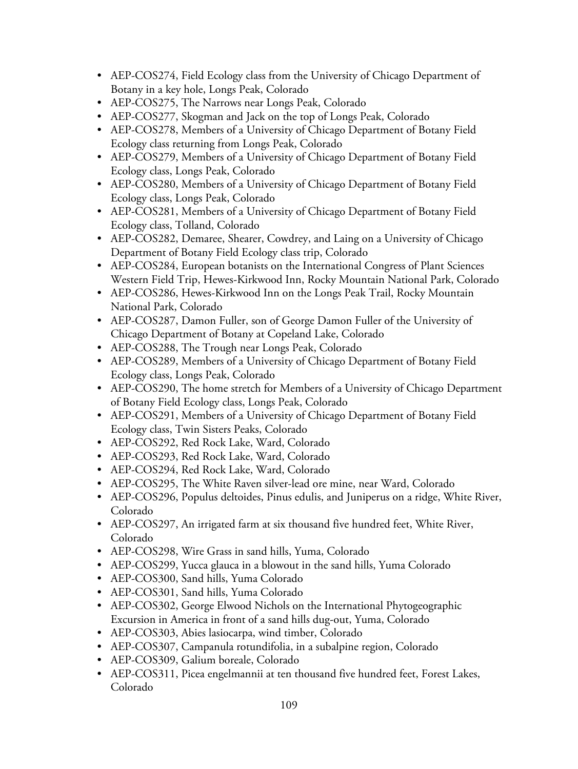- AEP-COS274, Field Ecology class from the University of Chicago Department of Botany in a key hole, Longs Peak, Colorado
- AEP-COS275, The Narrows near Longs Peak, Colorado
- AEP-COS277, Skogman and Jack on the top of Longs Peak, Colorado
- AEP-COS278, Members of a University of Chicago Department of Botany Field Ecology class returning from Longs Peak, Colorado
- AEP-COS279, Members of a University of Chicago Department of Botany Field Ecology class, Longs Peak, Colorado
- AEP-COS280, Members of a University of Chicago Department of Botany Field Ecology class, Longs Peak, Colorado
- AEP-COS281, Members of a University of Chicago Department of Botany Field Ecology class, Tolland, Colorado
- AEP-COS282, Demaree, Shearer, Cowdrey, and Laing on a University of Chicago Department of Botany Field Ecology class trip, Colorado
- AEP-COS284, European botanists on the International Congress of Plant Sciences Western Field Trip, Hewes-Kirkwood Inn, Rocky Mountain National Park, Colorado
- AEP-COS286, Hewes-Kirkwood Inn on the Longs Peak Trail, Rocky Mountain National Park, Colorado
- AEP-COS287, Damon Fuller, son of George Damon Fuller of the University of Chicago Department of Botany at Copeland Lake, Colorado
- AEP-COS288, The Trough near Longs Peak, Colorado
- AEP-COS289, Members of a University of Chicago Department of Botany Field Ecology class, Longs Peak, Colorado
- AEP-COS290, The home stretch for Members of a University of Chicago Department of Botany Field Ecology class, Longs Peak, Colorado
- AEP-COS291, Members of a University of Chicago Department of Botany Field Ecology class, Twin Sisters Peaks, Colorado
- AEP-COS292, Red Rock Lake, Ward, Colorado
- AEP-COS293, Red Rock Lake, Ward, Colorado
- AEP-COS294, Red Rock Lake, Ward, Colorado
- AEP-COS295, The White Raven silver-lead ore mine, near Ward, Colorado
- AEP-COS296, Populus deltoides, Pinus edulis, and Juniperus on a ridge, White River, Colorado
- AEP-COS297, An irrigated farm at six thousand five hundred feet, White River, Colorado
- AEP-COS298, Wire Grass in sand hills, Yuma, Colorado
- AEP-COS299, Yucca glauca in a blowout in the sand hills, Yuma Colorado
- AEP-COS300, Sand hills, Yuma Colorado
- AEP-COS301, Sand hills, Yuma Colorado
- AEP-COS302, George Elwood Nichols on the International Phytogeographic Excursion in America in front of a sand hills dug-out, Yuma, Colorado
- AEP-COS303, Abies lasiocarpa, wind timber, Colorado
- AEP-COS307, Campanula rotundifolia, in a subalpine region, Colorado
- AEP-COS309, Galium boreale, Colorado
- AEP-COS311, Picea engelmannii at ten thousand five hundred feet, Forest Lakes, Colorado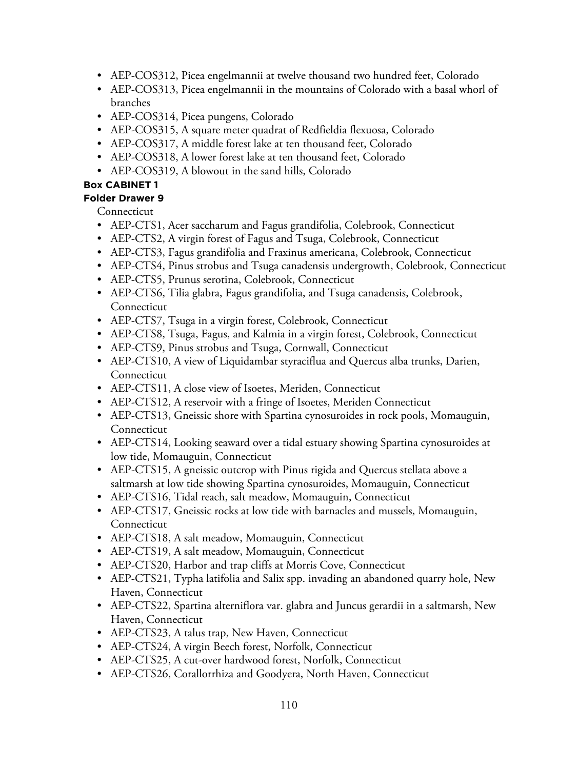- AEP-COS312, Picea engelmannii at twelve thousand two hundred feet, Colorado
- AEP-COS313, Picea engelmannii in the mountains of Colorado with a basal whorl of branches
- AEP-COS314, Picea pungens, Colorado
- AEP-COS315, A square meter quadrat of Redfieldia flexuosa, Colorado
- AEP-COS317, A middle forest lake at ten thousand feet, Colorado
- AEP-COS318, A lower forest lake at ten thousand feet, Colorado
- AEP-COS319, A blowout in the sand hills, Colorado

### **Folder Drawer 9**

Connecticut

- AEP-CTS1, Acer saccharum and Fagus grandifolia, Colebrook, Connecticut
- AEP-CTS2, A virgin forest of Fagus and Tsuga, Colebrook, Connecticut
- AEP-CTS3, Fagus grandifolia and Fraxinus americana, Colebrook, Connecticut
- AEP-CTS4, Pinus strobus and Tsuga canadensis undergrowth, Colebrook, Connecticut
- AEP-CTS5, Prunus serotina, Colebrook, Connecticut
- AEP-CTS6, Tilia glabra, Fagus grandifolia, and Tsuga canadensis, Colebrook, Connecticut
- AEP-CTS7, Tsuga in a virgin forest, Colebrook, Connecticut
- AEP-CTS8, Tsuga, Fagus, and Kalmia in a virgin forest, Colebrook, Connecticut
- AEP-CTS9, Pinus strobus and Tsuga, Cornwall, Connecticut
- AEP-CTS10, A view of Liquidambar styraciflua and Quercus alba trunks, Darien, **Connecticut**
- AEP-CTS11, A close view of Isoetes, Meriden, Connecticut
- AEP-CTS12, A reservoir with a fringe of Isoetes, Meriden Connecticut
- AEP-CTS13, Gneissic shore with Spartina cynosuroides in rock pools, Momauguin, Connecticut
- AEP-CTS14, Looking seaward over a tidal estuary showing Spartina cynosuroides at low tide, Momauguin, Connecticut
- AEP-CTS15, A gneissic outcrop with Pinus rigida and Quercus stellata above a saltmarsh at low tide showing Spartina cynosuroides, Momauguin, Connecticut
- AEP-CTS16, Tidal reach, salt meadow, Momauguin, Connecticut
- AEP-CTS17, Gneissic rocks at low tide with barnacles and mussels, Momauguin, **Connecticut**
- AEP-CTS18, A salt meadow, Momauguin, Connecticut
- AEP-CTS19, A salt meadow, Momauguin, Connecticut
- AEP-CTS20, Harbor and trap cliffs at Morris Cove, Connecticut
- AEP-CTS21, Typha latifolia and Salix spp. invading an abandoned quarry hole, New Haven, Connecticut
- AEP-CTS22, Spartina alterniflora var. glabra and Juncus gerardii in a saltmarsh, New Haven, Connecticut
- AEP-CTS23, A talus trap, New Haven, Connecticut
- AEP-CTS24, A virgin Beech forest, Norfolk, Connecticut
- AEP-CTS25, A cut-over hardwood forest, Norfolk, Connecticut
- AEP-CTS26, Corallorrhiza and Goodyera, North Haven, Connecticut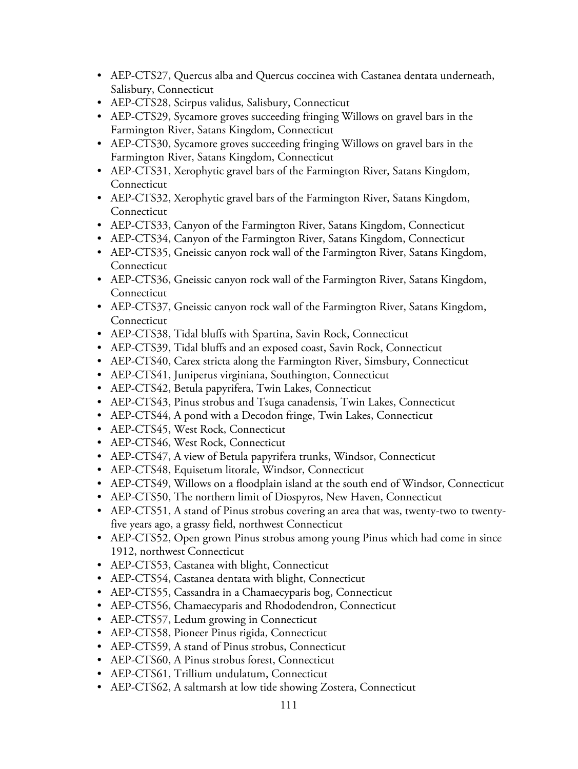- AEP-CTS27, Quercus alba and Quercus coccinea with Castanea dentata underneath, Salisbury, Connecticut
- AEP-CTS28, Scirpus validus, Salisbury, Connecticut
- AEP-CTS29, Sycamore groves succeeding fringing Willows on gravel bars in the Farmington River, Satans Kingdom, Connecticut
- AEP-CTS30, Sycamore groves succeeding fringing Willows on gravel bars in the Farmington River, Satans Kingdom, Connecticut
- AEP-CTS31, Xerophytic gravel bars of the Farmington River, Satans Kingdom, Connecticut
- AEP-CTS32, Xerophytic gravel bars of the Farmington River, Satans Kingdom, **Connecticut**
- AEP-CTS33, Canyon of the Farmington River, Satans Kingdom, Connecticut
- AEP-CTS34, Canyon of the Farmington River, Satans Kingdom, Connecticut
- AEP-CTS35, Gneissic canyon rock wall of the Farmington River, Satans Kingdom, Connecticut
- AEP-CTS36, Gneissic canyon rock wall of the Farmington River, Satans Kingdom, **Connecticut**
- AEP-CTS37, Gneissic canyon rock wall of the Farmington River, Satans Kingdom, **Connecticut**
- AEP-CTS38, Tidal bluffs with Spartina, Savin Rock, Connecticut
- AEP-CTS39, Tidal bluffs and an exposed coast, Savin Rock, Connecticut
- AEP-CTS40, Carex stricta along the Farmington River, Simsbury, Connecticut
- AEP-CTS41, Juniperus virginiana, Southington, Connecticut
- AEP-CTS42, Betula papyrifera, Twin Lakes, Connecticut
- AEP-CTS43, Pinus strobus and Tsuga canadensis, Twin Lakes, Connecticut
- AEP-CTS44, A pond with a Decodon fringe, Twin Lakes, Connecticut
- AEP-CTS45, West Rock, Connecticut
- AEP-CTS46, West Rock, Connecticut
- AEP-CTS47, A view of Betula papyrifera trunks, Windsor, Connecticut
- AEP-CTS48, Equisetum litorale, Windsor, Connecticut
- AEP-CTS49, Willows on a floodplain island at the south end of Windsor, Connecticut
- AEP-CTS50, The northern limit of Diospyros, New Haven, Connecticut
- AEP-CTS51, A stand of Pinus strobus covering an area that was, twenty-two to twentyfive years ago, a grassy field, northwest Connecticut
- AEP-CTS52, Open grown Pinus strobus among young Pinus which had come in since 1912, northwest Connecticut
- AEP-CTS53, Castanea with blight, Connecticut
- AEP-CTS54, Castanea dentata with blight, Connecticut
- AEP-CTS55, Cassandra in a Chamaecyparis bog, Connecticut
- AEP-CTS56, Chamaecyparis and Rhododendron, Connecticut
- AEP-CTS57, Ledum growing in Connecticut
- AEP-CTS58, Pioneer Pinus rigida, Connecticut
- AEP-CTS59, A stand of Pinus strobus, Connecticut
- AEP-CTS60, A Pinus strobus forest, Connecticut
- AEP-CTS61, Trillium undulatum, Connecticut
- AEP-CTS62, A saltmarsh at low tide showing Zostera, Connecticut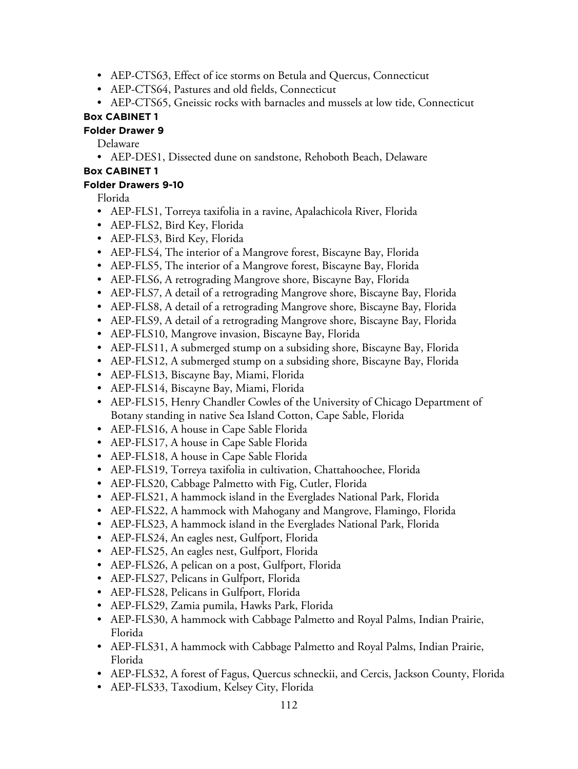- AEP-CTS63, Effect of ice storms on Betula and Quercus, Connecticut
- AEP-CTS64, Pastures and old fields, Connecticut
- AEP-CTS65, Gneissic rocks with barnacles and mussels at low tide, Connecticut

#### **Folder Drawer 9**

Delaware

• AEP-DES1, Dissected dune on sandstone, Rehoboth Beach, Delaware

### **Box CABINET 1**

#### **Folder Drawers 9-10**

Florida

- AEP-FLS1, Torreya taxifolia in a ravine, Apalachicola River, Florida
- AEP-FLS2, Bird Key, Florida
- AEP-FLS3, Bird Key, Florida
- AEP-FLS4, The interior of a Mangrove forest, Biscayne Bay, Florida
- AEP-FLS5, The interior of a Mangrove forest, Biscayne Bay, Florida
- AEP-FLS6, A retrograding Mangrove shore, Biscayne Bay, Florida
- AEP-FLS7, A detail of a retrograding Mangrove shore, Biscayne Bay, Florida
- AEP-FLS8, A detail of a retrograding Mangrove shore, Biscayne Bay, Florida
- AEP-FLS9, A detail of a retrograding Mangrove shore, Biscayne Bay, Florida
- AEP-FLS10, Mangrove invasion, Biscayne Bay, Florida
- AEP-FLS11, A submerged stump on a subsiding shore, Biscayne Bay, Florida
- AEP-FLS12, A submerged stump on a subsiding shore, Biscayne Bay, Florida
- AEP-FLS13, Biscayne Bay, Miami, Florida
- AEP-FLS14, Biscayne Bay, Miami, Florida
- AEP-FLS15, Henry Chandler Cowles of the University of Chicago Department of Botany standing in native Sea Island Cotton, Cape Sable, Florida
- AEP-FLS16, A house in Cape Sable Florida
- AEP-FLS17, A house in Cape Sable Florida
- AEP-FLS18, A house in Cape Sable Florida
- AEP-FLS19, Torreya taxifolia in cultivation, Chattahoochee, Florida
- AEP-FLS20, Cabbage Palmetto with Fig, Cutler, Florida
- AEP-FLS21, A hammock island in the Everglades National Park, Florida
- AEP-FLS22, A hammock with Mahogany and Mangrove, Flamingo, Florida
- AEP-FLS23, A hammock island in the Everglades National Park, Florida
- AEP-FLS24, An eagles nest, Gulfport, Florida
- AEP-FLS25, An eagles nest, Gulfport, Florida
- AEP-FLS26, A pelican on a post, Gulfport, Florida
- AEP-FLS27, Pelicans in Gulfport, Florida
- AEP-FLS28, Pelicans in Gulfport, Florida
- AEP-FLS29, Zamia pumila, Hawks Park, Florida
- AEP-FLS30, A hammock with Cabbage Palmetto and Royal Palms, Indian Prairie, Florida
- AEP-FLS31, A hammock with Cabbage Palmetto and Royal Palms, Indian Prairie, Florida
- AEP-FLS32, A forest of Fagus, Quercus schneckii, and Cercis, Jackson County, Florida
- AEP-FLS33, Taxodium, Kelsey City, Florida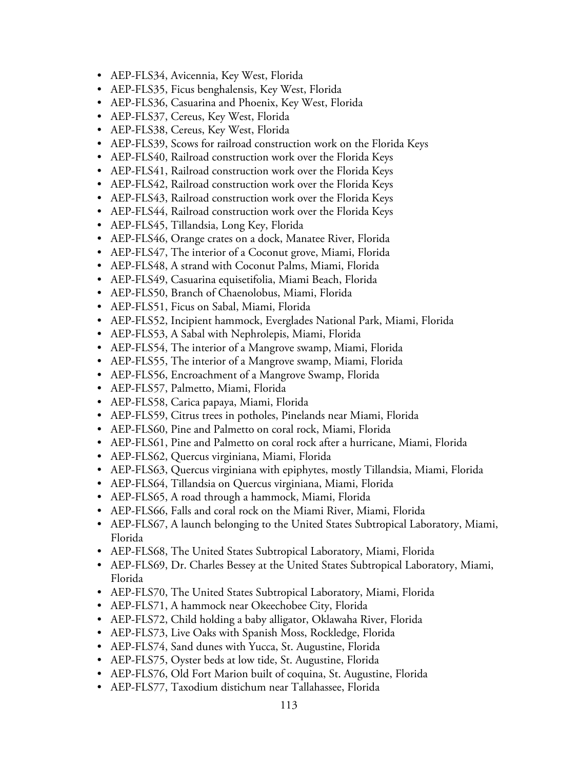- AEP-FLS34, Avicennia, Key West, Florida
- AEP-FLS35, Ficus benghalensis, Key West, Florida
- AEP-FLS36, Casuarina and Phoenix, Key West, Florida
- AEP-FLS37, Cereus, Key West, Florida
- AEP-FLS38, Cereus, Key West, Florida
- AEP-FLS39, Scows for railroad construction work on the Florida Keys
- AEP-FLS40, Railroad construction work over the Florida Keys
- AEP-FLS41, Railroad construction work over the Florida Keys
- AEP-FLS42, Railroad construction work over the Florida Keys
- AEP-FLS43, Railroad construction work over the Florida Keys
- AEP-FLS44, Railroad construction work over the Florida Keys
- AEP-FLS45, Tillandsia, Long Key, Florida
- AEP-FLS46, Orange crates on a dock, Manatee River, Florida
- AEP-FLS47, The interior of a Coconut grove, Miami, Florida
- AEP-FLS48, A strand with Coconut Palms, Miami, Florida
- AEP-FLS49, Casuarina equisetifolia, Miami Beach, Florida
- AEP-FLS50, Branch of Chaenolobus, Miami, Florida
- AEP-FLS51, Ficus on Sabal, Miami, Florida
- AEP-FLS52, Incipient hammock, Everglades National Park, Miami, Florida
- AEP-FLS53, A Sabal with Nephrolepis, Miami, Florida
- AEP-FLS54, The interior of a Mangrove swamp, Miami, Florida
- AEP-FLS55, The interior of a Mangrove swamp, Miami, Florida
- AEP-FLS56, Encroachment of a Mangrove Swamp, Florida
- AEP-FLS57, Palmetto, Miami, Florida
- AEP-FLS58, Carica papaya, Miami, Florida
- AEP-FLS59, Citrus trees in potholes, Pinelands near Miami, Florida
- AEP-FLS60, Pine and Palmetto on coral rock, Miami, Florida
- AEP-FLS61, Pine and Palmetto on coral rock after a hurricane, Miami, Florida
- AEP-FLS62, Quercus virginiana, Miami, Florida
- AEP-FLS63, Quercus virginiana with epiphytes, mostly Tillandsia, Miami, Florida
- AEP-FLS64, Tillandsia on Quercus virginiana, Miami, Florida
- AEP-FLS65, A road through a hammock, Miami, Florida
- AEP-FLS66, Falls and coral rock on the Miami River, Miami, Florida
- AEP-FLS67, A launch belonging to the United States Subtropical Laboratory, Miami, Florida
- AEP-FLS68, The United States Subtropical Laboratory, Miami, Florida
- AEP-FLS69, Dr. Charles Bessey at the United States Subtropical Laboratory, Miami, Florida
- AEP-FLS70, The United States Subtropical Laboratory, Miami, Florida
- AEP-FLS71, A hammock near Okeechobee City, Florida
- AEP-FLS72, Child holding a baby alligator, Oklawaha River, Florida
- AEP-FLS73, Live Oaks with Spanish Moss, Rockledge, Florida
- AEP-FLS74, Sand dunes with Yucca, St. Augustine, Florida
- AEP-FLS75, Oyster beds at low tide, St. Augustine, Florida
- AEP-FLS76, Old Fort Marion built of coquina, St. Augustine, Florida
- AEP-FLS77, Taxodium distichum near Tallahassee, Florida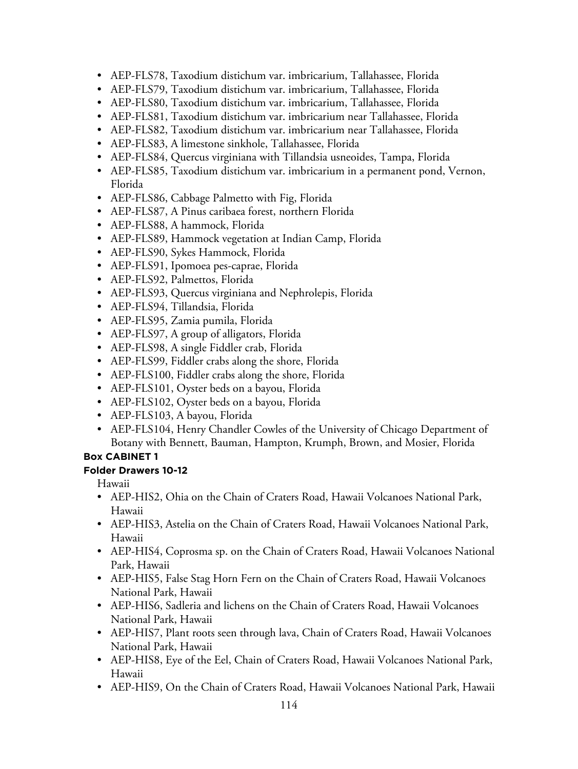- AEP-FLS78, Taxodium distichum var. imbricarium, Tallahassee, Florida
- AEP-FLS79, Taxodium distichum var. imbricarium, Tallahassee, Florida
- AEP-FLS80, Taxodium distichum var. imbricarium, Tallahassee, Florida
- AEP-FLS81, Taxodium distichum var. imbricarium near Tallahassee, Florida
- AEP-FLS82, Taxodium distichum var. imbricarium near Tallahassee, Florida
- AEP-FLS83, A limestone sinkhole, Tallahassee, Florida
- AEP-FLS84, Quercus virginiana with Tillandsia usneoides, Tampa, Florida
- AEP-FLS85, Taxodium distichum var. imbricarium in a permanent pond, Vernon, Florida
- AEP-FLS86, Cabbage Palmetto with Fig, Florida
- AEP-FLS87, A Pinus caribaea forest, northern Florida
- AEP-FLS88, A hammock, Florida
- AEP-FLS89, Hammock vegetation at Indian Camp, Florida
- AEP-FLS90, Sykes Hammock, Florida
- AEP-FLS91, Ipomoea pes-caprae, Florida
- AEP-FLS92, Palmettos, Florida
- AEP-FLS93, Quercus virginiana and Nephrolepis, Florida
- AEP-FLS94, Tillandsia, Florida
- AEP-FLS95, Zamia pumila, Florida
- AEP-FLS97, A group of alligators, Florida
- AEP-FLS98, A single Fiddler crab, Florida
- AEP-FLS99, Fiddler crabs along the shore, Florida
- AEP-FLS100, Fiddler crabs along the shore, Florida
- AEP-FLS101, Oyster beds on a bayou, Florida
- AEP-FLS102, Oyster beds on a bayou, Florida
- AEP-FLS103, A bayou, Florida
- AEP-FLS104, Henry Chandler Cowles of the University of Chicago Department of Botany with Bennett, Bauman, Hampton, Krumph, Brown, and Mosier, Florida

### **Folder Drawers 10-12**

Hawaii

- AEP-HIS2, Ohia on the Chain of Craters Road, Hawaii Volcanoes National Park, Hawaii
- AEP-HIS3, Astelia on the Chain of Craters Road, Hawaii Volcanoes National Park, Hawaii
- AEP-HIS4, Coprosma sp. on the Chain of Craters Road, Hawaii Volcanoes National Park, Hawaii
- AEP-HIS5, False Stag Horn Fern on the Chain of Craters Road, Hawaii Volcanoes National Park, Hawaii
- AEP-HIS6, Sadleria and lichens on the Chain of Craters Road, Hawaii Volcanoes National Park, Hawaii
- AEP-HIS7, Plant roots seen through lava, Chain of Craters Road, Hawaii Volcanoes National Park, Hawaii
- AEP-HIS8, Eye of the Eel, Chain of Craters Road, Hawaii Volcanoes National Park, Hawaii
- AEP-HIS9, On the Chain of Craters Road, Hawaii Volcanoes National Park, Hawaii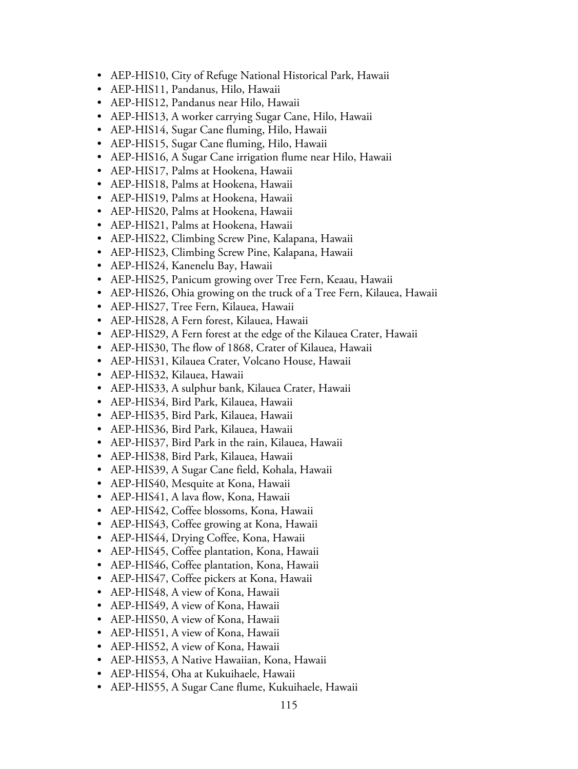- AEP-HIS10, City of Refuge National Historical Park, Hawaii
- AEP-HIS11, Pandanus, Hilo, Hawaii
- AEP-HIS12, Pandanus near Hilo, Hawaii
- AEP-HIS13, A worker carrying Sugar Cane, Hilo, Hawaii
- AEP-HIS14, Sugar Cane fluming, Hilo, Hawaii
- AEP-HIS15, Sugar Cane fluming, Hilo, Hawaii
- AEP-HIS16, A Sugar Cane irrigation flume near Hilo, Hawaii
- AEP-HIS17, Palms at Hookena, Hawaii
- AEP-HIS18, Palms at Hookena, Hawaii
- AEP-HIS19, Palms at Hookena, Hawaii
- AEP-HIS20, Palms at Hookena, Hawaii
- AEP-HIS21, Palms at Hookena, Hawaii
- AEP-HIS22, Climbing Screw Pine, Kalapana, Hawaii
- AEP-HIS23, Climbing Screw Pine, Kalapana, Hawaii
- AEP-HIS24, Kanenelu Bay, Hawaii
- AEP-HIS25, Panicum growing over Tree Fern, Keaau, Hawaii
- AEP-HIS26, Ohia growing on the truck of a Tree Fern, Kilauea, Hawaii
- AEP-HIS27, Tree Fern, Kilauea, Hawaii
- AEP-HIS28, A Fern forest, Kilauea, Hawaii
- AEP-HIS29, A Fern forest at the edge of the Kilauea Crater, Hawaii
- AEP-HIS30, The flow of 1868, Crater of Kilauea, Hawaii
- AEP-HIS31, Kilauea Crater, Volcano House, Hawaii
- AEP-HIS32, Kilauea, Hawaii
- AEP-HIS33, A sulphur bank, Kilauea Crater, Hawaii
- AEP-HIS34, Bird Park, Kilauea, Hawaii
- AEP-HIS35, Bird Park, Kilauea, Hawaii
- AEP-HIS36, Bird Park, Kilauea, Hawaii
- AEP-HIS37, Bird Park in the rain, Kilauea, Hawaii
- AEP-HIS38, Bird Park, Kilauea, Hawaii
- AEP-HIS39, A Sugar Cane field, Kohala, Hawaii
- AEP-HIS40, Mesquite at Kona, Hawaii
- AEP-HIS41, A lava flow, Kona, Hawaii
- AEP-HIS42, Coffee blossoms, Kona, Hawaii
- AEP-HIS43, Coffee growing at Kona, Hawaii
- AEP-HIS44, Drying Coffee, Kona, Hawaii
- AEP-HIS45, Coffee plantation, Kona, Hawaii
- AEP-HIS46, Coffee plantation, Kona, Hawaii
- AEP-HIS47, Coffee pickers at Kona, Hawaii
- AEP-HIS48, A view of Kona, Hawaii
- AEP-HIS49, A view of Kona, Hawaii
- AEP-HIS50, A view of Kona, Hawaii
- AEP-HIS51, A view of Kona, Hawaii
- AEP-HIS52, A view of Kona, Hawaii
- AEP-HIS53, A Native Hawaiian, Kona, Hawaii
- AEP-HIS54, Oha at Kukuihaele, Hawaii
- AEP-HIS55, A Sugar Cane flume, Kukuihaele, Hawaii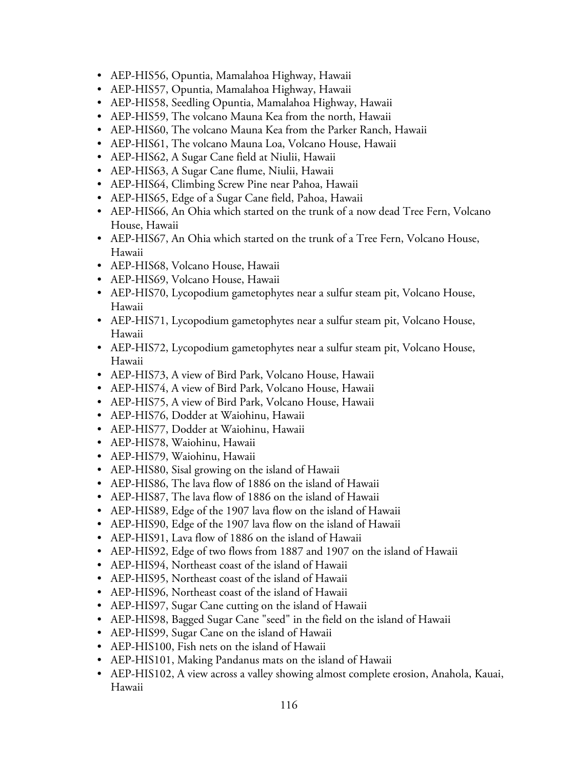- AEP-HIS56, Opuntia, Mamalahoa Highway, Hawaii
- AEP-HIS57, Opuntia, Mamalahoa Highway, Hawaii
- AEP-HIS58, Seedling Opuntia, Mamalahoa Highway, Hawaii
- AEP-HIS59, The volcano Mauna Kea from the north, Hawaii
- AEP-HIS60, The volcano Mauna Kea from the Parker Ranch, Hawaii
- AEP-HIS61, The volcano Mauna Loa, Volcano House, Hawaii
- AEP-HIS62, A Sugar Cane field at Niulii, Hawaii
- AEP-HIS63, A Sugar Cane flume, Niulii, Hawaii
- AEP-HIS64, Climbing Screw Pine near Pahoa, Hawaii
- AEP-HIS65, Edge of a Sugar Cane field, Pahoa, Hawaii
- AEP-HIS66, An Ohia which started on the trunk of a now dead Tree Fern, Volcano House, Hawaii
- AEP-HIS67, An Ohia which started on the trunk of a Tree Fern, Volcano House, Hawaii
- AEP-HIS68, Volcano House, Hawaii
- AEP-HIS69, Volcano House, Hawaii
- AEP-HIS70, Lycopodium gametophytes near a sulfur steam pit, Volcano House, Hawaii
- AEP-HIS71, Lycopodium gametophytes near a sulfur steam pit, Volcano House, Hawaii
- AEP-HIS72, Lycopodium gametophytes near a sulfur steam pit, Volcano House, Hawaii
- AEP-HIS73, A view of Bird Park, Volcano House, Hawaii
- AEP-HIS74, A view of Bird Park, Volcano House, Hawaii
- AEP-HIS75, A view of Bird Park, Volcano House, Hawaii
- AEP-HIS76, Dodder at Waiohinu, Hawaii
- AEP-HIS77, Dodder at Waiohinu, Hawaii
- AEP-HIS78, Waiohinu, Hawaii
- AEP-HIS79, Waiohinu, Hawaii
- AEP-HIS80, Sisal growing on the island of Hawaii
- AEP-HIS86, The lava flow of 1886 on the island of Hawaii
- AEP-HIS87, The lava flow of 1886 on the island of Hawaii
- AEP-HIS89, Edge of the 1907 lava flow on the island of Hawaii
- AEP-HIS90, Edge of the 1907 lava flow on the island of Hawaii
- AEP-HIS91, Lava flow of 1886 on the island of Hawaii
- AEP-HIS92, Edge of two flows from 1887 and 1907 on the island of Hawaii
- AEP-HIS94, Northeast coast of the island of Hawaii
- AEP-HIS95, Northeast coast of the island of Hawaii
- AEP-HIS96, Northeast coast of the island of Hawaii
- AEP-HIS97, Sugar Cane cutting on the island of Hawaii
- AEP-HIS98, Bagged Sugar Cane "seed" in the field on the island of Hawaii
- AEP-HIS99, Sugar Cane on the island of Hawaii
- AEP-HIS100, Fish nets on the island of Hawaii
- AEP-HIS101, Making Pandanus mats on the island of Hawaii
- AEP-HIS102, A view across a valley showing almost complete erosion, Anahola, Kauai, Hawaii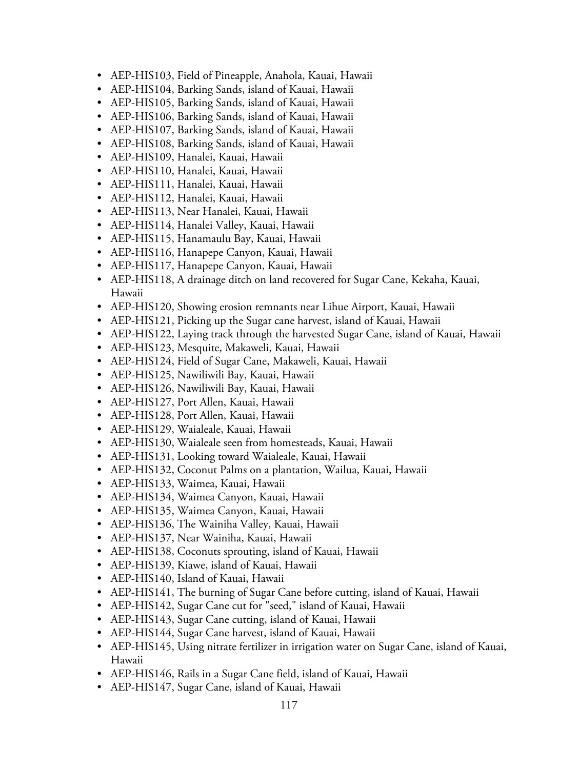- AEP-HIS103, Field of Pineapple, Anahola, Kauai, Hawaii
- AEP-HIS104, Barking Sands, island of Kauai, Hawaii
- AEP-HIS105, Barking Sands, island of Kauai, Hawaii
- AEP-HIS106, Barking Sands, island of Kauai, Hawaii
- AEP-HIS107, Barking Sands, island of Kauai, Hawaii
- AEP-HIS108, Barking Sands, island of Kauai, Hawaii
- AEP-HIS109, Hanalei, Kauai, Hawaii
- AEP-HIS110, Hanalei, Kauai, Hawaii
- AEP-HIS111, Hanalei, Kauai, Hawaii
- AEP-HIS112, Hanalei, Kauai, Hawaii
- AEP-HIS113, Near Hanalei, Kauai, Hawaii
- AEP-HIS114, Hanalei Valley, Kauai, Hawaii
- AEP-HIS115, Hanamaulu Bay, Kauai, Hawaii
- AEP-HIS116, Hanapepe Canyon, Kauai, Hawaii
- AEP-HIS117, Hanapepe Canyon, Kauai, Hawaii
- AEP-HIS118, A drainage ditch on land recovered for Sugar Cane, Kekaha, Kauai, Hawaii
- AEP-HIS120, Showing erosion remnants near Lihue Airport, Kauai, Hawaii
- AEP-HIS121, Picking up the Sugar cane harvest, island of Kauai, Hawaii
- AEP-HIS122, Laying track through the harvested Sugar Cane, island of Kauai, Hawaii
- AEP-HIS123, Mesquite, Makaweli, Kauai, Hawaii
- AEP-HIS124, Field of Sugar Cane, Makaweli, Kauai, Hawaii
- AEP-HIS125, Nawiliwili Bay, Kauai, Hawaii
- AEP-HIS126, Nawiliwili Bay, Kauai, Hawaii
- AEP-HIS127, Port Allen, Kauai, Hawaii
- AEP-HIS128, Port Allen, Kauai, Hawaii
- AEP-HIS129, Waialeale, Kauai, Hawaii
- AEP-HIS130, Waialeale seen from homesteads, Kauai, Hawaii
- AEP-HIS131, Looking toward Waialeale, Kauai, Hawaii
- AEP-HIS132, Coconut Palms on a plantation, Wailua, Kauai, Hawaii
- AEP-HIS133, Waimea, Kauai, Hawaii
- AEP-HIS134, Waimea Canyon, Kauai, Hawaii
- AEP-HIS135, Waimea Canyon, Kauai, Hawaii
- AEP-HIS136, The Wainiha Valley, Kauai, Hawaii
- AEP-HIS137, Near Wainiha, Kauai, Hawaii
- AEP-HIS138, Coconuts sprouting, island of Kauai, Hawaii
- AEP-HIS139, Kiawe, island of Kauai, Hawaii
- AEP-HIS140, Island of Kauai, Hawaii
- AEP-HIS141, The burning of Sugar Cane before cutting, island of Kauai, Hawaii
- AEP-HIS142, Sugar Cane cut for "seed," island of Kauai, Hawaii
- AEP-HIS143, Sugar Cane cutting, island of Kauai, Hawaii
- AEP-HIS144, Sugar Cane harvest, island of Kauai, Hawaii
- AEP-HIS145, Using nitrate fertilizer in irrigation water on Sugar Cane, island of Kauai, Hawaii
- AEP-HIS146, Rails in a Sugar Cane field, island of Kauai, Hawaii
- AEP-HIS147, Sugar Cane, island of Kauai, Hawaii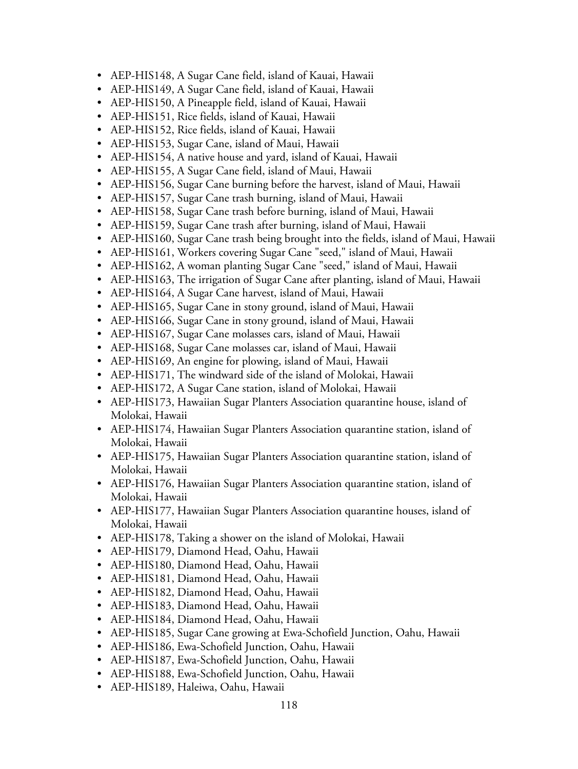- AEP-HIS148, A Sugar Cane field, island of Kauai, Hawaii
- AEP-HIS149, A Sugar Cane field, island of Kauai, Hawaii
- AEP-HIS150, A Pineapple field, island of Kauai, Hawaii
- AEP-HIS151, Rice fields, island of Kauai, Hawaii
- AEP-HIS152, Rice fields, island of Kauai, Hawaii
- AEP-HIS153, Sugar Cane, island of Maui, Hawaii
- AEP-HIS154, A native house and yard, island of Kauai, Hawaii
- AEP-HIS155, A Sugar Cane field, island of Maui, Hawaii
- AEP-HIS156, Sugar Cane burning before the harvest, island of Maui, Hawaii
- AEP-HIS157, Sugar Cane trash burning, island of Maui, Hawaii
- AEP-HIS158, Sugar Cane trash before burning, island of Maui, Hawaii
- AEP-HIS159, Sugar Cane trash after burning, island of Maui, Hawaii
- AEP-HIS160, Sugar Cane trash being brought into the fields, island of Maui, Hawaii
- AEP-HIS161, Workers covering Sugar Cane "seed," island of Maui, Hawaii
- AEP-HIS162, A woman planting Sugar Cane "seed," island of Maui, Hawaii
- AEP-HIS163, The irrigation of Sugar Cane after planting, island of Maui, Hawaii
- AEP-HIS164, A Sugar Cane harvest, island of Maui, Hawaii
- AEP-HIS165, Sugar Cane in stony ground, island of Maui, Hawaii
- AEP-HIS166, Sugar Cane in stony ground, island of Maui, Hawaii
- AEP-HIS167, Sugar Cane molasses cars, island of Maui, Hawaii
- AEP-HIS168, Sugar Cane molasses car, island of Maui, Hawaii
- AEP-HIS169, An engine for plowing, island of Maui, Hawaii
- AEP-HIS171, The windward side of the island of Molokai, Hawaii
- AEP-HIS172, A Sugar Cane station, island of Molokai, Hawaii
- AEP-HIS173, Hawaiian Sugar Planters Association quarantine house, island of Molokai, Hawaii
- AEP-HIS174, Hawaiian Sugar Planters Association quarantine station, island of Molokai, Hawaii
- AEP-HIS175, Hawaiian Sugar Planters Association quarantine station, island of Molokai, Hawaii
- AEP-HIS176, Hawaiian Sugar Planters Association quarantine station, island of Molokai, Hawaii
- AEP-HIS177, Hawaiian Sugar Planters Association quarantine houses, island of Molokai, Hawaii
- AEP-HIS178, Taking a shower on the island of Molokai, Hawaii
- AEP-HIS179, Diamond Head, Oahu, Hawaii
- AEP-HIS180, Diamond Head, Oahu, Hawaii
- AEP-HIS181, Diamond Head, Oahu, Hawaii
- AEP-HIS182, Diamond Head, Oahu, Hawaii
- AEP-HIS183, Diamond Head, Oahu, Hawaii
- AEP-HIS184, Diamond Head, Oahu, Hawaii
- AEP-HIS185, Sugar Cane growing at Ewa-Schofield Junction, Oahu, Hawaii
- AEP-HIS186, Ewa-Schofield Junction, Oahu, Hawaii
- AEP-HIS187, Ewa-Schofield Junction, Oahu, Hawaii
- AEP-HIS188, Ewa-Schofield Junction, Oahu, Hawaii
- AEP-HIS189, Haleiwa, Oahu, Hawaii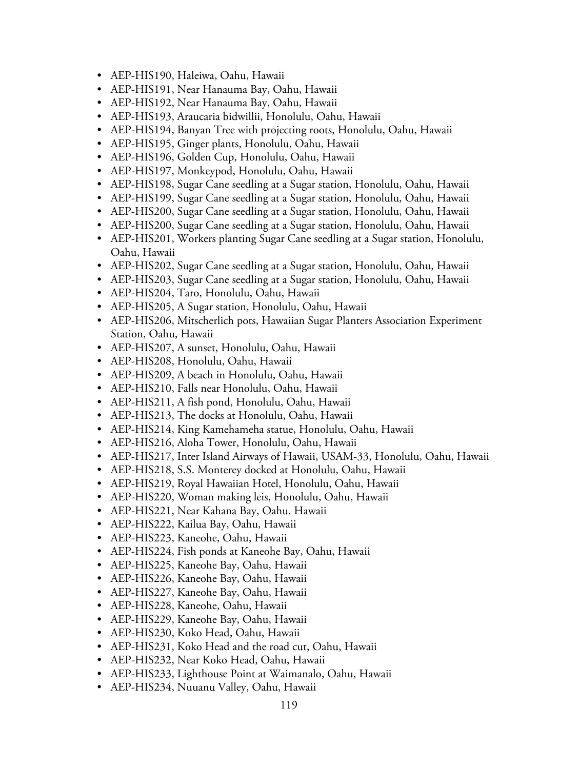- AEP-HIS190, Haleiwa, Oahu, Hawaii
- AEP-HIS191, Near Hanauma Bay, Oahu, Hawaii
- AEP-HIS192, Near Hanauma Bay, Oahu, Hawaii
- AEP-HIS193, Araucaria bidwillii, Honolulu, Oahu, Hawaii
- AEP-HIS194, Banyan Tree with projecting roots, Honolulu, Oahu, Hawaii
- AEP-HIS195, Ginger plants, Honolulu, Oahu, Hawaii
- AEP-HIS196, Golden Cup, Honolulu, Oahu, Hawaii
- AEP-HIS197, Monkeypod, Honolulu, Oahu, Hawaii
- AEP-HIS198, Sugar Cane seedling at a Sugar station, Honolulu, Oahu, Hawaii
- AEP-HIS199, Sugar Cane seedling at a Sugar station, Honolulu, Oahu, Hawaii
- AEP-HIS200, Sugar Cane seedling at a Sugar station, Honolulu, Oahu, Hawaii
- AEP-HIS200, Sugar Cane seedling at a Sugar station, Honolulu, Oahu, Hawaii
- AEP-HIS201, Workers planting Sugar Cane seedling at a Sugar station, Honolulu, Oahu, Hawaii
- AEP-HIS202, Sugar Cane seedling at a Sugar station, Honolulu, Oahu, Hawaii
- AEP-HIS203, Sugar Cane seedling at a Sugar station, Honolulu, Oahu, Hawaii
- AEP-HIS204, Taro, Honolulu, Oahu, Hawaii
- AEP-HIS205, A Sugar station, Honolulu, Oahu, Hawaii
- AEP-HIS206, Mitscherlich pots, Hawaiian Sugar Planters Association Experiment Station, Oahu, Hawaii
- AEP-HIS207, A sunset, Honolulu, Oahu, Hawaii
- AEP-HIS208, Honolulu, Oahu, Hawaii
- AEP-HIS209, A beach in Honolulu, Oahu, Hawaii
- AEP-HIS210, Falls near Honolulu, Oahu, Hawaii
- AEP-HIS211, A fish pond, Honolulu, Oahu, Hawaii
- AEP-HIS213, The docks at Honolulu, Oahu, Hawaii
- AEP-HIS214, King Kamehameha statue, Honolulu, Oahu, Hawaii
- AEP-HIS216, Aloha Tower, Honolulu, Oahu, Hawaii
- AEP-HIS217, Inter Island Airways of Hawaii, USAM-33, Honolulu, Oahu, Hawaii
- AEP-HIS218, S.S. Monterey docked at Honolulu, Oahu, Hawaii
- AEP-HIS219, Royal Hawaiian Hotel, Honolulu, Oahu, Hawaii
- AEP-HIS220, Woman making leis, Honolulu, Oahu, Hawaii
- AEP-HIS221, Near Kahana Bay, Oahu, Hawaii
- AEP-HIS222, Kailua Bay, Oahu, Hawaii
- AEP-HIS223, Kaneohe, Oahu, Hawaii
- AEP-HIS224, Fish ponds at Kaneohe Bay, Oahu, Hawaii
- AEP-HIS225, Kaneohe Bay, Oahu, Hawaii
- AEP-HIS226, Kaneohe Bay, Oahu, Hawaii
- AEP-HIS227, Kaneohe Bay, Oahu, Hawaii
- AEP-HIS228, Kaneohe, Oahu, Hawaii
- AEP-HIS229, Kaneohe Bay, Oahu, Hawaii
- AEP-HIS230, Koko Head, Oahu, Hawaii
- AEP-HIS231, Koko Head and the road cut, Oahu, Hawaii
- AEP-HIS232, Near Koko Head, Oahu, Hawaii
- AEP-HIS233, Lighthouse Point at Waimanalo, Oahu, Hawaii
- AEP-HIS234, Nuuanu Valley, Oahu, Hawaii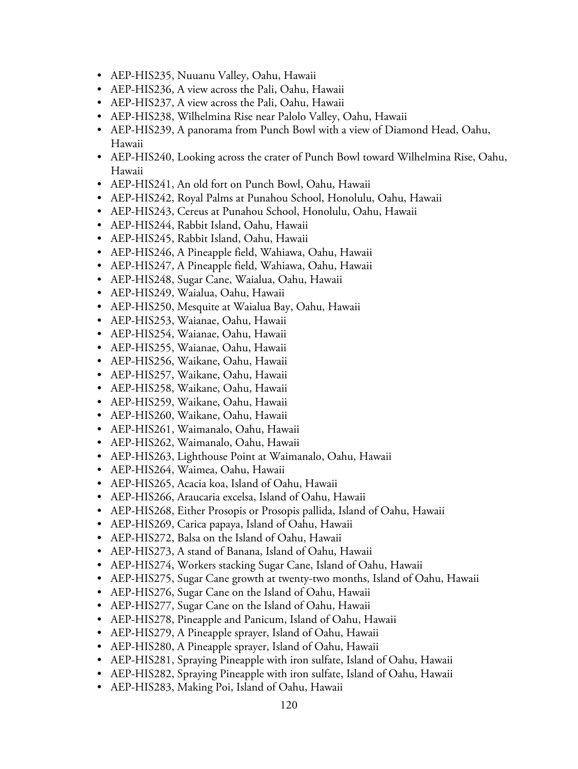- AEP-HIS235, Nuuanu Valley, Oahu, Hawaii
- AEP-HIS236, A view across the Pali, Oahu, Hawaii
- AEP-HIS237, A view across the Pali, Oahu, Hawaii
- AEP-HIS238, Wilhelmina Rise near Palolo Valley, Oahu, Hawaii
- AEP-HIS239, A panorama from Punch Bowl with a view of Diamond Head, Oahu, Hawaii
- AEP-HIS240, Looking across the crater of Punch Bowl toward Wilhelmina Rise, Oahu, Hawaii
- AEP-HIS241, An old fort on Punch Bowl, Oahu, Hawaii
- AEP-HIS242, Royal Palms at Punahou School, Honolulu, Oahu, Hawaii
- AEP-HIS243, Cereus at Punahou School, Honolulu, Oahu, Hawaii
- AEP-HIS244, Rabbit Island, Oahu, Hawaii
- AEP-HIS245, Rabbit Island, Oahu, Hawaii
- AEP-HIS246, A Pineapple field, Wahiawa, Oahu, Hawaii
- AEP-HIS247, A Pineapple field, Wahiawa, Oahu, Hawaii
- AEP-HIS248, Sugar Cane, Waialua, Oahu, Hawaii
- AEP-HIS249, Waialua, Oahu, Hawaii
- AEP-HIS250, Mesquite at Waialua Bay, Oahu, Hawaii
- AEP-HIS253, Waianae, Oahu, Hawaii
- AEP-HIS254, Waianae, Oahu, Hawaii
- AEP-HIS255, Waianae, Oahu, Hawaii
- AEP-HIS256, Waikane, Oahu, Hawaii
- AEP-HIS257, Waikane, Oahu, Hawaii
- AEP-HIS258, Waikane, Oahu, Hawaii
- AEP-HIS259, Waikane, Oahu, Hawaii
- AEP-HIS260, Waikane, Oahu, Hawaii
- AEP-HIS261, Waimanalo, Oahu, Hawaii
- AEP-HIS262, Waimanalo, Oahu, Hawaii
- AEP-HIS263, Lighthouse Point at Waimanalo, Oahu, Hawaii
- AEP-HIS264, Waimea, Oahu, Hawaii
- AEP-HIS265, Acacia koa, Island of Oahu, Hawaii
- AEP-HIS266, Araucaria excelsa, Island of Oahu, Hawaii
- AEP-HIS268, Either Prosopis or Prosopis pallida, Island of Oahu, Hawaii
- AEP-HIS269, Carica papaya, Island of Oahu, Hawaii
- AEP-HIS272, Balsa on the Island of Oahu, Hawaii
- AEP-HIS273, A stand of Banana, Island of Oahu, Hawaii
- AEP-HIS274, Workers stacking Sugar Cane, Island of Oahu, Hawaii
- AEP-HIS275, Sugar Cane growth at twenty-two months, Island of Oahu, Hawaii
- AEP-HIS276, Sugar Cane on the Island of Oahu, Hawaii
- AEP-HIS277, Sugar Cane on the Island of Oahu, Hawaii
- AEP-HIS278, Pineapple and Panicum, Island of Oahu, Hawaii
- AEP-HIS279, A Pineapple sprayer, Island of Oahu, Hawaii
- AEP-HIS280, A Pineapple sprayer, Island of Oahu, Hawaii
- AEP-HIS281, Spraying Pineapple with iron sulfate, Island of Oahu, Hawaii
- AEP-HIS282, Spraying Pineapple with iron sulfate, Island of Oahu, Hawaii
- AEP-HIS283, Making Poi, Island of Oahu, Hawaii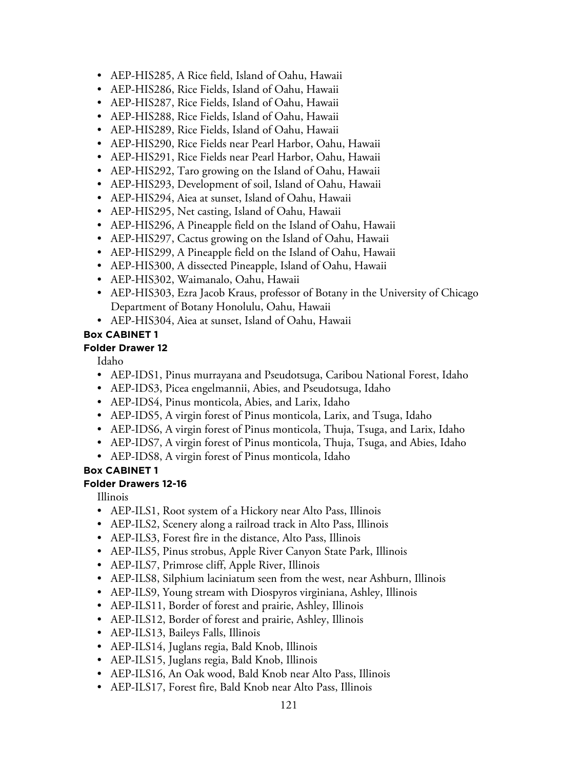- AEP-HIS285, A Rice field, Island of Oahu, Hawaii
- AEP-HIS286, Rice Fields, Island of Oahu, Hawaii
- AEP-HIS287, Rice Fields, Island of Oahu, Hawaii
- AEP-HIS288, Rice Fields, Island of Oahu, Hawaii
- AEP-HIS289, Rice Fields, Island of Oahu, Hawaii
- AEP-HIS290, Rice Fields near Pearl Harbor, Oahu, Hawaii
- AEP-HIS291, Rice Fields near Pearl Harbor, Oahu, Hawaii
- AEP-HIS292, Taro growing on the Island of Oahu, Hawaii
- AEP-HIS293, Development of soil, Island of Oahu, Hawaii
- AEP-HIS294, Aiea at sunset, Island of Oahu, Hawaii
- AEP-HIS295, Net casting, Island of Oahu, Hawaii
- AEP-HIS296, A Pineapple field on the Island of Oahu, Hawaii
- AEP-HIS297, Cactus growing on the Island of Oahu, Hawaii
- AEP-HIS299, A Pineapple field on the Island of Oahu, Hawaii
- AEP-HIS300, A dissected Pineapple, Island of Oahu, Hawaii
- AEP-HIS302, Waimanalo, Oahu, Hawaii
- AEP-HIS303, Ezra Jacob Kraus, professor of Botany in the University of Chicago Department of Botany Honolulu, Oahu, Hawaii
- AEP-HIS304, Aiea at sunset, Island of Oahu, Hawaii

#### **Folder Drawer 12**

Idaho

- AEP-IDS1, Pinus murrayana and Pseudotsuga, Caribou National Forest, Idaho
- AEP-IDS3, Picea engelmannii, Abies, and Pseudotsuga, Idaho
- AEP-IDS4, Pinus monticola, Abies, and Larix, Idaho
- AEP-IDS5, A virgin forest of Pinus monticola, Larix, and Tsuga, Idaho
- AEP-IDS6, A virgin forest of Pinus monticola, Thuja, Tsuga, and Larix, Idaho
- AEP-IDS7, A virgin forest of Pinus monticola, Thuja, Tsuga, and Abies, Idaho
- AEP-IDS8, A virgin forest of Pinus monticola, Idaho

#### **Box CABINET 1**

#### **Folder Drawers 12-16**

Illinois

- AEP-ILS1, Root system of a Hickory near Alto Pass, Illinois
- AEP-ILS2, Scenery along a railroad track in Alto Pass, Illinois
- AEP-ILS3, Forest fire in the distance, Alto Pass, Illinois
- AEP-ILS5, Pinus strobus, Apple River Canyon State Park, Illinois
- AEP-ILS7, Primrose cliff, Apple River, Illinois
- AEP-ILS8, Silphium laciniatum seen from the west, near Ashburn, Illinois
- AEP-ILS9, Young stream with Diospyros virginiana, Ashley, Illinois
- AEP-ILS11, Border of forest and prairie, Ashley, Illinois
- AEP-ILS12, Border of forest and prairie, Ashley, Illinois
- AEP-ILS13, Baileys Falls, Illinois
- AEP-ILS14, Juglans regia, Bald Knob, Illinois
- AEP-ILS15, Juglans regia, Bald Knob, Illinois
- AEP-ILS16, An Oak wood, Bald Knob near Alto Pass, Illinois
- AEP-ILS17, Forest fire, Bald Knob near Alto Pass, Illinois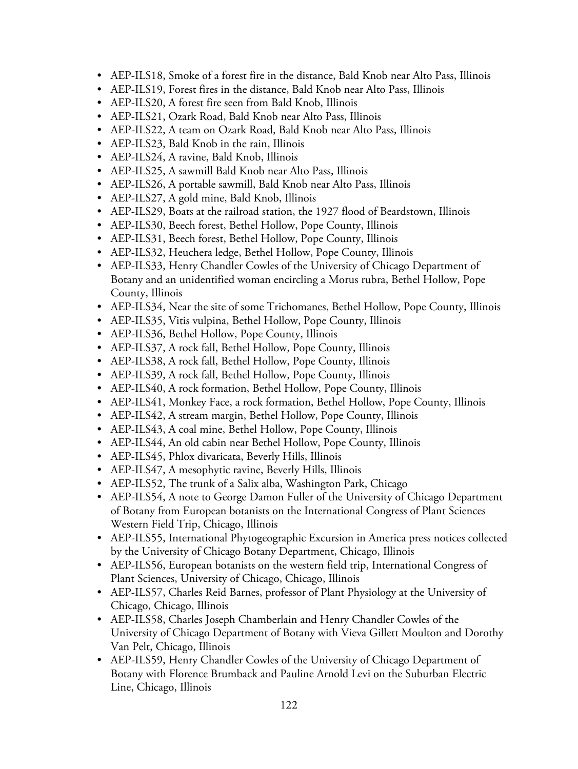- AEP-ILS18, Smoke of a forest fire in the distance, Bald Knob near Alto Pass, Illinois
- AEP-ILS19, Forest fires in the distance, Bald Knob near Alto Pass, Illinois
- AEP-ILS20, A forest fire seen from Bald Knob, Illinois
- AEP-ILS21, Ozark Road, Bald Knob near Alto Pass, Illinois
- AEP-ILS22, A team on Ozark Road, Bald Knob near Alto Pass, Illinois
- AEP-ILS23, Bald Knob in the rain, Illinois
- AEP-ILS24, A ravine, Bald Knob, Illinois
- AEP-ILS25, A sawmill Bald Knob near Alto Pass, Illinois
- AEP-ILS26, A portable sawmill, Bald Knob near Alto Pass, Illinois
- AEP-ILS27, A gold mine, Bald Knob, Illinois
- AEP-ILS29, Boats at the railroad station, the 1927 flood of Beardstown, Illinois
- AEP-ILS30, Beech forest, Bethel Hollow, Pope County, Illinois
- AEP-ILS31, Beech forest, Bethel Hollow, Pope County, Illinois
- AEP-ILS32, Heuchera ledge, Bethel Hollow, Pope County, Illinois
- AEP-ILS33, Henry Chandler Cowles of the University of Chicago Department of Botany and an unidentified woman encircling a Morus rubra, Bethel Hollow, Pope County, Illinois
- AEP-ILS34, Near the site of some Trichomanes, Bethel Hollow, Pope County, Illinois
- AEP-ILS35, Vitis vulpina, Bethel Hollow, Pope County, Illinois
- AEP-ILS36, Bethel Hollow, Pope County, Illinois
- AEP-ILS37, A rock fall, Bethel Hollow, Pope County, Illinois
- AEP-ILS38, A rock fall, Bethel Hollow, Pope County, Illinois
- AEP-ILS39, A rock fall, Bethel Hollow, Pope County, Illinois
- AEP-ILS40, A rock formation, Bethel Hollow, Pope County, Illinois
- AEP-ILS41, Monkey Face, a rock formation, Bethel Hollow, Pope County, Illinois
- AEP-ILS42, A stream margin, Bethel Hollow, Pope County, Illinois
- AEP-ILS43, A coal mine, Bethel Hollow, Pope County, Illinois
- AEP-ILS44, An old cabin near Bethel Hollow, Pope County, Illinois
- AEP-ILS45, Phlox divaricata, Beverly Hills, Illinois
- AEP-ILS47, A mesophytic ravine, Beverly Hills, Illinois
- AEP-ILS52, The trunk of a Salix alba, Washington Park, Chicago
- AEP-ILS54, A note to George Damon Fuller of the University of Chicago Department of Botany from European botanists on the International Congress of Plant Sciences Western Field Trip, Chicago, Illinois
- AEP-ILS55, International Phytogeographic Excursion in America press notices collected by the University of Chicago Botany Department, Chicago, Illinois
- AEP-ILS56, European botanists on the western field trip, International Congress of Plant Sciences, University of Chicago, Chicago, Illinois
- AEP-ILS57, Charles Reid Barnes, professor of Plant Physiology at the University of Chicago, Chicago, Illinois
- AEP-ILS58, Charles Joseph Chamberlain and Henry Chandler Cowles of the University of Chicago Department of Botany with Vieva Gillett Moulton and Dorothy Van Pelt, Chicago, Illinois
- AEP-ILS59, Henry Chandler Cowles of the University of Chicago Department of Botany with Florence Brumback and Pauline Arnold Levi on the Suburban Electric Line, Chicago, Illinois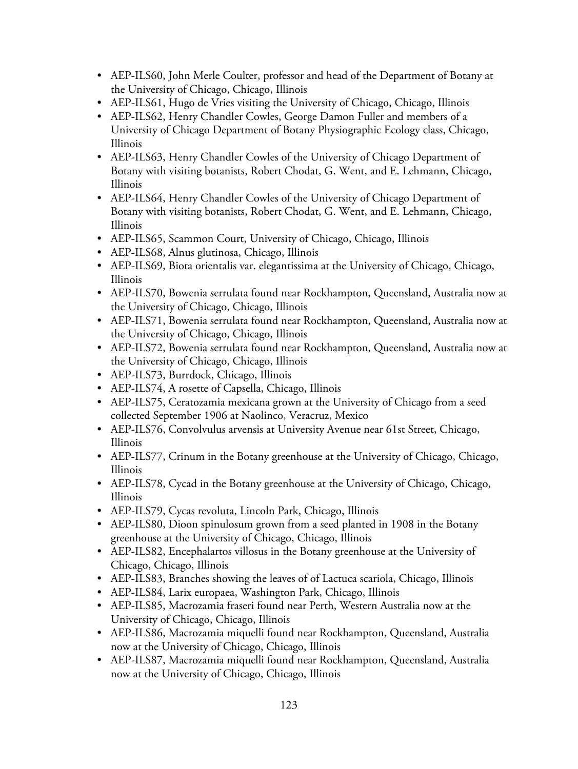- AEP-ILS60, John Merle Coulter, professor and head of the Department of Botany at the University of Chicago, Chicago, Illinois
- AEP-ILS61, Hugo de Vries visiting the University of Chicago, Chicago, Illinois
- AEP-ILS62, Henry Chandler Cowles, George Damon Fuller and members of a University of Chicago Department of Botany Physiographic Ecology class, Chicago, Illinois
- AEP-ILS63, Henry Chandler Cowles of the University of Chicago Department of Botany with visiting botanists, Robert Chodat, G. Went, and E. Lehmann, Chicago, Illinois
- AEP-ILS64, Henry Chandler Cowles of the University of Chicago Department of Botany with visiting botanists, Robert Chodat, G. Went, and E. Lehmann, Chicago, Illinois
- AEP-ILS65, Scammon Court, University of Chicago, Chicago, Illinois
- AEP-ILS68, Alnus glutinosa, Chicago, Illinois
- AEP-ILS69, Biota orientalis var. elegantissima at the University of Chicago, Chicago, Illinois
- AEP-ILS70, Bowenia serrulata found near Rockhampton, Queensland, Australia now at the University of Chicago, Chicago, Illinois
- AEP-ILS71, Bowenia serrulata found near Rockhampton, Queensland, Australia now at the University of Chicago, Chicago, Illinois
- AEP-ILS72, Bowenia serrulata found near Rockhampton, Queensland, Australia now at the University of Chicago, Chicago, Illinois
- AEP-ILS73, Burrdock, Chicago, Illinois
- AEP-ILS74, A rosette of Capsella, Chicago, Illinois
- AEP-ILS75, Ceratozamia mexicana grown at the University of Chicago from a seed collected September 1906 at Naolinco, Veracruz, Mexico
- AEP-ILS76, Convolvulus arvensis at University Avenue near 61st Street, Chicago, Illinois
- AEP-ILS77, Crinum in the Botany greenhouse at the University of Chicago, Chicago, Illinois
- AEP-ILS78, Cycad in the Botany greenhouse at the University of Chicago, Chicago, Illinois
- AEP-ILS79, Cycas revoluta, Lincoln Park, Chicago, Illinois
- AEP-ILS80, Dioon spinulosum grown from a seed planted in 1908 in the Botany greenhouse at the University of Chicago, Chicago, Illinois
- AEP-ILS82, Encephalartos villosus in the Botany greenhouse at the University of Chicago, Chicago, Illinois
- AEP-ILS83, Branches showing the leaves of of Lactuca scariola, Chicago, Illinois
- AEP-ILS84, Larix europaea, Washington Park, Chicago, Illinois
- AEP-ILS85, Macrozamia fraseri found near Perth, Western Australia now at the University of Chicago, Chicago, Illinois
- AEP-ILS86, Macrozamia miquelli found near Rockhampton, Queensland, Australia now at the University of Chicago, Chicago, Illinois
- AEP-ILS87, Macrozamia miquelli found near Rockhampton, Queensland, Australia now at the University of Chicago, Chicago, Illinois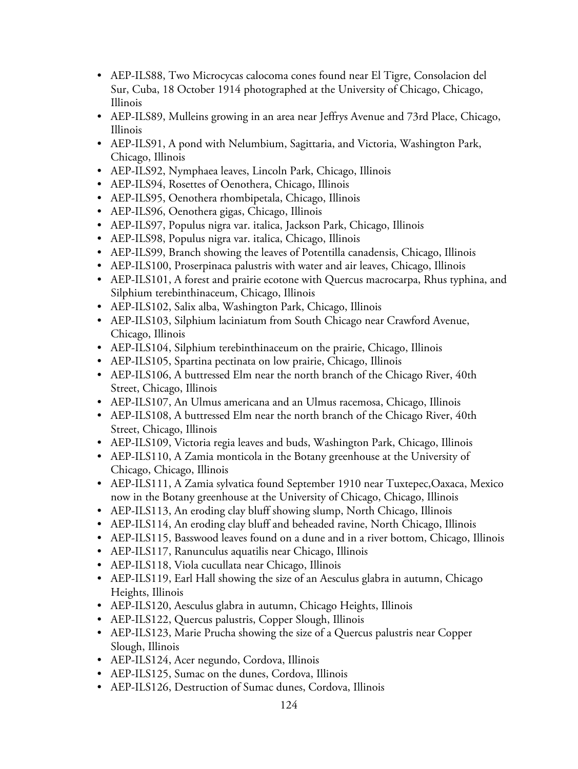- AEP-ILS88, Two Microcycas calocoma cones found near El Tigre, Consolacion del Sur, Cuba, 18 October 1914 photographed at the University of Chicago, Chicago, Illinois
- AEP-ILS89, Mulleins growing in an area near Jeffrys Avenue and 73rd Place, Chicago, Illinois
- AEP-ILS91, A pond with Nelumbium, Sagittaria, and Victoria, Washington Park, Chicago, Illinois
- AEP-ILS92, Nymphaea leaves, Lincoln Park, Chicago, Illinois
- AEP-ILS94, Rosettes of Oenothera, Chicago, Illinois
- AEP-ILS95, Oenothera rhombipetala, Chicago, Illinois
- AEP-ILS96, Oenothera gigas, Chicago, Illinois
- AEP-ILS97, Populus nigra var. italica, Jackson Park, Chicago, Illinois
- AEP-ILS98, Populus nigra var. italica, Chicago, Illinois
- AEP-ILS99, Branch showing the leaves of Potentilla canadensis, Chicago, Illinois
- AEP-ILS100, Proserpinaca palustris with water and air leaves, Chicago, Illinois
- AEP-ILS101, A forest and prairie ecotone with Quercus macrocarpa, Rhus typhina, and Silphium terebinthinaceum, Chicago, Illinois
- AEP-ILS102, Salix alba, Washington Park, Chicago, Illinois
- AEP-ILS103, Silphium laciniatum from South Chicago near Crawford Avenue, Chicago, Illinois
- AEP-ILS104, Silphium terebinthinaceum on the prairie, Chicago, Illinois
- AEP-ILS105, Spartina pectinata on low prairie, Chicago, Illinois
- AEP-ILS106, A buttressed Elm near the north branch of the Chicago River, 40th Street, Chicago, Illinois
- AEP-ILS107, An Ulmus americana and an Ulmus racemosa, Chicago, Illinois
- AEP-ILS108, A buttressed Elm near the north branch of the Chicago River, 40th Street, Chicago, Illinois
- AEP-ILS109, Victoria regia leaves and buds, Washington Park, Chicago, Illinois
- AEP-ILS110, A Zamia monticola in the Botany greenhouse at the University of Chicago, Chicago, Illinois
- AEP-ILS111, A Zamia sylvatica found September 1910 near Tuxtepec,Oaxaca, Mexico now in the Botany greenhouse at the University of Chicago, Chicago, Illinois
- AEP-ILS113, An eroding clay bluff showing slump, North Chicago, Illinois
- AEP-ILS114, An eroding clay bluff and beheaded ravine, North Chicago, Illinois
- AEP-ILS115, Basswood leaves found on a dune and in a river bottom, Chicago, Illinois
- AEP-ILS117, Ranunculus aquatilis near Chicago, Illinois
- AEP-ILS118, Viola cucullata near Chicago, Illinois
- AEP-ILS119, Earl Hall showing the size of an Aesculus glabra in autumn, Chicago Heights, Illinois
- AEP-ILS120, Aesculus glabra in autumn, Chicago Heights, Illinois
- AEP-ILS122, Quercus palustris, Copper Slough, Illinois
- AEP-ILS123, Marie Prucha showing the size of a Quercus palustris near Copper Slough, Illinois
- AEP-ILS124, Acer negundo, Cordova, Illinois
- AEP-ILS125, Sumac on the dunes, Cordova, Illinois
- AEP-ILS126, Destruction of Sumac dunes, Cordova, Illinois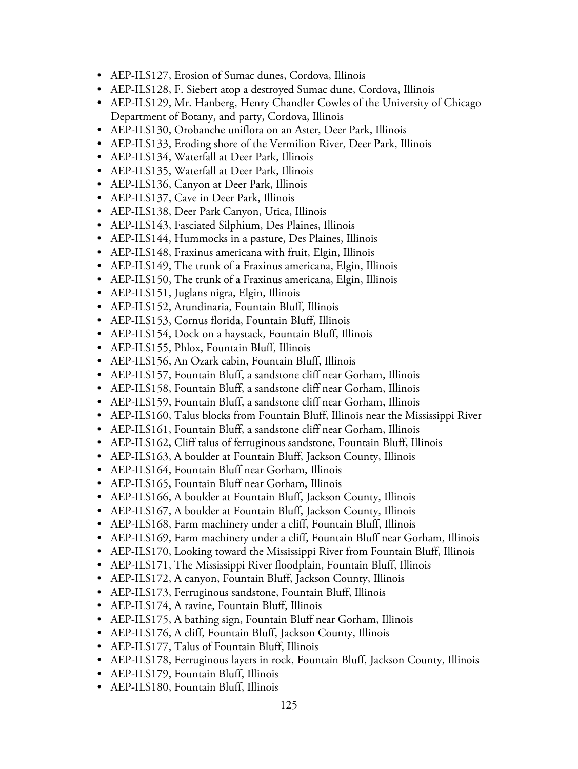- AEP-ILS127, Erosion of Sumac dunes, Cordova, Illinois
- AEP-ILS128, F. Siebert atop a destroyed Sumac dune, Cordova, Illinois
- AEP-ILS129, Mr. Hanberg, Henry Chandler Cowles of the University of Chicago Department of Botany, and party, Cordova, Illinois
- AEP-ILS130, Orobanche uniflora on an Aster, Deer Park, Illinois
- AEP-ILS133, Eroding shore of the Vermilion River, Deer Park, Illinois
- AEP-ILS134, Waterfall at Deer Park, Illinois
- AEP-ILS135, Waterfall at Deer Park, Illinois
- AEP-ILS136, Canyon at Deer Park, Illinois
- AEP-ILS137, Cave in Deer Park, Illinois
- AEP-ILS138, Deer Park Canyon, Utica, Illinois
- AEP-ILS143, Fasciated Silphium, Des Plaines, Illinois
- AEP-ILS144, Hummocks in a pasture, Des Plaines, Illinois
- AEP-ILS148, Fraxinus americana with fruit, Elgin, Illinois
- AEP-ILS149, The trunk of a Fraxinus americana, Elgin, Illinois
- AEP-ILS150, The trunk of a Fraxinus americana, Elgin, Illinois
- AEP-ILS151, Juglans nigra, Elgin, Illinois
- AEP-ILS152, Arundinaria, Fountain Bluff, Illinois
- AEP-ILS153, Cornus florida, Fountain Bluff, Illinois
- AEP-ILS154, Dock on a haystack, Fountain Bluff, Illinois
- AEP-ILS155, Phlox, Fountain Bluff, Illinois
- AEP-ILS156, An Ozark cabin, Fountain Bluff, Illinois
- AEP-ILS157, Fountain Bluff, a sandstone cliff near Gorham, Illinois
- AEP-ILS158, Fountain Bluff, a sandstone cliff near Gorham, Illinois
- AEP-ILS159, Fountain Bluff, a sandstone cliff near Gorham, Illinois
- AEP-ILS160, Talus blocks from Fountain Bluff, Illinois near the Mississippi River
- AEP-ILS161, Fountain Bluff, a sandstone cliff near Gorham, Illinois
- AEP-ILS162, Cliff talus of ferruginous sandstone, Fountain Bluff, Illinois
- AEP-ILS163, A boulder at Fountain Bluff, Jackson County, Illinois
- AEP-ILS164, Fountain Bluff near Gorham, Illinois
- AEP-ILS165, Fountain Bluff near Gorham, Illinois
- AEP-ILS166, A boulder at Fountain Bluff, Jackson County, Illinois
- AEP-ILS167, A boulder at Fountain Bluff, Jackson County, Illinois
- AEP-ILS168, Farm machinery under a cliff, Fountain Bluff, Illinois
- AEP-ILS169, Farm machinery under a cliff, Fountain Bluff near Gorham, Illinois
- AEP-ILS170, Looking toward the Mississippi River from Fountain Bluff, Illinois
- AEP-ILS171, The Mississippi River floodplain, Fountain Bluff, Illinois
- AEP-ILS172, A canyon, Fountain Bluff, Jackson County, Illinois
- AEP-ILS173, Ferruginous sandstone, Fountain Bluff, Illinois
- AEP-ILS174, A ravine, Fountain Bluff, Illinois
- AEP-ILS175, A bathing sign, Fountain Bluff near Gorham, Illinois
- AEP-ILS176, A cliff, Fountain Bluff, Jackson County, Illinois
- AEP-ILS177, Talus of Fountain Bluff, Illinois
- AEP-ILS178, Ferruginous layers in rock, Fountain Bluff, Jackson County, Illinois
- AEP-ILS179, Fountain Bluff, Illinois
- AEP-ILS180, Fountain Bluff, Illinois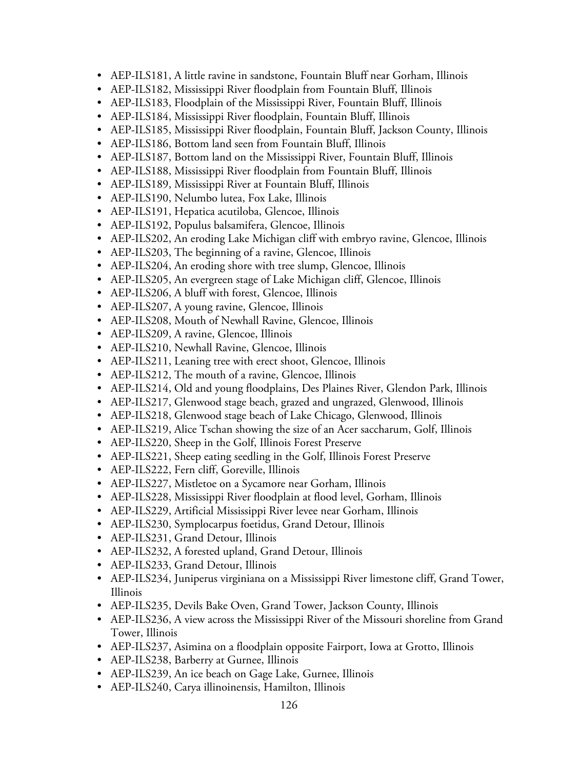- AEP-ILS181, A little ravine in sandstone, Fountain Bluff near Gorham, Illinois
- AEP-ILS182, Mississippi River floodplain from Fountain Bluff, Illinois
- AEP-ILS183, Floodplain of the Mississippi River, Fountain Bluff, Illinois
- AEP-ILS184, Mississippi River floodplain, Fountain Bluff, Illinois
- AEP-ILS185, Mississippi River floodplain, Fountain Bluff, Jackson County, Illinois
- AEP-ILS186, Bottom land seen from Fountain Bluff, Illinois
- AEP-ILS187, Bottom land on the Mississippi River, Fountain Bluff, Illinois
- AEP-ILS188, Mississippi River floodplain from Fountain Bluff, Illinois
- AEP-ILS189, Mississippi River at Fountain Bluff, Illinois
- AEP-ILS190, Nelumbo lutea, Fox Lake, Illinois
- AEP-ILS191, Hepatica acutiloba, Glencoe, Illinois
- AEP-ILS192, Populus balsamifera, Glencoe, Illinois
- AEP-ILS202, An eroding Lake Michigan cliff with embryo ravine, Glencoe, Illinois
- AEP-ILS203, The beginning of a ravine, Glencoe, Illinois
- AEP-ILS204, An eroding shore with tree slump, Glencoe, Illinois
- AEP-ILS205, An evergreen stage of Lake Michigan cliff, Glencoe, Illinois
- AEP-ILS206, A bluff with forest, Glencoe, Illinois
- AEP-ILS207, A young ravine, Glencoe, Illinois
- AEP-ILS208, Mouth of Newhall Ravine, Glencoe, Illinois
- AEP-ILS209, A ravine, Glencoe, Illinois
- AEP-ILS210, Newhall Ravine, Glencoe, Illinois
- AEP-ILS211, Leaning tree with erect shoot, Glencoe, Illinois
- AEP-ILS212, The mouth of a ravine, Glencoe, Illinois
- AEP-ILS214, Old and young floodplains, Des Plaines River, Glendon Park, Illinois
- AEP-ILS217, Glenwood stage beach, grazed and ungrazed, Glenwood, Illinois
- AEP-ILS218, Glenwood stage beach of Lake Chicago, Glenwood, Illinois
- AEP-ILS219, Alice Tschan showing the size of an Acer saccharum, Golf, Illinois
- AEP-ILS220, Sheep in the Golf, Illinois Forest Preserve
- AEP-ILS221, Sheep eating seedling in the Golf, Illinois Forest Preserve
- AEP-ILS222, Fern cliff, Goreville, Illinois
- AEP-ILS227, Mistletoe on a Sycamore near Gorham, Illinois
- AEP-ILS228, Mississippi River floodplain at flood level, Gorham, Illinois
- AEP-ILS229, Artificial Mississippi River levee near Gorham, Illinois
- AEP-ILS230, Symplocarpus foetidus, Grand Detour, Illinois
- AEP-ILS231, Grand Detour, Illinois
- AEP-ILS232, A forested upland, Grand Detour, Illinois
- AEP-ILS233, Grand Detour, Illinois
- AEP-ILS234, Juniperus virginiana on a Mississippi River limestone cliff, Grand Tower, Illinois
- AEP-ILS235, Devils Bake Oven, Grand Tower, Jackson County, Illinois
- AEP-ILS236, A view across the Mississippi River of the Missouri shoreline from Grand Tower, Illinois
- AEP-ILS237, Asimina on a floodplain opposite Fairport, Iowa at Grotto, Illinois
- AEP-ILS238, Barberry at Gurnee, Illinois
- AEP-ILS239, An ice beach on Gage Lake, Gurnee, Illinois
- AEP-ILS240, Carya illinoinensis, Hamilton, Illinois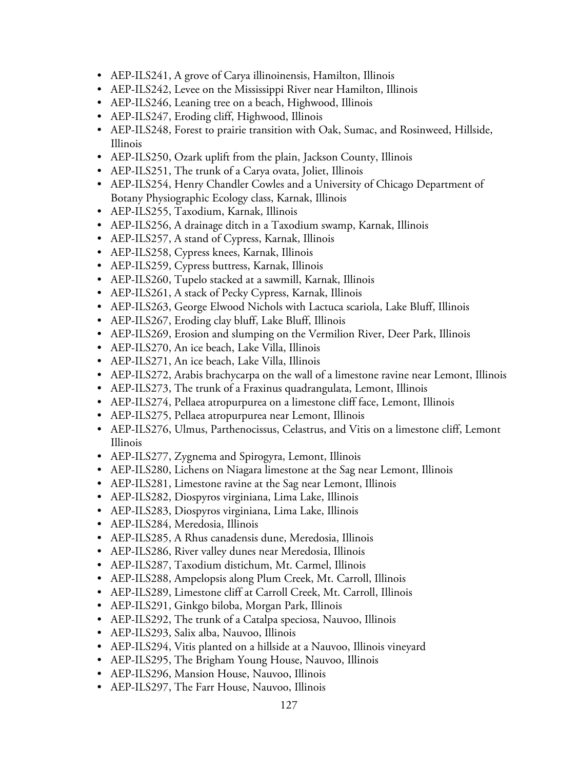- AEP-ILS241, A grove of Carya illinoinensis, Hamilton, Illinois
- AEP-ILS242, Levee on the Mississippi River near Hamilton, Illinois
- AEP-ILS246, Leaning tree on a beach, Highwood, Illinois
- AEP-ILS247, Eroding cliff, Highwood, Illinois
- AEP-ILS248, Forest to prairie transition with Oak, Sumac, and Rosinweed, Hillside, Illinois
- AEP-ILS250, Ozark uplift from the plain, Jackson County, Illinois
- AEP-ILS251, The trunk of a Carya ovata, Joliet, Illinois
- AEP-ILS254, Henry Chandler Cowles and a University of Chicago Department of Botany Physiographic Ecology class, Karnak, Illinois
- AEP-ILS255, Taxodium, Karnak, Illinois
- AEP-ILS256, A drainage ditch in a Taxodium swamp, Karnak, Illinois
- AEP-ILS257, A stand of Cypress, Karnak, Illinois
- AEP-ILS258, Cypress knees, Karnak, Illinois
- AEP-ILS259, Cypress buttress, Karnak, Illinois
- AEP-ILS260, Tupelo stacked at a sawmill, Karnak, Illinois
- AEP-ILS261, A stack of Pecky Cypress, Karnak, Illinois
- AEP-ILS263, George Elwood Nichols with Lactuca scariola, Lake Bluff, Illinois
- AEP-ILS267, Eroding clay bluff, Lake Bluff, Illinois
- AEP-ILS269, Erosion and slumping on the Vermilion River, Deer Park, Illinois
- AEP-ILS270, An ice beach, Lake Villa, Illinois
- AEP-ILS271, An ice beach, Lake Villa, Illinois
- AEP-ILS272, Arabis brachycarpa on the wall of a limestone ravine near Lemont, Illinois
- AEP-ILS273, The trunk of a Fraxinus quadrangulata, Lemont, Illinois
- AEP-ILS274, Pellaea atropurpurea on a limestone cliff face, Lemont, Illinois
- AEP-ILS275, Pellaea atropurpurea near Lemont, Illinois
- AEP-ILS276, Ulmus, Parthenocissus, Celastrus, and Vitis on a limestone cliff, Lemont Illinois
- AEP-ILS277, Zygnema and Spirogyra, Lemont, Illinois
- AEP-ILS280, Lichens on Niagara limestone at the Sag near Lemont, Illinois
- AEP-ILS281, Limestone ravine at the Sag near Lemont, Illinois
- AEP-ILS282, Diospyros virginiana, Lima Lake, Illinois
- AEP-ILS283, Diospyros virginiana, Lima Lake, Illinois
- AEP-ILS284, Meredosia, Illinois
- AEP-ILS285, A Rhus canadensis dune, Meredosia, Illinois
- AEP-ILS286, River valley dunes near Meredosia, Illinois
- AEP-ILS287, Taxodium distichum, Mt. Carmel, Illinois
- AEP-ILS288, Ampelopsis along Plum Creek, Mt. Carroll, Illinois
- AEP-ILS289, Limestone cliff at Carroll Creek, Mt. Carroll, Illinois
- AEP-ILS291, Ginkgo biloba, Morgan Park, Illinois
- AEP-ILS292, The trunk of a Catalpa speciosa, Nauvoo, Illinois
- AEP-ILS293, Salix alba, Nauvoo, Illinois
- AEP-ILS294, Vitis planted on a hillside at a Nauvoo, Illinois vineyard
- AEP-ILS295, The Brigham Young House, Nauvoo, Illinois
- AEP-ILS296, Mansion House, Nauvoo, Illinois
- AEP-ILS297, The Farr House, Nauvoo, Illinois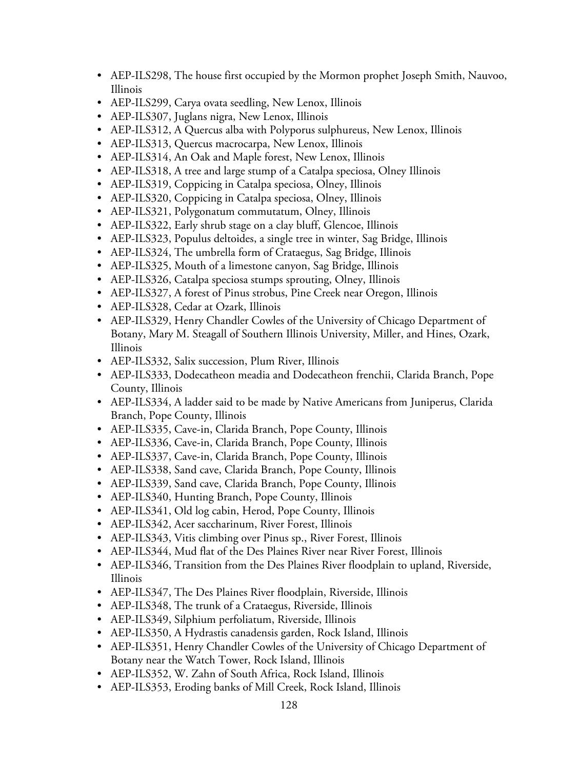- AEP-ILS298, The house first occupied by the Mormon prophet Joseph Smith, Nauvoo, Illinois
- AEP-ILS299, Carya ovata seedling, New Lenox, Illinois
- AEP-ILS307, Juglans nigra, New Lenox, Illinois
- AEP-ILS312, A Quercus alba with Polyporus sulphureus, New Lenox, Illinois
- AEP-ILS313, Quercus macrocarpa, New Lenox, Illinois
- AEP-ILS314, An Oak and Maple forest, New Lenox, Illinois
- AEP-ILS318, A tree and large stump of a Catalpa speciosa, Olney Illinois
- AEP-ILS319, Coppicing in Catalpa speciosa, Olney, Illinois
- AEP-ILS320, Coppicing in Catalpa speciosa, Olney, Illinois
- AEP-ILS321, Polygonatum commutatum, Olney, Illinois
- AEP-ILS322, Early shrub stage on a clay bluff, Glencoe, Illinois
- AEP-ILS323, Populus deltoides, a single tree in winter, Sag Bridge, Illinois
- AEP-ILS324, The umbrella form of Crataegus, Sag Bridge, Illinois
- AEP-ILS325, Mouth of a limestone canyon, Sag Bridge, Illinois
- AEP-ILS326, Catalpa speciosa stumps sprouting, Olney, Illinois
- AEP-ILS327, A forest of Pinus strobus, Pine Creek near Oregon, Illinois
- AEP-ILS328, Cedar at Ozark, Illinois
- AEP-ILS329, Henry Chandler Cowles of the University of Chicago Department of Botany, Mary M. Steagall of Southern Illinois University, Miller, and Hines, Ozark, Illinois
- AEP-ILS332, Salix succession, Plum River, Illinois
- AEP-ILS333, Dodecatheon meadia and Dodecatheon frenchii, Clarida Branch, Pope County, Illinois
- AEP-ILS334, A ladder said to be made by Native Americans from Juniperus, Clarida Branch, Pope County, Illinois
- AEP-ILS335, Cave-in, Clarida Branch, Pope County, Illinois
- AEP-ILS336, Cave-in, Clarida Branch, Pope County, Illinois
- AEP-ILS337, Cave-in, Clarida Branch, Pope County, Illinois
- AEP-ILS338, Sand cave, Clarida Branch, Pope County, Illinois
- AEP-ILS339, Sand cave, Clarida Branch, Pope County, Illinois
- AEP-ILS340, Hunting Branch, Pope County, Illinois
- AEP-ILS341, Old log cabin, Herod, Pope County, Illinois
- AEP-ILS342, Acer saccharinum, River Forest, Illinois
- AEP-ILS343, Vitis climbing over Pinus sp., River Forest, Illinois
- AEP-ILS344, Mud flat of the Des Plaines River near River Forest, Illinois
- AEP-ILS346, Transition from the Des Plaines River floodplain to upland, Riverside, Illinois
- AEP-ILS347, The Des Plaines River floodplain, Riverside, Illinois
- AEP-ILS348, The trunk of a Crataegus, Riverside, Illinois
- AEP-ILS349, Silphium perfoliatum, Riverside, Illinois
- AEP-ILS350, A Hydrastis canadensis garden, Rock Island, Illinois
- AEP-ILS351, Henry Chandler Cowles of the University of Chicago Department of Botany near the Watch Tower, Rock Island, Illinois
- AEP-ILS352, W. Zahn of South Africa, Rock Island, Illinois
- AEP-ILS353, Eroding banks of Mill Creek, Rock Island, Illinois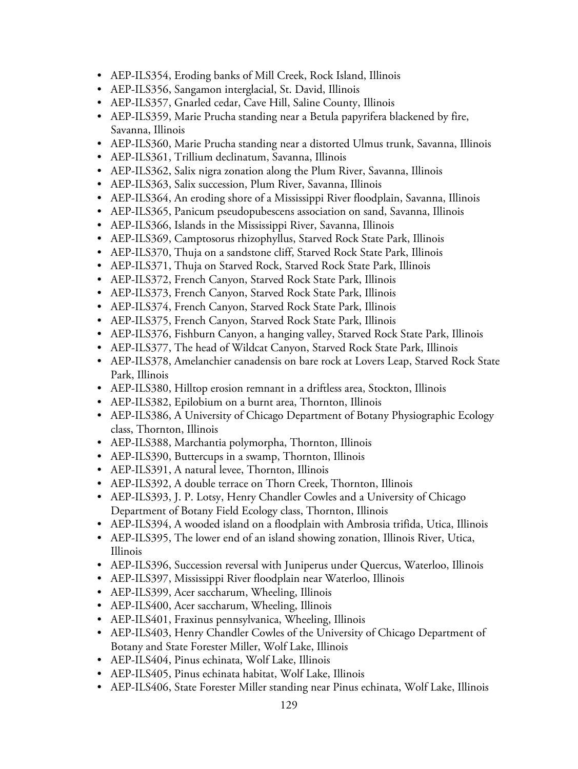- AEP-ILS354, Eroding banks of Mill Creek, Rock Island, Illinois
- AEP-ILS356, Sangamon interglacial, St. David, Illinois
- AEP-ILS357, Gnarled cedar, Cave Hill, Saline County, Illinois
- AEP-ILS359, Marie Prucha standing near a Betula papyrifera blackened by fire, Savanna, Illinois
- AEP-ILS360, Marie Prucha standing near a distorted Ulmus trunk, Savanna, Illinois
- AEP-ILS361, Trillium declinatum, Savanna, Illinois
- AEP-ILS362, Salix nigra zonation along the Plum River, Savanna, Illinois
- AEP-ILS363, Salix succession, Plum River, Savanna, Illinois
- AEP-ILS364, An eroding shore of a Mississippi River floodplain, Savanna, Illinois
- AEP-ILS365, Panicum pseudopubescens association on sand, Savanna, Illinois
- AEP-ILS366, Islands in the Mississippi River, Savanna, Illinois
- AEP-ILS369, Camptosorus rhizophyllus, Starved Rock State Park, Illinois
- AEP-ILS370, Thuja on a sandstone cliff, Starved Rock State Park, Illinois
- AEP-ILS371, Thuja on Starved Rock, Starved Rock State Park, Illinois
- AEP-ILS372, French Canyon, Starved Rock State Park, Illinois
- AEP-ILS373, French Canyon, Starved Rock State Park, Illinois
- AEP-ILS374, French Canyon, Starved Rock State Park, Illinois
- AEP-ILS375, French Canyon, Starved Rock State Park, Illinois
- AEP-ILS376, Fishburn Canyon, a hanging valley, Starved Rock State Park, Illinois
- AEP-ILS377, The head of Wildcat Canyon, Starved Rock State Park, Illinois
- AEP-ILS378, Amelanchier canadensis on bare rock at Lovers Leap, Starved Rock State Park, Illinois
- AEP-ILS380, Hilltop erosion remnant in a driftless area, Stockton, Illinois
- AEP-ILS382, Epilobium on a burnt area, Thornton, Illinois
- AEP-ILS386, A University of Chicago Department of Botany Physiographic Ecology class, Thornton, Illinois
- AEP-ILS388, Marchantia polymorpha, Thornton, Illinois
- AEP-ILS390, Buttercups in a swamp, Thornton, Illinois
- AEP-ILS391, A natural levee, Thornton, Illinois
- AEP-ILS392, A double terrace on Thorn Creek, Thornton, Illinois
- AEP-ILS393, J. P. Lotsy, Henry Chandler Cowles and a University of Chicago Department of Botany Field Ecology class, Thornton, Illinois
- AEP-ILS394, A wooded island on a floodplain with Ambrosia trifida, Utica, Illinois
- AEP-ILS395, The lower end of an island showing zonation, Illinois River, Utica, Illinois
- AEP-ILS396, Succession reversal with Juniperus under Quercus, Waterloo, Illinois
- AEP-ILS397, Mississippi River floodplain near Waterloo, Illinois
- AEP-ILS399, Acer saccharum, Wheeling, Illinois
- AEP-ILS400, Acer saccharum, Wheeling, Illinois
- AEP-ILS401, Fraxinus pennsylvanica, Wheeling, Illinois
- AEP-ILS403, Henry Chandler Cowles of the University of Chicago Department of Botany and State Forester Miller, Wolf Lake, Illinois
- AEP-ILS404, Pinus echinata, Wolf Lake, Illinois
- AEP-ILS405, Pinus echinata habitat, Wolf Lake, Illinois
- AEP-ILS406, State Forester Miller standing near Pinus echinata, Wolf Lake, Illinois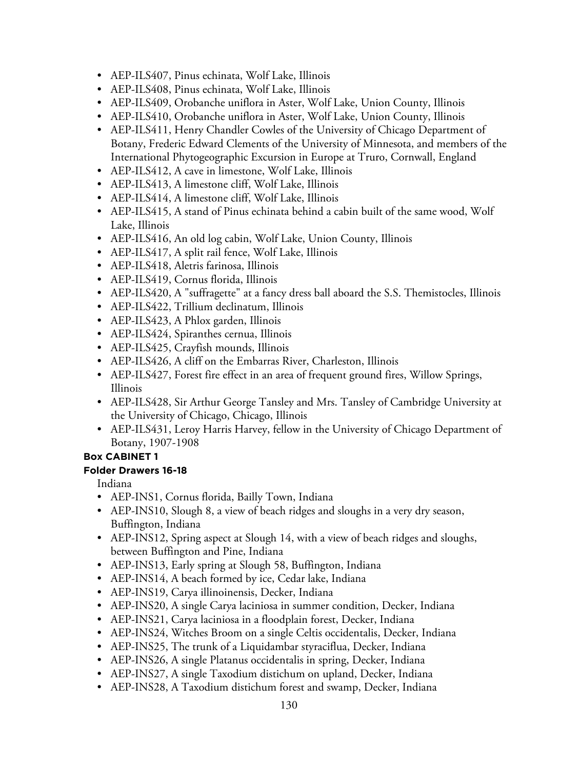- AEP-ILS407, Pinus echinata, Wolf Lake, Illinois
- AEP-ILS408, Pinus echinata, Wolf Lake, Illinois
- AEP-ILS409, Orobanche uniflora in Aster, Wolf Lake, Union County, Illinois
- AEP-ILS410, Orobanche uniflora in Aster, Wolf Lake, Union County, Illinois
- AEP-ILS411, Henry Chandler Cowles of the University of Chicago Department of Botany, Frederic Edward Clements of the University of Minnesota, and members of the International Phytogeographic Excursion in Europe at Truro, Cornwall, England
- AEP-ILS412, A cave in limestone, Wolf Lake, Illinois
- AEP-ILS413, A limestone cliff, Wolf Lake, Illinois
- AEP-ILS414, A limestone cliff, Wolf Lake, Illinois
- AEP-ILS415, A stand of Pinus echinata behind a cabin built of the same wood, Wolf Lake, Illinois
- AEP-ILS416, An old log cabin, Wolf Lake, Union County, Illinois
- AEP-ILS417, A split rail fence, Wolf Lake, Illinois
- AEP-ILS418, Aletris farinosa, Illinois
- AEP-ILS419, Cornus florida, Illinois
- AEP-ILS420, A "suffragette" at a fancy dress ball aboard the S.S. Themistocles, Illinois
- AEP-ILS422, Trillium declinatum, Illinois
- AEP-ILS423, A Phlox garden, Illinois
- AEP-ILS424, Spiranthes cernua, Illinois
- AEP-ILS425, Crayfish mounds, Illinois
- AEP-ILS426, A cliff on the Embarras River, Charleston, Illinois
- AEP-ILS427, Forest fire effect in an area of frequent ground fires, Willow Springs, Illinois
- AEP-ILS428, Sir Arthur George Tansley and Mrs. Tansley of Cambridge University at the University of Chicago, Chicago, Illinois
- AEP-ILS431, Leroy Harris Harvey, fellow in the University of Chicago Department of Botany, 1907-1908

### **Folder Drawers 16-18**

Indiana

- AEP-INS1, Cornus florida, Bailly Town, Indiana
- AEP-INS10, Slough 8, a view of beach ridges and sloughs in a very dry season, Buffington, Indiana
- AEP-INS12, Spring aspect at Slough 14, with a view of beach ridges and sloughs, between Buffington and Pine, Indiana
- AEP-INS13, Early spring at Slough 58, Buffington, Indiana
- AEP-INS14, A beach formed by ice, Cedar lake, Indiana
- AEP-INS19, Carya illinoinensis, Decker, Indiana
- AEP-INS20, A single Carya laciniosa in summer condition, Decker, Indiana
- AEP-INS21, Carya laciniosa in a floodplain forest, Decker, Indiana
- AEP-INS24, Witches Broom on a single Celtis occidentalis, Decker, Indiana
- AEP-INS25, The trunk of a Liquidambar styraciflua, Decker, Indiana
- AEP-INS26, A single Platanus occidentalis in spring, Decker, Indiana
- AEP-INS27, A single Taxodium distichum on upland, Decker, Indiana
- AEP-INS28, A Taxodium distichum forest and swamp, Decker, Indiana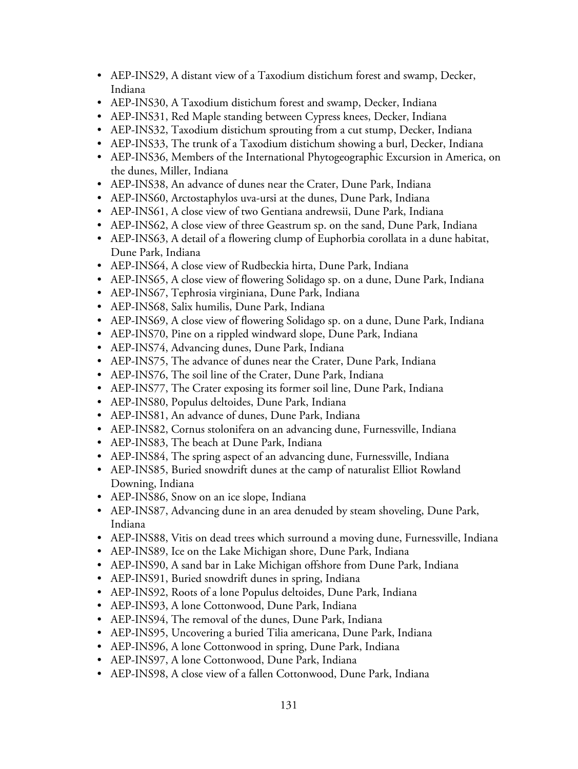- AEP-INS29, A distant view of a Taxodium distichum forest and swamp, Decker, Indiana
- AEP-INS30, A Taxodium distichum forest and swamp, Decker, Indiana
- AEP-INS31, Red Maple standing between Cypress knees, Decker, Indiana
- AEP-INS32, Taxodium distichum sprouting from a cut stump, Decker, Indiana
- AEP-INS33, The trunk of a Taxodium distichum showing a burl, Decker, Indiana
- AEP-INS36, Members of the International Phytogeographic Excursion in America, on the dunes, Miller, Indiana
- AEP-INS38, An advance of dunes near the Crater, Dune Park, Indiana
- AEP-INS60, Arctostaphylos uva-ursi at the dunes, Dune Park, Indiana
- AEP-INS61, A close view of two Gentiana andrewsii, Dune Park, Indiana
- AEP-INS62, A close view of three Geastrum sp. on the sand, Dune Park, Indiana
- AEP-INS63, A detail of a flowering clump of Euphorbia corollata in a dune habitat, Dune Park, Indiana
- AEP-INS64, A close view of Rudbeckia hirta, Dune Park, Indiana
- AEP-INS65, A close view of flowering Solidago sp. on a dune, Dune Park, Indiana
- AEP-INS67, Tephrosia virginiana, Dune Park, Indiana
- AEP-INS68, Salix humilis, Dune Park, Indiana
- AEP-INS69, A close view of flowering Solidago sp. on a dune, Dune Park, Indiana
- AEP-INS70, Pine on a rippled windward slope, Dune Park, Indiana
- AEP-INS74, Advancing dunes, Dune Park, Indiana
- AEP-INS75, The advance of dunes near the Crater, Dune Park, Indiana
- AEP-INS76, The soil line of the Crater, Dune Park, Indiana
- AEP-INS77, The Crater exposing its former soil line, Dune Park, Indiana
- AEP-INS80, Populus deltoides, Dune Park, Indiana
- AEP-INS81, An advance of dunes, Dune Park, Indiana
- AEP-INS82, Cornus stolonifera on an advancing dune, Furnessville, Indiana
- AEP-INS83, The beach at Dune Park, Indiana
- AEP-INS84, The spring aspect of an advancing dune, Furnessville, Indiana
- AEP-INS85, Buried snowdrift dunes at the camp of naturalist Elliot Rowland Downing, Indiana
- AEP-INS86, Snow on an ice slope, Indiana
- AEP-INS87, Advancing dune in an area denuded by steam shoveling, Dune Park, Indiana
- AEP-INS88, Vitis on dead trees which surround a moving dune, Furnessville, Indiana
- AEP-INS89, Ice on the Lake Michigan shore, Dune Park, Indiana
- AEP-INS90, A sand bar in Lake Michigan offshore from Dune Park, Indiana
- AEP-INS91, Buried snowdrift dunes in spring, Indiana
- AEP-INS92, Roots of a lone Populus deltoides, Dune Park, Indiana
- AEP-INS93, A lone Cottonwood, Dune Park, Indiana
- AEP-INS94, The removal of the dunes, Dune Park, Indiana
- AEP-INS95, Uncovering a buried Tilia americana, Dune Park, Indiana
- AEP-INS96, A lone Cottonwood in spring, Dune Park, Indiana
- AEP-INS97, A lone Cottonwood, Dune Park, Indiana
- AEP-INS98, A close view of a fallen Cottonwood, Dune Park, Indiana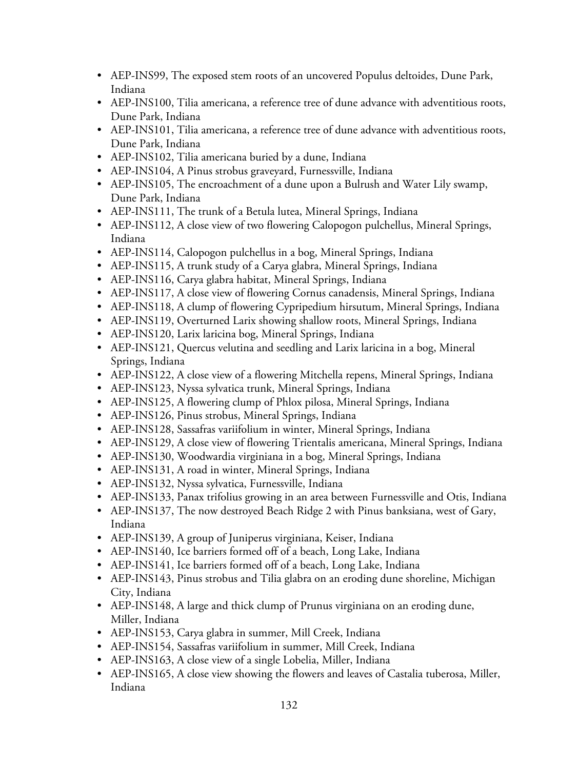- AEP-INS99, The exposed stem roots of an uncovered Populus deltoides, Dune Park, Indiana
- AEP-INS100, Tilia americana, a reference tree of dune advance with adventitious roots, Dune Park, Indiana
- AEP-INS101, Tilia americana, a reference tree of dune advance with adventitious roots, Dune Park, Indiana
- AEP-INS102, Tilia americana buried by a dune, Indiana
- AEP-INS104, A Pinus strobus graveyard, Furnessville, Indiana
- AEP-INS105, The encroachment of a dune upon a Bulrush and Water Lily swamp, Dune Park, Indiana
- AEP-INS111, The trunk of a Betula lutea, Mineral Springs, Indiana
- AEP-INS112, A close view of two flowering Calopogon pulchellus, Mineral Springs, Indiana
- AEP-INS114, Calopogon pulchellus in a bog, Mineral Springs, Indiana
- AEP-INS115, A trunk study of a Carya glabra, Mineral Springs, Indiana
- AEP-INS116, Carya glabra habitat, Mineral Springs, Indiana
- AEP-INS117, A close view of flowering Cornus canadensis, Mineral Springs, Indiana
- AEP-INS118, A clump of flowering Cypripedium hirsutum, Mineral Springs, Indiana
- AEP-INS119, Overturned Larix showing shallow roots, Mineral Springs, Indiana
- AEP-INS120, Larix laricina bog, Mineral Springs, Indiana
- AEP-INS121, Quercus velutina and seedling and Larix laricina in a bog, Mineral Springs, Indiana
- AEP-INS122, A close view of a flowering Mitchella repens, Mineral Springs, Indiana
- AEP-INS123, Nyssa sylvatica trunk, Mineral Springs, Indiana
- AEP-INS125, A flowering clump of Phlox pilosa, Mineral Springs, Indiana
- AEP-INS126, Pinus strobus, Mineral Springs, Indiana
- AEP-INS128, Sassafras variifolium in winter, Mineral Springs, Indiana
- AEP-INS129, A close view of flowering Trientalis americana, Mineral Springs, Indiana
- AEP-INS130, Woodwardia virginiana in a bog, Mineral Springs, Indiana
- AEP-INS131, A road in winter, Mineral Springs, Indiana
- AEP-INS132, Nyssa sylvatica, Furnessville, Indiana
- AEP-INS133, Panax trifolius growing in an area between Furnessville and Otis, Indiana
- AEP-INS137, The now destroyed Beach Ridge 2 with Pinus banksiana, west of Gary, Indiana
- AEP-INS139, A group of Juniperus virginiana, Keiser, Indiana
- AEP-INS140, Ice barriers formed off of a beach, Long Lake, Indiana
- AEP-INS141, Ice barriers formed off of a beach, Long Lake, Indiana
- AEP-INS143, Pinus strobus and Tilia glabra on an eroding dune shoreline, Michigan City, Indiana
- AEP-INS148, A large and thick clump of Prunus virginiana on an eroding dune, Miller, Indiana
- AEP-INS153, Carya glabra in summer, Mill Creek, Indiana
- AEP-INS154, Sassafras variifolium in summer, Mill Creek, Indiana
- AEP-INS163, A close view of a single Lobelia, Miller, Indiana
- AEP-INS165, A close view showing the flowers and leaves of Castalia tuberosa, Miller, Indiana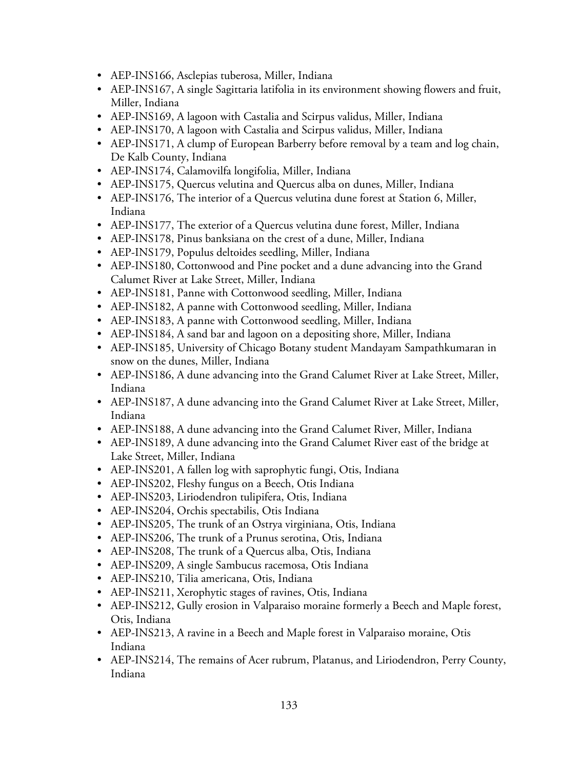- AEP-INS166, Asclepias tuberosa, Miller, Indiana
- AEP-INS167, A single Sagittaria latifolia in its environment showing flowers and fruit, Miller, Indiana
- AEP-INS169, A lagoon with Castalia and Scirpus validus, Miller, Indiana
- AEP-INS170, A lagoon with Castalia and Scirpus validus, Miller, Indiana
- AEP-INS171, A clump of European Barberry before removal by a team and log chain, De Kalb County, Indiana
- AEP-INS174, Calamovilfa longifolia, Miller, Indiana
- AEP-INS175, Quercus velutina and Quercus alba on dunes, Miller, Indiana
- AEP-INS176, The interior of a Quercus velutina dune forest at Station 6, Miller, Indiana
- AEP-INS177, The exterior of a Quercus velutina dune forest, Miller, Indiana
- AEP-INS178, Pinus banksiana on the crest of a dune, Miller, Indiana
- AEP-INS179, Populus deltoides seedling, Miller, Indiana
- AEP-INS180, Cottonwood and Pine pocket and a dune advancing into the Grand Calumet River at Lake Street, Miller, Indiana
- AEP-INS181, Panne with Cottonwood seedling, Miller, Indiana
- AEP-INS182, A panne with Cottonwood seedling, Miller, Indiana
- AEP-INS183, A panne with Cottonwood seedling, Miller, Indiana
- AEP-INS184, A sand bar and lagoon on a depositing shore, Miller, Indiana
- AEP-INS185, University of Chicago Botany student Mandayam Sampathkumaran in snow on the dunes, Miller, Indiana
- AEP-INS186, A dune advancing into the Grand Calumet River at Lake Street, Miller, Indiana
- AEP-INS187, A dune advancing into the Grand Calumet River at Lake Street, Miller, Indiana
- AEP-INS188, A dune advancing into the Grand Calumet River, Miller, Indiana
- AEP-INS189, A dune advancing into the Grand Calumet River east of the bridge at Lake Street, Miller, Indiana
- AEP-INS201, A fallen log with saprophytic fungi, Otis, Indiana
- AEP-INS202, Fleshy fungus on a Beech, Otis Indiana
- AEP-INS203, Liriodendron tulipifera, Otis, Indiana
- AEP-INS204, Orchis spectabilis, Otis Indiana
- AEP-INS205, The trunk of an Ostrya virginiana, Otis, Indiana
- AEP-INS206, The trunk of a Prunus serotina, Otis, Indiana
- AEP-INS208, The trunk of a Quercus alba, Otis, Indiana
- AEP-INS209, A single Sambucus racemosa, Otis Indiana
- AEP-INS210, Tilia americana, Otis, Indiana
- AEP-INS211, Xerophytic stages of ravines, Otis, Indiana
- AEP-INS212, Gully erosion in Valparaiso moraine formerly a Beech and Maple forest, Otis, Indiana
- AEP-INS213, A ravine in a Beech and Maple forest in Valparaiso moraine, Otis Indiana
- AEP-INS214, The remains of Acer rubrum, Platanus, and Liriodendron, Perry County, Indiana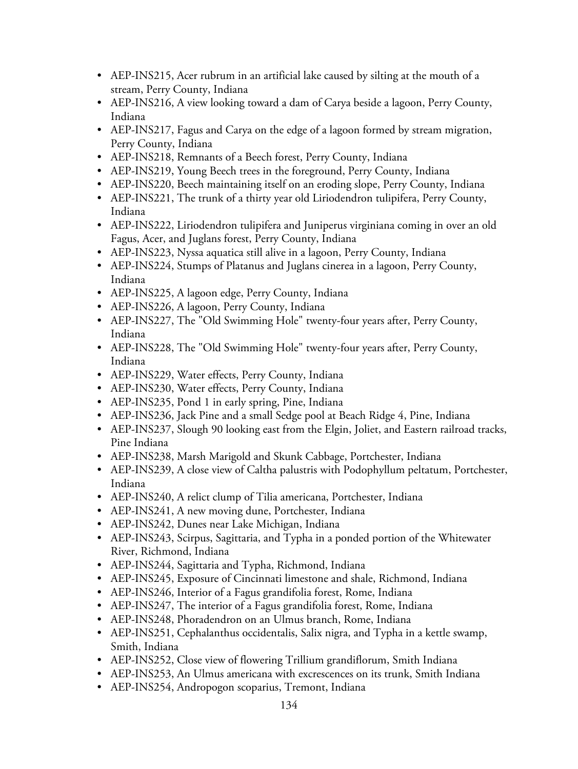- AEP-INS215, Acer rubrum in an artificial lake caused by silting at the mouth of a stream, Perry County, Indiana
- AEP-INS216, A view looking toward a dam of Carya beside a lagoon, Perry County, Indiana
- AEP-INS217, Fagus and Carya on the edge of a lagoon formed by stream migration, Perry County, Indiana
- AEP-INS218, Remnants of a Beech forest, Perry County, Indiana
- AEP-INS219, Young Beech trees in the foreground, Perry County, Indiana
- AEP-INS220, Beech maintaining itself on an eroding slope, Perry County, Indiana
- AEP-INS221, The trunk of a thirty year old Liriodendron tulipifera, Perry County, Indiana
- AEP-INS222, Liriodendron tulipifera and Juniperus virginiana coming in over an old Fagus, Acer, and Juglans forest, Perry County, Indiana
- AEP-INS223, Nyssa aquatica still alive in a lagoon, Perry County, Indiana
- AEP-INS224, Stumps of Platanus and Juglans cinerea in a lagoon, Perry County, Indiana
- AEP-INS225, A lagoon edge, Perry County, Indiana
- AEP-INS226, A lagoon, Perry County, Indiana
- AEP-INS227, The "Old Swimming Hole" twenty-four years after, Perry County, Indiana
- AEP-INS228, The "Old Swimming Hole" twenty-four years after, Perry County, Indiana
- AEP-INS229, Water effects, Perry County, Indiana
- AEP-INS230, Water effects, Perry County, Indiana
- AEP-INS235, Pond 1 in early spring, Pine, Indiana
- AEP-INS236, Jack Pine and a small Sedge pool at Beach Ridge 4, Pine, Indiana
- AEP-INS237, Slough 90 looking east from the Elgin, Joliet, and Eastern railroad tracks, Pine Indiana
- AEP-INS238, Marsh Marigold and Skunk Cabbage, Portchester, Indiana
- AEP-INS239, A close view of Caltha palustris with Podophyllum peltatum, Portchester, Indiana
- AEP-INS240, A relict clump of Tilia americana, Portchester, Indiana
- AEP-INS241, A new moving dune, Portchester, Indiana
- AEP-INS242, Dunes near Lake Michigan, Indiana
- AEP-INS243, Scirpus, Sagittaria, and Typha in a ponded portion of the Whitewater River, Richmond, Indiana
- AEP-INS244, Sagittaria and Typha, Richmond, Indiana
- AEP-INS245, Exposure of Cincinnati limestone and shale, Richmond, Indiana
- AEP-INS246, Interior of a Fagus grandifolia forest, Rome, Indiana
- AEP-INS247, The interior of a Fagus grandifolia forest, Rome, Indiana
- AEP-INS248, Phoradendron on an Ulmus branch, Rome, Indiana
- AEP-INS251, Cephalanthus occidentalis, Salix nigra, and Typha in a kettle swamp, Smith, Indiana
- AEP-INS252, Close view of flowering Trillium grandiflorum, Smith Indiana
- AEP-INS253, An Ulmus americana with excrescences on its trunk, Smith Indiana
- AEP-INS254, Andropogon scoparius, Tremont, Indiana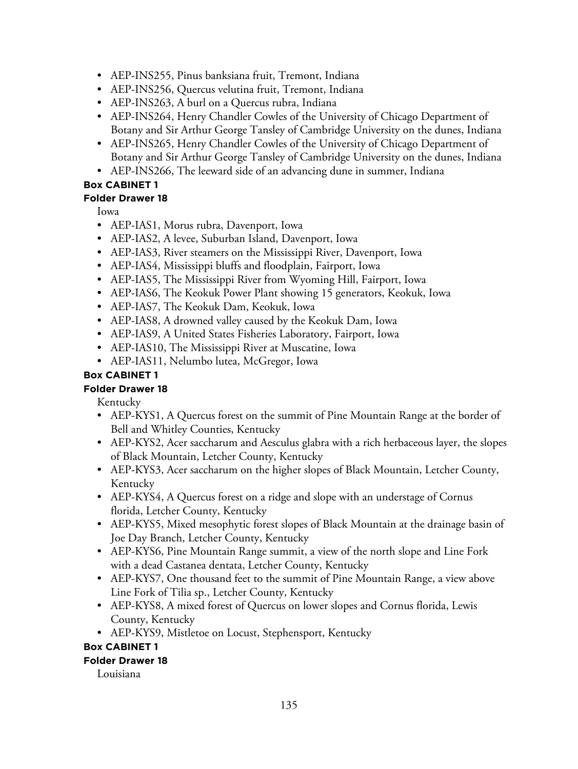- AEP-INS255, Pinus banksiana fruit, Tremont, Indiana
- AEP-INS256, Quercus velutina fruit, Tremont, Indiana
- AEP-INS263, A burl on a Quercus rubra, Indiana
- AEP-INS264, Henry Chandler Cowles of the University of Chicago Department of Botany and Sir Arthur George Tansley of Cambridge University on the dunes, Indiana
- AEP-INS265, Henry Chandler Cowles of the University of Chicago Department of Botany and Sir Arthur George Tansley of Cambridge University on the dunes, Indiana
- AEP-INS266, The leeward side of an advancing dune in summer, Indiana

## **Folder Drawer 18**

Iowa

- AEP-IAS1, Morus rubra, Davenport, Iowa
- AEP-IAS2, A levee, Suburban Island, Davenport, Iowa
- AEP-IAS3, River steamers on the Mississippi River, Davenport, Iowa
- AEP-IAS4, Mississippi bluffs and floodplain, Fairport, Iowa
- AEP-IAS5, The Mississippi River from Wyoming Hill, Fairport, Iowa
- AEP-IAS6, The Keokuk Power Plant showing 15 generators, Keokuk, Iowa
- AEP-IAS7, The Keokuk Dam, Keokuk, Iowa
- AEP-IAS8, A drowned valley caused by the Keokuk Dam, Iowa
- AEP-IAS9, A United States Fisheries Laboratory, Fairport, Iowa
- AEP-IAS10, The Mississippi River at Muscatine, Iowa
- AEP-IAS11, Nelumbo lutea, McGregor, Iowa

## **Box CABINET 1**

### **Folder Drawer 18**

Kentucky

- AEP-KYS1, A Quercus forest on the summit of Pine Mountain Range at the border of Bell and Whitley Counties, Kentucky
- AEP-KYS2, Acer saccharum and Aesculus glabra with a rich herbaceous layer, the slopes of Black Mountain, Letcher County, Kentucky
- AEP-KYS3, Acer saccharum on the higher slopes of Black Mountain, Letcher County, Kentucky
- AEP-KYS4, A Quercus forest on a ridge and slope with an understage of Cornus florida, Letcher County, Kentucky
- AEP-KYS5, Mixed mesophytic forest slopes of Black Mountain at the drainage basin of Joe Day Branch, Letcher County, Kentucky
- AEP-KYS6, Pine Mountain Range summit, a view of the north slope and Line Fork with a dead Castanea dentata, Letcher County, Kentucky
- AEP-KYS7, One thousand feet to the summit of Pine Mountain Range, a view above Line Fork of Tilia sp., Letcher County, Kentucky
- AEP-KYS8, A mixed forest of Quercus on lower slopes and Cornus florida, Lewis County, Kentucky
- AEP-KYS9, Mistletoe on Locust, Stephensport, Kentucky

### **Box CABINET 1**

### **Folder Drawer 18**

Louisiana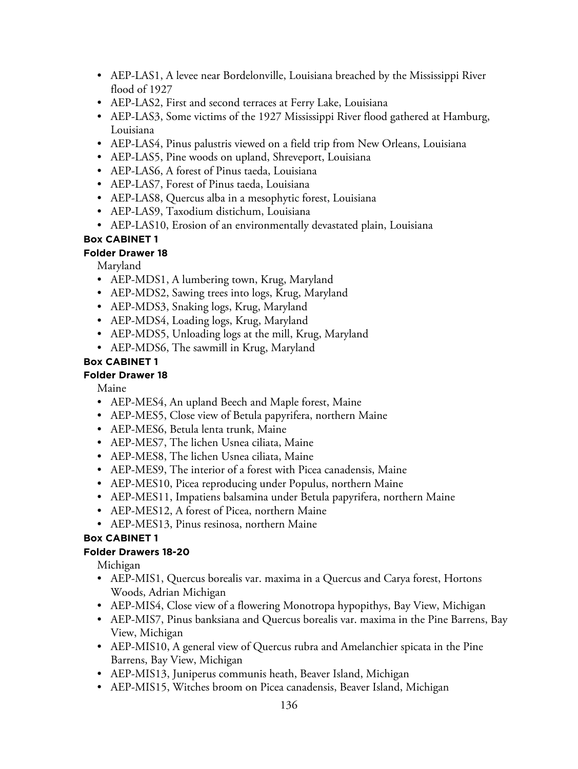- AEP-LAS1, A levee near Bordelonville, Louisiana breached by the Mississippi River flood of 1927
- AEP-LAS2, First and second terraces at Ferry Lake, Louisiana
- AEP-LAS3, Some victims of the 1927 Mississippi River flood gathered at Hamburg, Louisiana
- AEP-LAS4, Pinus palustris viewed on a field trip from New Orleans, Louisiana
- AEP-LAS5, Pine woods on upland, Shreveport, Louisiana
- AEP-LAS6, A forest of Pinus taeda, Louisiana
- AEP-LAS7, Forest of Pinus taeda, Louisiana
- AEP-LAS8, Quercus alba in a mesophytic forest, Louisiana
- AEP-LAS9, Taxodium distichum, Louisiana
- AEP-LAS10, Erosion of an environmentally devastated plain, Louisiana

### **Folder Drawer 18**

Maryland

- AEP-MDS1, A lumbering town, Krug, Maryland
- AEP-MDS2, Sawing trees into logs, Krug, Maryland
- AEP-MDS3, Snaking logs, Krug, Maryland
- AEP-MDS4, Loading logs, Krug, Maryland
- AEP-MDS5, Unloading logs at the mill, Krug, Maryland
- AEP-MDS6, The sawmill in Krug, Maryland

## **Box CABINET 1**

### **Folder Drawer 18**

Maine

- AEP-MES4, An upland Beech and Maple forest, Maine
- AEP-MES5, Close view of Betula papyrifera, northern Maine
- AEP-MES6, Betula lenta trunk, Maine
- AEP-MES7, The lichen Usnea ciliata, Maine
- AEP-MES8, The lichen Usnea ciliata, Maine
- AEP-MES9, The interior of a forest with Picea canadensis, Maine
- AEP-MES10, Picea reproducing under Populus, northern Maine
- AEP-MES11, Impatiens balsamina under Betula papyrifera, northern Maine
- AEP-MES12, A forest of Picea, northern Maine
- AEP-MES13, Pinus resinosa, northern Maine

# **Box CABINET 1**

### **Folder Drawers 18-20**

Michigan

- AEP-MIS1, Quercus borealis var. maxima in a Quercus and Carya forest, Hortons Woods, Adrian Michigan
- AEP-MIS4, Close view of a flowering Monotropa hypopithys, Bay View, Michigan
- AEP-MIS7, Pinus banksiana and Quercus borealis var. maxima in the Pine Barrens, Bay View, Michigan
- AEP-MIS10, A general view of Quercus rubra and Amelanchier spicata in the Pine Barrens, Bay View, Michigan
- AEP-MIS13, Juniperus communis heath, Beaver Island, Michigan
- AEP-MIS15, Witches broom on Picea canadensis, Beaver Island, Michigan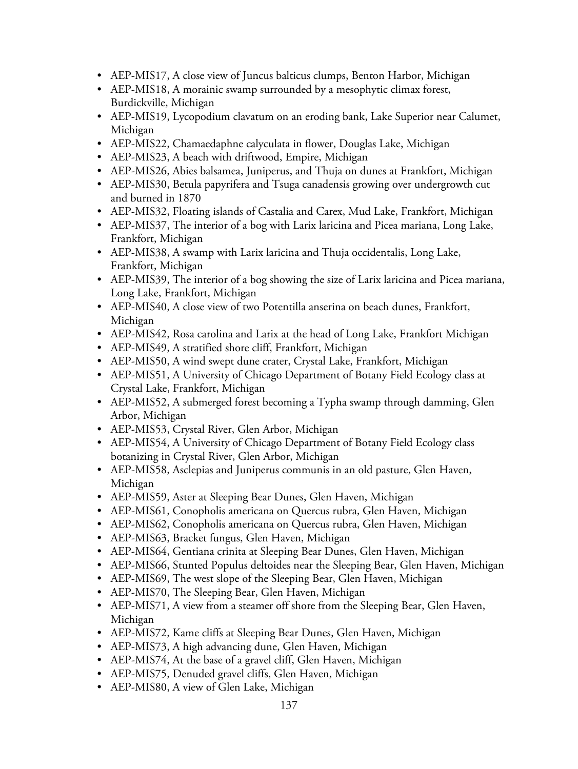- AEP-MIS17, A close view of Juncus balticus clumps, Benton Harbor, Michigan
- AEP-MIS18, A morainic swamp surrounded by a mesophytic climax forest, Burdickville, Michigan
- AEP-MIS19, Lycopodium clavatum on an eroding bank, Lake Superior near Calumet, Michigan
- AEP-MIS22, Chamaedaphne calyculata in flower, Douglas Lake, Michigan
- AEP-MIS23, A beach with driftwood, Empire, Michigan
- AEP-MIS26, Abies balsamea, Juniperus, and Thuja on dunes at Frankfort, Michigan
- AEP-MIS30, Betula papyrifera and Tsuga canadensis growing over undergrowth cut and burned in 1870
- AEP-MIS32, Floating islands of Castalia and Carex, Mud Lake, Frankfort, Michigan
- AEP-MIS37, The interior of a bog with Larix laricina and Picea mariana, Long Lake, Frankfort, Michigan
- AEP-MIS38, A swamp with Larix laricina and Thuja occidentalis, Long Lake, Frankfort, Michigan
- AEP-MIS39, The interior of a bog showing the size of Larix laricina and Picea mariana, Long Lake, Frankfort, Michigan
- AEP-MIS40, A close view of two Potentilla anserina on beach dunes, Frankfort, Michigan
- AEP-MIS42, Rosa carolina and Larix at the head of Long Lake, Frankfort Michigan
- AEP-MIS49, A stratified shore cliff, Frankfort, Michigan
- AEP-MIS50, A wind swept dune crater, Crystal Lake, Frankfort, Michigan
- AEP-MIS51, A University of Chicago Department of Botany Field Ecology class at Crystal Lake, Frankfort, Michigan
- AEP-MIS52, A submerged forest becoming a Typha swamp through damming, Glen Arbor, Michigan
- AEP-MIS53, Crystal River, Glen Arbor, Michigan
- AEP-MIS54, A University of Chicago Department of Botany Field Ecology class botanizing in Crystal River, Glen Arbor, Michigan
- AEP-MIS58, Asclepias and Juniperus communis in an old pasture, Glen Haven, Michigan
- AEP-MIS59, Aster at Sleeping Bear Dunes, Glen Haven, Michigan
- AEP-MIS61, Conopholis americana on Quercus rubra, Glen Haven, Michigan
- AEP-MIS62, Conopholis americana on Quercus rubra, Glen Haven, Michigan
- AEP-MIS63, Bracket fungus, Glen Haven, Michigan
- AEP-MIS64, Gentiana crinita at Sleeping Bear Dunes, Glen Haven, Michigan
- AEP-MIS66, Stunted Populus deltoides near the Sleeping Bear, Glen Haven, Michigan
- AEP-MIS69, The west slope of the Sleeping Bear, Glen Haven, Michigan
- AEP-MIS70, The Sleeping Bear, Glen Haven, Michigan
- AEP-MIS71, A view from a steamer off shore from the Sleeping Bear, Glen Haven, Michigan
- AEP-MIS72, Kame cliffs at Sleeping Bear Dunes, Glen Haven, Michigan
- AEP-MIS73, A high advancing dune, Glen Haven, Michigan
- AEP-MIS74, At the base of a gravel cliff, Glen Haven, Michigan
- AEP-MIS75, Denuded gravel cliffs, Glen Haven, Michigan
- AEP-MIS80, A view of Glen Lake, Michigan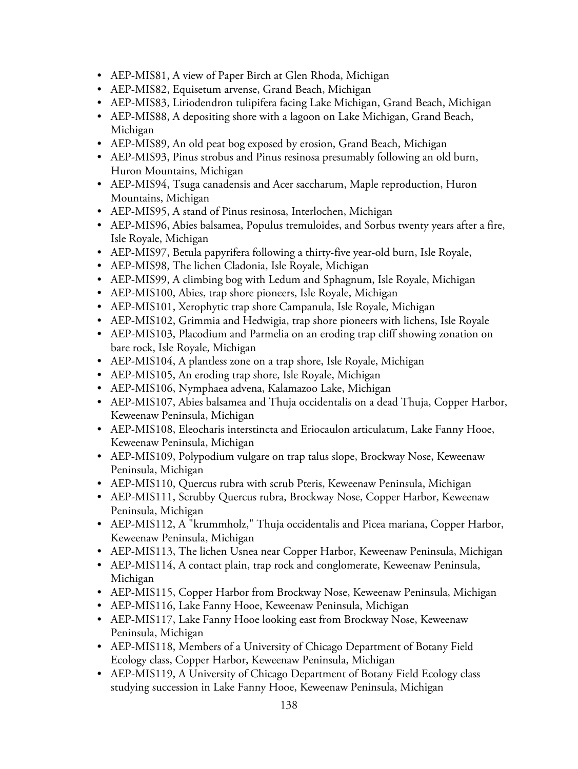- AEP-MIS81, A view of Paper Birch at Glen Rhoda, Michigan
- AEP-MIS82, Equisetum arvense, Grand Beach, Michigan
- AEP-MIS83, Liriodendron tulipifera facing Lake Michigan, Grand Beach, Michigan
- AEP-MIS88, A depositing shore with a lagoon on Lake Michigan, Grand Beach, Michigan
- AEP-MIS89, An old peat bog exposed by erosion, Grand Beach, Michigan
- AEP-MIS93, Pinus strobus and Pinus resinosa presumably following an old burn, Huron Mountains, Michigan
- AEP-MIS94, Tsuga canadensis and Acer saccharum, Maple reproduction, Huron Mountains, Michigan
- AEP-MIS95, A stand of Pinus resinosa, Interlochen, Michigan
- AEP-MIS96, Abies balsamea, Populus tremuloides, and Sorbus twenty years after a fire, Isle Royale, Michigan
- AEP-MIS97, Betula papyrifera following a thirty-five year-old burn, Isle Royale,
- AEP-MIS98, The lichen Cladonia, Isle Royale, Michigan
- AEP-MIS99, A climbing bog with Ledum and Sphagnum, Isle Royale, Michigan
- AEP-MIS100, Abies, trap shore pioneers, Isle Royale, Michigan
- AEP-MIS101, Xerophytic trap shore Campanula, Isle Royale, Michigan
- AEP-MIS102, Grimmia and Hedwigia, trap shore pioneers with lichens, Isle Royale
- AEP-MIS103, Placodium and Parmelia on an eroding trap cliff showing zonation on bare rock, Isle Royale, Michigan
- AEP-MIS104, A plantless zone on a trap shore, Isle Royale, Michigan
- AEP-MIS105, An eroding trap shore, Isle Royale, Michigan
- AEP-MIS106, Nymphaea advena, Kalamazoo Lake, Michigan
- AEP-MIS107, Abies balsamea and Thuja occidentalis on a dead Thuja, Copper Harbor, Keweenaw Peninsula, Michigan
- AEP-MIS108, Eleocharis interstincta and Eriocaulon articulatum, Lake Fanny Hooe, Keweenaw Peninsula, Michigan
- AEP-MIS109, Polypodium vulgare on trap talus slope, Brockway Nose, Keweenaw Peninsula, Michigan
- AEP-MIS110, Quercus rubra with scrub Pteris, Keweenaw Peninsula, Michigan
- AEP-MIS111, Scrubby Quercus rubra, Brockway Nose, Copper Harbor, Keweenaw Peninsula, Michigan
- AEP-MIS112, A "krummholz," Thuja occidentalis and Picea mariana, Copper Harbor, Keweenaw Peninsula, Michigan
- AEP-MIS113, The lichen Usnea near Copper Harbor, Keweenaw Peninsula, Michigan
- AEP-MIS114, A contact plain, trap rock and conglomerate, Keweenaw Peninsula, Michigan
- AEP-MIS115, Copper Harbor from Brockway Nose, Keweenaw Peninsula, Michigan
- AEP-MIS116, Lake Fanny Hooe, Keweenaw Peninsula, Michigan
- AEP-MIS117, Lake Fanny Hooe looking east from Brockway Nose, Keweenaw Peninsula, Michigan
- AEP-MIS118, Members of a University of Chicago Department of Botany Field Ecology class, Copper Harbor, Keweenaw Peninsula, Michigan
- AEP-MIS119, A University of Chicago Department of Botany Field Ecology class studying succession in Lake Fanny Hooe, Keweenaw Peninsula, Michigan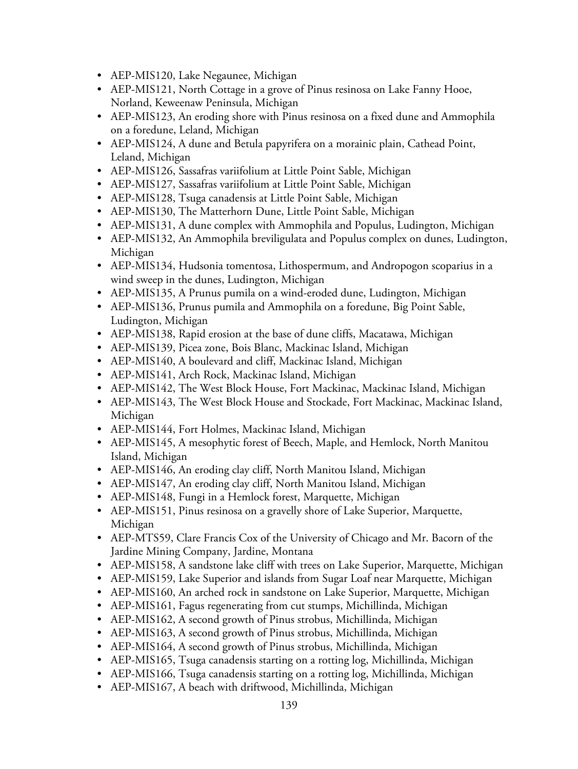- AEP-MIS120, Lake Negaunee, Michigan
- AEP-MIS121, North Cottage in a grove of Pinus resinosa on Lake Fanny Hooe, Norland, Keweenaw Peninsula, Michigan
- AEP-MIS123, An eroding shore with Pinus resinosa on a fixed dune and Ammophila on a foredune, Leland, Michigan
- AEP-MIS124, A dune and Betula papyrifera on a morainic plain, Cathead Point, Leland, Michigan
- AEP-MIS126, Sassafras variifolium at Little Point Sable, Michigan
- AEP-MIS127, Sassafras variifolium at Little Point Sable, Michigan
- AEP-MIS128, Tsuga canadensis at Little Point Sable, Michigan
- AEP-MIS130, The Matterhorn Dune, Little Point Sable, Michigan
- AEP-MIS131, A dune complex with Ammophila and Populus, Ludington, Michigan
- AEP-MIS132, An Ammophila breviligulata and Populus complex on dunes, Ludington, Michigan
- AEP-MIS134, Hudsonia tomentosa, Lithospermum, and Andropogon scoparius in a wind sweep in the dunes, Ludington, Michigan
- AEP-MIS135, A Prunus pumila on a wind-eroded dune, Ludington, Michigan
- AEP-MIS136, Prunus pumila and Ammophila on a foredune, Big Point Sable, Ludington, Michigan
- AEP-MIS138, Rapid erosion at the base of dune cliffs, Macatawa, Michigan
- AEP-MIS139, Picea zone, Bois Blanc, Mackinac Island, Michigan
- AEP-MIS140, A boulevard and cliff, Mackinac Island, Michigan
- AEP-MIS141, Arch Rock, Mackinac Island, Michigan
- AEP-MIS142, The West Block House, Fort Mackinac, Mackinac Island, Michigan
- AEP-MIS143, The West Block House and Stockade, Fort Mackinac, Mackinac Island, Michigan
- AEP-MIS144, Fort Holmes, Mackinac Island, Michigan
- AEP-MIS145, A mesophytic forest of Beech, Maple, and Hemlock, North Manitou Island, Michigan
- AEP-MIS146, An eroding clay cliff, North Manitou Island, Michigan
- AEP-MIS147, An eroding clay cliff, North Manitou Island, Michigan
- AEP-MIS148, Fungi in a Hemlock forest, Marquette, Michigan
- AEP-MIS151, Pinus resinosa on a gravelly shore of Lake Superior, Marquette, Michigan
- AEP-MTS59, Clare Francis Cox of the University of Chicago and Mr. Bacorn of the Jardine Mining Company, Jardine, Montana
- AEP-MIS158, A sandstone lake cliff with trees on Lake Superior, Marquette, Michigan
- AEP-MIS159, Lake Superior and islands from Sugar Loaf near Marquette, Michigan
- AEP-MIS160, An arched rock in sandstone on Lake Superior, Marquette, Michigan
- AEP-MIS161, Fagus regenerating from cut stumps, Michillinda, Michigan
- AEP-MIS162, A second growth of Pinus strobus, Michillinda, Michigan
- AEP-MIS163, A second growth of Pinus strobus, Michillinda, Michigan
- AEP-MIS164, A second growth of Pinus strobus, Michillinda, Michigan
- AEP-MIS165, Tsuga canadensis starting on a rotting log, Michillinda, Michigan
- AEP-MIS166, Tsuga canadensis starting on a rotting log, Michillinda, Michigan
- AEP-MIS167, A beach with driftwood, Michillinda, Michigan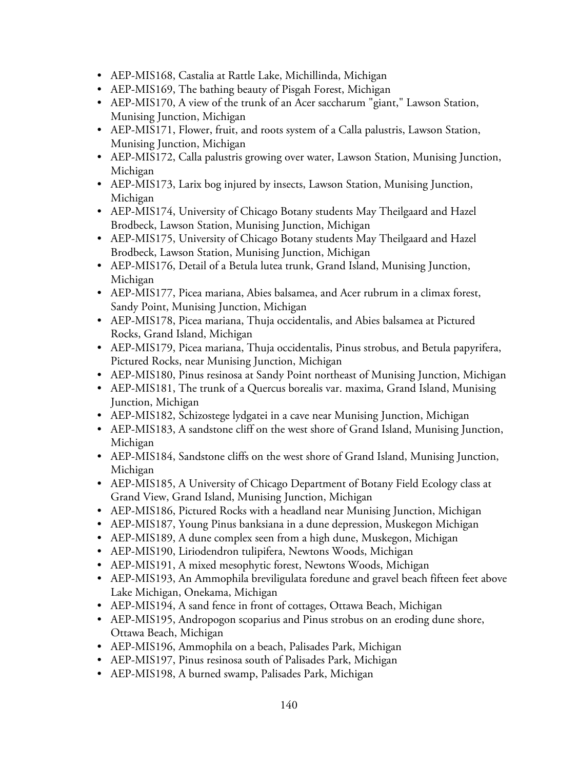- AEP-MIS168, Castalia at Rattle Lake, Michillinda, Michigan
- AEP-MIS169, The bathing beauty of Pisgah Forest, Michigan
- AEP-MIS170, A view of the trunk of an Acer saccharum "giant," Lawson Station, Munising Junction, Michigan
- AEP-MIS171, Flower, fruit, and roots system of a Calla palustris, Lawson Station, Munising Junction, Michigan
- AEP-MIS172, Calla palustris growing over water, Lawson Station, Munising Junction, Michigan
- AEP-MIS173, Larix bog injured by insects, Lawson Station, Munising Junction, Michigan
- AEP-MIS174, University of Chicago Botany students May Theilgaard and Hazel Brodbeck, Lawson Station, Munising Junction, Michigan
- AEP-MIS175, University of Chicago Botany students May Theilgaard and Hazel Brodbeck, Lawson Station, Munising Junction, Michigan
- AEP-MIS176, Detail of a Betula lutea trunk, Grand Island, Munising Junction, Michigan
- AEP-MIS177, Picea mariana, Abies balsamea, and Acer rubrum in a climax forest, Sandy Point, Munising Junction, Michigan
- AEP-MIS178, Picea mariana, Thuja occidentalis, and Abies balsamea at Pictured Rocks, Grand Island, Michigan
- AEP-MIS179, Picea mariana, Thuja occidentalis, Pinus strobus, and Betula papyrifera, Pictured Rocks, near Munising Junction, Michigan
- AEP-MIS180, Pinus resinosa at Sandy Point northeast of Munising Junction, Michigan
- AEP-MIS181, The trunk of a Quercus borealis var. maxima, Grand Island, Munising Junction, Michigan
- AEP-MIS182, Schizostege lydgatei in a cave near Munising Junction, Michigan
- AEP-MIS183, A sandstone cliff on the west shore of Grand Island, Munising Junction, Michigan
- AEP-MIS184, Sandstone cliffs on the west shore of Grand Island, Munising Junction, Michigan
- AEP-MIS185, A University of Chicago Department of Botany Field Ecology class at Grand View, Grand Island, Munising Junction, Michigan
- AEP-MIS186, Pictured Rocks with a headland near Munising Junction, Michigan
- AEP-MIS187, Young Pinus banksiana in a dune depression, Muskegon Michigan
- AEP-MIS189, A dune complex seen from a high dune, Muskegon, Michigan
- AEP-MIS190, Liriodendron tulipifera, Newtons Woods, Michigan
- AEP-MIS191, A mixed mesophytic forest, Newtons Woods, Michigan
- AEP-MIS193, An Ammophila breviligulata foredune and gravel beach fifteen feet above Lake Michigan, Onekama, Michigan
- AEP-MIS194, A sand fence in front of cottages, Ottawa Beach, Michigan
- AEP-MIS195, Andropogon scoparius and Pinus strobus on an eroding dune shore, Ottawa Beach, Michigan
- AEP-MIS196, Ammophila on a beach, Palisades Park, Michigan
- AEP-MIS197, Pinus resinosa south of Palisades Park, Michigan
- AEP-MIS198, A burned swamp, Palisades Park, Michigan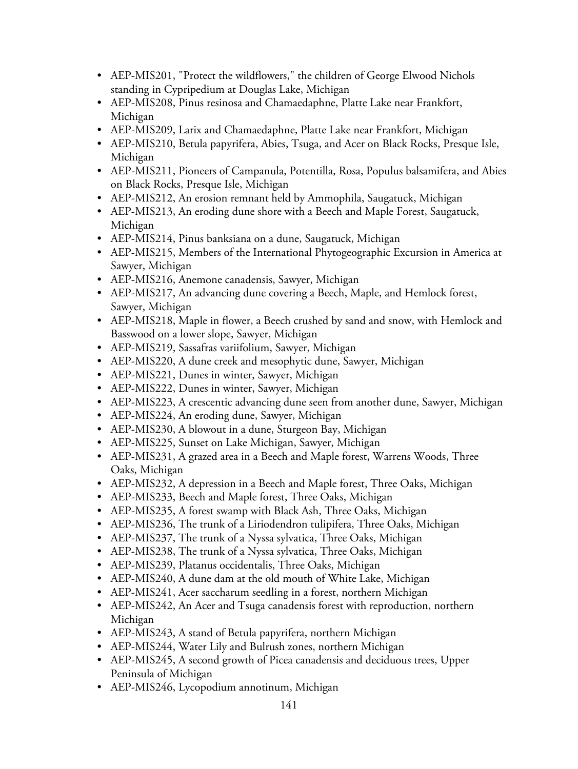- AEP-MIS201, "Protect the wildflowers," the children of George Elwood Nichols standing in Cypripedium at Douglas Lake, Michigan
- AEP-MIS208, Pinus resinosa and Chamaedaphne, Platte Lake near Frankfort, Michigan
- AEP-MIS209, Larix and Chamaedaphne, Platte Lake near Frankfort, Michigan
- AEP-MIS210, Betula papyrifera, Abies, Tsuga, and Acer on Black Rocks, Presque Isle, Michigan
- AEP-MIS211, Pioneers of Campanula, Potentilla, Rosa, Populus balsamifera, and Abies on Black Rocks, Presque Isle, Michigan
- AEP-MIS212, An erosion remnant held by Ammophila, Saugatuck, Michigan
- AEP-MIS213, An eroding dune shore with a Beech and Maple Forest, Saugatuck, Michigan
- AEP-MIS214, Pinus banksiana on a dune, Saugatuck, Michigan
- AEP-MIS215, Members of the International Phytogeographic Excursion in America at Sawyer, Michigan
- AEP-MIS216, Anemone canadensis, Sawyer, Michigan
- AEP-MIS217, An advancing dune covering a Beech, Maple, and Hemlock forest, Sawyer, Michigan
- AEP-MIS218, Maple in flower, a Beech crushed by sand and snow, with Hemlock and Basswood on a lower slope, Sawyer, Michigan
- AEP-MIS219, Sassafras variifolium, Sawyer, Michigan
- AEP-MIS220, A dune creek and mesophytic dune, Sawyer, Michigan
- AEP-MIS221, Dunes in winter, Sawyer, Michigan
- AEP-MIS222, Dunes in winter, Sawyer, Michigan
- AEP-MIS223, A crescentic advancing dune seen from another dune, Sawyer, Michigan
- AEP-MIS224, An eroding dune, Sawyer, Michigan
- AEP-MIS230, A blowout in a dune, Sturgeon Bay, Michigan
- AEP-MIS225, Sunset on Lake Michigan, Sawyer, Michigan
- AEP-MIS231, A grazed area in a Beech and Maple forest, Warrens Woods, Three Oaks, Michigan
- AEP-MIS232, A depression in a Beech and Maple forest, Three Oaks, Michigan
- AEP-MIS233, Beech and Maple forest, Three Oaks, Michigan
- AEP-MIS235, A forest swamp with Black Ash, Three Oaks, Michigan
- AEP-MIS236, The trunk of a Liriodendron tulipifera, Three Oaks, Michigan
- AEP-MIS237, The trunk of a Nyssa sylvatica, Three Oaks, Michigan
- AEP-MIS238, The trunk of a Nyssa sylvatica, Three Oaks, Michigan
- AEP-MIS239, Platanus occidentalis, Three Oaks, Michigan
- AEP-MIS240, A dune dam at the old mouth of White Lake, Michigan
- AEP-MIS241, Acer saccharum seedling in a forest, northern Michigan
- AEP-MIS242, An Acer and Tsuga canadensis forest with reproduction, northern Michigan
- AEP-MIS243, A stand of Betula papyrifera, northern Michigan
- AEP-MIS244, Water Lily and Bulrush zones, northern Michigan
- AEP-MIS245, A second growth of Picea canadensis and deciduous trees, Upper Peninsula of Michigan
- AEP-MIS246, Lycopodium annotinum, Michigan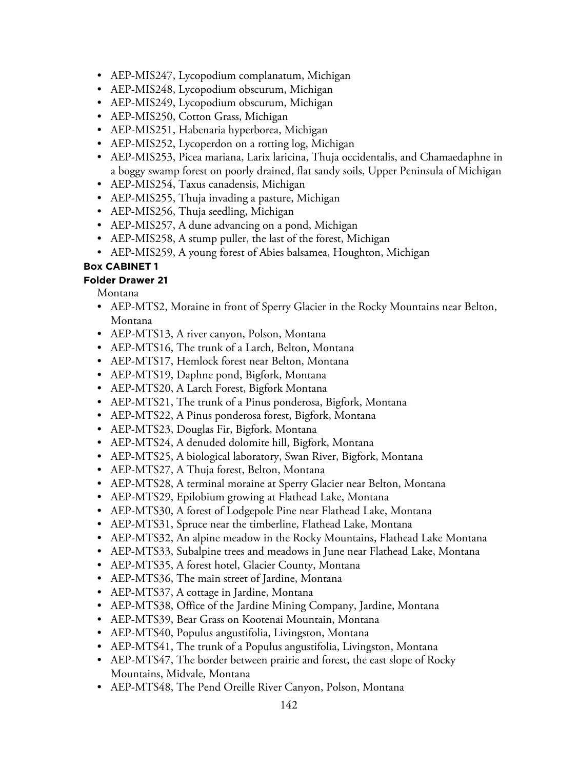- AEP-MIS247, Lycopodium complanatum, Michigan
- AEP-MIS248, Lycopodium obscurum, Michigan
- AEP-MIS249, Lycopodium obscurum, Michigan
- AEP-MIS250, Cotton Grass, Michigan
- AEP-MIS251, Habenaria hyperborea, Michigan
- AEP-MIS252, Lycoperdon on a rotting log, Michigan
- AEP-MIS253, Picea mariana, Larix laricina, Thuja occidentalis, and Chamaedaphne in a boggy swamp forest on poorly drained, flat sandy soils, Upper Peninsula of Michigan
- AEP-MIS254, Taxus canadensis, Michigan
- AEP-MIS255, Thuja invading a pasture, Michigan
- AEP-MIS256, Thuja seedling, Michigan
- AEP-MIS257, A dune advancing on a pond, Michigan
- AEP-MIS258, A stump puller, the last of the forest, Michigan
- AEP-MIS259, A young forest of Abies balsamea, Houghton, Michigan

#### **Folder Drawer 21**

Montana

- AEP-MTS2, Moraine in front of Sperry Glacier in the Rocky Mountains near Belton, Montana
- AEP-MTS13, A river canyon, Polson, Montana
- AEP-MTS16, The trunk of a Larch, Belton, Montana
- AEP-MTS17, Hemlock forest near Belton, Montana
- AEP-MTS19, Daphne pond, Bigfork, Montana
- AEP-MTS20, A Larch Forest, Bigfork Montana
- AEP-MTS21, The trunk of a Pinus ponderosa, Bigfork, Montana
- AEP-MTS22, A Pinus ponderosa forest, Bigfork, Montana
- AEP-MTS23, Douglas Fir, Bigfork, Montana
- AEP-MTS24, A denuded dolomite hill, Bigfork, Montana
- AEP-MTS25, A biological laboratory, Swan River, Bigfork, Montana
- AEP-MTS27, A Thuja forest, Belton, Montana
- AEP-MTS28, A terminal moraine at Sperry Glacier near Belton, Montana
- AEP-MTS29, Epilobium growing at Flathead Lake, Montana
- AEP-MTS30, A forest of Lodgepole Pine near Flathead Lake, Montana
- AEP-MTS31, Spruce near the timberline, Flathead Lake, Montana
- AEP-MTS32, An alpine meadow in the Rocky Mountains, Flathead Lake Montana
- AEP-MTS33, Subalpine trees and meadows in June near Flathead Lake, Montana
- AEP-MTS35, A forest hotel, Glacier County, Montana
- AEP-MTS36, The main street of Jardine, Montana
- AEP-MTS37, A cottage in Jardine, Montana
- AEP-MTS38, Office of the Jardine Mining Company, Jardine, Montana
- AEP-MTS39, Bear Grass on Kootenai Mountain, Montana
- AEP-MTS40, Populus angustifolia, Livingston, Montana
- AEP-MTS41, The trunk of a Populus angustifolia, Livingston, Montana
- AEP-MTS47, The border between prairie and forest, the east slope of Rocky Mountains, Midvale, Montana
- AEP-MTS48, The Pend Oreille River Canyon, Polson, Montana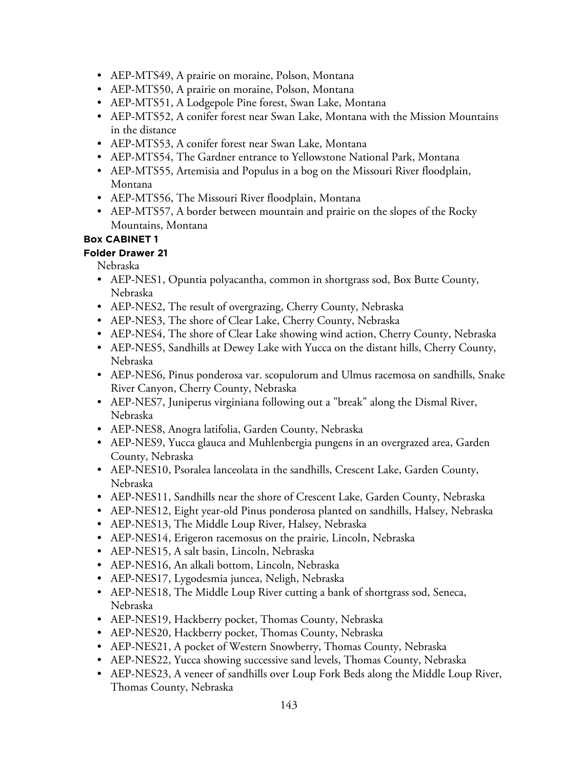- AEP-MTS49, A prairie on moraine, Polson, Montana
- AEP-MTS50, A prairie on moraine, Polson, Montana
- AEP-MTS51, A Lodgepole Pine forest, Swan Lake, Montana
- AEP-MTS52, A conifer forest near Swan Lake, Montana with the Mission Mountains in the distance
- AEP-MTS53, A conifer forest near Swan Lake, Montana
- AEP-MTS54, The Gardner entrance to Yellowstone National Park, Montana
- AEP-MTS55, Artemisia and Populus in a bog on the Missouri River floodplain, Montana
- AEP-MTS56, The Missouri River floodplain, Montana
- AEP-MTS57, A border between mountain and prairie on the slopes of the Rocky Mountains, Montana

**Folder Drawer 21**

Nebraska

- AEP-NES1, Opuntia polyacantha, common in shortgrass sod, Box Butte County, Nebraska
- AEP-NES2, The result of overgrazing, Cherry County, Nebraska
- AEP-NES3, The shore of Clear Lake, Cherry County, Nebraska
- AEP-NES4, The shore of Clear Lake showing wind action, Cherry County, Nebraska
- AEP-NES5, Sandhills at Dewey Lake with Yucca on the distant hills, Cherry County, Nebraska
- AEP-NES6, Pinus ponderosa var. scopulorum and Ulmus racemosa on sandhills, Snake River Canyon, Cherry County, Nebraska
- AEP-NES7, Juniperus virginiana following out a "break" along the Dismal River, Nebraska
- AEP-NES8, Anogra latifolia, Garden County, Nebraska
- AEP-NES9, Yucca glauca and Muhlenbergia pungens in an overgrazed area, Garden County, Nebraska
- AEP-NES10, Psoralea lanceolata in the sandhills, Crescent Lake, Garden County, Nebraska
- AEP-NES11, Sandhills near the shore of Crescent Lake, Garden County, Nebraska
- AEP-NES12, Eight year-old Pinus ponderosa planted on sandhills, Halsey, Nebraska
- AEP-NES13, The Middle Loup River, Halsey, Nebraska
- AEP-NES14, Erigeron racemosus on the prairie, Lincoln, Nebraska
- AEP-NES15, A salt basin, Lincoln, Nebraska
- AEP-NES16, An alkali bottom, Lincoln, Nebraska
- AEP-NES17, Lygodesmia juncea, Neligh, Nebraska
- AEP-NES18, The Middle Loup River cutting a bank of shortgrass sod, Seneca, Nebraska
- AEP-NES19, Hackberry pocket, Thomas County, Nebraska
- AEP-NES20, Hackberry pocket, Thomas County, Nebraska
- AEP-NES21, A pocket of Western Snowberry, Thomas County, Nebraska
- AEP-NES22, Yucca showing successive sand levels, Thomas County, Nebraska
- AEP-NES23, A veneer of sandhills over Loup Fork Beds along the Middle Loup River, Thomas County, Nebraska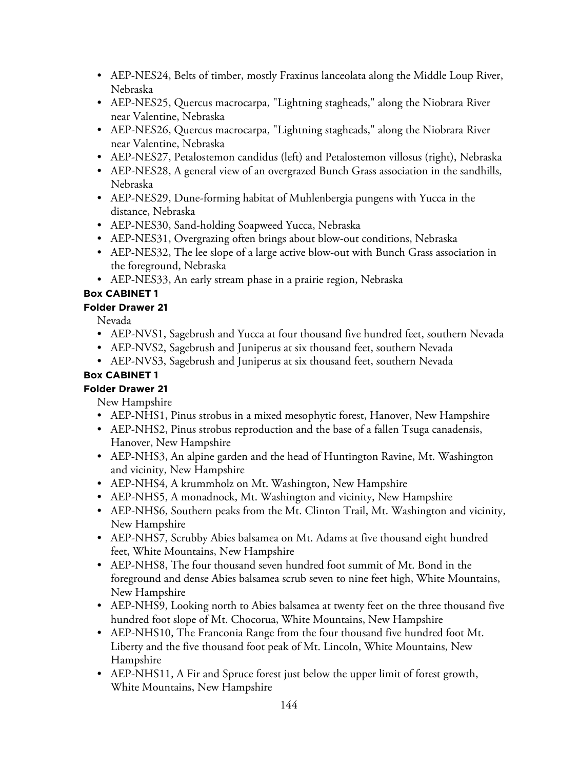- AEP-NES24, Belts of timber, mostly Fraxinus lanceolata along the Middle Loup River, Nebraska
- AEP-NES25, Quercus macrocarpa, "Lightning stagheads," along the Niobrara River near Valentine, Nebraska
- AEP-NES26, Quercus macrocarpa, "Lightning stagheads," along the Niobrara River near Valentine, Nebraska
- AEP-NES27, Petalostemon candidus (left) and Petalostemon villosus (right), Nebraska
- AEP-NES28, A general view of an overgrazed Bunch Grass association in the sandhills, Nebraska
- AEP-NES29, Dune-forming habitat of Muhlenbergia pungens with Yucca in the distance, Nebraska
- AEP-NES30, Sand-holding Soapweed Yucca, Nebraska
- AEP-NES31, Overgrazing often brings about blow-out conditions, Nebraska
- AEP-NES32, The lee slope of a large active blow-out with Bunch Grass association in the foreground, Nebraska
- AEP-NES33, An early stream phase in a prairie region, Nebraska

## **Folder Drawer 21**

Nevada

- AEP-NVS1, Sagebrush and Yucca at four thousand five hundred feet, southern Nevada
- AEP-NVS2, Sagebrush and Juniperus at six thousand feet, southern Nevada
- AEP-NVS3, Sagebrush and Juniperus at six thousand feet, southern Nevada

## **Box CABINET 1**

## **Folder Drawer 21**

New Hampshire

- AEP-NHS1, Pinus strobus in a mixed mesophytic forest, Hanover, New Hampshire
- AEP-NHS2, Pinus strobus reproduction and the base of a fallen Tsuga canadensis, Hanover, New Hampshire
- AEP-NHS3, An alpine garden and the head of Huntington Ravine, Mt. Washington and vicinity, New Hampshire
- AEP-NHS4, A krummholz on Mt. Washington, New Hampshire
- AEP-NHS5, A monadnock, Mt. Washington and vicinity, New Hampshire
- AEP-NHS6, Southern peaks from the Mt. Clinton Trail, Mt. Washington and vicinity, New Hampshire
- AEP-NHS7, Scrubby Abies balsamea on Mt. Adams at five thousand eight hundred feet, White Mountains, New Hampshire
- AEP-NHS8, The four thousand seven hundred foot summit of Mt. Bond in the foreground and dense Abies balsamea scrub seven to nine feet high, White Mountains, New Hampshire
- AEP-NHS9, Looking north to Abies balsamea at twenty feet on the three thousand five hundred foot slope of Mt. Chocorua, White Mountains, New Hampshire
- AEP-NHS10, The Franconia Range from the four thousand five hundred foot Mt. Liberty and the five thousand foot peak of Mt. Lincoln, White Mountains, New Hampshire
- AEP-NHS11, A Fir and Spruce forest just below the upper limit of forest growth, White Mountains, New Hampshire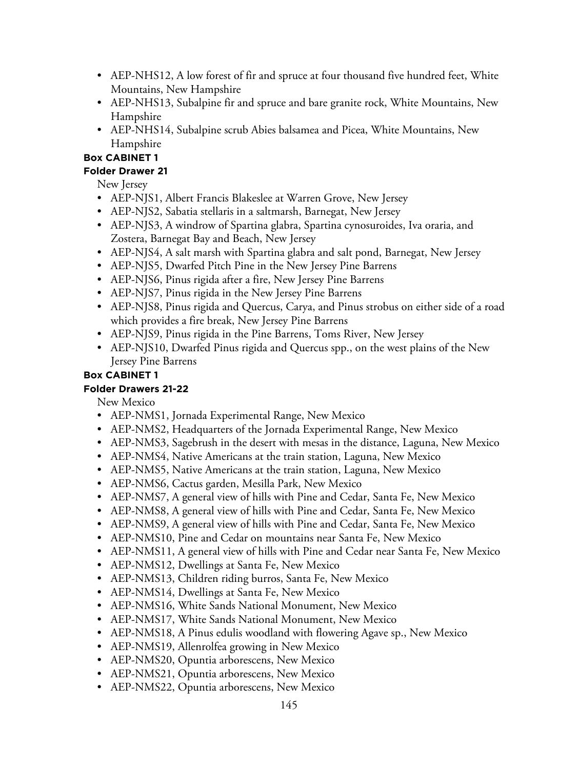- AEP-NHS12, A low forest of fir and spruce at four thousand five hundred feet, White Mountains, New Hampshire
- AEP-NHS13, Subalpine fir and spruce and bare granite rock, White Mountains, New Hampshire
- AEP-NHS14, Subalpine scrub Abies balsamea and Picea, White Mountains, New Hampshire

## **Folder Drawer 21**

New Jersey

- AEP-NJS1, Albert Francis Blakeslee at Warren Grove, New Jersey
- AEP-NJS2, Sabatia stellaris in a saltmarsh, Barnegat, New Jersey
- AEP-NJS3, A windrow of Spartina glabra, Spartina cynosuroides, Iva oraria, and Zostera, Barnegat Bay and Beach, New Jersey
- AEP-NJS4, A salt marsh with Spartina glabra and salt pond, Barnegat, New Jersey
- AEP-NJS5, Dwarfed Pitch Pine in the New Jersey Pine Barrens
- AEP-NJS6, Pinus rigida after a fire, New Jersey Pine Barrens
- AEP-NJS7, Pinus rigida in the New Jersey Pine Barrens
- AEP-NJS8, Pinus rigida and Quercus, Carya, and Pinus strobus on either side of a road which provides a fire break, New Jersey Pine Barrens
- AEP-NJS9, Pinus rigida in the Pine Barrens, Toms River, New Jersey
- AEP-NJS10, Dwarfed Pinus rigida and Quercus spp., on the west plains of the New Jersey Pine Barrens

## **Box CABINET 1**

## **Folder Drawers 21-22**

New Mexico

- AEP-NMS1, Jornada Experimental Range, New Mexico
- AEP-NMS2, Headquarters of the Jornada Experimental Range, New Mexico
- AEP-NMS3, Sagebrush in the desert with mesas in the distance, Laguna, New Mexico
- AEP-NMS4, Native Americans at the train station, Laguna, New Mexico
- AEP-NMS5, Native Americans at the train station, Laguna, New Mexico
- AEP-NMS6, Cactus garden, Mesilla Park, New Mexico
- AEP-NMS7, A general view of hills with Pine and Cedar, Santa Fe, New Mexico
- AEP-NMS8, A general view of hills with Pine and Cedar, Santa Fe, New Mexico
- AEP-NMS9, A general view of hills with Pine and Cedar, Santa Fe, New Mexico
- AEP-NMS10, Pine and Cedar on mountains near Santa Fe, New Mexico
- AEP-NMS11, A general view of hills with Pine and Cedar near Santa Fe, New Mexico
- AEP-NMS12, Dwellings at Santa Fe, New Mexico
- AEP-NMS13, Children riding burros, Santa Fe, New Mexico
- AEP-NMS14, Dwellings at Santa Fe, New Mexico
- AEP-NMS16, White Sands National Monument, New Mexico
- AEP-NMS17, White Sands National Monument, New Mexico
- AEP-NMS18, A Pinus edulis woodland with flowering Agave sp., New Mexico
- AEP-NMS19, Allenrolfea growing in New Mexico
- AEP-NMS20, Opuntia arborescens, New Mexico
- AEP-NMS21, Opuntia arborescens, New Mexico
- AEP-NMS22, Opuntia arborescens, New Mexico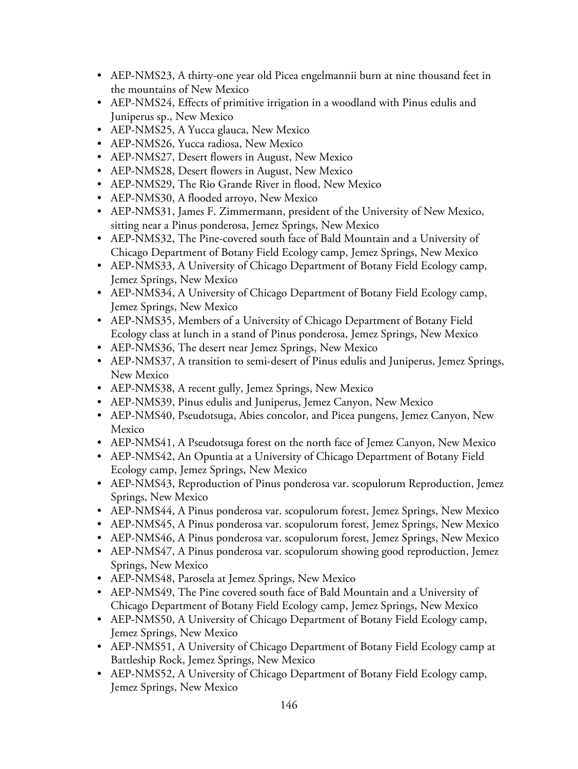- AEP-NMS23, A thirty-one year old Picea engelmannii burn at nine thousand feet in the mountains of New Mexico
- AEP-NMS24, Effects of primitive irrigation in a woodland with Pinus edulis and Juniperus sp., New Mexico
- AEP-NMS25, A Yucca glauca, New Mexico
- AEP-NMS26, Yucca radiosa, New Mexico
- AEP-NMS27, Desert flowers in August, New Mexico
- AEP-NMS28, Desert flowers in August, New Mexico
- AEP-NMS29, The Rio Grande River in flood, New Mexico
- AEP-NMS30, A flooded arroyo, New Mexico
- AEP-NMS31, James F. Zimmermann, president of the University of New Mexico, sitting near a Pinus ponderosa, Jemez Springs, New Mexico
- AEP-NMS32, The Pine-covered south face of Bald Mountain and a University of Chicago Department of Botany Field Ecology camp, Jemez Springs, New Mexico
- AEP-NMS33, A University of Chicago Department of Botany Field Ecology camp, Jemez Springs, New Mexico
- AEP-NMS34, A University of Chicago Department of Botany Field Ecology camp, Jemez Springs, New Mexico
- AEP-NMS35, Members of a University of Chicago Department of Botany Field Ecology class at lunch in a stand of Pinus ponderosa, Jemez Springs, New Mexico
- AEP-NMS36, The desert near Jemez Springs, New Mexico
- AEP-NMS37, A transition to semi-desert of Pinus edulis and Juniperus, Jemez Springs, New Mexico
- AEP-NMS38, A recent gully, Jemez Springs, New Mexico
- AEP-NMS39, Pinus edulis and Juniperus, Jemez Canyon, New Mexico
- AEP-NMS40, Pseudotsuga, Abies concolor, and Picea pungens, Jemez Canyon, New Mexico
- AEP-NMS41, A Pseudotsuga forest on the north face of Jemez Canyon, New Mexico
- AEP-NMS42, An Opuntia at a University of Chicago Department of Botany Field Ecology camp, Jemez Springs, New Mexico
- AEP-NMS43, Reproduction of Pinus ponderosa var. scopulorum Reproduction, Jemez Springs, New Mexico
- AEP-NMS44, A Pinus ponderosa var. scopulorum forest, Jemez Springs, New Mexico
- AEP-NMS45, A Pinus ponderosa var. scopulorum forest, Jemez Springs, New Mexico
- AEP-NMS46, A Pinus ponderosa var. scopulorum forest, Jemez Springs, New Mexico
- AEP-NMS47, A Pinus ponderosa var. scopulorum showing good reproduction, Jemez Springs, New Mexico
- AEP-NMS48, Parosela at Jemez Springs, New Mexico
- AEP-NMS49, The Pine covered south face of Bald Mountain and a University of Chicago Department of Botany Field Ecology camp, Jemez Springs, New Mexico
- AEP-NMS50, A University of Chicago Department of Botany Field Ecology camp, Jemez Springs, New Mexico
- AEP-NMS51, A University of Chicago Department of Botany Field Ecology camp at Battleship Rock, Jemez Springs, New Mexico
- AEP-NMS52, A University of Chicago Department of Botany Field Ecology camp, Jemez Springs, New Mexico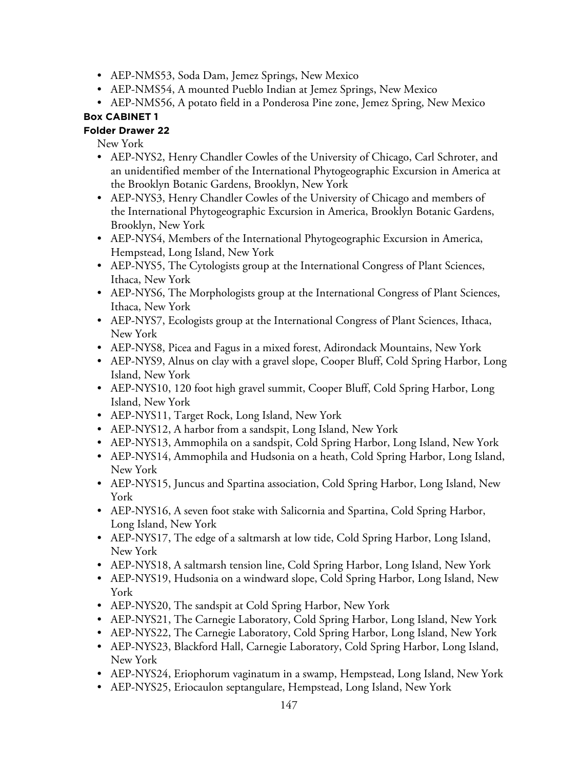- AEP-NMS53, Soda Dam, Jemez Springs, New Mexico
- AEP-NMS54, A mounted Pueblo Indian at Jemez Springs, New Mexico
- AEP-NMS56, A potato field in a Ponderosa Pine zone, Jemez Spring, New Mexico

# **Folder Drawer 22**

New York

- AEP-NYS2, Henry Chandler Cowles of the University of Chicago, Carl Schroter, and an unidentified member of the International Phytogeographic Excursion in America at the Brooklyn Botanic Gardens, Brooklyn, New York
- AEP-NYS3, Henry Chandler Cowles of the University of Chicago and members of the International Phytogeographic Excursion in America, Brooklyn Botanic Gardens, Brooklyn, New York
- AEP-NYS4, Members of the International Phytogeographic Excursion in America, Hempstead, Long Island, New York
- AEP-NYS5, The Cytologists group at the International Congress of Plant Sciences, Ithaca, New York
- AEP-NYS6, The Morphologists group at the International Congress of Plant Sciences, Ithaca, New York
- AEP-NYS7, Ecologists group at the International Congress of Plant Sciences, Ithaca, New York
- AEP-NYS8, Picea and Fagus in a mixed forest, Adirondack Mountains, New York
- AEP-NYS9, Alnus on clay with a gravel slope, Cooper Bluff, Cold Spring Harbor, Long Island, New York
- AEP-NYS10, 120 foot high gravel summit, Cooper Bluff, Cold Spring Harbor, Long Island, New York
- AEP-NYS11, Target Rock, Long Island, New York
- AEP-NYS12, A harbor from a sandspit, Long Island, New York
- AEP-NYS13, Ammophila on a sandspit, Cold Spring Harbor, Long Island, New York
- AEP-NYS14, Ammophila and Hudsonia on a heath, Cold Spring Harbor, Long Island, New York
- AEP-NYS15, Juncus and Spartina association, Cold Spring Harbor, Long Island, New York
- AEP-NYS16, A seven foot stake with Salicornia and Spartina, Cold Spring Harbor, Long Island, New York
- AEP-NYS17, The edge of a saltmarsh at low tide, Cold Spring Harbor, Long Island, New York
- AEP-NYS18, A saltmarsh tension line, Cold Spring Harbor, Long Island, New York
- AEP-NYS19, Hudsonia on a windward slope, Cold Spring Harbor, Long Island, New York
- AEP-NYS20, The sandspit at Cold Spring Harbor, New York
- AEP-NYS21, The Carnegie Laboratory, Cold Spring Harbor, Long Island, New York
- AEP-NYS22, The Carnegie Laboratory, Cold Spring Harbor, Long Island, New York
- AEP-NYS23, Blackford Hall, Carnegie Laboratory, Cold Spring Harbor, Long Island, New York
- AEP-NYS24, Eriophorum vaginatum in a swamp, Hempstead, Long Island, New York
- AEP-NYS25, Eriocaulon septangulare, Hempstead, Long Island, New York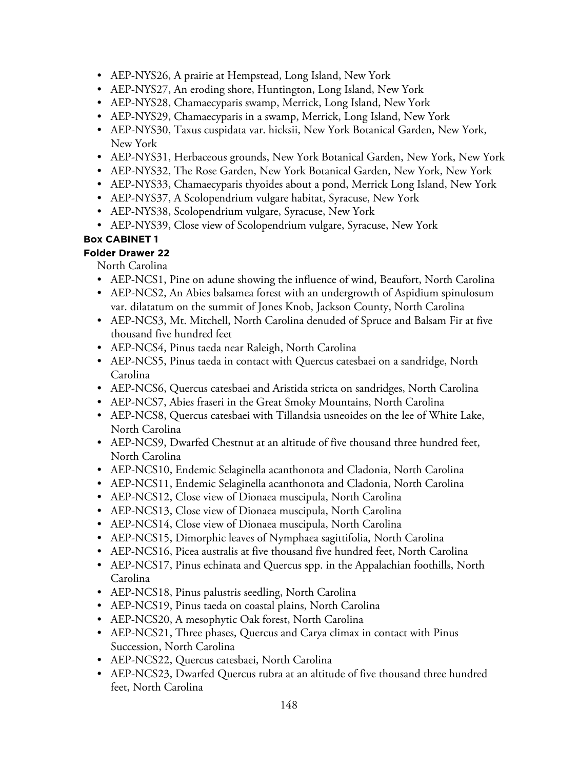- AEP-NYS26, A prairie at Hempstead, Long Island, New York
- AEP-NYS27, An eroding shore, Huntington, Long Island, New York
- AEP-NYS28, Chamaecyparis swamp, Merrick, Long Island, New York
- AEP-NYS29, Chamaecyparis in a swamp, Merrick, Long Island, New York
- AEP-NYS30, Taxus cuspidata var. hicksii, New York Botanical Garden, New York, New York
- AEP-NYS31, Herbaceous grounds, New York Botanical Garden, New York, New York
- AEP-NYS32, The Rose Garden, New York Botanical Garden, New York, New York
- AEP-NYS33, Chamaecyparis thyoides about a pond, Merrick Long Island, New York
- AEP-NYS37, A Scolopendrium vulgare habitat, Syracuse, New York
- AEP-NYS38, Scolopendrium vulgare, Syracuse, New York
- AEP-NYS39, Close view of Scolopendrium vulgare, Syracuse, New York

# **Folder Drawer 22**

North Carolina

- AEP-NCS1, Pine on adune showing the influence of wind, Beaufort, North Carolina
- AEP-NCS2, An Abies balsamea forest with an undergrowth of Aspidium spinulosum var. dilatatum on the summit of Jones Knob, Jackson County, North Carolina
- AEP-NCS3, Mt. Mitchell, North Carolina denuded of Spruce and Balsam Fir at five thousand five hundred feet
- AEP-NCS4, Pinus taeda near Raleigh, North Carolina
- AEP-NCS5, Pinus taeda in contact with Quercus catesbaei on a sandridge, North Carolina
- AEP-NCS6, Quercus catesbaei and Aristida stricta on sandridges, North Carolina
- AEP-NCS7, Abies fraseri in the Great Smoky Mountains, North Carolina
- AEP-NCS8, Quercus catesbaei with Tillandsia usneoides on the lee of White Lake, North Carolina
- AEP-NCS9, Dwarfed Chestnut at an altitude of five thousand three hundred feet, North Carolina
- AEP-NCS10, Endemic Selaginella acanthonota and Cladonia, North Carolina
- AEP-NCS11, Endemic Selaginella acanthonota and Cladonia, North Carolina
- AEP-NCS12, Close view of Dionaea muscipula, North Carolina
- AEP-NCS13, Close view of Dionaea muscipula, North Carolina
- AEP-NCS14, Close view of Dionaea muscipula, North Carolina
- AEP-NCS15, Dimorphic leaves of Nymphaea sagittifolia, North Carolina
- AEP-NCS16, Picea australis at five thousand five hundred feet, North Carolina
- AEP-NCS17, Pinus echinata and Quercus spp. in the Appalachian foothills, North Carolina
- AEP-NCS18, Pinus palustris seedling, North Carolina
- AEP-NCS19, Pinus taeda on coastal plains, North Carolina
- AEP-NCS20, A mesophytic Oak forest, North Carolina
- AEP-NCS21, Three phases, Quercus and Carya climax in contact with Pinus Succession, North Carolina
- AEP-NCS22, Quercus catesbaei, North Carolina
- AEP-NCS23, Dwarfed Quercus rubra at an altitude of five thousand three hundred feet, North Carolina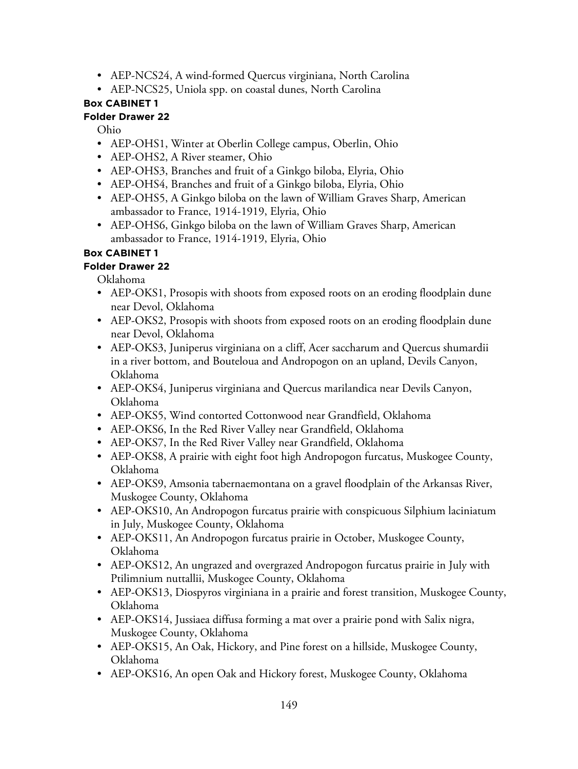- AEP-NCS24, A wind-formed Quercus virginiana, North Carolina
- AEP-NCS25, Uniola spp. on coastal dunes, North Carolina

## **Folder Drawer 22**

Ohio

- AEP-OHS1, Winter at Oberlin College campus, Oberlin, Ohio
- AEP-OHS2, A River steamer, Ohio
- AEP-OHS3, Branches and fruit of a Ginkgo biloba, Elyria, Ohio
- AEP-OHS4, Branches and fruit of a Ginkgo biloba, Elyria, Ohio
- AEP-OHS5, A Ginkgo biloba on the lawn of William Graves Sharp, American ambassador to France, 1914-1919, Elyria, Ohio
- AEP-OHS6, Ginkgo biloba on the lawn of William Graves Sharp, American ambassador to France, 1914-1919, Elyria, Ohio

# **Box CABINET 1**

# **Folder Drawer 22**

Oklahoma

- AEP-OKS1, Prosopis with shoots from exposed roots on an eroding floodplain dune near Devol, Oklahoma
- AEP-OKS2, Prosopis with shoots from exposed roots on an eroding floodplain dune near Devol, Oklahoma
- AEP-OKS3, Juniperus virginiana on a cliff, Acer saccharum and Quercus shumardii in a river bottom, and Bouteloua and Andropogon on an upland, Devils Canyon, Oklahoma
- AEP-OKS4, Juniperus virginiana and Quercus marilandica near Devils Canyon, Oklahoma
- AEP-OKS5, Wind contorted Cottonwood near Grandfield, Oklahoma
- AEP-OKS6, In the Red River Valley near Grandfield, Oklahoma
- AEP-OKS7, In the Red River Valley near Grandfield, Oklahoma
- AEP-OKS8, A prairie with eight foot high Andropogon furcatus, Muskogee County, Oklahoma
- AEP-OKS9, Amsonia tabernaemontana on a gravel floodplain of the Arkansas River, Muskogee County, Oklahoma
- AEP-OKS10, An Andropogon furcatus prairie with conspicuous Silphium laciniatum in July, Muskogee County, Oklahoma
- AEP-OKS11, An Andropogon furcatus prairie in October, Muskogee County, Oklahoma
- AEP-OKS12, An ungrazed and overgrazed Andropogon furcatus prairie in July with Ptilimnium nuttallii, Muskogee County, Oklahoma
- AEP-OKS13, Diospyros virginiana in a prairie and forest transition, Muskogee County, Oklahoma
- AEP-OKS14, Jussiaea diffusa forming a mat over a prairie pond with Salix nigra, Muskogee County, Oklahoma
- AEP-OKS15, An Oak, Hickory, and Pine forest on a hillside, Muskogee County, Oklahoma
- AEP-OKS16, An open Oak and Hickory forest, Muskogee County, Oklahoma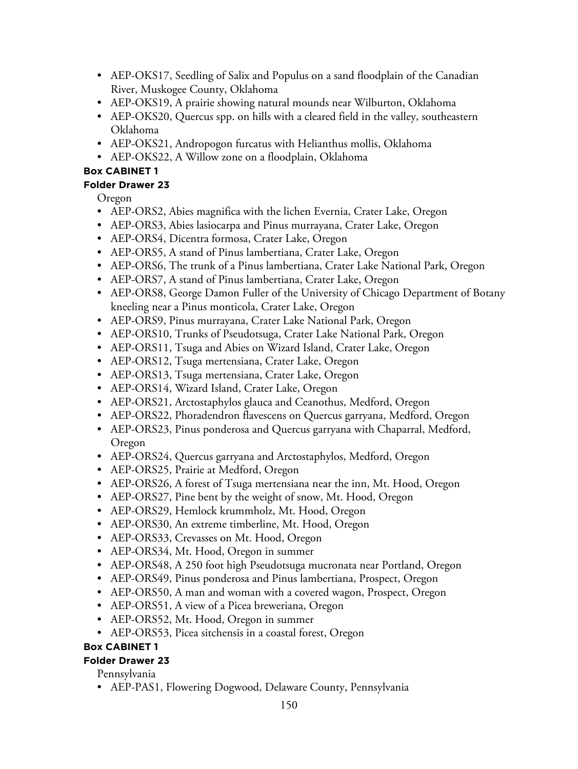- AEP-OKS17, Seedling of Salix and Populus on a sand floodplain of the Canadian River, Muskogee County, Oklahoma
- AEP-OKS19, A prairie showing natural mounds near Wilburton, Oklahoma
- AEP-OKS20, Quercus spp. on hills with a cleared field in the valley, southeastern Oklahoma
- AEP-OKS21, Andropogon furcatus with Helianthus mollis, Oklahoma
- AEP-OKS22, A Willow zone on a floodplain, Oklahoma

# **Folder Drawer 23**

Oregon

- AEP-ORS2, Abies magnifica with the lichen Evernia, Crater Lake, Oregon
- AEP-ORS3, Abies lasiocarpa and Pinus murrayana, Crater Lake, Oregon
- AEP-ORS4, Dicentra formosa, Crater Lake, Oregon
- AEP-ORS5, A stand of Pinus lambertiana, Crater Lake, Oregon
- AEP-ORS6, The trunk of a Pinus lambertiana, Crater Lake National Park, Oregon
- AEP-ORS7, A stand of Pinus lambertiana, Crater Lake, Oregon
- AEP-ORS8, George Damon Fuller of the University of Chicago Department of Botany kneeling near a Pinus monticola, Crater Lake, Oregon
- AEP-ORS9, Pinus murrayana, Crater Lake National Park, Oregon
- AEP-ORS10, Trunks of Pseudotsuga, Crater Lake National Park, Oregon
- AEP-ORS11, Tsuga and Abies on Wizard Island, Crater Lake, Oregon
- AEP-ORS12, Tsuga mertensiana, Crater Lake, Oregon
- AEP-ORS13, Tsuga mertensiana, Crater Lake, Oregon
- AEP-ORS14, Wizard Island, Crater Lake, Oregon
- AEP-ORS21, Arctostaphylos glauca and Ceanothus, Medford, Oregon
- AEP-ORS22, Phoradendron flavescens on Quercus garryana, Medford, Oregon
- AEP-ORS23, Pinus ponderosa and Quercus garryana with Chaparral, Medford, Oregon
- AEP-ORS24, Quercus garryana and Arctostaphylos, Medford, Oregon
- AEP-ORS25, Prairie at Medford, Oregon
- AEP-ORS26, A forest of Tsuga mertensiana near the inn, Mt. Hood, Oregon
- AEP-ORS27, Pine bent by the weight of snow, Mt. Hood, Oregon
- AEP-ORS29, Hemlock krummholz, Mt. Hood, Oregon
- AEP-ORS30, An extreme timberline, Mt. Hood, Oregon
- AEP-ORS33, Crevasses on Mt. Hood, Oregon
- AEP-ORS34, Mt. Hood, Oregon in summer
- AEP-ORS48, A 250 foot high Pseudotsuga mucronata near Portland, Oregon
- AEP-ORS49, Pinus ponderosa and Pinus lambertiana, Prospect, Oregon
- AEP-ORS50, A man and woman with a covered wagon, Prospect, Oregon
- AEP-ORS51, A view of a Picea breweriana, Oregon
- AEP-ORS52, Mt. Hood, Oregon in summer
- AEP-ORS53, Picea sitchensis in a coastal forest, Oregon

# **Box CABINET 1**

## **Folder Drawer 23**

Pennsylvania

• AEP-PAS1, Flowering Dogwood, Delaware County, Pennsylvania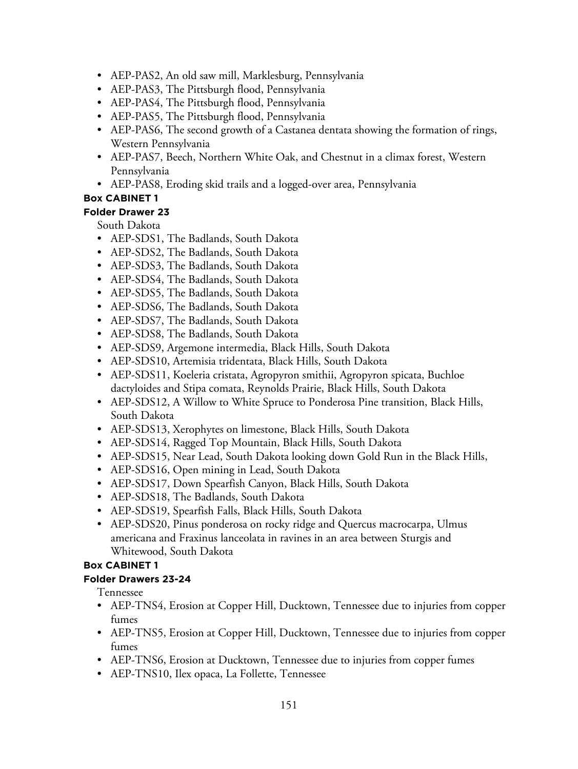- AEP-PAS2, An old saw mill, Marklesburg, Pennsylvania
- AEP-PAS3, The Pittsburgh flood, Pennsylvania
- AEP-PAS4, The Pittsburgh flood, Pennsylvania
- AEP-PAS5, The Pittsburgh flood, Pennsylvania
- AEP-PAS6, The second growth of a Castanea dentata showing the formation of rings, Western Pennsylvania
- AEP-PAS7, Beech, Northern White Oak, and Chestnut in a climax forest, Western Pennsylvania
- AEP-PAS8, Eroding skid trails and a logged-over area, Pennsylvania

### **Folder Drawer 23**

South Dakota

- AEP-SDS1, The Badlands, South Dakota
- AEP-SDS2, The Badlands, South Dakota
- AEP-SDS3, The Badlands, South Dakota
- AEP-SDS4, The Badlands, South Dakota
- AEP-SDS5, The Badlands, South Dakota
- AEP-SDS6, The Badlands, South Dakota
- AEP-SDS7, The Badlands, South Dakota
- AEP-SDS8, The Badlands, South Dakota
- AEP-SDS9, Argemone intermedia, Black Hills, South Dakota
- AEP-SDS10, Artemisia tridentata, Black Hills, South Dakota
- AEP-SDS11, Koeleria cristata, Agropyron smithii, Agropyron spicata, Buchloe dactyloides and Stipa comata, Reynolds Prairie, Black Hills, South Dakota
- AEP-SDS12, A Willow to White Spruce to Ponderosa Pine transition, Black Hills, South Dakota
- AEP-SDS13, Xerophytes on limestone, Black Hills, South Dakota
- AEP-SDS14, Ragged Top Mountain, Black Hills, South Dakota
- AEP-SDS15, Near Lead, South Dakota looking down Gold Run in the Black Hills,
- AEP-SDS16, Open mining in Lead, South Dakota
- AEP-SDS17, Down Spearfish Canyon, Black Hills, South Dakota
- AEP-SDS18, The Badlands, South Dakota
- AEP-SDS19, Spearfish Falls, Black Hills, South Dakota
- AEP-SDS20, Pinus ponderosa on rocky ridge and Quercus macrocarpa, Ulmus americana and Fraxinus lanceolata in ravines in an area between Sturgis and Whitewood, South Dakota

### **Box CABINET 1**

### **Folder Drawers 23-24**

Tennessee

- AEP-TNS4, Erosion at Copper Hill, Ducktown, Tennessee due to injuries from copper fumes
- AEP-TNS5, Erosion at Copper Hill, Ducktown, Tennessee due to injuries from copper fumes
- AEP-TNS6, Erosion at Ducktown, Tennessee due to injuries from copper fumes
- AEP-TNS10, Ilex opaca, La Follette, Tennessee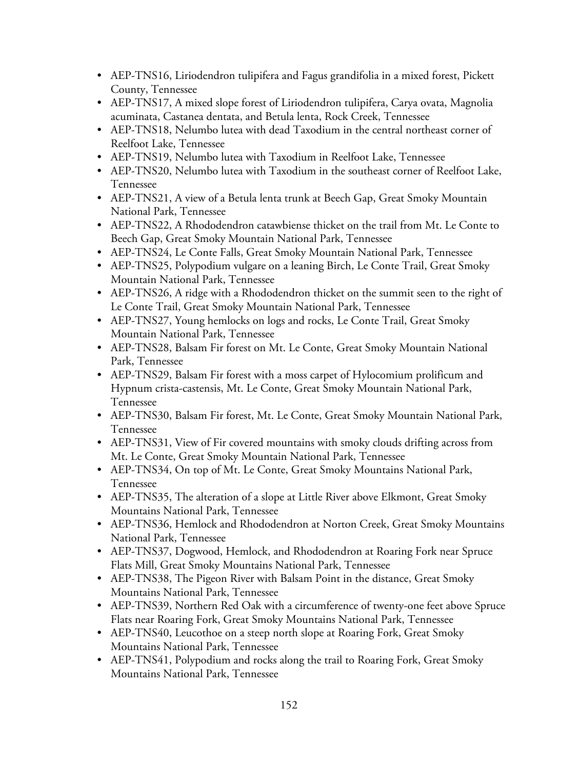- AEP-TNS16, Liriodendron tulipifera and Fagus grandifolia in a mixed forest, Pickett County, Tennessee
- AEP-TNS17, A mixed slope forest of Liriodendron tulipifera, Carya ovata, Magnolia acuminata, Castanea dentata, and Betula lenta, Rock Creek, Tennessee
- AEP-TNS18, Nelumbo lutea with dead Taxodium in the central northeast corner of Reelfoot Lake, Tennessee
- AEP-TNS19, Nelumbo lutea with Taxodium in Reelfoot Lake, Tennessee
- AEP-TNS20, Nelumbo lutea with Taxodium in the southeast corner of Reelfoot Lake, Tennessee
- AEP-TNS21, A view of a Betula lenta trunk at Beech Gap, Great Smoky Mountain National Park, Tennessee
- AEP-TNS22, A Rhododendron catawbiense thicket on the trail from Mt. Le Conte to Beech Gap, Great Smoky Mountain National Park, Tennessee
- AEP-TNS24, Le Conte Falls, Great Smoky Mountain National Park, Tennessee
- AEP-TNS25, Polypodium vulgare on a leaning Birch, Le Conte Trail, Great Smoky Mountain National Park, Tennessee
- AEP-TNS26, A ridge with a Rhododendron thicket on the summit seen to the right of Le Conte Trail, Great Smoky Mountain National Park, Tennessee
- AEP-TNS27, Young hemlocks on logs and rocks, Le Conte Trail, Great Smoky Mountain National Park, Tennessee
- AEP-TNS28, Balsam Fir forest on Mt. Le Conte, Great Smoky Mountain National Park, Tennessee
- AEP-TNS29, Balsam Fir forest with a moss carpet of Hylocomium prolificum and Hypnum crista-castensis, Mt. Le Conte, Great Smoky Mountain National Park, Tennessee
- AEP-TNS30, Balsam Fir forest, Mt. Le Conte, Great Smoky Mountain National Park, Tennessee
- AEP-TNS31, View of Fir covered mountains with smoky clouds drifting across from Mt. Le Conte, Great Smoky Mountain National Park, Tennessee
- AEP-TNS34, On top of Mt. Le Conte, Great Smoky Mountains National Park, Tennessee
- AEP-TNS35, The alteration of a slope at Little River above Elkmont, Great Smoky Mountains National Park, Tennessee
- AEP-TNS36, Hemlock and Rhododendron at Norton Creek, Great Smoky Mountains National Park, Tennessee
- AEP-TNS37, Dogwood, Hemlock, and Rhododendron at Roaring Fork near Spruce Flats Mill, Great Smoky Mountains National Park, Tennessee
- AEP-TNS38, The Pigeon River with Balsam Point in the distance, Great Smoky Mountains National Park, Tennessee
- AEP-TNS39, Northern Red Oak with a circumference of twenty-one feet above Spruce Flats near Roaring Fork, Great Smoky Mountains National Park, Tennessee
- AEP-TNS40, Leucothoe on a steep north slope at Roaring Fork, Great Smoky Mountains National Park, Tennessee
- AEP-TNS41, Polypodium and rocks along the trail to Roaring Fork, Great Smoky Mountains National Park, Tennessee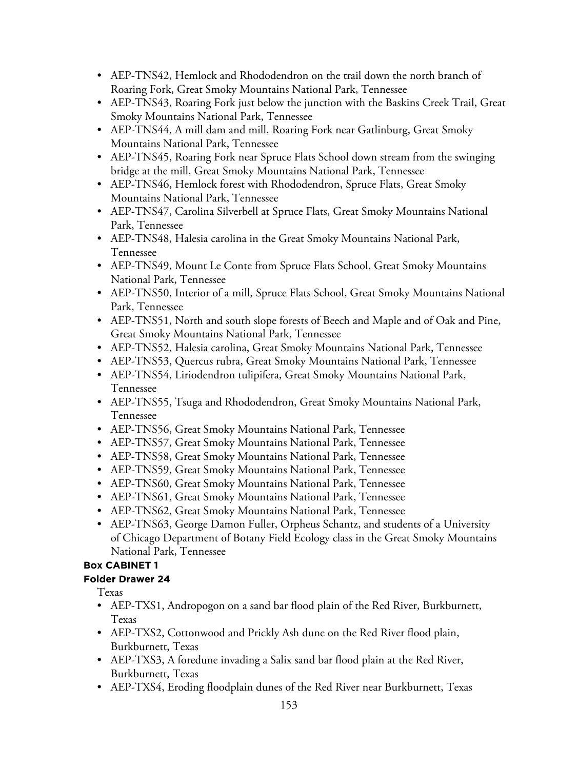- AEP-TNS42, Hemlock and Rhododendron on the trail down the north branch of Roaring Fork, Great Smoky Mountains National Park, Tennessee
- AEP-TNS43, Roaring Fork just below the junction with the Baskins Creek Trail, Great Smoky Mountains National Park, Tennessee
- AEP-TNS44, A mill dam and mill, Roaring Fork near Gatlinburg, Great Smoky Mountains National Park, Tennessee
- AEP-TNS45, Roaring Fork near Spruce Flats School down stream from the swinging bridge at the mill, Great Smoky Mountains National Park, Tennessee
- AEP-TNS46, Hemlock forest with Rhododendron, Spruce Flats, Great Smoky Mountains National Park, Tennessee
- AEP-TNS47, Carolina Silverbell at Spruce Flats, Great Smoky Mountains National Park, Tennessee
- AEP-TNS48, Halesia carolina in the Great Smoky Mountains National Park, Tennessee
- AEP-TNS49, Mount Le Conte from Spruce Flats School, Great Smoky Mountains National Park, Tennessee
- AEP-TNS50, Interior of a mill, Spruce Flats School, Great Smoky Mountains National Park, Tennessee
- AEP-TNS51, North and south slope forests of Beech and Maple and of Oak and Pine, Great Smoky Mountains National Park, Tennessee
- AEP-TNS52, Halesia carolina, Great Smoky Mountains National Park, Tennessee
- AEP-TNS53, Quercus rubra, Great Smoky Mountains National Park, Tennessee
- AEP-TNS54, Liriodendron tulipifera, Great Smoky Mountains National Park, Tennessee
- AEP-TNS55, Tsuga and Rhododendron, Great Smoky Mountains National Park, Tennessee
- AEP-TNS56, Great Smoky Mountains National Park, Tennessee
- AEP-TNS57, Great Smoky Mountains National Park, Tennessee
- AEP-TNS58, Great Smoky Mountains National Park, Tennessee
- AEP-TNS59, Great Smoky Mountains National Park, Tennessee
- AEP-TNS60, Great Smoky Mountains National Park, Tennessee
- AEP-TNS61, Great Smoky Mountains National Park, Tennessee
- AEP-TNS62, Great Smoky Mountains National Park, Tennessee
- AEP-TNS63, George Damon Fuller, Orpheus Schantz, and students of a University of Chicago Department of Botany Field Ecology class in the Great Smoky Mountains National Park, Tennessee

# **Folder Drawer 24**

Texas

- AEP-TXS1, Andropogon on a sand bar flood plain of the Red River, Burkburnett, Texas
- AEP-TXS2, Cottonwood and Prickly Ash dune on the Red River flood plain, Burkburnett, Texas
- AEP-TXS3, A foredune invading a Salix sand bar flood plain at the Red River, Burkburnett, Texas
- AEP-TXS4, Eroding floodplain dunes of the Red River near Burkburnett, Texas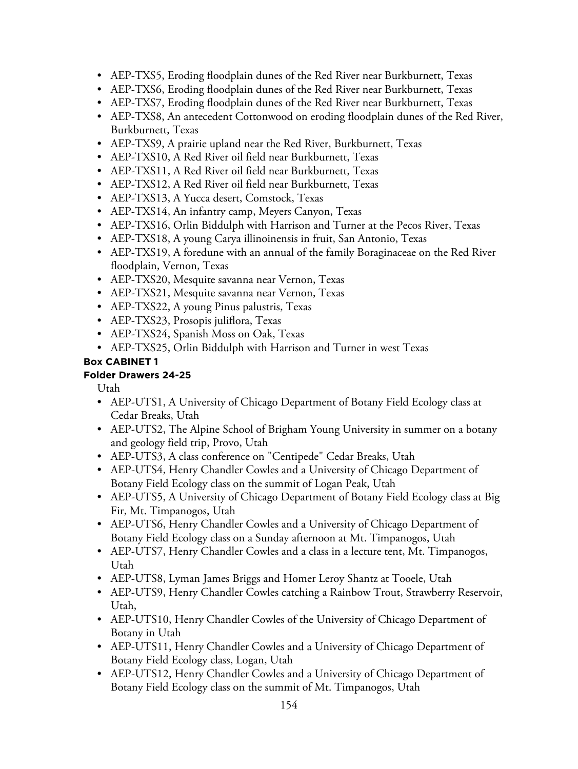- AEP-TXS5, Eroding floodplain dunes of the Red River near Burkburnett, Texas
- AEP-TXS6, Eroding floodplain dunes of the Red River near Burkburnett, Texas
- AEP-TXS7, Eroding floodplain dunes of the Red River near Burkburnett, Texas
- AEP-TXS8, An antecedent Cottonwood on eroding floodplain dunes of the Red River, Burkburnett, Texas
- AEP-TXS9, A prairie upland near the Red River, Burkburnett, Texas
- AEP-TXS10, A Red River oil field near Burkburnett, Texas
- AEP-TXS11, A Red River oil field near Burkburnett, Texas
- AEP-TXS12, A Red River oil field near Burkburnett, Texas
- AEP-TXS13, A Yucca desert, Comstock, Texas
- AEP-TXS14, An infantry camp, Meyers Canyon, Texas
- AEP-TXS16, Orlin Biddulph with Harrison and Turner at the Pecos River, Texas
- AEP-TXS18, A young Carya illinoinensis in fruit, San Antonio, Texas
- AEP-TXS19, A foredune with an annual of the family Boraginaceae on the Red River floodplain, Vernon, Texas
- AEP-TXS20, Mesquite savanna near Vernon, Texas
- AEP-TXS21, Mesquite savanna near Vernon, Texas
- AEP-TXS22, A young Pinus palustris, Texas
- AEP-TXS23, Prosopis juliflora, Texas
- AEP-TXS24, Spanish Moss on Oak, Texas
- AEP-TXS25, Orlin Biddulph with Harrison and Turner in west Texas

# **Folder Drawers 24-25**

Utah

- AEP-UTS1, A University of Chicago Department of Botany Field Ecology class at Cedar Breaks, Utah
- AEP-UTS2, The Alpine School of Brigham Young University in summer on a botany and geology field trip, Provo, Utah
- AEP-UTS3, A class conference on "Centipede" Cedar Breaks, Utah
- AEP-UTS4, Henry Chandler Cowles and a University of Chicago Department of Botany Field Ecology class on the summit of Logan Peak, Utah
- AEP-UTS5, A University of Chicago Department of Botany Field Ecology class at Big Fir, Mt. Timpanogos, Utah
- AEP-UTS6, Henry Chandler Cowles and a University of Chicago Department of Botany Field Ecology class on a Sunday afternoon at Mt. Timpanogos, Utah
- AEP-UTS7, Henry Chandler Cowles and a class in a lecture tent, Mt. Timpanogos, Utah
- AEP-UTS8, Lyman James Briggs and Homer Leroy Shantz at Tooele, Utah
- AEP-UTS9, Henry Chandler Cowles catching a Rainbow Trout, Strawberry Reservoir, Utah,
- AEP-UTS10, Henry Chandler Cowles of the University of Chicago Department of Botany in Utah
- AEP-UTS11, Henry Chandler Cowles and a University of Chicago Department of Botany Field Ecology class, Logan, Utah
- AEP-UTS12, Henry Chandler Cowles and a University of Chicago Department of Botany Field Ecology class on the summit of Mt. Timpanogos, Utah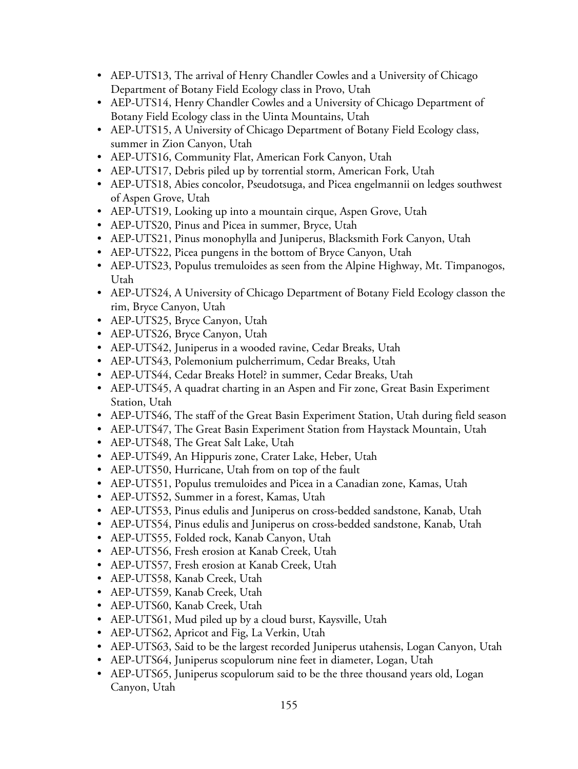- AEP-UTS13, The arrival of Henry Chandler Cowles and a University of Chicago Department of Botany Field Ecology class in Provo, Utah
- AEP-UTS14, Henry Chandler Cowles and a University of Chicago Department of Botany Field Ecology class in the Uinta Mountains, Utah
- AEP-UTS15, A University of Chicago Department of Botany Field Ecology class, summer in Zion Canyon, Utah
- AEP-UTS16, Community Flat, American Fork Canyon, Utah
- AEP-UTS17, Debris piled up by torrential storm, American Fork, Utah
- AEP-UTS18, Abies concolor, Pseudotsuga, and Picea engelmannii on ledges southwest of Aspen Grove, Utah
- AEP-UTS19, Looking up into a mountain cirque, Aspen Grove, Utah
- AEP-UTS20, Pinus and Picea in summer, Bryce, Utah
- AEP-UTS21, Pinus monophylla and Juniperus, Blacksmith Fork Canyon, Utah
- AEP-UTS22, Picea pungens in the bottom of Bryce Canyon, Utah
- AEP-UTS23, Populus tremuloides as seen from the Alpine Highway, Mt. Timpanogos, Utah
- AEP-UTS24, A University of Chicago Department of Botany Field Ecology classon the rim, Bryce Canyon, Utah
- AEP-UTS25, Bryce Canyon, Utah
- AEP-UTS26, Bryce Canyon, Utah
- AEP-UTS42, Juniperus in a wooded ravine, Cedar Breaks, Utah
- AEP-UTS43, Polemonium pulcherrimum, Cedar Breaks, Utah
- AEP-UTS44, Cedar Breaks Hotel? in summer, Cedar Breaks, Utah
- AEP-UTS45, A quadrat charting in an Aspen and Fir zone, Great Basin Experiment Station, Utah
- AEP-UTS46, The staff of the Great Basin Experiment Station, Utah during field season
- AEP-UTS47, The Great Basin Experiment Station from Haystack Mountain, Utah
- AEP-UTS48, The Great Salt Lake, Utah
- AEP-UTS49, An Hippuris zone, Crater Lake, Heber, Utah
- AEP-UTS50, Hurricane, Utah from on top of the fault
- AEP-UTS51, Populus tremuloides and Picea in a Canadian zone, Kamas, Utah
- AEP-UTS52, Summer in a forest, Kamas, Utah
- AEP-UTS53, Pinus edulis and Juniperus on cross-bedded sandstone, Kanab, Utah
- AEP-UTS54, Pinus edulis and Juniperus on cross-bedded sandstone, Kanab, Utah
- AEP-UTS55, Folded rock, Kanab Canyon, Utah
- AEP-UTS56, Fresh erosion at Kanab Creek, Utah
- AEP-UTS57, Fresh erosion at Kanab Creek, Utah
- AEP-UTS58, Kanab Creek, Utah
- AEP-UTS59, Kanab Creek, Utah
- AEP-UTS60, Kanab Creek, Utah
- AEP-UTS61, Mud piled up by a cloud burst, Kaysville, Utah
- AEP-UTS62, Apricot and Fig, La Verkin, Utah
- AEP-UTS63, Said to be the largest recorded Juniperus utahensis, Logan Canyon, Utah
- AEP-UTS64, Juniperus scopulorum nine feet in diameter, Logan, Utah
- AEP-UTS65, Juniperus scopulorum said to be the three thousand years old, Logan Canyon, Utah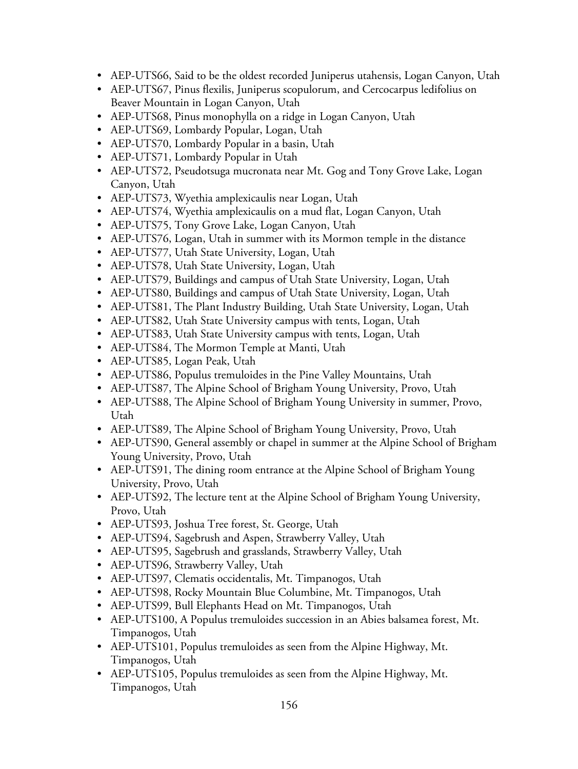- AEP-UTS66, Said to be the oldest recorded Juniperus utahensis, Logan Canyon, Utah
- AEP-UTS67, Pinus flexilis, Juniperus scopulorum, and Cercocarpus ledifolius on Beaver Mountain in Logan Canyon, Utah
- AEP-UTS68, Pinus monophylla on a ridge in Logan Canyon, Utah
- AEP-UTS69, Lombardy Popular, Logan, Utah
- AEP-UTS70, Lombardy Popular in a basin, Utah
- AEP-UTS71, Lombardy Popular in Utah
- AEP-UTS72, Pseudotsuga mucronata near Mt. Gog and Tony Grove Lake, Logan Canyon, Utah
- AEP-UTS73, Wyethia amplexicaulis near Logan, Utah
- AEP-UTS74, Wyethia amplexicaulis on a mud flat, Logan Canyon, Utah
- AEP-UTS75, Tony Grove Lake, Logan Canyon, Utah
- AEP-UTS76, Logan, Utah in summer with its Mormon temple in the distance
- AEP-UTS77, Utah State University, Logan, Utah
- AEP-UTS78, Utah State University, Logan, Utah
- AEP-UTS79, Buildings and campus of Utah State University, Logan, Utah
- AEP-UTS80, Buildings and campus of Utah State University, Logan, Utah
- AEP-UTS81, The Plant Industry Building, Utah State University, Logan, Utah
- AEP-UTS82, Utah State University campus with tents, Logan, Utah
- AEP-UTS83, Utah State University campus with tents, Logan, Utah
- AEP-UTS84, The Mormon Temple at Manti, Utah
- AEP-UTS85, Logan Peak, Utah
- AEP-UTS86, Populus tremuloides in the Pine Valley Mountains, Utah
- AEP-UTS87, The Alpine School of Brigham Young University, Provo, Utah
- AEP-UTS88, The Alpine School of Brigham Young University in summer, Provo, Utah
- AEP-UTS89, The Alpine School of Brigham Young University, Provo, Utah
- AEP-UTS90, General assembly or chapel in summer at the Alpine School of Brigham Young University, Provo, Utah
- AEP-UTS91, The dining room entrance at the Alpine School of Brigham Young University, Provo, Utah
- AEP-UTS92, The lecture tent at the Alpine School of Brigham Young University, Provo, Utah
- AEP-UTS93, Joshua Tree forest, St. George, Utah
- AEP-UTS94, Sagebrush and Aspen, Strawberry Valley, Utah
- AEP-UTS95, Sagebrush and grasslands, Strawberry Valley, Utah
- AEP-UTS96, Strawberry Valley, Utah
- AEP-UTS97, Clematis occidentalis, Mt. Timpanogos, Utah
- AEP-UTS98, Rocky Mountain Blue Columbine, Mt. Timpanogos, Utah
- AEP-UTS99, Bull Elephants Head on Mt. Timpanogos, Utah
- AEP-UTS100, A Populus tremuloides succession in an Abies balsamea forest, Mt. Timpanogos, Utah
- AEP-UTS101, Populus tremuloides as seen from the Alpine Highway, Mt. Timpanogos, Utah
- AEP-UTS105, Populus tremuloides as seen from the Alpine Highway, Mt. Timpanogos, Utah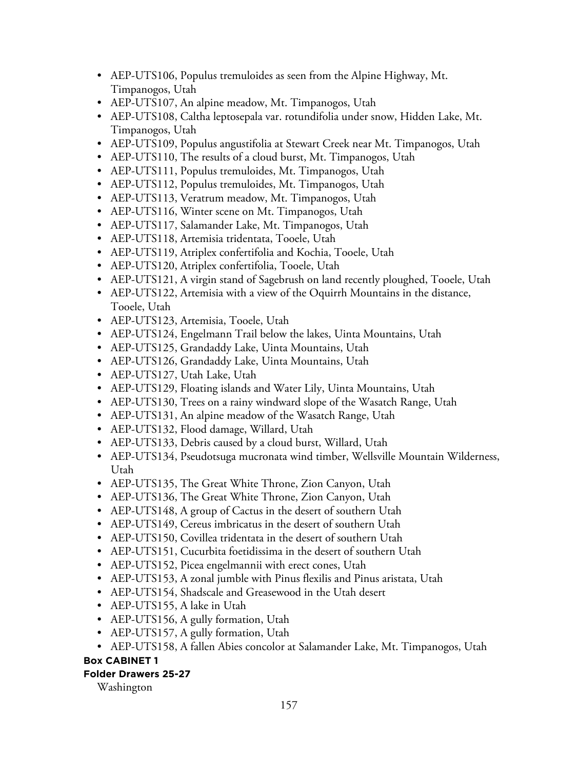- AEP-UTS106, Populus tremuloides as seen from the Alpine Highway, Mt. Timpanogos, Utah
- AEP-UTS107, An alpine meadow, Mt. Timpanogos, Utah
- AEP-UTS108, Caltha leptosepala var. rotundifolia under snow, Hidden Lake, Mt. Timpanogos, Utah
- AEP-UTS109, Populus angustifolia at Stewart Creek near Mt. Timpanogos, Utah
- AEP-UTS110, The results of a cloud burst, Mt. Timpanogos, Utah
- AEP-UTS111, Populus tremuloides, Mt. Timpanogos, Utah
- AEP-UTS112, Populus tremuloides, Mt. Timpanogos, Utah
- AEP-UTS113, Veratrum meadow, Mt. Timpanogos, Utah
- AEP-UTS116, Winter scene on Mt. Timpanogos, Utah
- AEP-UTS117, Salamander Lake, Mt. Timpanogos, Utah
- AEP-UTS118, Artemisia tridentata, Tooele, Utah
- AEP-UTS119, Atriplex confertifolia and Kochia, Tooele, Utah
- AEP-UTS120, Atriplex confertifolia, Tooele, Utah
- AEP-UTS121, A virgin stand of Sagebrush on land recently ploughed, Tooele, Utah
- AEP-UTS122, Artemisia with a view of the Oquirrh Mountains in the distance, Tooele, Utah
- AEP-UTS123, Artemisia, Tooele, Utah
- AEP-UTS124, Engelmann Trail below the lakes, Uinta Mountains, Utah
- AEP-UTS125, Grandaddy Lake, Uinta Mountains, Utah
- AEP-UTS126, Grandaddy Lake, Uinta Mountains, Utah
- AEP-UTS127, Utah Lake, Utah
- AEP-UTS129, Floating islands and Water Lily, Uinta Mountains, Utah
- AEP-UTS130, Trees on a rainy windward slope of the Wasatch Range, Utah
- AEP-UTS131, An alpine meadow of the Wasatch Range, Utah
- AEP-UTS132, Flood damage, Willard, Utah
- AEP-UTS133, Debris caused by a cloud burst, Willard, Utah
- AEP-UTS134, Pseudotsuga mucronata wind timber, Wellsville Mountain Wilderness, Utah
- AEP-UTS135, The Great White Throne, Zion Canyon, Utah
- AEP-UTS136, The Great White Throne, Zion Canyon, Utah
- AEP-UTS148, A group of Cactus in the desert of southern Utah
- AEP-UTS149, Cereus imbricatus in the desert of southern Utah
- AEP-UTS150, Covillea tridentata in the desert of southern Utah
- AEP-UTS151, Cucurbita foetidissima in the desert of southern Utah
- AEP-UTS152, Picea engelmannii with erect cones, Utah
- AEP-UTS153, A zonal jumble with Pinus flexilis and Pinus aristata, Utah
- AEP-UTS154, Shadscale and Greasewood in the Utah desert
- AEP-UTS155, A lake in Utah
- AEP-UTS156, A gully formation, Utah
- AEP-UTS157, A gully formation, Utah
- AEP-UTS158, A fallen Abies concolor at Salamander Lake, Mt. Timpanogos, Utah

# **Folder Drawers 25-27**

Washington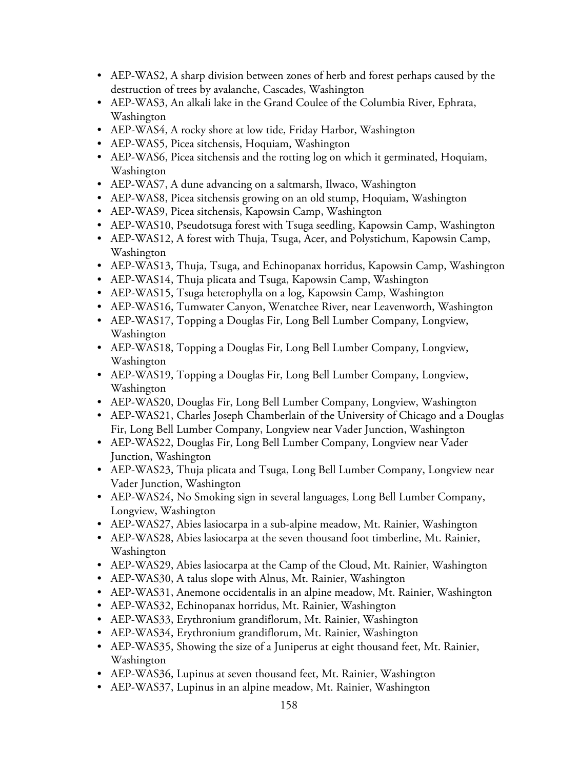- AEP-WAS2, A sharp division between zones of herb and forest perhaps caused by the destruction of trees by avalanche, Cascades, Washington
- AEP-WAS3, An alkali lake in the Grand Coulee of the Columbia River, Ephrata, Washington
- AEP-WAS4, A rocky shore at low tide, Friday Harbor, Washington
- AEP-WAS5, Picea sitchensis, Hoquiam, Washington
- AEP-WAS6, Picea sitchensis and the rotting log on which it germinated, Hoquiam, Washington
- AEP-WAS7, A dune advancing on a saltmarsh, Ilwaco, Washington
- AEP-WAS8, Picea sitchensis growing on an old stump, Hoquiam, Washington
- AEP-WAS9, Picea sitchensis, Kapowsin Camp, Washington
- AEP-WAS10, Pseudotsuga forest with Tsuga seedling, Kapowsin Camp, Washington
- AEP-WAS12, A forest with Thuja, Tsuga, Acer, and Polystichum, Kapowsin Camp, Washington
- AEP-WAS13, Thuja, Tsuga, and Echinopanax horridus, Kapowsin Camp, Washington
- AEP-WAS14, Thuja plicata and Tsuga, Kapowsin Camp, Washington
- AEP-WAS15, Tsuga heterophylla on a log, Kapowsin Camp, Washington
- AEP-WAS16, Tumwater Canyon, Wenatchee River, near Leavenworth, Washington
- AEP-WAS17, Topping a Douglas Fir, Long Bell Lumber Company, Longview, Washington
- AEP-WAS18, Topping a Douglas Fir, Long Bell Lumber Company, Longview, Washington
- AEP-WAS19, Topping a Douglas Fir, Long Bell Lumber Company, Longview, Washington
- AEP-WAS20, Douglas Fir, Long Bell Lumber Company, Longview, Washington
- AEP-WAS21, Charles Joseph Chamberlain of the University of Chicago and a Douglas Fir, Long Bell Lumber Company, Longview near Vader Junction, Washington
- AEP-WAS22, Douglas Fir, Long Bell Lumber Company, Longview near Vader Junction, Washington
- AEP-WAS23, Thuja plicata and Tsuga, Long Bell Lumber Company, Longview near Vader Junction, Washington
- AEP-WAS24, No Smoking sign in several languages, Long Bell Lumber Company, Longview, Washington
- AEP-WAS27, Abies lasiocarpa in a sub-alpine meadow, Mt. Rainier, Washington
- AEP-WAS28, Abies lasiocarpa at the seven thousand foot timberline, Mt. Rainier, Washington
- AEP-WAS29, Abies lasiocarpa at the Camp of the Cloud, Mt. Rainier, Washington
- AEP-WAS30, A talus slope with Alnus, Mt. Rainier, Washington
- AEP-WAS31, Anemone occidentalis in an alpine meadow, Mt. Rainier, Washington
- AEP-WAS32, Echinopanax horridus, Mt. Rainier, Washington
- AEP-WAS33, Erythronium grandiflorum, Mt. Rainier, Washington
- AEP-WAS34, Erythronium grandiflorum, Mt. Rainier, Washington
- AEP-WAS35, Showing the size of a Juniperus at eight thousand feet, Mt. Rainier, Washington
- AEP-WAS36, Lupinus at seven thousand feet, Mt. Rainier, Washington
- AEP-WAS37, Lupinus in an alpine meadow, Mt. Rainier, Washington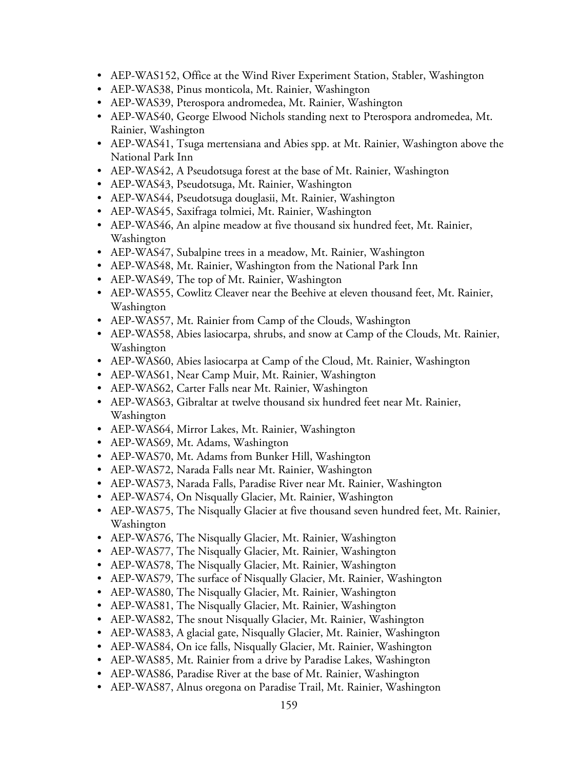- AEP-WAS152, Office at the Wind River Experiment Station, Stabler, Washington
- AEP-WAS38, Pinus monticola, Mt. Rainier, Washington
- AEP-WAS39, Pterospora andromedea, Mt. Rainier, Washington
- AEP-WAS40, George Elwood Nichols standing next to Pterospora andromedea, Mt. Rainier, Washington
- AEP-WAS41, Tsuga mertensiana and Abies spp. at Mt. Rainier, Washington above the National Park Inn
- AEP-WAS42, A Pseudotsuga forest at the base of Mt. Rainier, Washington
- AEP-WAS43, Pseudotsuga, Mt. Rainier, Washington
- AEP-WAS44, Pseudotsuga douglasii, Mt. Rainier, Washington
- AEP-WAS45, Saxifraga tolmiei, Mt. Rainier, Washington
- AEP-WAS46, An alpine meadow at five thousand six hundred feet, Mt. Rainier, Washington
- AEP-WAS47, Subalpine trees in a meadow, Mt. Rainier, Washington
- AEP-WAS48, Mt. Rainier, Washington from the National Park Inn
- AEP-WAS49, The top of Mt. Rainier, Washington
- AEP-WAS55, Cowlitz Cleaver near the Beehive at eleven thousand feet, Mt. Rainier, Washington
- AEP-WAS57, Mt. Rainier from Camp of the Clouds, Washington
- AEP-WAS58, Abies lasiocarpa, shrubs, and snow at Camp of the Clouds, Mt. Rainier, Washington
- AEP-WAS60, Abies lasiocarpa at Camp of the Cloud, Mt. Rainier, Washington
- AEP-WAS61, Near Camp Muir, Mt. Rainier, Washington
- AEP-WAS62, Carter Falls near Mt. Rainier, Washington
- AEP-WAS63, Gibraltar at twelve thousand six hundred feet near Mt. Rainier, Washington
- AEP-WAS64, Mirror Lakes, Mt. Rainier, Washington
- AEP-WAS69, Mt. Adams, Washington
- AEP-WAS70, Mt. Adams from Bunker Hill, Washington
- AEP-WAS72, Narada Falls near Mt. Rainier, Washington
- AEP-WAS73, Narada Falls, Paradise River near Mt. Rainier, Washington
- AEP-WAS74, On Nisqually Glacier, Mt. Rainier, Washington
- AEP-WAS75, The Nisqually Glacier at five thousand seven hundred feet, Mt. Rainier, Washington
- AEP-WAS76, The Nisqually Glacier, Mt. Rainier, Washington
- AEP-WAS77, The Nisqually Glacier, Mt. Rainier, Washington
- AEP-WAS78, The Nisqually Glacier, Mt. Rainier, Washington
- AEP-WAS79, The surface of Nisqually Glacier, Mt. Rainier, Washington
- AEP-WAS80, The Nisqually Glacier, Mt. Rainier, Washington
- AEP-WAS81, The Nisqually Glacier, Mt. Rainier, Washington
- AEP-WAS82, The snout Nisqually Glacier, Mt. Rainier, Washington
- AEP-WAS83, A glacial gate, Nisqually Glacier, Mt. Rainier, Washington
- AEP-WAS84, On ice falls, Nisqually Glacier, Mt. Rainier, Washington
- AEP-WAS85, Mt. Rainier from a drive by Paradise Lakes, Washington
- AEP-WAS86, Paradise River at the base of Mt. Rainier, Washington
- AEP-WAS87, Alnus oregona on Paradise Trail, Mt. Rainier, Washington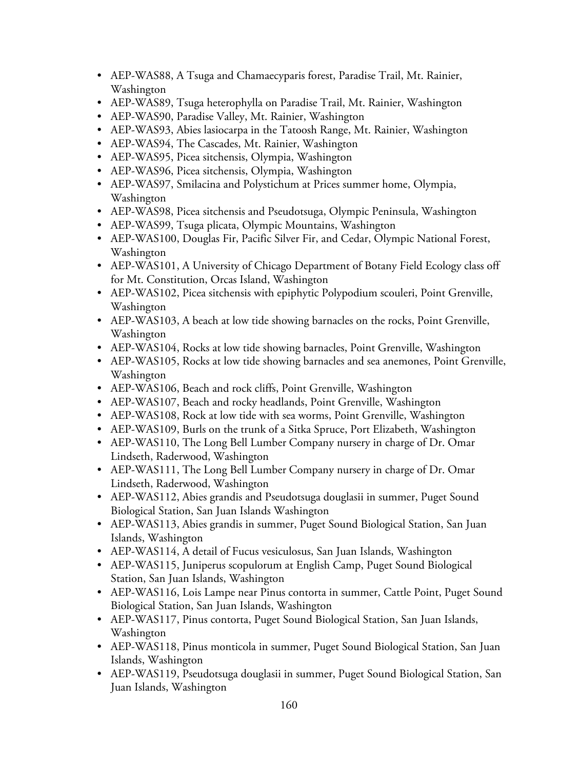- AEP-WAS88, A Tsuga and Chamaecyparis forest, Paradise Trail, Mt. Rainier, Washington
- AEP-WAS89, Tsuga heterophylla on Paradise Trail, Mt. Rainier, Washington
- AEP-WAS90, Paradise Valley, Mt. Rainier, Washington
- AEP-WAS93, Abies lasiocarpa in the Tatoosh Range, Mt. Rainier, Washington
- AEP-WAS94, The Cascades, Mt. Rainier, Washington
- AEP-WAS95, Picea sitchensis, Olympia, Washington
- AEP-WAS96, Picea sitchensis, Olympia, Washington
- AEP-WAS97, Smilacina and Polystichum at Prices summer home, Olympia, Washington
- AEP-WAS98, Picea sitchensis and Pseudotsuga, Olympic Peninsula, Washington
- AEP-WAS99, Tsuga plicata, Olympic Mountains, Washington
- AEP-WAS100, Douglas Fir, Pacific Silver Fir, and Cedar, Olympic National Forest, Washington
- AEP-WAS101, A University of Chicago Department of Botany Field Ecology class off for Mt. Constitution, Orcas Island, Washington
- AEP-WAS102, Picea sitchensis with epiphytic Polypodium scouleri, Point Grenville, Washington
- AEP-WAS103, A beach at low tide showing barnacles on the rocks, Point Grenville, Washington
- AEP-WAS104, Rocks at low tide showing barnacles, Point Grenville, Washington
- AEP-WAS105, Rocks at low tide showing barnacles and sea anemones, Point Grenville, Washington
- AEP-WAS106, Beach and rock cliffs, Point Grenville, Washington
- AEP-WAS107, Beach and rocky headlands, Point Grenville, Washington
- AEP-WAS108, Rock at low tide with sea worms, Point Grenville, Washington
- AEP-WAS109, Burls on the trunk of a Sitka Spruce, Port Elizabeth, Washington
- AEP-WAS110, The Long Bell Lumber Company nursery in charge of Dr. Omar Lindseth, Raderwood, Washington
- AEP-WAS111, The Long Bell Lumber Company nursery in charge of Dr. Omar Lindseth, Raderwood, Washington
- AEP-WAS112, Abies grandis and Pseudotsuga douglasii in summer, Puget Sound Biological Station, San Juan Islands Washington
- AEP-WAS113, Abies grandis in summer, Puget Sound Biological Station, San Juan Islands, Washington
- AEP-WAS114, A detail of Fucus vesiculosus, San Juan Islands, Washington
- AEP-WAS115, Juniperus scopulorum at English Camp, Puget Sound Biological Station, San Juan Islands, Washington
- AEP-WAS116, Lois Lampe near Pinus contorta in summer, Cattle Point, Puget Sound Biological Station, San Juan Islands, Washington
- AEP-WAS117, Pinus contorta, Puget Sound Biological Station, San Juan Islands, Washington
- AEP-WAS118, Pinus monticola in summer, Puget Sound Biological Station, San Juan Islands, Washington
- AEP-WAS119, Pseudotsuga douglasii in summer, Puget Sound Biological Station, San Juan Islands, Washington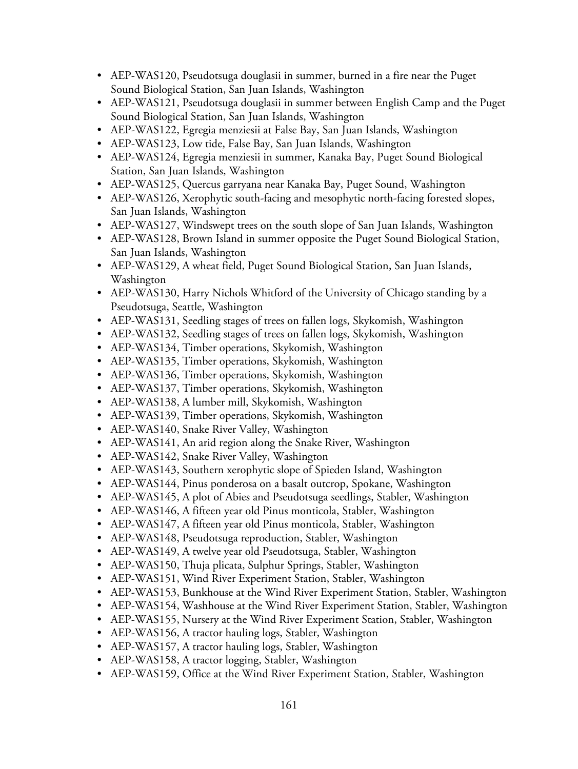- AEP-WAS120, Pseudotsuga douglasii in summer, burned in a fire near the Puget Sound Biological Station, San Juan Islands, Washington
- AEP-WAS121, Pseudotsuga douglasii in summer between English Camp and the Puget Sound Biological Station, San Juan Islands, Washington
- AEP-WAS122, Egregia menziesii at False Bay, San Juan Islands, Washington
- AEP-WAS123, Low tide, False Bay, San Juan Islands, Washington
- AEP-WAS124, Egregia menziesii in summer, Kanaka Bay, Puget Sound Biological Station, San Juan Islands, Washington
- AEP-WAS125, Quercus garryana near Kanaka Bay, Puget Sound, Washington
- AEP-WAS126, Xerophytic south-facing and mesophytic north-facing forested slopes, San Juan Islands, Washington
- AEP-WAS127, Windswept trees on the south slope of San Juan Islands, Washington
- AEP-WAS128, Brown Island in summer opposite the Puget Sound Biological Station, San Juan Islands, Washington
- AEP-WAS129, A wheat field, Puget Sound Biological Station, San Juan Islands, Washington
- AEP-WAS130, Harry Nichols Whitford of the University of Chicago standing by a Pseudotsuga, Seattle, Washington
- AEP-WAS131, Seedling stages of trees on fallen logs, Skykomish, Washington
- AEP-WAS132, Seedling stages of trees on fallen logs, Skykomish, Washington
- AEP-WAS134, Timber operations, Skykomish, Washington
- AEP-WAS135, Timber operations, Skykomish, Washington
- AEP-WAS136, Timber operations, Skykomish, Washington
- AEP-WAS137, Timber operations, Skykomish, Washington
- AEP-WAS138, A lumber mill, Skykomish, Washington
- AEP-WAS139, Timber operations, Skykomish, Washington
- AEP-WAS140, Snake River Valley, Washington
- AEP-WAS141, An arid region along the Snake River, Washington
- AEP-WAS142, Snake River Valley, Washington
- AEP-WAS143, Southern xerophytic slope of Spieden Island, Washington
- AEP-WAS144, Pinus ponderosa on a basalt outcrop, Spokane, Washington
- AEP-WAS145, A plot of Abies and Pseudotsuga seedlings, Stabler, Washington
- AEP-WAS146, A fifteen year old Pinus monticola, Stabler, Washington
- AEP-WAS147, A fifteen year old Pinus monticola, Stabler, Washington
- AEP-WAS148, Pseudotsuga reproduction, Stabler, Washington
- AEP-WAS149, A twelve year old Pseudotsuga, Stabler, Washington
- AEP-WAS150, Thuja plicata, Sulphur Springs, Stabler, Washington
- AEP-WAS151, Wind River Experiment Station, Stabler, Washington
- AEP-WAS153, Bunkhouse at the Wind River Experiment Station, Stabler, Washington
- AEP-WAS154, Washhouse at the Wind River Experiment Station, Stabler, Washington
- AEP-WAS155, Nursery at the Wind River Experiment Station, Stabler, Washington
- AEP-WAS156, A tractor hauling logs, Stabler, Washington
- AEP-WAS157, A tractor hauling logs, Stabler, Washington
- AEP-WAS158, A tractor logging, Stabler, Washington
- AEP-WAS159, Office at the Wind River Experiment Station, Stabler, Washington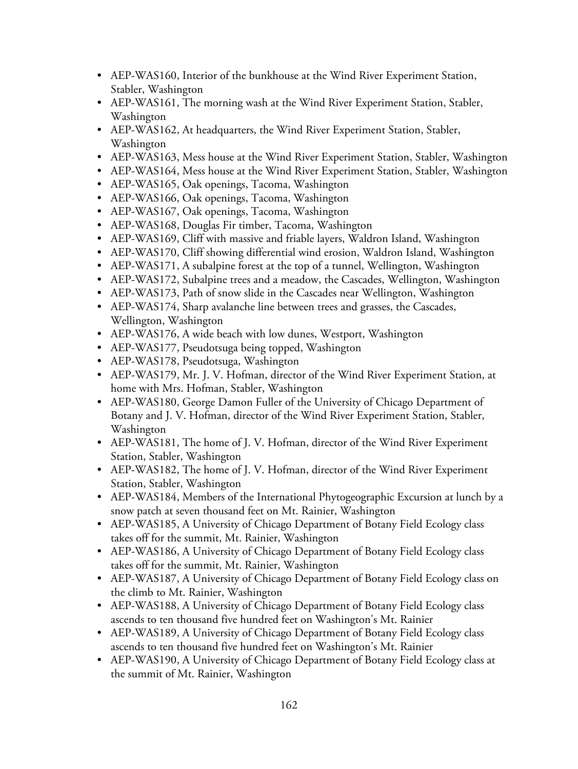- AEP-WAS160, Interior of the bunkhouse at the Wind River Experiment Station, Stabler, Washington
- AEP-WAS161, The morning wash at the Wind River Experiment Station, Stabler, Washington
- AEP-WAS162, At headquarters, the Wind River Experiment Station, Stabler, Washington
- AEP-WAS163, Mess house at the Wind River Experiment Station, Stabler, Washington
- AEP-WAS164, Mess house at the Wind River Experiment Station, Stabler, Washington
- AEP-WAS165, Oak openings, Tacoma, Washington
- AEP-WAS166, Oak openings, Tacoma, Washington
- AEP-WAS167, Oak openings, Tacoma, Washington
- AEP-WAS168, Douglas Fir timber, Tacoma, Washington
- AEP-WAS169, Cliff with massive and friable layers, Waldron Island, Washington
- AEP-WAS170, Cliff showing differential wind erosion, Waldron Island, Washington
- AEP-WAS171, A subalpine forest at the top of a tunnel, Wellington, Washington
- AEP-WAS172, Subalpine trees and a meadow, the Cascades, Wellington, Washington
- AEP-WAS173, Path of snow slide in the Cascades near Wellington, Washington
- AEP-WAS174, Sharp avalanche line between trees and grasses, the Cascades, Wellington, Washington
- AEP-WAS176, A wide beach with low dunes, Westport, Washington
- AEP-WAS177, Pseudotsuga being topped, Washington
- AEP-WAS178, Pseudotsuga, Washington
- AEP-WAS179, Mr. J. V. Hofman, director of the Wind River Experiment Station, at home with Mrs. Hofman, Stabler, Washington
- AEP-WAS180, George Damon Fuller of the University of Chicago Department of Botany and J. V. Hofman, director of the Wind River Experiment Station, Stabler, Washington
- AEP-WAS181, The home of J. V. Hofman, director of the Wind River Experiment Station, Stabler, Washington
- AEP-WAS182, The home of J. V. Hofman, director of the Wind River Experiment Station, Stabler, Washington
- AEP-WAS184, Members of the International Phytogeographic Excursion at lunch by a snow patch at seven thousand feet on Mt. Rainier, Washington
- AEP-WAS185, A University of Chicago Department of Botany Field Ecology class takes off for the summit, Mt. Rainier, Washington
- AEP-WAS186, A University of Chicago Department of Botany Field Ecology class takes off for the summit, Mt. Rainier, Washington
- AEP-WAS187, A University of Chicago Department of Botany Field Ecology class on the climb to Mt. Rainier, Washington
- AEP-WAS188, A University of Chicago Department of Botany Field Ecology class ascends to ten thousand five hundred feet on Washington's Mt. Rainier
- AEP-WAS189, A University of Chicago Department of Botany Field Ecology class ascends to ten thousand five hundred feet on Washington's Mt. Rainier
- AEP-WAS190, A University of Chicago Department of Botany Field Ecology class at the summit of Mt. Rainier, Washington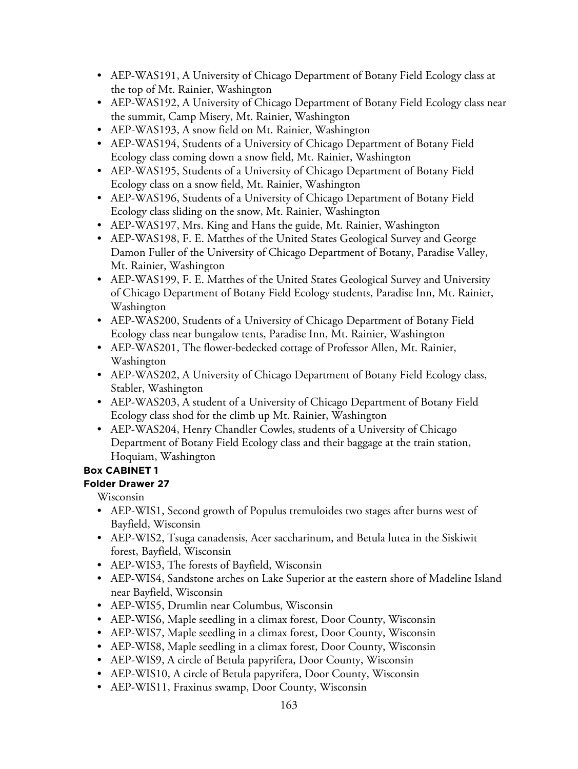- AEP-WAS191, A University of Chicago Department of Botany Field Ecology class at the top of Mt. Rainier, Washington
- AEP-WAS192, A University of Chicago Department of Botany Field Ecology class near the summit, Camp Misery, Mt. Rainier, Washington
- AEP-WAS193, A snow field on Mt. Rainier, Washington
- AEP-WAS194, Students of a University of Chicago Department of Botany Field Ecology class coming down a snow field, Mt. Rainier, Washington
- AEP-WAS195, Students of a University of Chicago Department of Botany Field Ecology class on a snow field, Mt. Rainier, Washington
- AEP-WAS196, Students of a University of Chicago Department of Botany Field Ecology class sliding on the snow, Mt. Rainier, Washington
- AEP-WAS197, Mrs. King and Hans the guide, Mt. Rainier, Washington
- AEP-WAS198, F. E. Matthes of the United States Geological Survey and George Damon Fuller of the University of Chicago Department of Botany, Paradise Valley, Mt. Rainier, Washington
- AEP-WAS199, F. E. Matthes of the United States Geological Survey and University of Chicago Department of Botany Field Ecology students, Paradise Inn, Mt. Rainier, Washington
- AEP-WAS200, Students of a University of Chicago Department of Botany Field Ecology class near bungalow tents, Paradise Inn, Mt. Rainier, Washington
- AEP-WAS201, The flower-bedecked cottage of Professor Allen, Mt. Rainier, Washington
- AEP-WAS202, A University of Chicago Department of Botany Field Ecology class, Stabler, Washington
- AEP-WAS203, A student of a University of Chicago Department of Botany Field Ecology class shod for the climb up Mt. Rainier, Washington
- AEP-WAS204, Henry Chandler Cowles, students of a University of Chicago Department of Botany Field Ecology class and their baggage at the train station, Hoquiam, Washington

# **Folder Drawer 27**

Wisconsin

- AEP-WIS1, Second growth of Populus tremuloides two stages after burns west of Bayfield, Wisconsin
- AEP-WIS2, Tsuga canadensis, Acer saccharinum, and Betula lutea in the Siskiwit forest, Bayfield, Wisconsin
- AEP-WIS3, The forests of Bayfield, Wisconsin
- AEP-WIS4, Sandstone arches on Lake Superior at the eastern shore of Madeline Island near Bayfield, Wisconsin
- AEP-WIS5, Drumlin near Columbus, Wisconsin
- AEP-WIS6, Maple seedling in a climax forest, Door County, Wisconsin
- AEP-WIS7, Maple seedling in a climax forest, Door County, Wisconsin
- AEP-WIS8, Maple seedling in a climax forest, Door County, Wisconsin
- AEP-WIS9, A circle of Betula papyrifera, Door County, Wisconsin
- AEP-WIS10, A circle of Betula papyrifera, Door County, Wisconsin
- AEP-WIS11, Fraxinus swamp, Door County, Wisconsin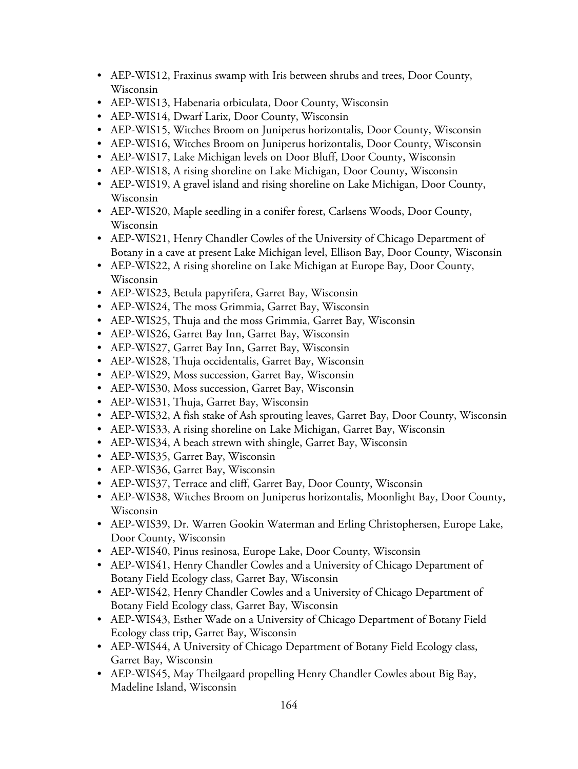- AEP-WIS12, Fraxinus swamp with Iris between shrubs and trees, Door County, Wisconsin
- AEP-WIS13, Habenaria orbiculata, Door County, Wisconsin
- AEP-WIS14, Dwarf Larix, Door County, Wisconsin
- AEP-WIS15, Witches Broom on Juniperus horizontalis, Door County, Wisconsin
- AEP-WIS16, Witches Broom on Juniperus horizontalis, Door County, Wisconsin
- AEP-WIS17, Lake Michigan levels on Door Bluff, Door County, Wisconsin
- AEP-WIS18, A rising shoreline on Lake Michigan, Door County, Wisconsin
- AEP-WIS19, A gravel island and rising shoreline on Lake Michigan, Door County, Wisconsin
- AEP-WIS20, Maple seedling in a conifer forest, Carlsens Woods, Door County, Wisconsin
- AEP-WIS21, Henry Chandler Cowles of the University of Chicago Department of Botany in a cave at present Lake Michigan level, Ellison Bay, Door County, Wisconsin
- AEP-WIS22, A rising shoreline on Lake Michigan at Europe Bay, Door County, Wisconsin
- AEP-WIS23, Betula papyrifera, Garret Bay, Wisconsin
- AEP-WIS24, The moss Grimmia, Garret Bay, Wisconsin
- AEP-WIS25, Thuja and the moss Grimmia, Garret Bay, Wisconsin
- AEP-WIS26, Garret Bay Inn, Garret Bay, Wisconsin
- AEP-WIS27, Garret Bay Inn, Garret Bay, Wisconsin
- AEP-WIS28, Thuja occidentalis, Garret Bay, Wisconsin
- AEP-WIS29, Moss succession, Garret Bay, Wisconsin
- AEP-WIS30, Moss succession, Garret Bay, Wisconsin
- AEP-WIS31, Thuja, Garret Bay, Wisconsin
- AEP-WIS32, A fish stake of Ash sprouting leaves, Garret Bay, Door County, Wisconsin
- AEP-WIS33, A rising shoreline on Lake Michigan, Garret Bay, Wisconsin
- AEP-WIS34, A beach strewn with shingle, Garret Bay, Wisconsin
- AEP-WIS35, Garret Bay, Wisconsin
- AEP-WIS36, Garret Bay, Wisconsin
- AEP-WIS37, Terrace and cliff, Garret Bay, Door County, Wisconsin
- AEP-WIS38, Witches Broom on Juniperus horizontalis, Moonlight Bay, Door County, Wisconsin
- AEP-WIS39, Dr. Warren Gookin Waterman and Erling Christophersen, Europe Lake, Door County, Wisconsin
- AEP-WIS40, Pinus resinosa, Europe Lake, Door County, Wisconsin
- AEP-WIS41, Henry Chandler Cowles and a University of Chicago Department of Botany Field Ecology class, Garret Bay, Wisconsin
- AEP-WIS42, Henry Chandler Cowles and a University of Chicago Department of Botany Field Ecology class, Garret Bay, Wisconsin
- AEP-WIS43, Esther Wade on a University of Chicago Department of Botany Field Ecology class trip, Garret Bay, Wisconsin
- AEP-WIS44, A University of Chicago Department of Botany Field Ecology class, Garret Bay, Wisconsin
- AEP-WIS45, May Theilgaard propelling Henry Chandler Cowles about Big Bay, Madeline Island, Wisconsin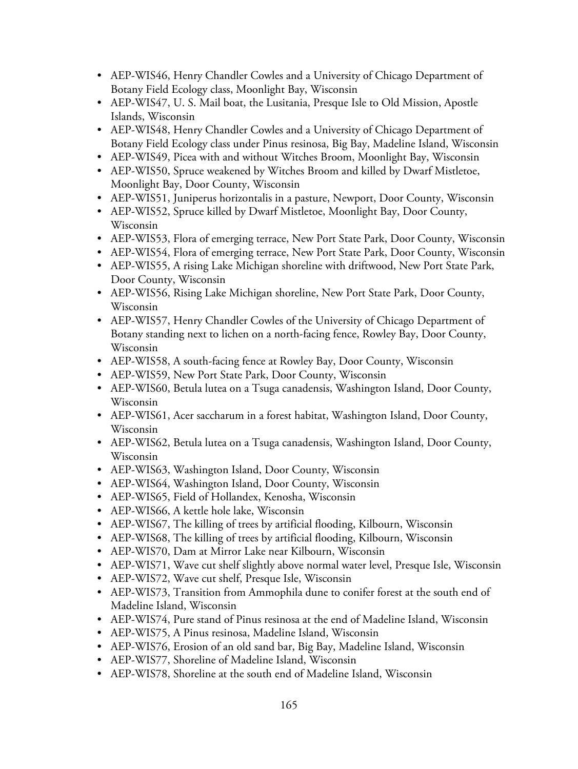- AEP-WIS46, Henry Chandler Cowles and a University of Chicago Department of Botany Field Ecology class, Moonlight Bay, Wisconsin
- AEP-WIS47, U. S. Mail boat, the Lusitania, Presque Isle to Old Mission, Apostle Islands, Wisconsin
- AEP-WIS48, Henry Chandler Cowles and a University of Chicago Department of Botany Field Ecology class under Pinus resinosa, Big Bay, Madeline Island, Wisconsin
- AEP-WIS49, Picea with and without Witches Broom, Moonlight Bay, Wisconsin
- AEP-WIS50, Spruce weakened by Witches Broom and killed by Dwarf Mistletoe, Moonlight Bay, Door County, Wisconsin
- AEP-WIS51, Juniperus horizontalis in a pasture, Newport, Door County, Wisconsin
- AEP-WIS52, Spruce killed by Dwarf Mistletoe, Moonlight Bay, Door County, Wisconsin
- AEP-WIS53, Flora of emerging terrace, New Port State Park, Door County, Wisconsin
- AEP-WIS54, Flora of emerging terrace, New Port State Park, Door County, Wisconsin
- AEP-WIS55, A rising Lake Michigan shoreline with driftwood, New Port State Park, Door County, Wisconsin
- AEP-WIS56, Rising Lake Michigan shoreline, New Port State Park, Door County, Wisconsin
- AEP-WIS57, Henry Chandler Cowles of the University of Chicago Department of Botany standing next to lichen on a north-facing fence, Rowley Bay, Door County, Wisconsin
- AEP-WIS58, A south-facing fence at Rowley Bay, Door County, Wisconsin
- AEP-WIS59, New Port State Park, Door County, Wisconsin
- AEP-WIS60, Betula lutea on a Tsuga canadensis, Washington Island, Door County, Wisconsin
- AEP-WIS61, Acer saccharum in a forest habitat, Washington Island, Door County, Wisconsin
- AEP-WIS62, Betula lutea on a Tsuga canadensis, Washington Island, Door County, Wisconsin
- AEP-WIS63, Washington Island, Door County, Wisconsin
- AEP-WIS64, Washington Island, Door County, Wisconsin
- AEP-WIS65, Field of Hollandex, Kenosha, Wisconsin
- AEP-WIS66, A kettle hole lake, Wisconsin
- AEP-WIS67, The killing of trees by artificial flooding, Kilbourn, Wisconsin
- AEP-WIS68, The killing of trees by artificial flooding, Kilbourn, Wisconsin
- AEP-WIS70, Dam at Mirror Lake near Kilbourn, Wisconsin
- AEP-WIS71, Wave cut shelf slightly above normal water level, Presque Isle, Wisconsin
- AEP-WIS72, Wave cut shelf, Presque Isle, Wisconsin
- AEP-WIS73, Transition from Ammophila dune to conifer forest at the south end of Madeline Island, Wisconsin
- AEP-WIS74, Pure stand of Pinus resinosa at the end of Madeline Island, Wisconsin
- AEP-WIS75, A Pinus resinosa, Madeline Island, Wisconsin
- AEP-WIS76, Erosion of an old sand bar, Big Bay, Madeline Island, Wisconsin
- AEP-WIS77, Shoreline of Madeline Island, Wisconsin
- AEP-WIS78, Shoreline at the south end of Madeline Island, Wisconsin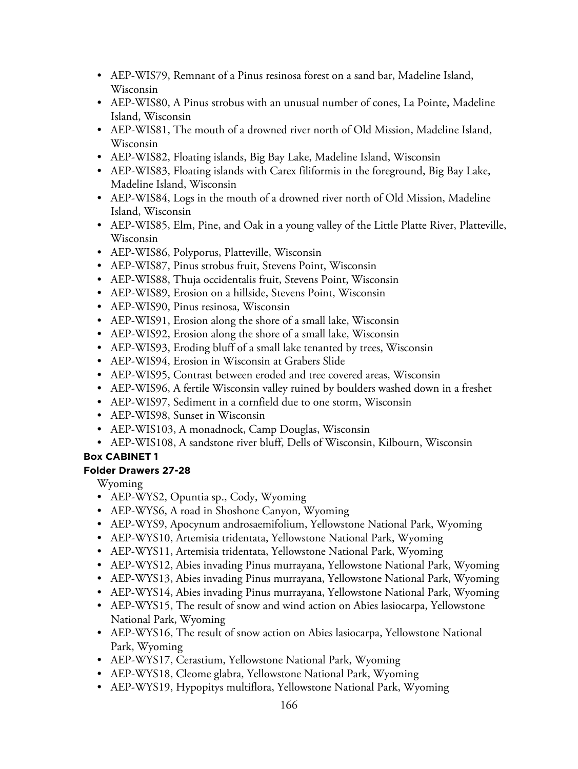- AEP-WIS79, Remnant of a Pinus resinosa forest on a sand bar, Madeline Island, Wisconsin
- AEP-WIS80, A Pinus strobus with an unusual number of cones, La Pointe, Madeline Island, Wisconsin
- AEP-WIS81, The mouth of a drowned river north of Old Mission, Madeline Island, Wisconsin
- AEP-WIS82, Floating islands, Big Bay Lake, Madeline Island, Wisconsin
- AEP-WIS83, Floating islands with Carex filiformis in the foreground, Big Bay Lake, Madeline Island, Wisconsin
- AEP-WIS84, Logs in the mouth of a drowned river north of Old Mission, Madeline Island, Wisconsin
- AEP-WIS85, Elm, Pine, and Oak in a young valley of the Little Platte River, Platteville, Wisconsin
- AEP-WIS86, Polyporus, Platteville, Wisconsin
- AEP-WIS87, Pinus strobus fruit, Stevens Point, Wisconsin
- AEP-WIS88, Thuja occidentalis fruit, Stevens Point, Wisconsin
- AEP-WIS89, Erosion on a hillside, Stevens Point, Wisconsin
- AEP-WIS90, Pinus resinosa, Wisconsin
- AEP-WIS91, Erosion along the shore of a small lake, Wisconsin
- AEP-WIS92, Erosion along the shore of a small lake, Wisconsin
- AEP-WIS93, Eroding bluff of a small lake tenanted by trees, Wisconsin
- AEP-WIS94, Erosion in Wisconsin at Grabers Slide
- AEP-WIS95, Contrast between eroded and tree covered areas, Wisconsin
- AEP-WIS96, A fertile Wisconsin valley ruined by boulders washed down in a freshet
- AEP-WIS97, Sediment in a cornfield due to one storm, Wisconsin
- AEP-WIS98, Sunset in Wisconsin
- AEP-WIS103, A monadnock, Camp Douglas, Wisconsin
- AEP-WIS108, A sandstone river bluff, Dells of Wisconsin, Kilbourn, Wisconsin

## **Folder Drawers 27-28**

Wyoming

- AEP-WYS2, Opuntia sp., Cody, Wyoming
- AEP-WYS6, A road in Shoshone Canyon, Wyoming
- AEP-WYS9, Apocynum androsaemifolium, Yellowstone National Park, Wyoming
- AEP-WYS10, Artemisia tridentata, Yellowstone National Park, Wyoming
- AEP-WYS11, Artemisia tridentata, Yellowstone National Park, Wyoming
- AEP-WYS12, Abies invading Pinus murrayana, Yellowstone National Park, Wyoming
- AEP-WYS13, Abies invading Pinus murrayana, Yellowstone National Park, Wyoming
- AEP-WYS14, Abies invading Pinus murrayana, Yellowstone National Park, Wyoming
- AEP-WYS15, The result of snow and wind action on Abies lasiocarpa, Yellowstone National Park, Wyoming
- AEP-WYS16, The result of snow action on Abies lasiocarpa, Yellowstone National Park, Wyoming
- AEP-WYS17, Cerastium, Yellowstone National Park, Wyoming
- AEP-WYS18, Cleome glabra, Yellowstone National Park, Wyoming
- AEP-WYS19, Hypopitys multiflora, Yellowstone National Park, Wyoming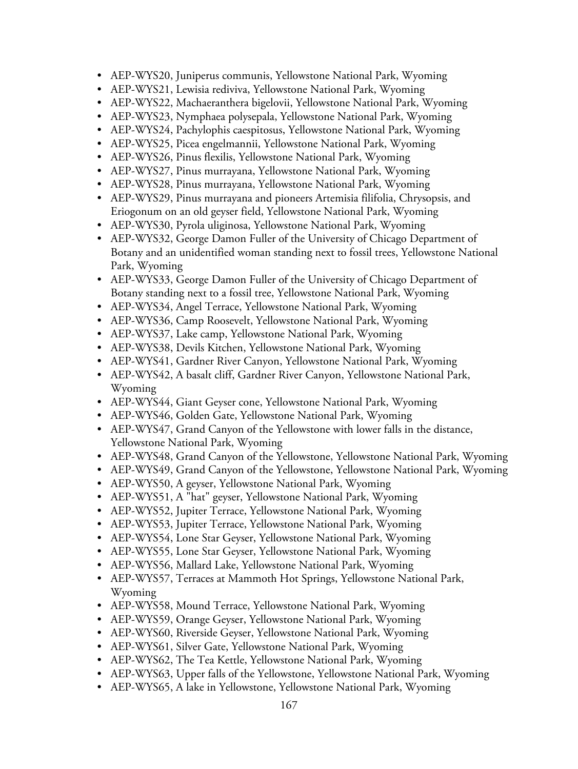- AEP-WYS20, Juniperus communis, Yellowstone National Park, Wyoming
- AEP-WYS21, Lewisia rediviva, Yellowstone National Park, Wyoming
- AEP-WYS22, Machaeranthera bigelovii, Yellowstone National Park, Wyoming
- AEP-WYS23, Nymphaea polysepala, Yellowstone National Park, Wyoming
- AEP-WYS24, Pachylophis caespitosus, Yellowstone National Park, Wyoming
- AEP-WYS25, Picea engelmannii, Yellowstone National Park, Wyoming
- AEP-WYS26, Pinus flexilis, Yellowstone National Park, Wyoming
- AEP-WYS27, Pinus murrayana, Yellowstone National Park, Wyoming
- AEP-WYS28, Pinus murrayana, Yellowstone National Park, Wyoming
- AEP-WYS29, Pinus murrayana and pioneers Artemisia filifolia, Chrysopsis, and Eriogonum on an old geyser field, Yellowstone National Park, Wyoming
- AEP-WYS30, Pyrola uliginosa, Yellowstone National Park, Wyoming
- AEP-WYS32, George Damon Fuller of the University of Chicago Department of Botany and an unidentified woman standing next to fossil trees, Yellowstone National Park, Wyoming
- AEP-WYS33, George Damon Fuller of the University of Chicago Department of Botany standing next to a fossil tree, Yellowstone National Park, Wyoming
- AEP-WYS34, Angel Terrace, Yellowstone National Park, Wyoming
- AEP-WYS36, Camp Roosevelt, Yellowstone National Park, Wyoming
- AEP-WYS37, Lake camp, Yellowstone National Park, Wyoming
- AEP-WYS38, Devils Kitchen, Yellowstone National Park, Wyoming
- AEP-WYS41, Gardner River Canyon, Yellowstone National Park, Wyoming
- AEP-WYS42, A basalt cliff, Gardner River Canyon, Yellowstone National Park, Wyoming
- AEP-WYS44, Giant Geyser cone, Yellowstone National Park, Wyoming
- AEP-WYS46, Golden Gate, Yellowstone National Park, Wyoming
- AEP-WYS47, Grand Canyon of the Yellowstone with lower falls in the distance, Yellowstone National Park, Wyoming
- AEP-WYS48, Grand Canyon of the Yellowstone, Yellowstone National Park, Wyoming
- AEP-WYS49, Grand Canyon of the Yellowstone, Yellowstone National Park, Wyoming
- AEP-WYS50, A geyser, Yellowstone National Park, Wyoming
- AEP-WYS51, A "hat" geyser, Yellowstone National Park, Wyoming
- AEP-WYS52, Jupiter Terrace, Yellowstone National Park, Wyoming
- AEP-WYS53, Jupiter Terrace, Yellowstone National Park, Wyoming
- AEP-WYS54, Lone Star Geyser, Yellowstone National Park, Wyoming
- AEP-WYS55, Lone Star Geyser, Yellowstone National Park, Wyoming
- AEP-WYS56, Mallard Lake, Yellowstone National Park, Wyoming
- AEP-WYS57, Terraces at Mammoth Hot Springs, Yellowstone National Park, Wyoming
- AEP-WYS58, Mound Terrace, Yellowstone National Park, Wyoming
- AEP-WYS59, Orange Geyser, Yellowstone National Park, Wyoming
- AEP-WYS60, Riverside Geyser, Yellowstone National Park, Wyoming
- AEP-WYS61, Silver Gate, Yellowstone National Park, Wyoming
- AEP-WYS62, The Tea Kettle, Yellowstone National Park, Wyoming
- AEP-WYS63, Upper falls of the Yellowstone, Yellowstone National Park, Wyoming
- AEP-WYS65, A lake in Yellowstone, Yellowstone National Park, Wyoming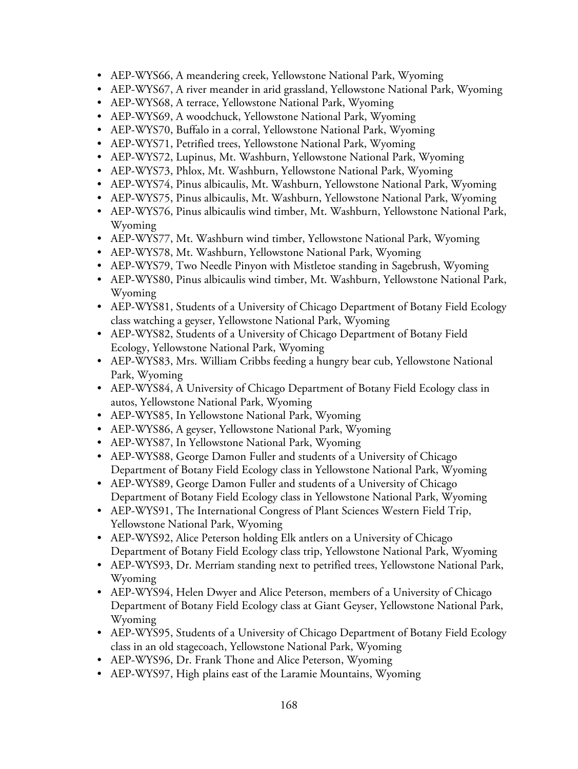- AEP-WYS66, A meandering creek, Yellowstone National Park, Wyoming
- AEP-WYS67, A river meander in arid grassland, Yellowstone National Park, Wyoming
- AEP-WYS68, A terrace, Yellowstone National Park, Wyoming
- AEP-WYS69, A woodchuck, Yellowstone National Park, Wyoming
- AEP-WYS70, Buffalo in a corral, Yellowstone National Park, Wyoming
- AEP-WYS71, Petrified trees, Yellowstone National Park, Wyoming
- AEP-WYS72, Lupinus, Mt. Washburn, Yellowstone National Park, Wyoming
- AEP-WYS73, Phlox, Mt. Washburn, Yellowstone National Park, Wyoming
- AEP-WYS74, Pinus albicaulis, Mt. Washburn, Yellowstone National Park, Wyoming
- AEP-WYS75, Pinus albicaulis, Mt. Washburn, Yellowstone National Park, Wyoming
- AEP-WYS76, Pinus albicaulis wind timber, Mt. Washburn, Yellowstone National Park, Wyoming
- AEP-WYS77, Mt. Washburn wind timber, Yellowstone National Park, Wyoming
- AEP-WYS78, Mt. Washburn, Yellowstone National Park, Wyoming
- AEP-WYS79, Two Needle Pinyon with Mistletoe standing in Sagebrush, Wyoming
- AEP-WYS80, Pinus albicaulis wind timber, Mt. Washburn, Yellowstone National Park, Wyoming
- AEP-WYS81, Students of a University of Chicago Department of Botany Field Ecology class watching a geyser, Yellowstone National Park, Wyoming
- AEP-WYS82, Students of a University of Chicago Department of Botany Field Ecology, Yellowstone National Park, Wyoming
- AEP-WYS83, Mrs. William Cribbs feeding a hungry bear cub, Yellowstone National Park, Wyoming
- AEP-WYS84, A University of Chicago Department of Botany Field Ecology class in autos, Yellowstone National Park, Wyoming
- AEP-WYS85, In Yellowstone National Park, Wyoming
- AEP-WYS86, A geyser, Yellowstone National Park, Wyoming
- AEP-WYS87, In Yellowstone National Park, Wyoming
- AEP-WYS88, George Damon Fuller and students of a University of Chicago Department of Botany Field Ecology class in Yellowstone National Park, Wyoming
- AEP-WYS89, George Damon Fuller and students of a University of Chicago Department of Botany Field Ecology class in Yellowstone National Park, Wyoming
- AEP-WYS91, The International Congress of Plant Sciences Western Field Trip, Yellowstone National Park, Wyoming
- AEP-WYS92, Alice Peterson holding Elk antlers on a University of Chicago Department of Botany Field Ecology class trip, Yellowstone National Park, Wyoming
- AEP-WYS93, Dr. Merriam standing next to petrified trees, Yellowstone National Park, Wyoming
- AEP-WYS94, Helen Dwyer and Alice Peterson, members of a University of Chicago Department of Botany Field Ecology class at Giant Geyser, Yellowstone National Park, Wyoming
- AEP-WYS95, Students of a University of Chicago Department of Botany Field Ecology class in an old stagecoach, Yellowstone National Park, Wyoming
- AEP-WYS96, Dr. Frank Thone and Alice Peterson, Wyoming
- AEP-WYS97, High plains east of the Laramie Mountains, Wyoming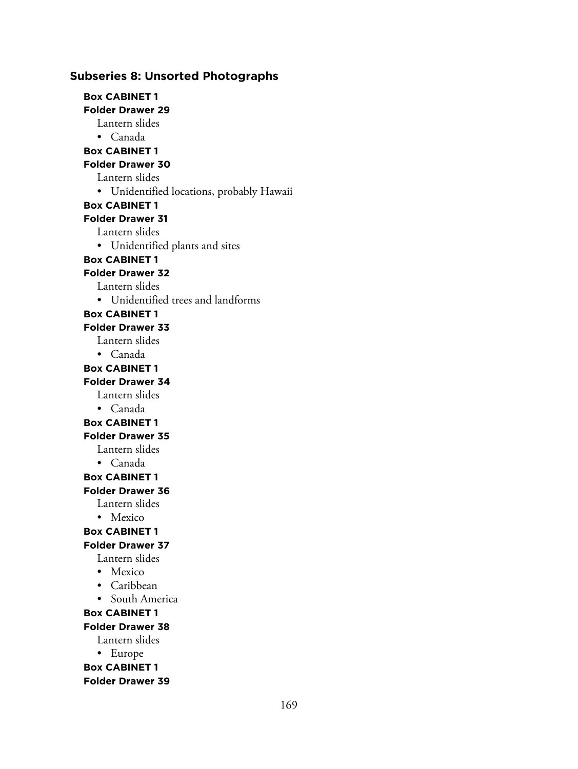### **Subseries 8: Unsorted Photographs**

**Box CABINET 1 Folder Drawer 29** Lantern slides • Canada **Box CABINET 1 Folder Drawer 30** Lantern slides • Unidentified locations, probably Hawaii **Box CABINET 1 Folder Drawer 31** Lantern slides • Unidentified plants and sites **Box CABINET 1 Folder Drawer 32** Lantern slides • Unidentified trees and landforms **Box CABINET 1 Folder Drawer 33** Lantern slides • Canada **Box CABINET 1 Folder Drawer 34** Lantern slides • Canada **Box CABINET 1 Folder Drawer 35** Lantern slides • Canada **Box CABINET 1 Folder Drawer 36** Lantern slides • Mexico **Box CABINET 1 Folder Drawer 37** Lantern slides • Mexico • Caribbean • South America **Box CABINET 1 Folder Drawer 38** Lantern slides • Europe **Box CABINET 1 Folder Drawer 39**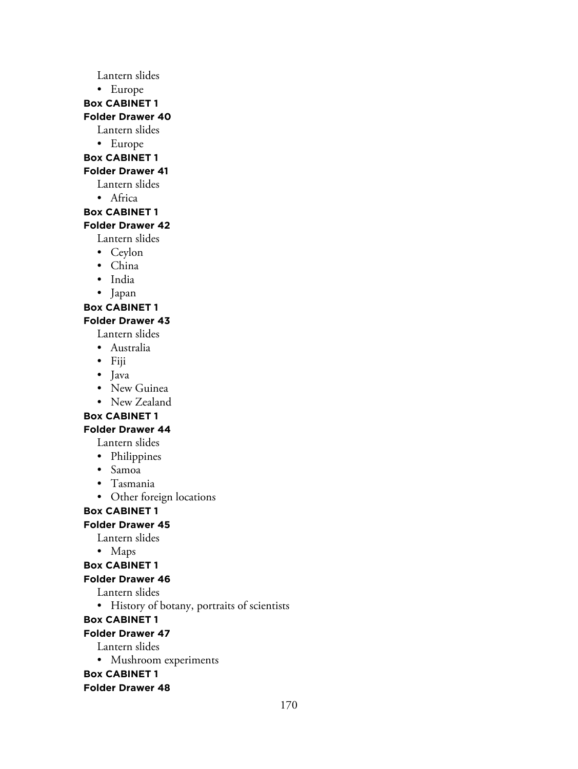Lantern slides

• Europe

**Box CABINET 1**

#### **Folder Drawer 40**

Lantern slides

• Europe

#### **Box CABINET 1**

#### **Folder Drawer 41**

Lantern slides

• Africa

#### **Box CABINET 1**

#### **Folder Drawer 42**

Lantern slides

- Ceylon
- China
- India
- Japan

### **Box CABINET 1**

## **Folder Drawer 43**

Lantern slides

- Australia
- Fiji
- Java
- New Guinea
- New Zealand

### **Box CABINET 1**

## **Folder Drawer 44**

Lantern slides

- Philippines
- Samoa
- Tasmania
- Other foreign locations

## **Box CABINET 1**

# **Folder Drawer 45**

Lantern slides

• Maps

## **Box CABINET 1**

#### **Folder Drawer 46**

Lantern slides

• History of botany, portraits of scientists

## **Box CABINET 1**

#### **Folder Drawer 47**

Lantern slides

• Mushroom experiments

**Box CABINET 1**

#### **Folder Drawer 48**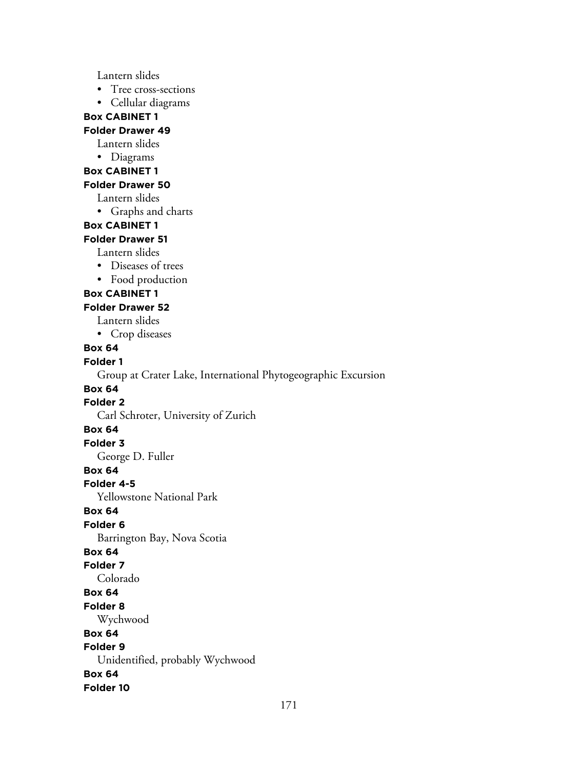Lantern slides

- Tree cross-sections
- Cellular diagrams

### **Box CABINET 1**

### **Folder Drawer 49**

- Lantern slides
- Diagrams
- **Box CABINET 1**

#### **Folder Drawer 50**

Lantern slides

• Graphs and charts

#### **Box CABINET 1**

#### **Folder Drawer 51**

- Lantern slides
- Diseases of trees
- Food production

#### **Box CABINET 1**

#### **Folder Drawer 52**

- Lantern slides
- Crop diseases

#### **Box 64**

#### **Folder 1**

Group at Crater Lake, International Phytogeographic Excursion

### **Box 64**

#### **Folder 2**

Carl Schroter, University of Zurich

#### **Box 64**

#### **Folder 3**

George D. Fuller

### **Box 64**

### **Folder 4-5**

Yellowstone National Park

### **Box 64**

### **Folder 6**

Barrington Bay, Nova Scotia

### **Box 64**

#### **Folder 7**

Colorado

#### **Box 64**

#### **Folder 8**

Wychwood

#### **Box 64**

#### **Folder 9**

Unidentified, probably Wychwood

#### **Box 64**

**Folder 10**